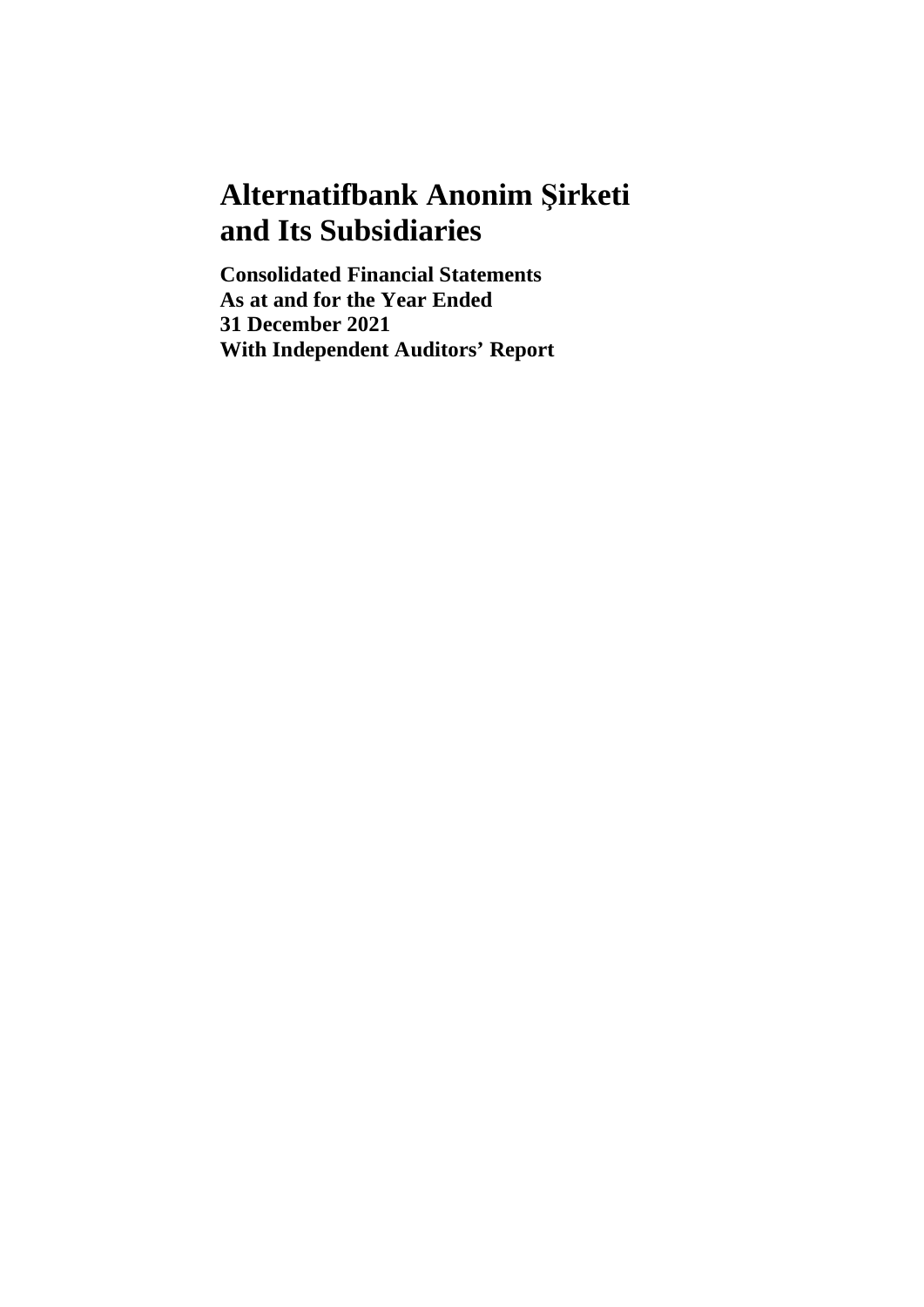# **Alternatifbank Anonim Şirketi and Its Subsidiaries**

**Consolidated Financial Statements As at and for the Year Ended 31 December 2021 With Independent Auditors' Report**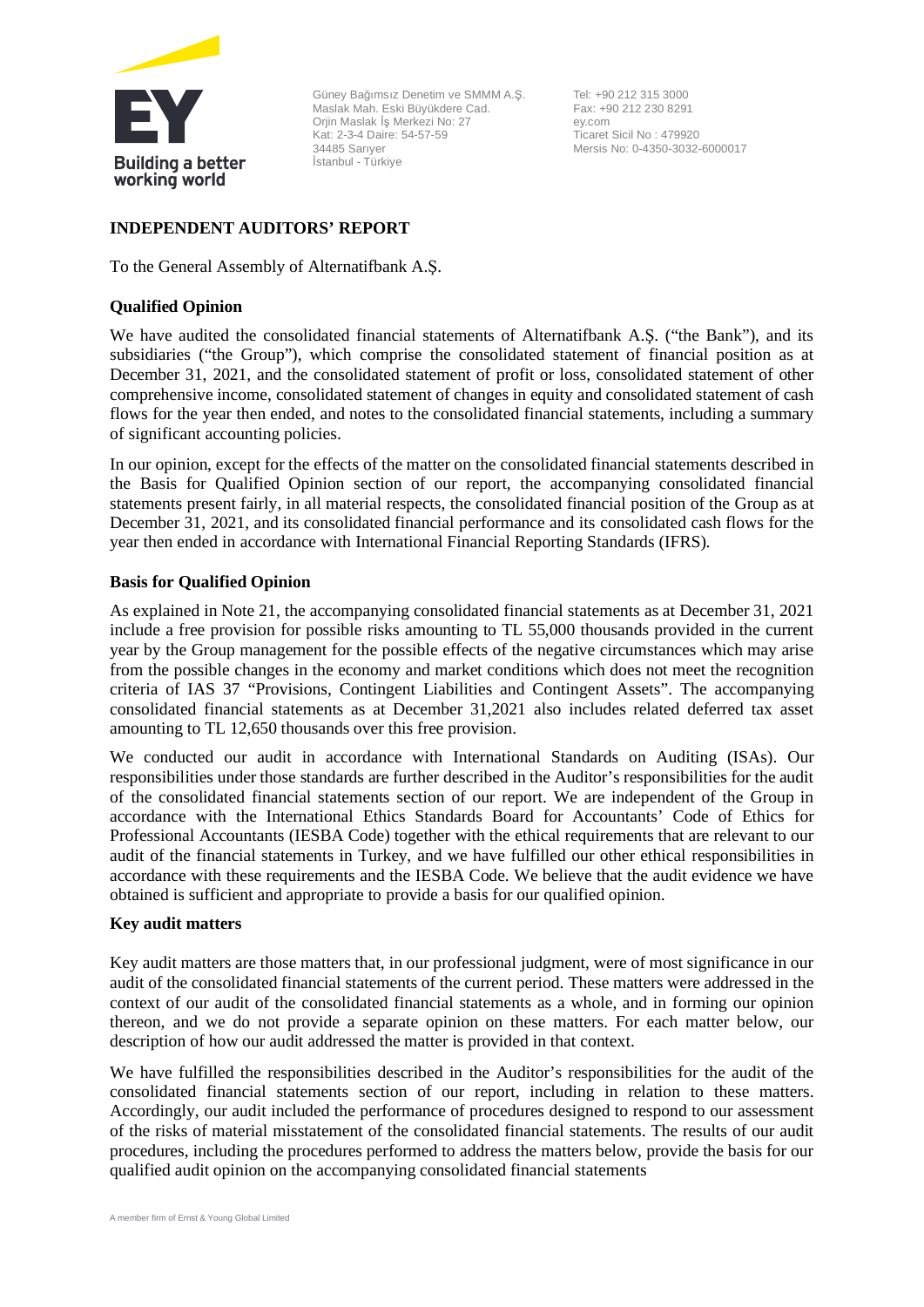

Güney Bağımsız Denetim ve SMMM A.Ş. Maslak Mah. Eski Büyükdere Cad. Orjin Maslak İş Merkezi No: 27 Kat: 2-3-4 Daire: 54-57-59 34485 Sarıyer İstanbul - Türkiye

Tel: +90 212 315 3000 Fax: +90 212 230 8291 ey.com Ticaret Sicil No : 479920 Mersis No: 0-4350-3032-6000017

# **INDEPENDENT AUDITORS' REPORT**

To the General Assembly of Alternatifbank A.Ş.

# **Qualified Opinion**

We have audited the consolidated financial statements of Alternatifbank A.Ş. ("the Bank"), and its subsidiaries ("the Group"), which comprise the consolidated statement of financial position as at December 31, 2021, and the consolidated statement of profit or loss, consolidated statement of other comprehensive income, consolidated statement of changes in equity and consolidated statement of cash flows for the year then ended, and notes to the consolidated financial statements, including a summary of significant accounting policies.

In our opinion, except for the effects of the matter on the consolidated financial statements described in the Basis for Qualified Opinion section of our report, the accompanying consolidated financial statements present fairly, in all material respects, the consolidated financial position of the Group as at December 31, 2021, and its consolidated financial performance and its consolidated cash flows for the year then ended in accordance with International Financial Reporting Standards (IFRS).

# **Basis for Qualified Opinion**

As explained in Note 21, the accompanying consolidated financial statements as at December 31, 2021 include a free provision for possible risks amounting to TL 55,000 thousands provided in the current year by the Group management for the possible effects of the negative circumstances which may arise from the possible changes in the economy and market conditions which does not meet the recognition criteria of IAS 37 "Provisions, Contingent Liabilities and Contingent Assets". The accompanying consolidated financial statements as at December 31,2021 also includes related deferred tax asset amounting to TL 12,650 thousands over this free provision.

We conducted our audit in accordance with International Standards on Auditing (ISAs). Our responsibilities under those standards are further described in the Auditor's responsibilities for the audit of the consolidated financial statements section of our report. We are independent of the Group in accordance with the International Ethics Standards Board for Accountants' Code of Ethics for Professional Accountants (IESBA Code) together with the ethical requirements that are relevant to our audit of the financial statements in Turkey, and we have fulfilled our other ethical responsibilities in accordance with these requirements and the IESBA Code. We believe that the audit evidence we have obtained is sufficient and appropriate to provide a basis for our qualified opinion.

# **Key audit matters**

Key audit matters are those matters that, in our professional judgment, were of most significance in our audit of the consolidated financial statements of the current period. These matters were addressed in the context of our audit of the consolidated financial statements as a whole, and in forming our opinion thereon, and we do not provide a separate opinion on these matters. For each matter below, our description of how our audit addressed the matter is provided in that context.

We have fulfilled the responsibilities described in the Auditor's responsibilities for the audit of the consolidated financial statements section of our report, including in relation to these matters. Accordingly, our audit included the performance of procedures designed to respond to our assessment of the risks of material misstatement of the consolidated financial statements. The results of our audit procedures, including the procedures performed to address the matters below, provide the basis for our qualified audit opinion on the accompanying consolidated financial statements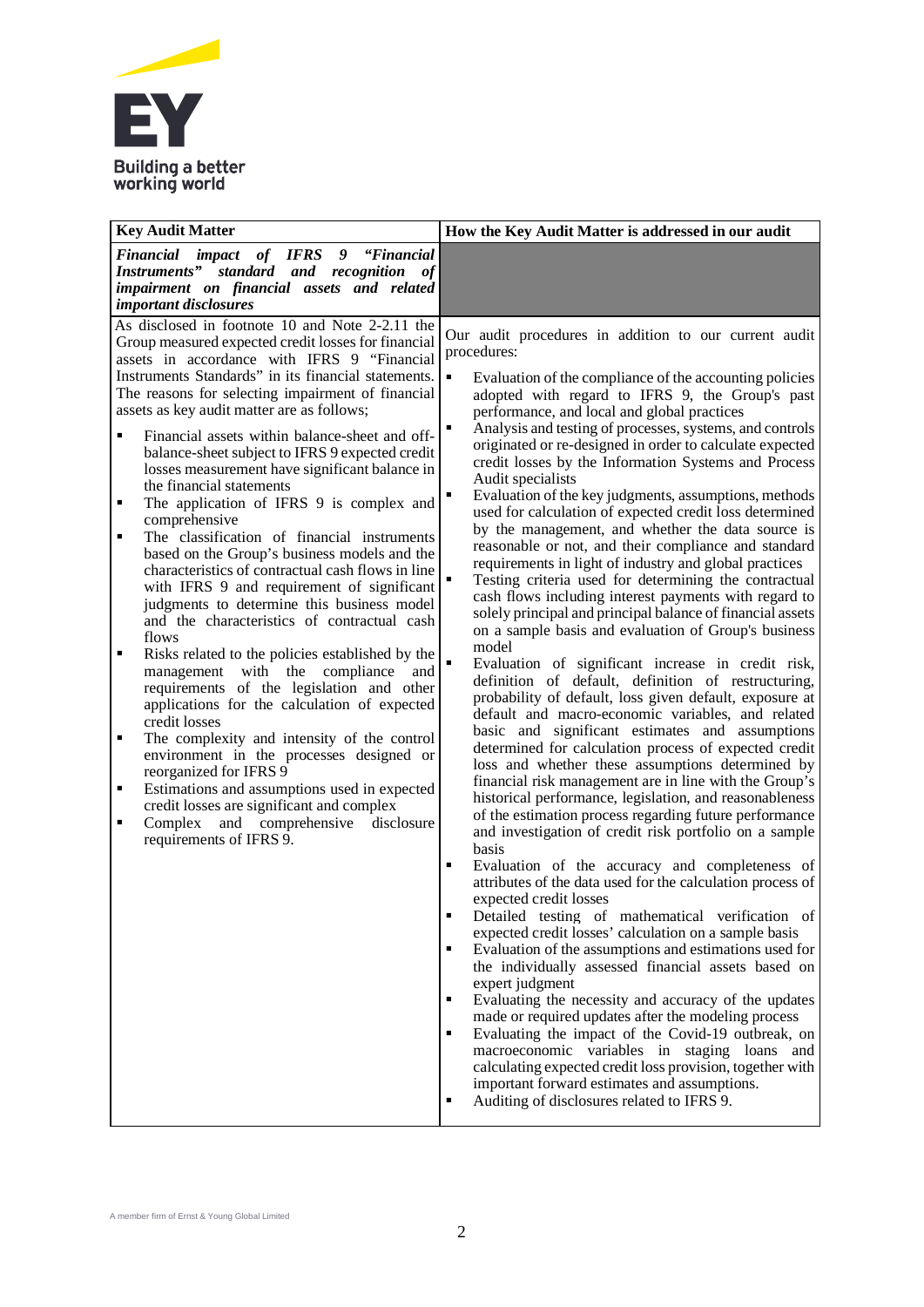

| <b>Key Audit Matter</b>                                                                                                                                                                                                                                                                                                                                                                                                                                                                                                                                                                                                                                                                                                                                                                                                                                                                                                                                                                                                                                                                                                                                                                                                                                                                                                                                                                                                                                                           | How the Key Audit Matter is addressed in our audit                                                                                                                                                                                                                                                                                                                                                                                                                                                                                                                                                                                                                                                                                                                                                                                                                                                                                                                                                                                                                                                                                                                                                                                                                                                                                                                                                                                                                                                                                                                                                                                                                                                                                                                                                                                                                                                                                                                                                                                                                                                                                                                                                                                                                                                                                                                                                                                                                                                          |
|-----------------------------------------------------------------------------------------------------------------------------------------------------------------------------------------------------------------------------------------------------------------------------------------------------------------------------------------------------------------------------------------------------------------------------------------------------------------------------------------------------------------------------------------------------------------------------------------------------------------------------------------------------------------------------------------------------------------------------------------------------------------------------------------------------------------------------------------------------------------------------------------------------------------------------------------------------------------------------------------------------------------------------------------------------------------------------------------------------------------------------------------------------------------------------------------------------------------------------------------------------------------------------------------------------------------------------------------------------------------------------------------------------------------------------------------------------------------------------------|-------------------------------------------------------------------------------------------------------------------------------------------------------------------------------------------------------------------------------------------------------------------------------------------------------------------------------------------------------------------------------------------------------------------------------------------------------------------------------------------------------------------------------------------------------------------------------------------------------------------------------------------------------------------------------------------------------------------------------------------------------------------------------------------------------------------------------------------------------------------------------------------------------------------------------------------------------------------------------------------------------------------------------------------------------------------------------------------------------------------------------------------------------------------------------------------------------------------------------------------------------------------------------------------------------------------------------------------------------------------------------------------------------------------------------------------------------------------------------------------------------------------------------------------------------------------------------------------------------------------------------------------------------------------------------------------------------------------------------------------------------------------------------------------------------------------------------------------------------------------------------------------------------------------------------------------------------------------------------------------------------------------------------------------------------------------------------------------------------------------------------------------------------------------------------------------------------------------------------------------------------------------------------------------------------------------------------------------------------------------------------------------------------------------------------------------------------------------------------------------------------------|
| Financial impact of IFRS 9 "Financial<br>Instruments" standard and recognition of<br>impairment on financial assets and related<br><i>important disclosures</i>                                                                                                                                                                                                                                                                                                                                                                                                                                                                                                                                                                                                                                                                                                                                                                                                                                                                                                                                                                                                                                                                                                                                                                                                                                                                                                                   |                                                                                                                                                                                                                                                                                                                                                                                                                                                                                                                                                                                                                                                                                                                                                                                                                                                                                                                                                                                                                                                                                                                                                                                                                                                                                                                                                                                                                                                                                                                                                                                                                                                                                                                                                                                                                                                                                                                                                                                                                                                                                                                                                                                                                                                                                                                                                                                                                                                                                                             |
| As disclosed in footnote 10 and Note 2-2.11 the<br>Group measured expected credit losses for financial<br>assets in accordance with IFRS 9 "Financial<br>Instruments Standards" in its financial statements.<br>The reasons for selecting impairment of financial<br>assets as key audit matter are as follows;<br>Financial assets within balance-sheet and off-<br>$\blacksquare$<br>balance-sheet subject to IFRS 9 expected credit<br>losses measurement have significant balance in<br>the financial statements<br>The application of IFRS 9 is complex and<br>٠<br>comprehensive<br>The classification of financial instruments<br>$\blacksquare$<br>based on the Group's business models and the<br>characteristics of contractual cash flows in line<br>with IFRS 9 and requirement of significant<br>judgments to determine this business model<br>and the characteristics of contractual cash<br>flows<br>Risks related to the policies established by the<br>$\blacksquare$<br>management with the compliance<br>and<br>requirements of the legislation and other<br>applications for the calculation of expected<br>credit losses<br>$\blacksquare$<br>The complexity and intensity of the control<br>environment in the processes designed or<br>reorganized for IFRS 9<br>Estimations and assumptions used in expected<br>$\blacksquare$<br>credit losses are significant and complex<br>and comprehensive<br>Complex<br>disclosure<br>Ξ<br>requirements of IFRS 9. | Our audit procedures in addition to our current audit<br>procedures:<br>Evaluation of the compliance of the accounting policies<br>adopted with regard to IFRS 9, the Group's past<br>performance, and local and global practices<br>$\blacksquare$<br>Analysis and testing of processes, systems, and controls<br>originated or re-designed in order to calculate expected<br>credit losses by the Information Systems and Process<br>Audit specialists<br>Evaluation of the key judgments, assumptions, methods<br>used for calculation of expected credit loss determined<br>by the management, and whether the data source is<br>reasonable or not, and their compliance and standard<br>requirements in light of industry and global practices<br>Testing criteria used for determining the contractual<br>cash flows including interest payments with regard to<br>solely principal and principal balance of financial assets<br>on a sample basis and evaluation of Group's business<br>model<br>Evaluation of significant increase in credit risk,<br>definition of default, definition of restructuring,<br>probability of default, loss given default, exposure at<br>default and macro-economic variables, and related<br>basic and significant estimates and assumptions<br>determined for calculation process of expected credit<br>loss and whether these assumptions determined by<br>financial risk management are in line with the Group's<br>historical performance, legislation, and reasonableness<br>of the estimation process regarding future performance<br>and investigation of credit risk portfolio on a sample<br>basis<br>$\blacksquare$<br>Evaluation of the accuracy and completeness of<br>attributes of the data used for the calculation process of<br>expected credit losses<br>Detailed testing of mathematical verification of<br>expected credit losses' calculation on a sample basis<br>Evaluation of the assumptions and estimations used for<br>$\blacksquare$<br>the individually assessed financial assets based on<br>expert judgment<br>Evaluating the necessity and accuracy of the updates<br>٠<br>made or required updates after the modeling process<br>Evaluating the impact of the Covid-19 outbreak, on<br>$\blacksquare$<br>macroeconomic variables in staging loans and<br>calculating expected credit loss provision, together with<br>important forward estimates and assumptions.<br>Auditing of disclosures related to IFRS 9.<br>$\blacksquare$ |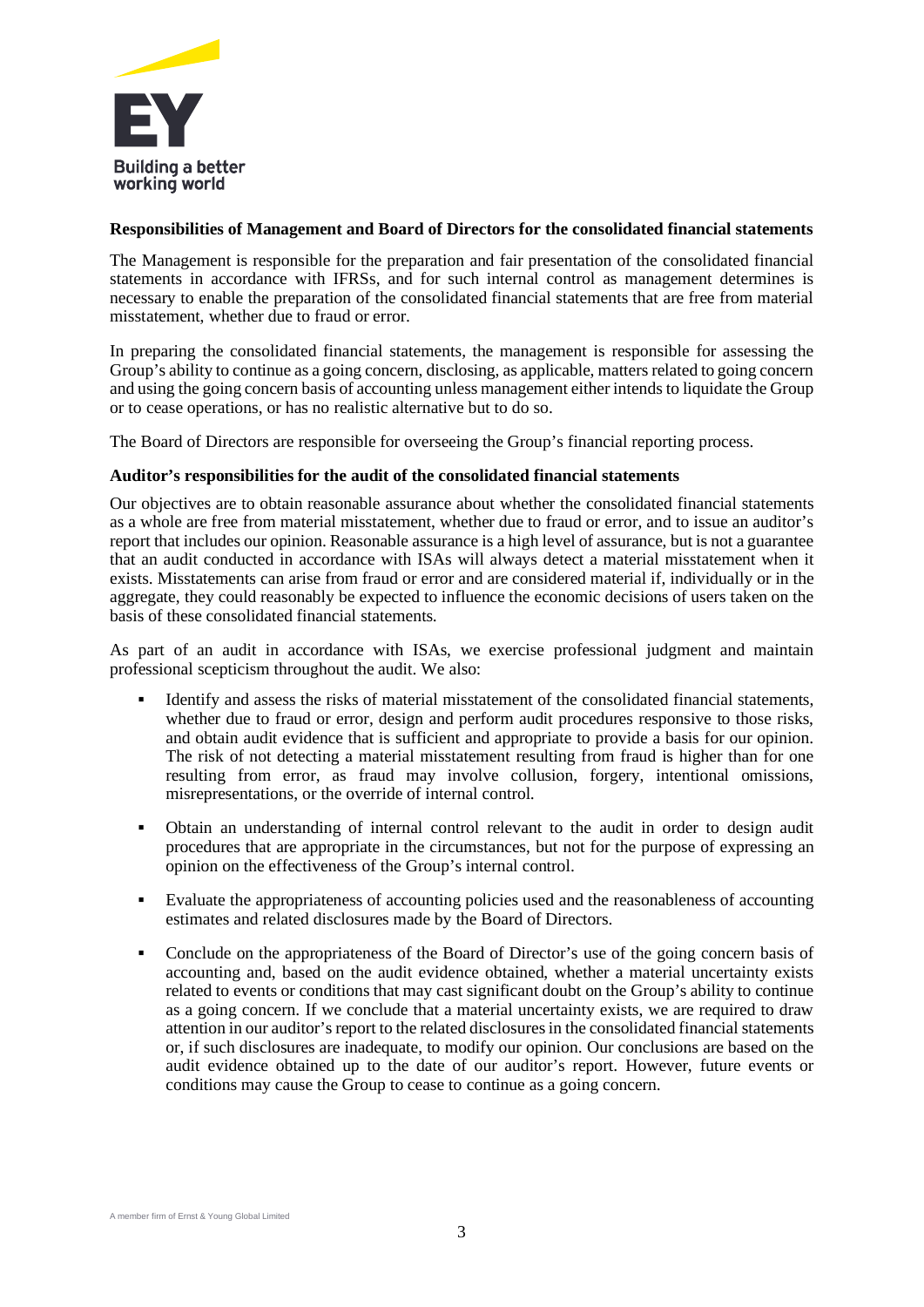

#### **Responsibilities of Management and Board of Directors for the consolidated financial statements**

The Management is responsible for the preparation and fair presentation of the consolidated financial statements in accordance with IFRSs, and for such internal control as management determines is necessary to enable the preparation of the consolidated financial statements that are free from material misstatement, whether due to fraud or error.

In preparing the consolidated financial statements, the management is responsible for assessing the Group's ability to continue as a going concern, disclosing, as applicable, matters related to going concern and using the going concern basis of accounting unless management either intends to liquidate the Group or to cease operations, or has no realistic alternative but to do so.

The Board of Directors are responsible for overseeing the Group's financial reporting process.

#### **Auditor's responsibilities for the audit of the consolidated financial statements**

Our objectives are to obtain reasonable assurance about whether the consolidated financial statements as a whole are free from material misstatement, whether due to fraud or error, and to issue an auditor's report that includes our opinion. Reasonable assurance is a high level of assurance, but is not a guarantee that an audit conducted in accordance with ISAs will always detect a material misstatement when it exists. Misstatements can arise from fraud or error and are considered material if, individually or in the aggregate, they could reasonably be expected to influence the economic decisions of users taken on the basis of these consolidated financial statements.

As part of an audit in accordance with ISAs, we exercise professional judgment and maintain professional scepticism throughout the audit. We also:

- Identify and assess the risks of material misstatement of the consolidated financial statements, whether due to fraud or error, design and perform audit procedures responsive to those risks, and obtain audit evidence that is sufficient and appropriate to provide a basis for our opinion. The risk of not detecting a material misstatement resulting from fraud is higher than for one resulting from error, as fraud may involve collusion, forgery, intentional omissions, misrepresentations, or the override of internal control.
- Obtain an understanding of internal control relevant to the audit in order to design audit procedures that are appropriate in the circumstances, but not for the purpose of expressing an opinion on the effectiveness of the Group's internal control.
- Evaluate the appropriateness of accounting policies used and the reasonableness of accounting estimates and related disclosures made by the Board of Directors.
- Conclude on the appropriateness of the Board of Director's use of the going concern basis of accounting and, based on the audit evidence obtained, whether a material uncertainty exists related to events or conditions that may cast significant doubt on the Group's ability to continue as a going concern. If we conclude that a material uncertainty exists, we are required to draw attention in our auditor's report to the related disclosures in the consolidated financial statements or, if such disclosures are inadequate, to modify our opinion. Our conclusions are based on the audit evidence obtained up to the date of our auditor's report. However, future events or conditions may cause the Group to cease to continue as a going concern.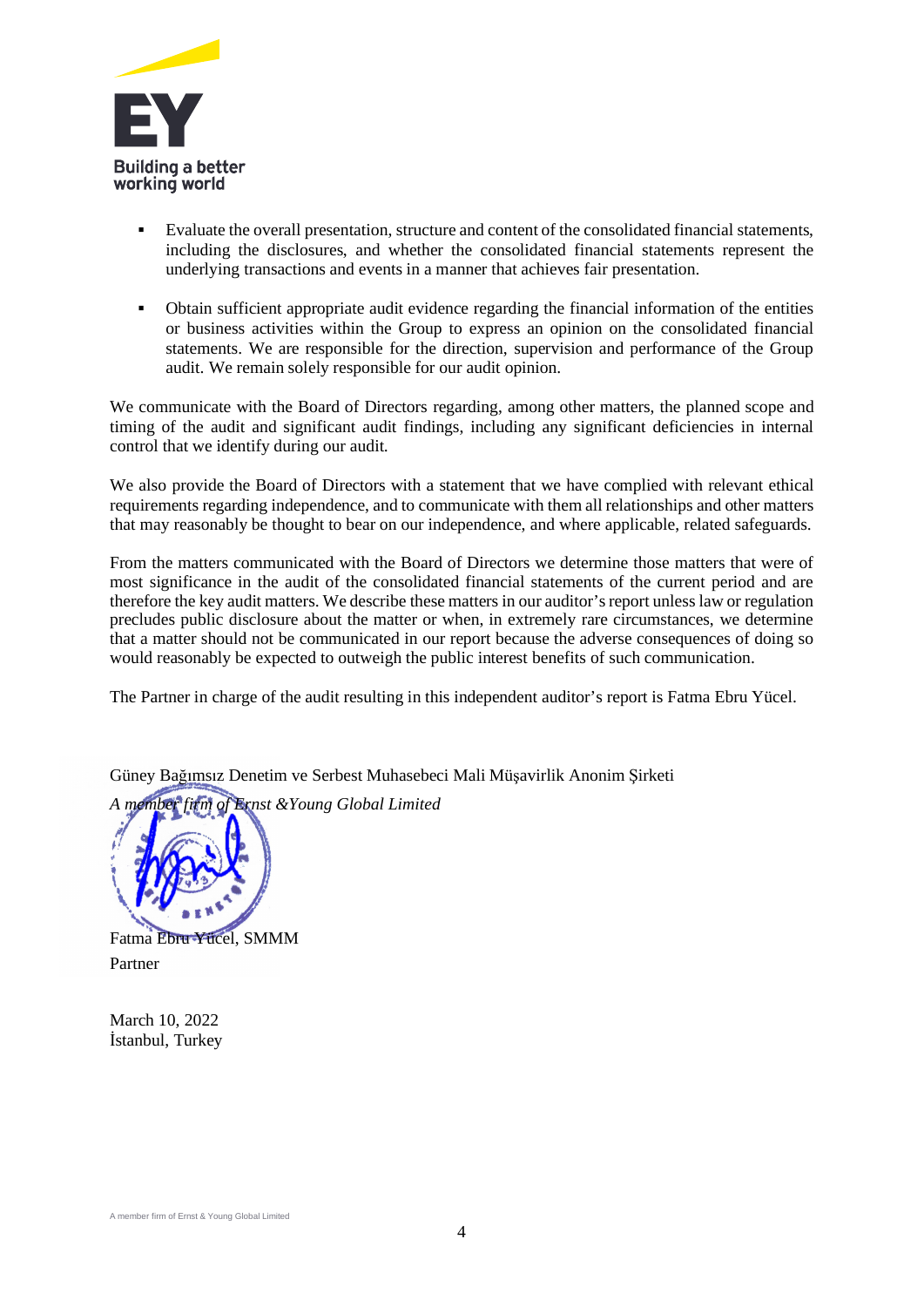

- Evaluate the overall presentation, structure and content of the consolidated financial statements, including the disclosures, and whether the consolidated financial statements represent the underlying transactions and events in a manner that achieves fair presentation.
- Obtain sufficient appropriate audit evidence regarding the financial information of the entities or business activities within the Group to express an opinion on the consolidated financial statements. We are responsible for the direction, supervision and performance of the Group audit. We remain solely responsible for our audit opinion.

We communicate with the Board of Directors regarding, among other matters, the planned scope and timing of the audit and significant audit findings, including any significant deficiencies in internal control that we identify during our audit.

We also provide the Board of Directors with a statement that we have complied with relevant ethical requirements regarding independence, and to communicate with them all relationships and other matters that may reasonably be thought to bear on our independence, and where applicable, related safeguards.

From the matters communicated with the Board of Directors we determine those matters that were of most significance in the audit of the consolidated financial statements of the current period and are therefore the key audit matters. We describe these matters in our auditor's report unless law or regulation precludes public disclosure about the matter or when, in extremely rare circumstances, we determine that a matter should not be communicated in our report because the adverse consequences of doing so would reasonably be expected to outweigh the public interest benefits of such communication.

The Partner in charge of the audit resulting in this independent auditor's report is Fatma Ebru Yücel.

Güney Bağımsız Denetim ve Serbest Muhasebeci Mali Müşavirlik Anonim Şirketi

*A member firm of Ernst &Young Global Limited*



Fatma Ebru Yücel, SMMM Partner

March 10, 2022 İstanbul, Turkey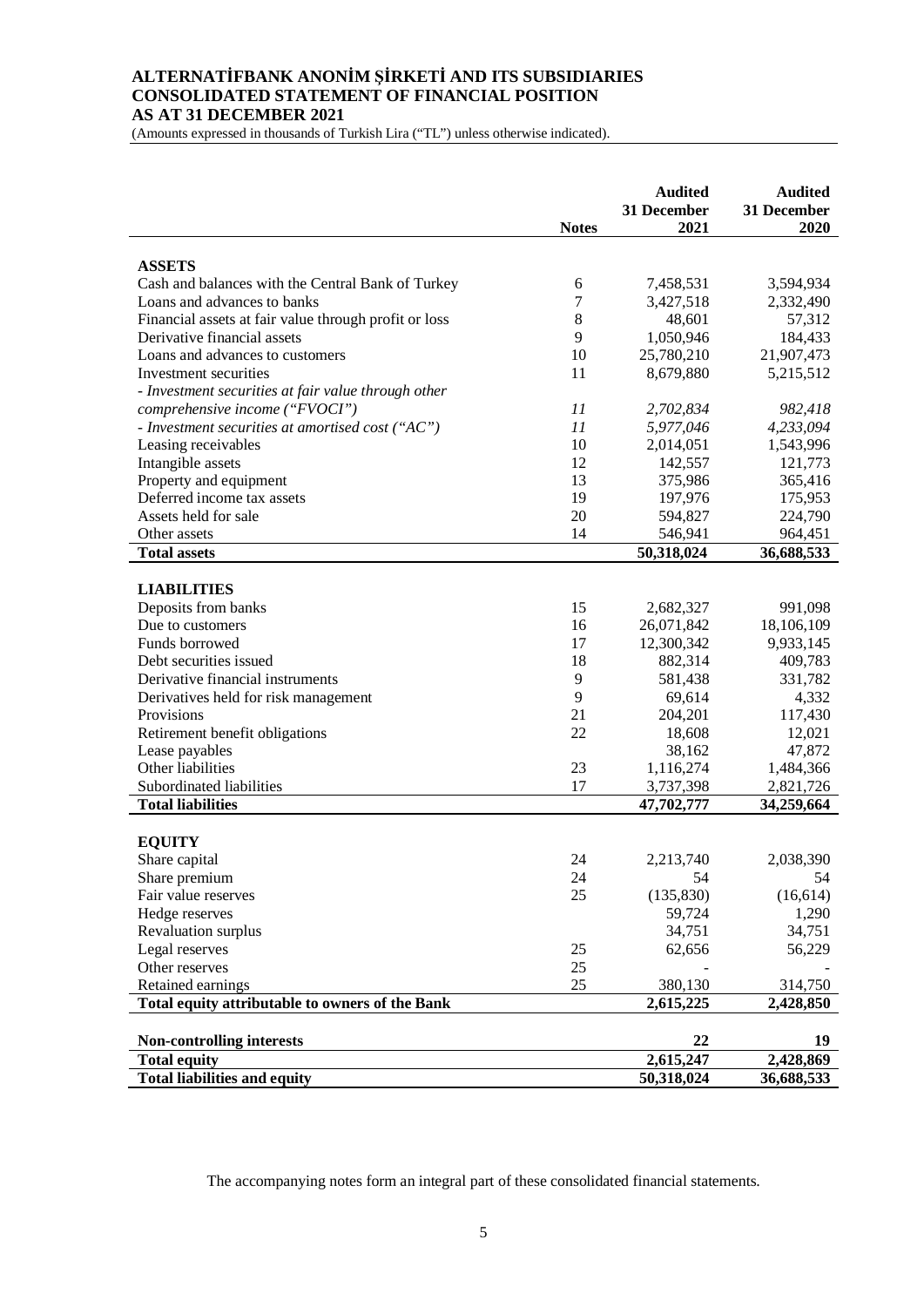#### **ALTERNATİFBANK ANONİM ŞİRKETİ AND ITS SUBSIDIARIES CONSOLIDATED STATEMENT OF FINANCIAL POSITION AS AT 31 DECEMBER 2021**

(Amounts expressed in thousands of Turkish Lira ("TL") unless otherwise indicated).

|                                                       | <b>Notes</b> | <b>Audited</b><br>31 December<br>2021 | <b>Audited</b><br>31 December<br>2020 |
|-------------------------------------------------------|--------------|---------------------------------------|---------------------------------------|
|                                                       |              |                                       |                                       |
| <b>ASSETS</b>                                         |              |                                       |                                       |
| Cash and balances with the Central Bank of Turkey     | 6            | 7,458,531                             | 3,594,934                             |
| Loans and advances to banks                           | 7            | 3,427,518                             | 2,332,490                             |
| Financial assets at fair value through profit or loss | 8            | 48,601                                | 57,312                                |
| Derivative financial assets                           | 9            | 1,050,946                             | 184,433                               |
| Loans and advances to customers                       | 10           | 25,780,210                            | 21,907,473                            |
| Investment securities                                 | 11           | 8,679,880                             | 5,215,512                             |
| - Investment securities at fair value through other   |              |                                       |                                       |
| comprehensive income ("FVOCI")                        | 11           | 2,702,834                             | 982,418                               |
| - Investment securities at amortised cost $("AC")$    | 11           | 5,977,046                             | 4,233,094                             |
| Leasing receivables                                   | 10           | 2,014,051                             | 1,543,996                             |
| Intangible assets                                     | 12           | 142,557                               | 121,773                               |
| Property and equipment                                | 13           | 375,986                               | 365,416                               |
| Deferred income tax assets                            | 19           | 197,976                               | 175,953                               |
| Assets held for sale                                  | 20           | 594,827                               | 224,790                               |
| Other assets                                          | 14           | 546,941                               | 964,451                               |
| <b>Total assets</b>                                   |              | 50,318,024                            | 36,688,533                            |
|                                                       |              |                                       |                                       |
| <b>LIABILITIES</b>                                    |              |                                       |                                       |
| Deposits from banks                                   | 15           | 2,682,327                             | 991,098                               |
| Due to customers                                      | 16           | 26,071,842                            | 18,106,109                            |
| Funds borrowed                                        | 17           | 12,300,342                            | 9,933,145                             |
| Debt securities issued                                | 18           | 882,314                               | 409,783                               |
| Derivative financial instruments                      | $\mathbf{9}$ | 581,438                               | 331,782                               |
| Derivatives held for risk management                  | 9            | 69,614                                | 4,332                                 |
| Provisions                                            | 21           | 204,201                               | 117,430                               |
| Retirement benefit obligations                        | 22           | 18,608                                | 12,021                                |
| Lease payables                                        |              | 38,162                                | 47,872                                |
| Other liabilities                                     | 23           | 1,116,274                             | 1,484,366                             |
| Subordinated liabilities                              | 17           | 3,737,398                             | 2,821,726                             |
| <b>Total liabilities</b>                              |              | 47,702,777                            | 34,259,664                            |
|                                                       |              |                                       |                                       |
| <b>EQUITY</b>                                         |              |                                       |                                       |
| Share capital                                         | 24           | 2,213,740                             | 2,038,390                             |
| Share premium                                         | 24           | 54                                    | 54                                    |
| Fair value reserves                                   | 25           | (135, 830)                            | (16, 614)                             |
| Hedge reserves                                        |              | 59,724                                | 1,290                                 |
| Revaluation surplus                                   |              | 34,751                                | 34,751                                |
| Legal reserves                                        | 25           | 62,656                                | 56,229                                |
| Other reserves                                        | 25           |                                       |                                       |
| Retained earnings                                     | 25           | 380,130                               | 314,750                               |
| Total equity attributable to owners of the Bank       |              | 2,615,225                             | 2,428,850                             |
|                                                       |              |                                       |                                       |
| <b>Non-controlling interests</b>                      |              | 22                                    | 19                                    |
| <b>Total equity</b>                                   |              | 2,615,247                             | 2,428,869                             |
| <b>Total liabilities and equity</b>                   |              | 50,318,024                            | 36,688,533                            |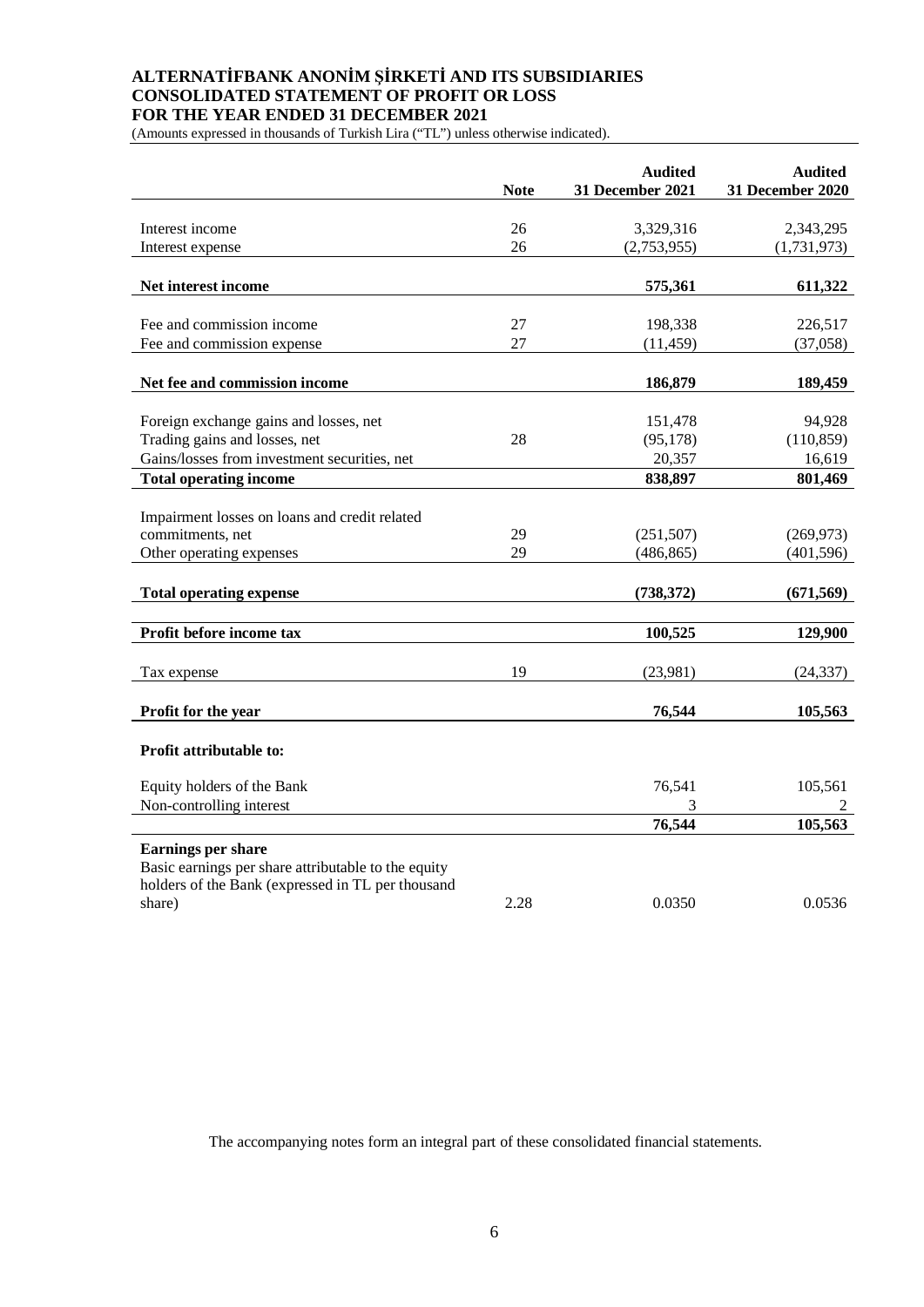# **ALTERNATİFBANK ANONİM ŞİRKETİ AND ITS SUBSIDIARIES CONSOLIDATED STATEMENT OF PROFIT OR LOSS FOR THE YEAR ENDED 31 DECEMBER 2021**

(Amounts expressed in thousands of Turkish Lira ("TL") unless otherwise indicated).

|                                                                                                                                       | <b>Note</b> | <b>Audited</b><br>31 December 2021 | <b>Audited</b><br>31 December 2020 |
|---------------------------------------------------------------------------------------------------------------------------------------|-------------|------------------------------------|------------------------------------|
|                                                                                                                                       |             |                                    |                                    |
| Interest income                                                                                                                       | 26          | 3,329,316                          | 2,343,295                          |
| Interest expense                                                                                                                      | 26          | (2,753,955)                        | (1,731,973)                        |
| Net interest income                                                                                                                   |             | 575,361                            | 611,322                            |
| Fee and commission income                                                                                                             | 27          | 198,338                            | 226,517                            |
| Fee and commission expense                                                                                                            | 27          | (11, 459)                          | (37,058)                           |
|                                                                                                                                       |             |                                    |                                    |
| Net fee and commission income                                                                                                         |             | 186,879                            | 189,459                            |
| Foreign exchange gains and losses, net                                                                                                |             | 151,478                            | 94,928                             |
| Trading gains and losses, net                                                                                                         | 28          | (95, 178)                          | (110, 859)                         |
| Gains/losses from investment securities, net                                                                                          |             | 20,357                             | 16,619                             |
| <b>Total operating income</b>                                                                                                         |             | 838,897                            | 801,469                            |
|                                                                                                                                       |             |                                    |                                    |
| Impairment losses on loans and credit related                                                                                         |             |                                    |                                    |
| commitments, net                                                                                                                      | 29          | (251, 507)                         | (269, 973)                         |
| Other operating expenses                                                                                                              | 29          | (486, 865)                         | (401, 596)                         |
|                                                                                                                                       |             |                                    |                                    |
| <b>Total operating expense</b>                                                                                                        |             | (738, 372)                         | (671, 569)                         |
|                                                                                                                                       |             |                                    |                                    |
| Profit before income tax                                                                                                              |             | 100,525                            | 129,900                            |
| Tax expense                                                                                                                           | 19          | (23,981)                           | (24, 337)                          |
|                                                                                                                                       |             |                                    |                                    |
| Profit for the year                                                                                                                   |             | 76,544                             | 105,563                            |
| Profit attributable to:                                                                                                               |             |                                    |                                    |
| Equity holders of the Bank                                                                                                            |             | 76,541                             | 105,561                            |
| Non-controlling interest                                                                                                              |             | 3                                  | 2                                  |
|                                                                                                                                       |             | 76,544                             | 105,563                            |
| <b>Earnings per share</b><br>Basic earnings per share attributable to the equity<br>holders of the Bank (expressed in TL per thousand |             |                                    |                                    |
| share)                                                                                                                                | 2.28        | 0.0350                             | 0.0536                             |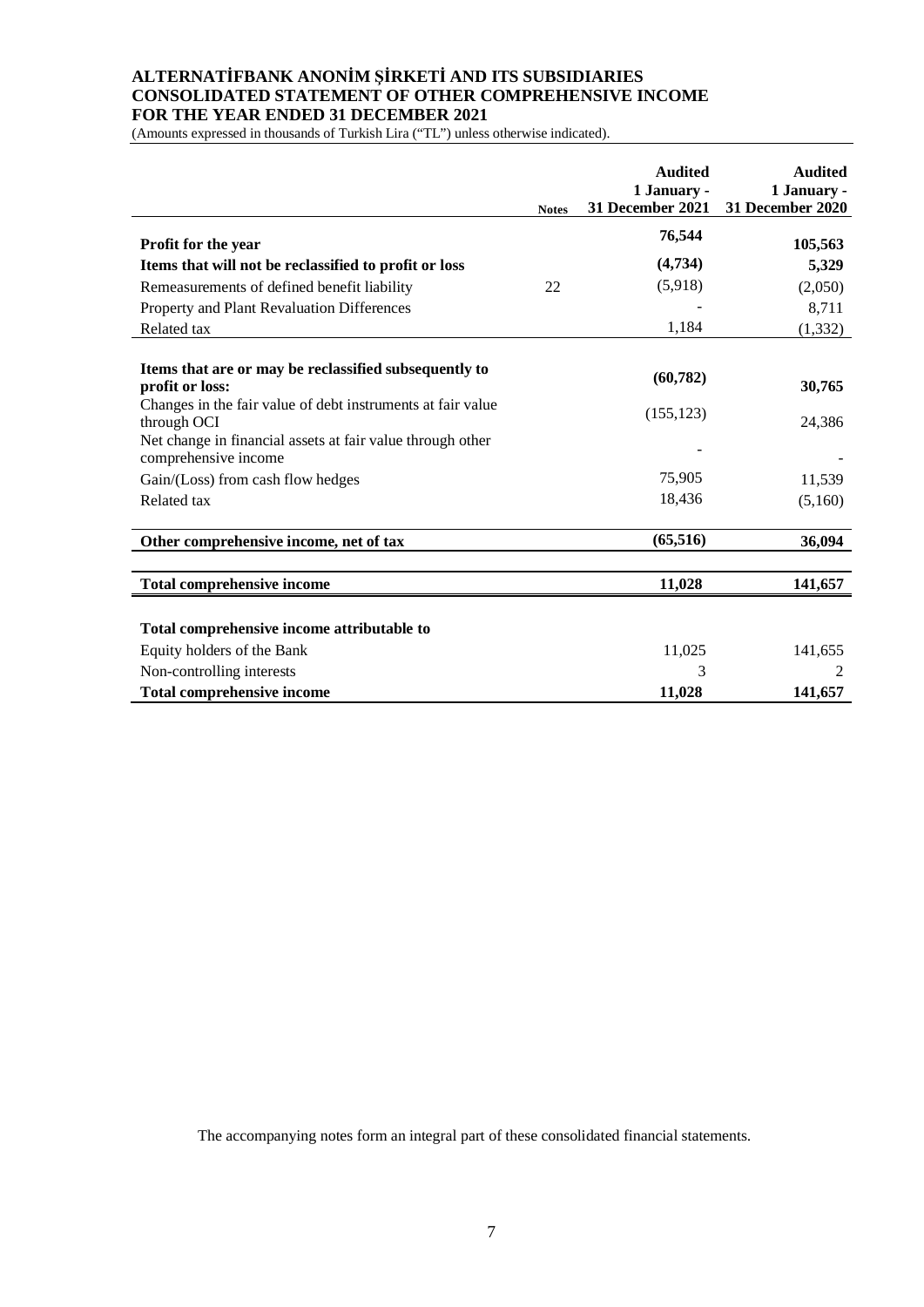#### **ALTERNATİFBANK ANONİM ŞİRKETİ AND ITS SUBSIDIARIES CONSOLIDATED STATEMENT OF OTHER COMPREHENSIVE INCOME FOR THE YEAR ENDED 31 DECEMBER 2021**

(Amounts expressed in thousands of Turkish Lira ("TL") unless otherwise indicated).

|                                                                                    | <b>Notes</b> | <b>Audited</b><br>1 January -<br>31 December 2021 | <b>Audited</b><br>1 January -<br>31 December 2020 |
|------------------------------------------------------------------------------------|--------------|---------------------------------------------------|---------------------------------------------------|
| Profit for the year                                                                |              | 76,544                                            | 105,563                                           |
|                                                                                    |              | (4,734)                                           |                                                   |
| Items that will not be reclassified to profit or loss                              |              |                                                   | 5,329                                             |
| Remeasurements of defined benefit liability                                        | 22           | (5,918)                                           | (2,050)                                           |
| Property and Plant Revaluation Differences                                         |              |                                                   | 8,711                                             |
| Related tax                                                                        |              | 1,184                                             | (1, 332)                                          |
|                                                                                    |              |                                                   |                                                   |
| Items that are or may be reclassified subsequently to<br>profit or loss:           |              | (60, 782)                                         | 30,765                                            |
| Changes in the fair value of debt instruments at fair value<br>through OCI         |              | (155, 123)                                        | 24,386                                            |
| Net change in financial assets at fair value through other<br>comprehensive income |              |                                                   |                                                   |
| Gain/(Loss) from cash flow hedges                                                  |              | 75,905                                            | 11,539                                            |
| Related tax                                                                        |              | 18,436                                            | (5,160)                                           |
| Other comprehensive income, net of tax                                             |              | (65, 516)                                         | 36,094                                            |
|                                                                                    |              |                                                   |                                                   |
| <b>Total comprehensive income</b>                                                  |              | 11,028                                            | 141,657                                           |
|                                                                                    |              |                                                   |                                                   |
| Total comprehensive income attributable to                                         |              |                                                   |                                                   |
| Equity holders of the Bank                                                         |              | 11,025                                            | 141,655                                           |
| Non-controlling interests                                                          |              | 3                                                 | 2                                                 |
| <b>Total comprehensive income</b>                                                  |              | 11,028                                            | 141,657                                           |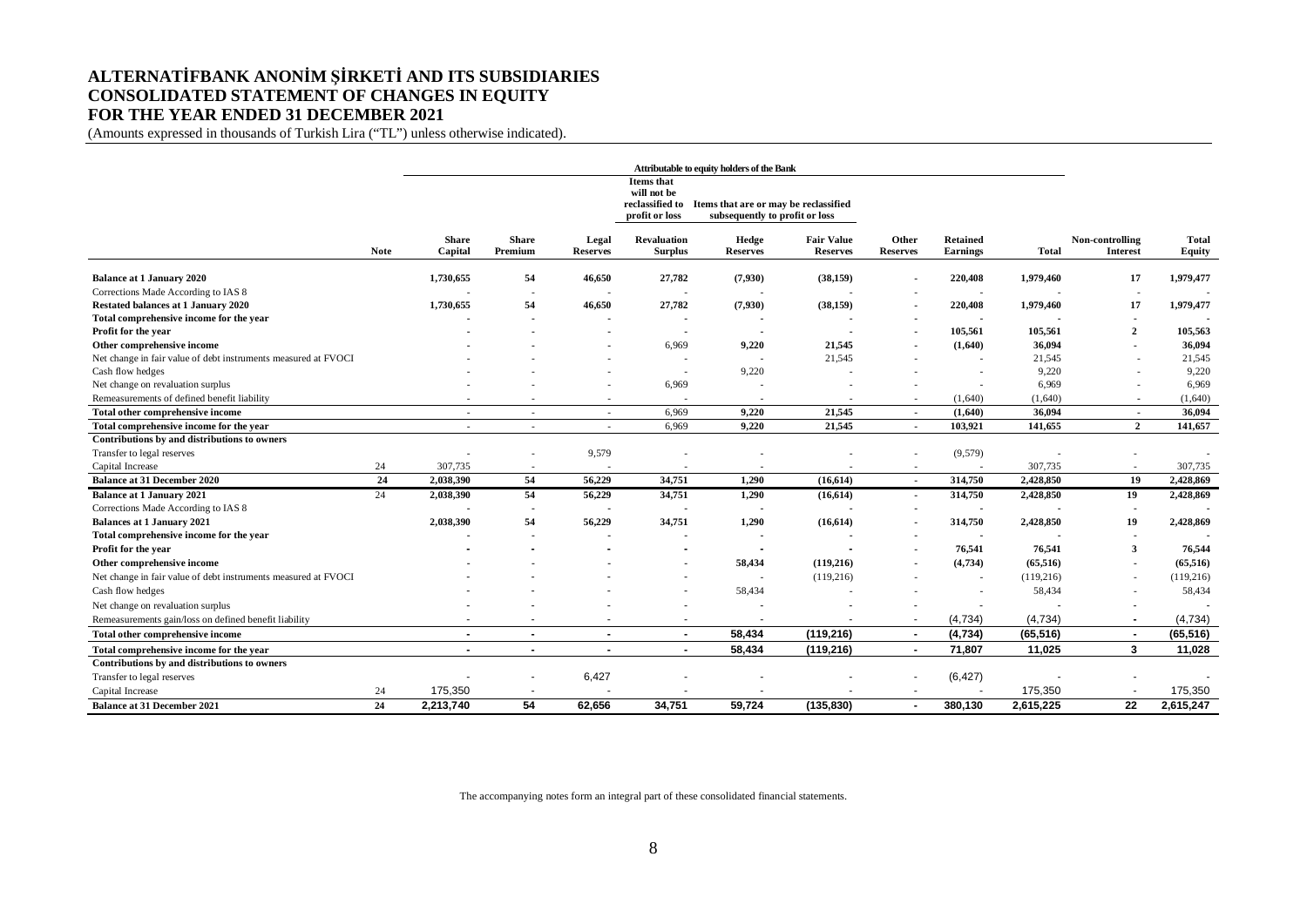#### **ALTERNATİFBANK ANONİM ŞİRKETİ AND ITS SUBSIDIARIES CONSOLIDATED STATEMENT OF CHANGES IN EQUITY FOR THE YEAR ENDED 31 DECEMBER 2021**

(Amounts expressed in thousands of Turkish Lira ("TL") unless otherwise indicated).

|                                                                |             |                         |                          |                          |                                      | Attributable to equity holders of the Bank                                              |                                      |                          |                                    |              |                             |                 |
|----------------------------------------------------------------|-------------|-------------------------|--------------------------|--------------------------|--------------------------------------|-----------------------------------------------------------------------------------------|--------------------------------------|--------------------------|------------------------------------|--------------|-----------------------------|-----------------|
|                                                                |             |                         |                          |                          | <b>Items</b> that<br>will not be     |                                                                                         |                                      |                          |                                    |              |                             |                 |
|                                                                |             |                         |                          |                          | profit or loss                       | reclassified to Items that are or may be reclassified<br>subsequently to profit or loss |                                      |                          |                                    |              |                             |                 |
|                                                                | <b>Note</b> | <b>Share</b><br>Capital | <b>Share</b><br>Premium  | Legal<br><b>Reserves</b> | <b>Revaluation</b><br><b>Surplus</b> | Hedge<br><b>Reserves</b>                                                                | <b>Fair Value</b><br><b>Reserves</b> | Other<br><b>Reserves</b> | <b>Retained</b><br><b>Earnings</b> | <b>Total</b> | Non-controlling<br>Interest | Total<br>Equity |
| <b>Balance at 1 January 2020</b>                               |             | 1,730,655               | 54                       | 46,650                   | 27,782                               | (7,930)                                                                                 | (38, 159)                            |                          | 220,408                            | 1,979,460    | 17                          | 1,979,477       |
| Corrections Made According to IAS 8                            |             |                         |                          |                          |                                      |                                                                                         |                                      |                          |                                    |              |                             |                 |
| Restated balances at 1 January 2020                            |             | 1,730,655               | 54                       | 46,650                   | 27,782                               | (7,930)                                                                                 | (38, 159)                            |                          | 220,408                            | 1,979,460    | 17                          | 1,979,477       |
| Total comprehensive income for the year                        |             |                         |                          |                          |                                      |                                                                                         |                                      |                          |                                    |              | $\blacksquare$              |                 |
| Profit for the year                                            |             |                         |                          |                          |                                      |                                                                                         |                                      |                          | 105,561                            | 105,561      | $\overline{2}$              | 105,563         |
| Other comprehensive income                                     |             |                         |                          |                          | 6.969                                | 9,220                                                                                   | 21,545                               |                          | (1,640)                            | 36,094       |                             | 36,094          |
| Net change in fair value of debt instruments measured at FVOCI |             |                         |                          |                          |                                      |                                                                                         | 21.545                               |                          |                                    | 21,545       |                             | 21,545          |
| Cash flow hedges                                               |             |                         |                          |                          |                                      | 9,220                                                                                   |                                      |                          |                                    | 9,220        |                             | 9,220           |
| Net change on revaluation surplus                              |             |                         |                          |                          | 6,969                                |                                                                                         |                                      |                          |                                    | 6,969        |                             | 6,969           |
| Remeasurements of defined benefit liability                    |             |                         |                          | ٠                        |                                      |                                                                                         |                                      |                          | (1,640)                            | (1,640)      |                             | (1,640)         |
| Total other comprehensive income                               |             |                         | ٠                        | ٠                        | 6,969                                | 9,220                                                                                   | 21,545                               | $\overline{a}$           | (1,640)                            | 36,094       | $\overline{a}$              | 36,094          |
| Total comprehensive income for the year                        |             |                         | $\overline{\phantom{a}}$ | $\overline{\phantom{a}}$ | 6.969                                | 9.220                                                                                   | 21.545                               |                          | 103.921                            | 141.655      | $\overline{2}$              | 141,657         |
| Contributions by and distributions to owners                   |             |                         |                          |                          |                                      |                                                                                         |                                      |                          |                                    |              |                             |                 |
| Transfer to legal reserves                                     |             |                         |                          | 9,579                    |                                      |                                                                                         |                                      |                          | (9,579)                            |              |                             |                 |
| Capital Increase                                               | 24          | 307,735                 | $\overline{\phantom{a}}$ |                          |                                      |                                                                                         |                                      | $\overline{\phantom{a}}$ |                                    | 307,735      | $\sim$                      | 307,735         |
| <b>Balance at 31 December 2020</b>                             | 24          | 2,038,390               | 54                       | 56,229                   | 34,751                               | 1,290                                                                                   | (16, 614)                            | $\sim$                   | 314,750                            | 2,428,850    | 19                          | 2,428,869       |
| <b>Balance at 1 January 2021</b>                               | 24          | 2,038,390               | 54                       | 56,229                   | 34,751                               | 1,290                                                                                   | (16,614)                             | $\sim$                   | 314,750                            | 2,428,850    | 19                          | 2,428,869       |
| Corrections Made According to IAS 8                            |             |                         |                          |                          |                                      |                                                                                         |                                      |                          |                                    |              |                             |                 |
| <b>Balances at 1 January 2021</b>                              |             | 2,038,390               | 54                       | 56,229                   | 34,751                               | 1,290                                                                                   | (16, 614)                            |                          | 314,750                            | 2,428,850    | 19                          | 2,428,869       |
| Total comprehensive income for the year                        |             |                         |                          |                          |                                      |                                                                                         |                                      |                          |                                    |              |                             |                 |
| Profit for the year                                            |             |                         |                          |                          |                                      |                                                                                         |                                      |                          | 76,541                             | 76,541       | 3                           | 76,544          |
| Other comprehensive income                                     |             |                         |                          |                          |                                      | 58,434                                                                                  | (119, 216)                           |                          | (4, 734)                           | (65, 516)    |                             | (65,516)        |
| Net change in fair value of debt instruments measured at FVOCI |             |                         |                          |                          |                                      |                                                                                         | (119,216)                            |                          | $\sim$                             | (119, 216)   |                             | (119,216)       |
| Cash flow hedges                                               |             |                         |                          |                          |                                      | 58,434                                                                                  |                                      |                          |                                    | 58,434       |                             | 58,434          |
| Net change on revaluation surplus                              |             |                         |                          |                          |                                      |                                                                                         |                                      |                          |                                    |              |                             |                 |
| Remeasurements gain/loss on defined benefit liability          |             |                         | $\overline{\phantom{a}}$ | $\sim$                   | $\sim$                               | $\overline{\phantom{a}}$                                                                |                                      | $\overline{\phantom{a}}$ | (4, 734)                           | (4,734)      | $\blacksquare$              | (4,734)         |
| Total other comprehensive income                               |             |                         | $\overline{a}$           | $\blacksquare$           | $\overline{a}$                       | 58,434                                                                                  | (119, 216)                           |                          | (4,734)                            | (65, 516)    |                             | (65, 516)       |
| Total comprehensive income for the year                        |             |                         | $\blacksquare$           | $\blacksquare$           | $\overline{\phantom{a}}$             | 58,434                                                                                  | (119, 216)                           |                          | 71,807                             | 11,025       | 3                           | 11,028          |
| Contributions by and distributions to owners                   |             |                         |                          |                          |                                      |                                                                                         |                                      |                          |                                    |              |                             |                 |
| Transfer to legal reserves                                     |             |                         |                          | 6,427                    |                                      |                                                                                         |                                      |                          | (6, 427)                           |              |                             |                 |
| Capital Increase                                               | 24          | 175,350                 | $\overline{a}$           |                          |                                      |                                                                                         |                                      |                          |                                    | 175,350      |                             | 175,350         |
| <b>Balance at 31 December 2021</b>                             | 24          | 2,213,740               | 54                       | 62,656                   | 34,751                               | 59,724                                                                                  | (135, 830)                           | $\blacksquare$           | 380,130                            | 2,615,225    | 22                          | 2,615,247       |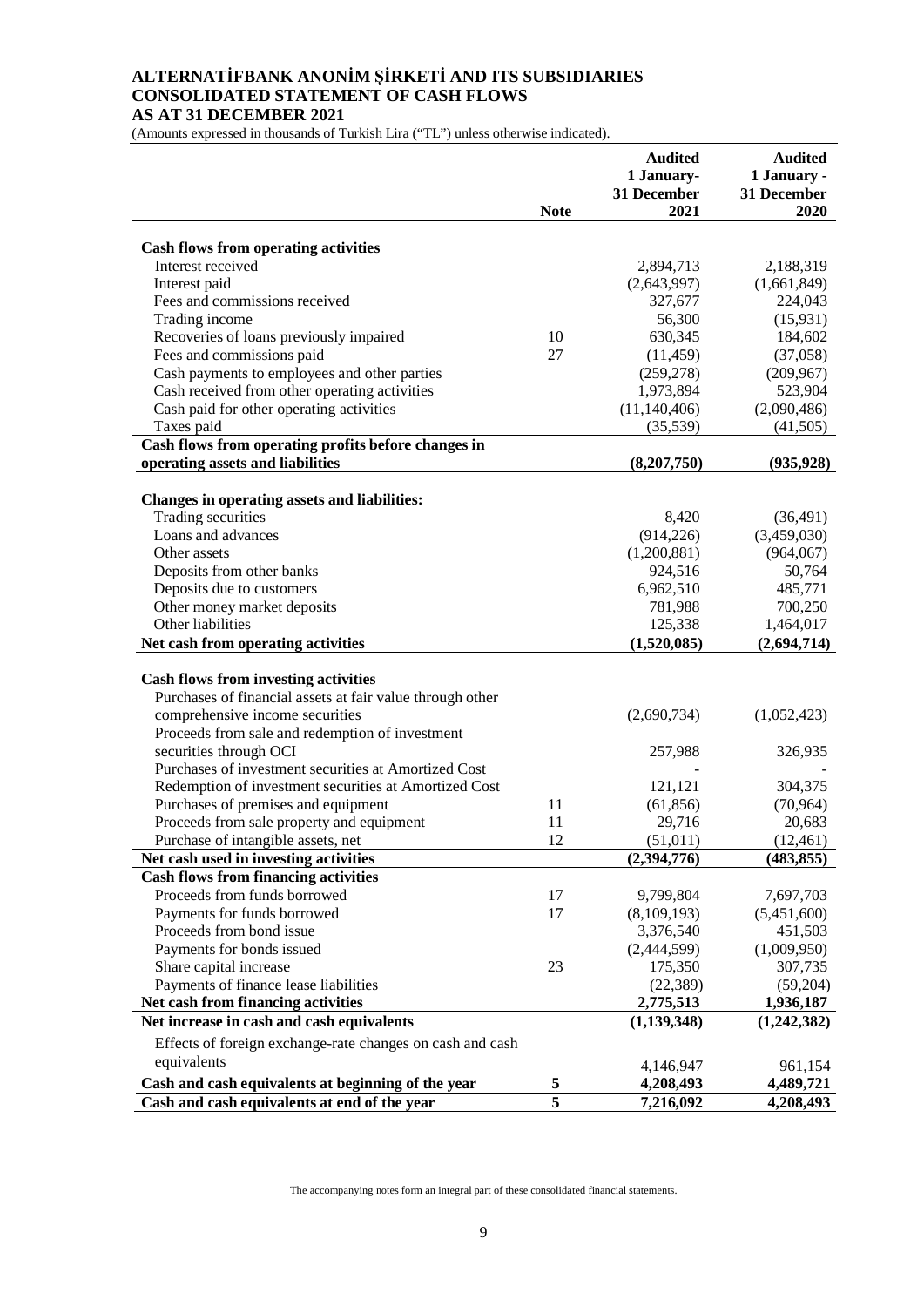#### **ALTERNATİFBANK ANONİM ŞİRKETİ AND ITS SUBSIDIARIES CONSOLIDATED STATEMENT OF CASH FLOWS AS AT 31 DECEMBER 2021**

(Amounts expressed in thousands of Turkish Lira ("TL") unless otherwise indicated).

|                                                                 |                         | <b>Audited</b><br>1 January-<br>31 December | <b>Audited</b><br>1 January -<br>31 December |
|-----------------------------------------------------------------|-------------------------|---------------------------------------------|----------------------------------------------|
|                                                                 | <b>Note</b>             | 2021                                        | 2020                                         |
| <b>Cash flows from operating activities</b>                     |                         |                                             |                                              |
| Interest received                                               |                         | 2,894,713                                   | 2,188,319                                    |
| Interest paid                                                   |                         | (2,643,997)                                 | (1,661,849)                                  |
| Fees and commissions received                                   |                         | 327,677                                     | 224,043                                      |
| Trading income                                                  |                         | 56,300                                      | (15, 931)                                    |
| Recoveries of loans previously impaired                         | 10                      | 630,345                                     | 184,602                                      |
| Fees and commissions paid                                       | 27                      | (11, 459)                                   | (37,058)                                     |
| Cash payments to employees and other parties                    |                         | (259, 278)                                  | (209, 967)                                   |
| Cash received from other operating activities                   |                         | 1,973,894                                   | 523,904                                      |
| Cash paid for other operating activities                        |                         | (11, 140, 406)                              | (2,090,486)                                  |
| Taxes paid                                                      |                         | (35,539)                                    | (41, 505)                                    |
| Cash flows from operating profits before changes in             |                         |                                             |                                              |
| operating assets and liabilities                                |                         | (8,207,750)                                 | (935, 928)                                   |
|                                                                 |                         |                                             |                                              |
| Changes in operating assets and liabilities:                    |                         |                                             |                                              |
| Trading securities                                              |                         | 8,420                                       | (36, 491)                                    |
| Loans and advances                                              |                         | (914, 226)                                  | (3,459,030)                                  |
| Other assets                                                    |                         | (1,200,881)                                 | (964,067)                                    |
| Deposits from other banks                                       |                         | 924,516                                     | 50,764                                       |
| Deposits due to customers                                       |                         | 6,962,510                                   | 485,771                                      |
| Other money market deposits                                     |                         | 781,988                                     | 700,250                                      |
| Other liabilities                                               |                         | 125,338                                     | 1,464,017                                    |
| Net cash from operating activities                              |                         | (1,520,085)                                 | (2,694,714)                                  |
|                                                                 |                         |                                             |                                              |
| <b>Cash flows from investing activities</b>                     |                         |                                             |                                              |
| Purchases of financial assets at fair value through other       |                         |                                             |                                              |
| comprehensive income securities                                 |                         | (2,690,734)                                 | (1,052,423)                                  |
| Proceeds from sale and redemption of investment                 |                         |                                             |                                              |
| securities through OCI                                          |                         | 257,988                                     | 326,935                                      |
| Purchases of investment securities at Amortized Cost            |                         |                                             |                                              |
| Redemption of investment securities at Amortized Cost           |                         | 121,121                                     | 304,375                                      |
| Purchases of premises and equipment                             | 11                      | (61, 856)                                   | (70, 964)                                    |
| Proceeds from sale property and equipment                       | 11<br>12                | 29,716                                      | 20,683                                       |
| Purchase of intangible assets, net                              |                         | (51,011)                                    | (12, 461)                                    |
| Net cash used in investing activities                           |                         | (2,394,776)                                 | (483, 855)                                   |
| <b>Cash flows from financing activities</b>                     |                         |                                             |                                              |
| Proceeds from funds borrowed                                    | 17<br>17                | 9,799,804                                   | 7,697,703                                    |
| Payments for funds borrowed                                     |                         | (8,109,193)                                 | (5,451,600)                                  |
| Proceeds from bond issue                                        |                         | 3,376,540                                   | 451,503                                      |
| Payments for bonds issued                                       | 23                      | (2,444,599)<br>175,350                      | (1,009,950)                                  |
| Share capital increase<br>Payments of finance lease liabilities |                         |                                             | 307,735<br>(59,204)                          |
| Net cash from financing activities                              |                         | (22, 389)<br>2,775,513                      |                                              |
| Net increase in cash and cash equivalents                       |                         |                                             | 1,936,187                                    |
|                                                                 |                         | (1, 139, 348)                               | (1,242,382)                                  |
| Effects of foreign exchange-rate changes on cash and cash       |                         |                                             |                                              |
| equivalents                                                     |                         | 4,146,947                                   | 961,154                                      |
| Cash and cash equivalents at beginning of the year              | 5                       | 4,208,493                                   | 4,489,721                                    |
| Cash and cash equivalents at end of the year                    | $\overline{\mathbf{5}}$ | 7,216,092                                   | 4,208,493                                    |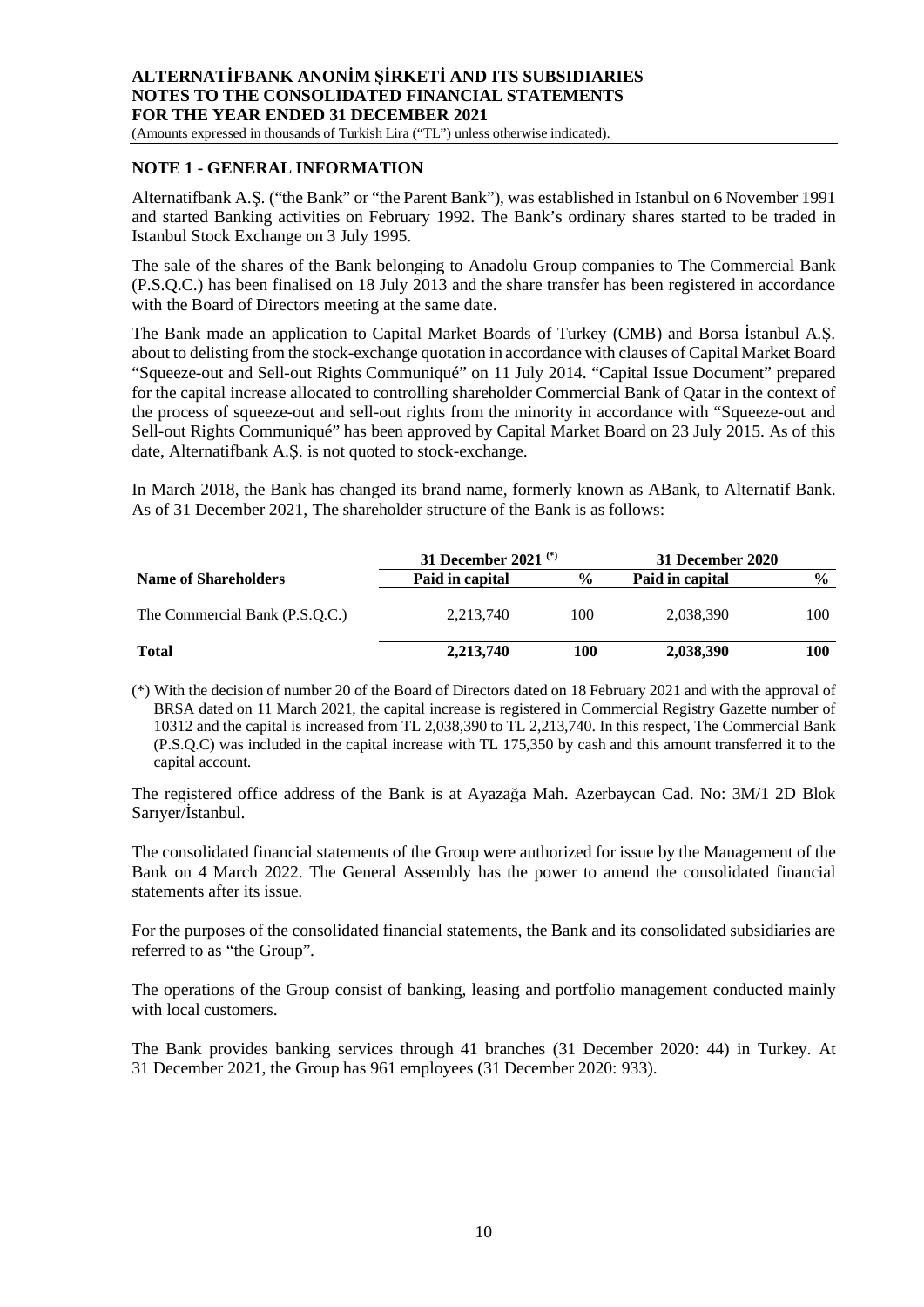(Amounts expressed in thousands of Turkish Lira ("TL") unless otherwise indicated).

#### **NOTE 1 - GENERAL INFORMATION**

Alternatifbank A.Ş. ("the Bank" or "the Parent Bank"), was established in Istanbul on 6 November 1991 and started Banking activities on February 1992. The Bank's ordinary shares started to be traded in Istanbul Stock Exchange on 3 July 1995.

The sale of the shares of the Bank belonging to Anadolu Group companies to The Commercial Bank (P.S.Q.C.) has been finalised on 18 July 2013 and the share transfer has been registered in accordance with the Board of Directors meeting at the same date.

The Bank made an application to Capital Market Boards of Turkey (CMB) and Borsa İstanbul A.Ş. about to delisting from the stock-exchange quotation in accordance with clauses of Capital Market Board "Squeeze-out and Sell-out Rights Communiqué" on 11 July 2014. "Capital Issue Document" prepared for the capital increase allocated to controlling shareholder Commercial Bank of Qatar in the context of the process of squeeze-out and sell-out rights from the minority in accordance with "Squeeze-out and Sell-out Rights Communiqué" has been approved by Capital Market Board on 23 July 2015. As of this date, Alternatifbank A.Ş. is not quoted to stock-exchange.

In March 2018, the Bank has changed its brand name, formerly known as ABank, to Alternatif Bank. As of 31 December 2021, The shareholder structure of the Bank is as follows:

|                                | 31 December 2021 $(*)$ |               | 31 December 2020 |               |  |
|--------------------------------|------------------------|---------------|------------------|---------------|--|
| <b>Name of Shareholders</b>    | Paid in capital        | $\frac{0}{0}$ | Paid in capital  | $\frac{6}{6}$ |  |
| The Commercial Bank (P.S.O.C.) | 2.213.740              | 100           | 2,038,390        | 100           |  |
| <b>Total</b>                   | 2,213,740              | 100           | 2,038,390        | 100           |  |

(\*) With the decision of number 20 of the Board of Directors dated on 18 February 2021 and with the approval of BRSA dated on 11 March 2021, the capital increase is registered in Commercial Registry Gazette number of 10312 and the capital is increased from TL 2,038,390 to TL 2,213,740. In this respect, The Commercial Bank (P.S.Q.C) was included in the capital increase with TL 175,350 by cash and this amount transferred it to the capital account.

The registered office address of the Bank is at Ayazağa Mah. Azerbaycan Cad. No: 3M/1 2D Blok Sarıyer/İstanbul.

The consolidated financial statements of the Group were authorized for issue by the Management of the Bank on 4 March 2022. The General Assembly has the power to amend the consolidated financial statements after its issue.

For the purposes of the consolidated financial statements, the Bank and its consolidated subsidiaries are referred to as "the Group".

The operations of the Group consist of banking, leasing and portfolio management conducted mainly with local customers.

The Bank provides banking services through 41 branches (31 December 2020: 44) in Turkey. At 31 December 2021, the Group has 961 employees (31 December 2020: 933).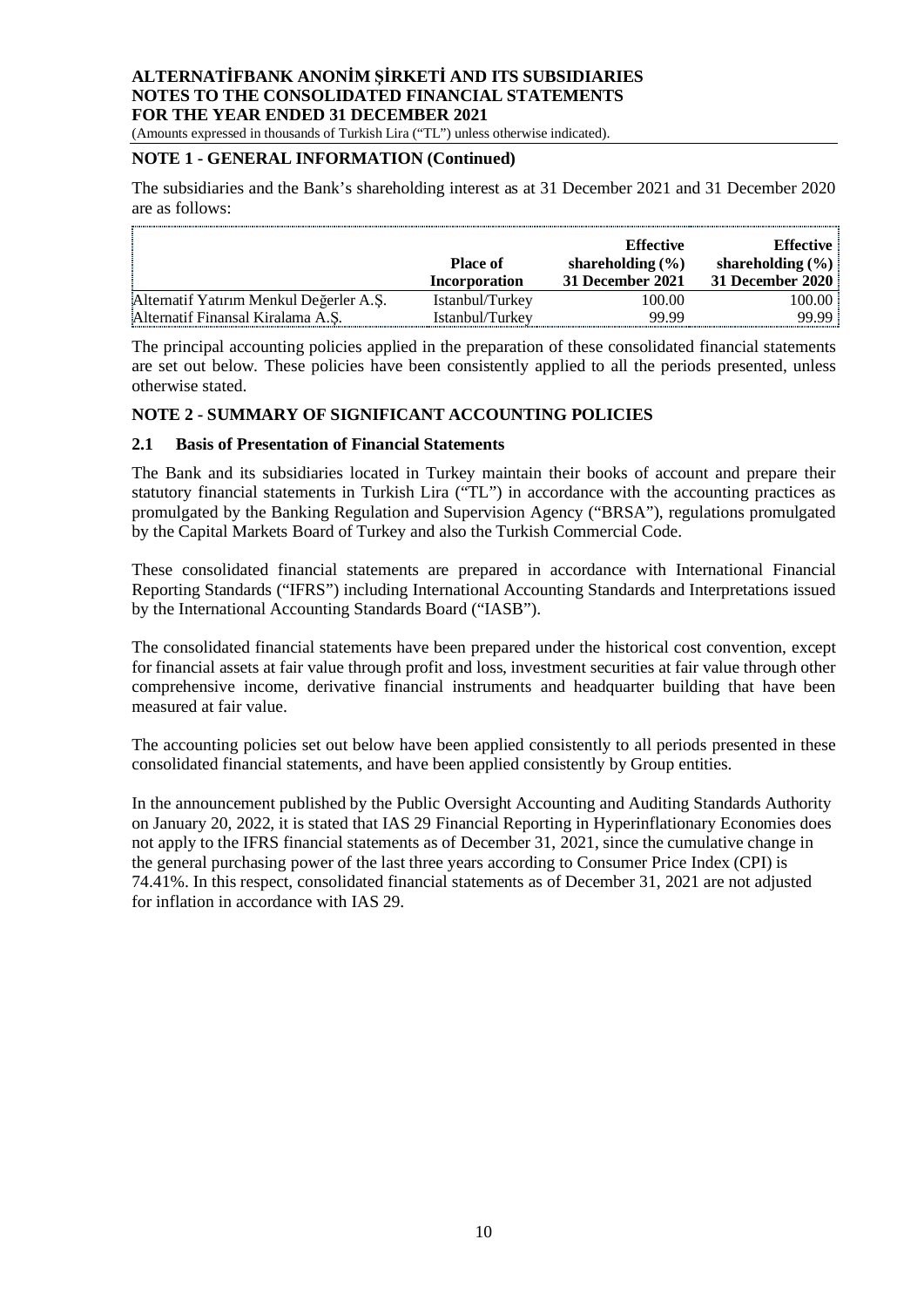(Amounts expressed in thousands of Turkish Lira ("TL") unless otherwise indicated).

# **NOTE 1 - GENERAL INFORMATION (Continued)**

The subsidiaries and the Bank's shareholding interest as at 31 December 2021 and 31 December 2020 are as follows:

|                                         | <b>Place of</b><br>Incorporation | <b>Effective</b><br>shareholding $(\% )$<br>31 December 2021 | <b>Effective</b><br>shareholding $(\% )$<br>31 December 2020 |
|-----------------------------------------|----------------------------------|--------------------------------------------------------------|--------------------------------------------------------------|
| Alternatif Yatırım Menkul Değerler A.Ş. | Istanbul/Turkey                  | 100.00                                                       | 100.00                                                       |
| Alternatif Finansal Kiralama A.S.       | Istanbul/Turkey                  | 99.99                                                        | 99.99                                                        |

The principal accounting policies applied in the preparation of these consolidated financial statements are set out below. These policies have been consistently applied to all the periods presented, unless otherwise stated.

#### **NOTE 2 - SUMMARY OF SIGNIFICANT ACCOUNTING POLICIES**

#### **2.1 Basis of Presentation of Financial Statements**

The Bank and its subsidiaries located in Turkey maintain their books of account and prepare their statutory financial statements in Turkish Lira ("TL") in accordance with the accounting practices as promulgated by the Banking Regulation and Supervision Agency ("BRSA"), regulations promulgated by the Capital Markets Board of Turkey and also the Turkish Commercial Code.

These consolidated financial statements are prepared in accordance with International Financial Reporting Standards ("IFRS") including International Accounting Standards and Interpretations issued by the International Accounting Standards Board ("IASB").

The consolidated financial statements have been prepared under the historical cost convention, except for financial assets at fair value through profit and loss, investment securities at fair value through other comprehensive income, derivative financial instruments and headquarter building that have been measured at fair value.

The accounting policies set out below have been applied consistently to all periods presented in these consolidated financial statements, and have been applied consistently by Group entities.

In the announcement published by the Public Oversight Accounting and Auditing Standards Authority on January 20, 2022, it is stated that IAS 29 Financial Reporting in Hyperinflationary Economies does not apply to the IFRS financial statements as of December 31, 2021, since the cumulative change in the general purchasing power of the last three years according to Consumer Price Index (CPI) is 74.41%. In this respect, consolidated financial statements as of December 31, 2021 are not adjusted for inflation in accordance with IAS 29.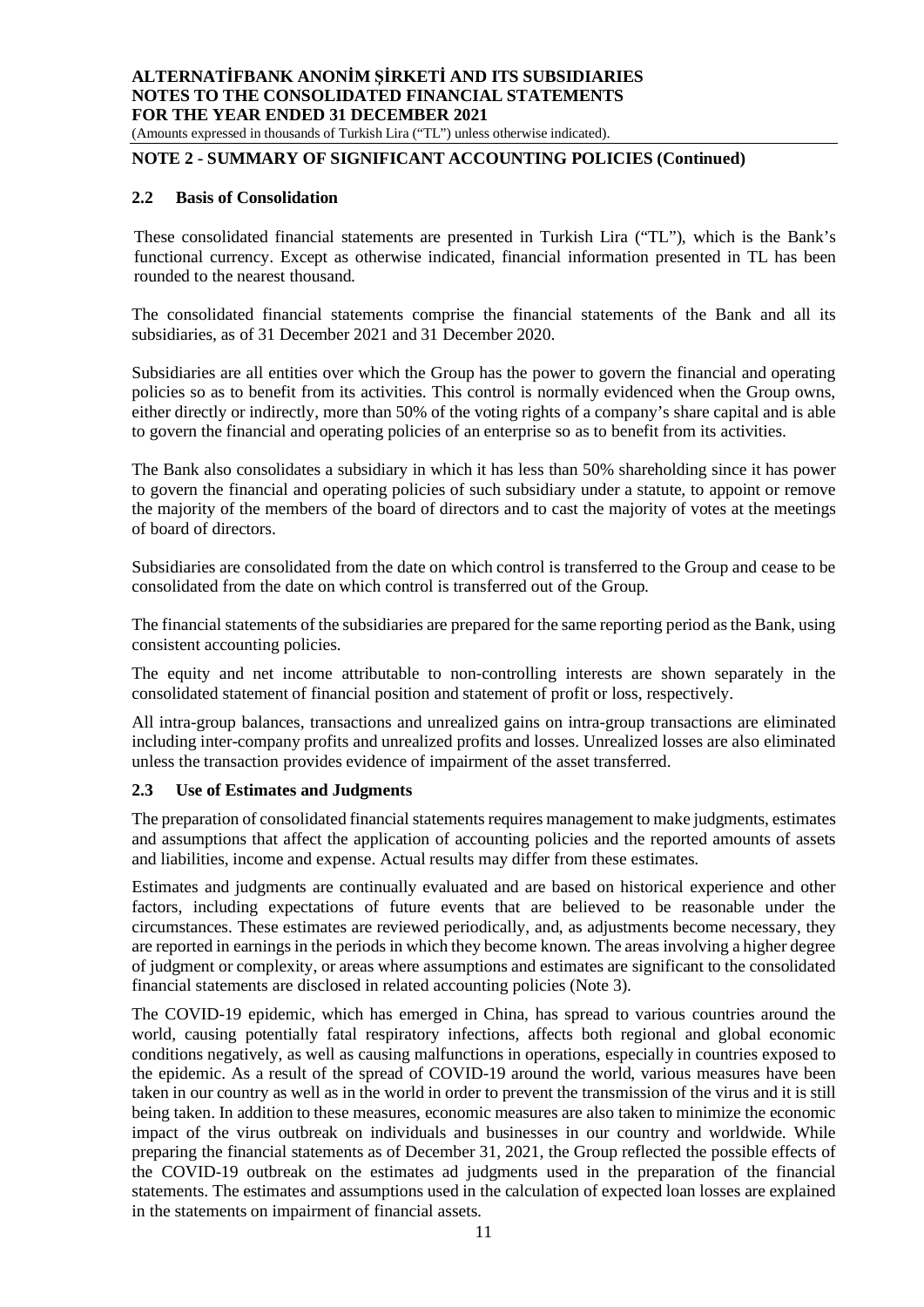#### **NOTE 2 - SUMMARY OF SIGNIFICANT ACCOUNTING POLICIES (Continued)**

#### **2.2 Basis of Consolidation**

These consolidated financial statements are presented in Turkish Lira ("TL"), which is the Bank's functional currency. Except as otherwise indicated, financial information presented in TL has been rounded to the nearest thousand.

The consolidated financial statements comprise the financial statements of the Bank and all its subsidiaries, as of 31 December 2021 and 31 December 2020.

Subsidiaries are all entities over which the Group has the power to govern the financial and operating policies so as to benefit from its activities. This control is normally evidenced when the Group owns, either directly or indirectly, more than 50% of the voting rights of a company's share capital and is able to govern the financial and operating policies of an enterprise so as to benefit from its activities.

The Bank also consolidates a subsidiary in which it has less than 50% shareholding since it has power to govern the financial and operating policies of such subsidiary under a statute, to appoint or remove the majority of the members of the board of directors and to cast the majority of votes at the meetings of board of directors.

Subsidiaries are consolidated from the date on which control is transferred to the Group and cease to be consolidated from the date on which control is transferred out of the Group.

The financial statements of the subsidiaries are prepared for the same reporting period as the Bank, using consistent accounting policies.

The equity and net income attributable to non-controlling interests are shown separately in the consolidated statement of financial position and statement of profit or loss, respectively.

All intra-group balances, transactions and unrealized gains on intra-group transactions are eliminated including inter-company profits and unrealized profits and losses. Unrealized losses are also eliminated unless the transaction provides evidence of impairment of the asset transferred.

#### **2.3 Use of Estimates and Judgments**

The preparation of consolidated financial statements requires management to make judgments, estimates and assumptions that affect the application of accounting policies and the reported amounts of assets and liabilities, income and expense. Actual results may differ from these estimates.

Estimates and judgments are continually evaluated and are based on historical experience and other factors, including expectations of future events that are believed to be reasonable under the circumstances. These estimates are reviewed periodically, and, as adjustments become necessary, they are reported in earnings in the periods in which they become known. The areas involving a higher degree of judgment or complexity, or areas where assumptions and estimates are significant to the consolidated financial statements are disclosed in related accounting policies (Note 3).

The COVID-19 epidemic, which has emerged in China, has spread to various countries around the world, causing potentially fatal respiratory infections, affects both regional and global economic conditions negatively, as well as causing malfunctions in operations, especially in countries exposed to the epidemic. As a result of the spread of COVID-19 around the world, various measures have been taken in our country as well as in the world in order to prevent the transmission of the virus and it is still being taken. In addition to these measures, economic measures are also taken to minimize the economic impact of the virus outbreak on individuals and businesses in our country and worldwide. While preparing the financial statements as of December 31, 2021, the Group reflected the possible effects of the COVID-19 outbreak on the estimates ad judgments used in the preparation of the financial statements. The estimates and assumptions used in the calculation of expected loan losses are explained in the statements on impairment of financial assets.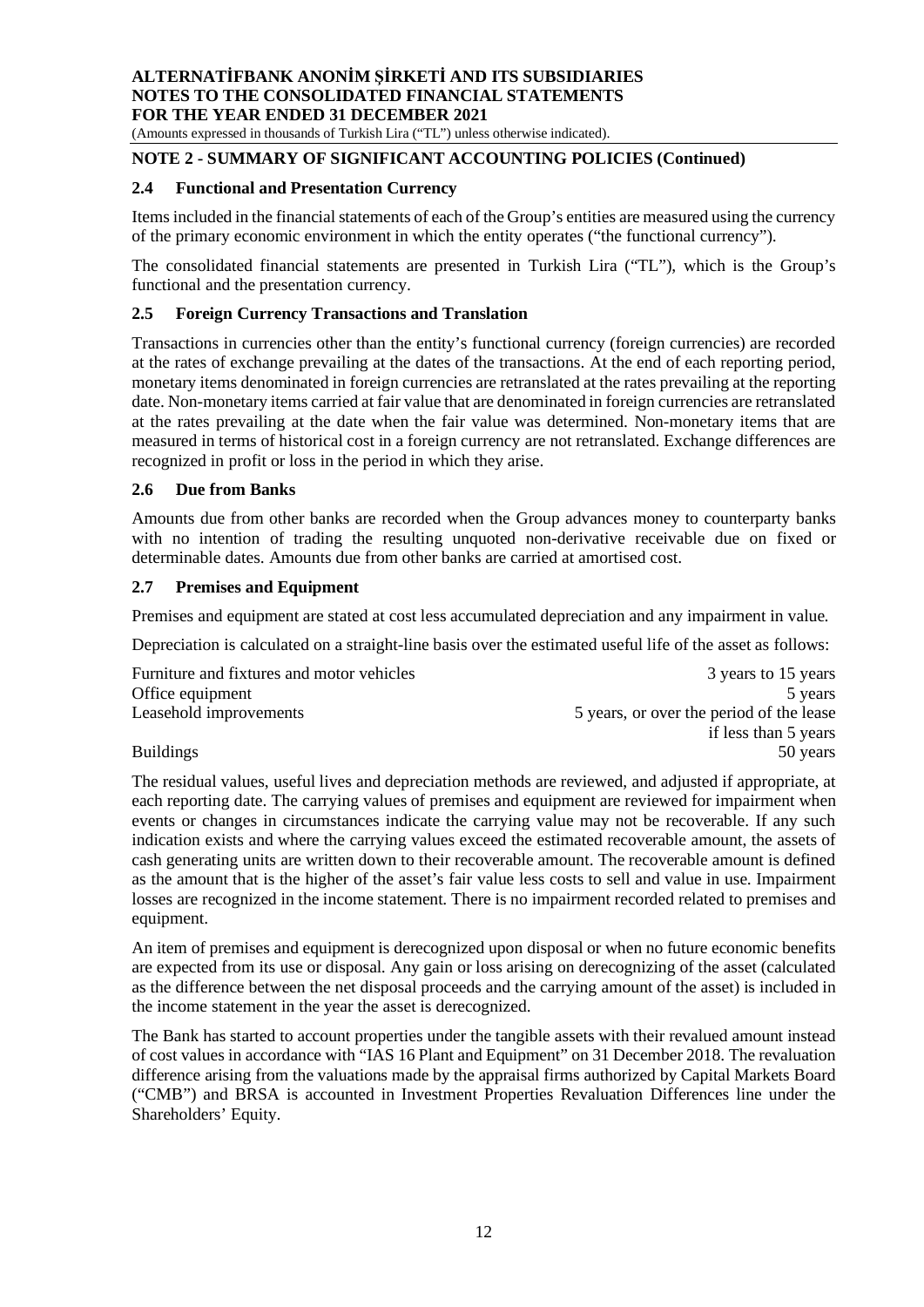(Amounts expressed in thousands of Turkish Lira ("TL") unless otherwise indicated).

# **NOTE 2 - SUMMARY OF SIGNIFICANT ACCOUNTING POLICIES (Continued)**

#### **2.4 Functional and Presentation Currency**

Items included in the financial statements of each of the Group's entities are measured using the currency of the primary economic environment in which the entity operates ("the functional currency").

The consolidated financial statements are presented in Turkish Lira ("TL"), which is the Group's functional and the presentation currency.

#### **2.5 Foreign Currency Transactions and Translation**

Transactions in currencies other than the entity's functional currency (foreign currencies) are recorded at the rates of exchange prevailing at the dates of the transactions. At the end of each reporting period, monetary items denominated in foreign currencies are retranslated at the rates prevailing at the reporting date. Non-monetary items carried at fair value that are denominated in foreign currencies are retranslated at the rates prevailing at the date when the fair value was determined. Non-monetary items that are measured in terms of historical cost in a foreign currency are not retranslated. Exchange differences are recognized in profit or loss in the period in which they arise.

#### **2.6 Due from Banks**

Amounts due from other banks are recorded when the Group advances money to counterparty banks with no intention of trading the resulting unquoted non-derivative receivable due on fixed or determinable dates. Amounts due from other banks are carried at amortised cost.

#### **2.7 Premises and Equipment**

Premises and equipment are stated at cost less accumulated depreciation and any impairment in value.

Depreciation is calculated on a straight-line basis over the estimated useful life of the asset as follows:

| Furniture and fixtures and motor vehicles | 3 years to 15 years                      |
|-------------------------------------------|------------------------------------------|
| Office equipment                          | 5 years                                  |
| Leasehold improvements                    | 5 years, or over the period of the lease |
|                                           | if less than 5 years                     |
| <b>Buildings</b>                          | 50 years                                 |

The residual values, useful lives and depreciation methods are reviewed, and adjusted if appropriate, at each reporting date. The carrying values of premises and equipment are reviewed for impairment when events or changes in circumstances indicate the carrying value may not be recoverable. If any such indication exists and where the carrying values exceed the estimated recoverable amount, the assets of cash generating units are written down to their recoverable amount. The recoverable amount is defined as the amount that is the higher of the asset's fair value less costs to sell and value in use. Impairment losses are recognized in the income statement. There is no impairment recorded related to premises and equipment.

An item of premises and equipment is derecognized upon disposal or when no future economic benefits are expected from its use or disposal. Any gain or loss arising on derecognizing of the asset (calculated as the difference between the net disposal proceeds and the carrying amount of the asset) is included in the income statement in the year the asset is derecognized.

The Bank has started to account properties under the tangible assets with their revalued amount instead of cost values in accordance with "IAS 16 Plant and Equipment" on 31 December 2018. The revaluation difference arising from the valuations made by the appraisal firms authorized by Capital Markets Board ("CMB") and BRSA is accounted in Investment Properties Revaluation Differences line under the Shareholders' Equity.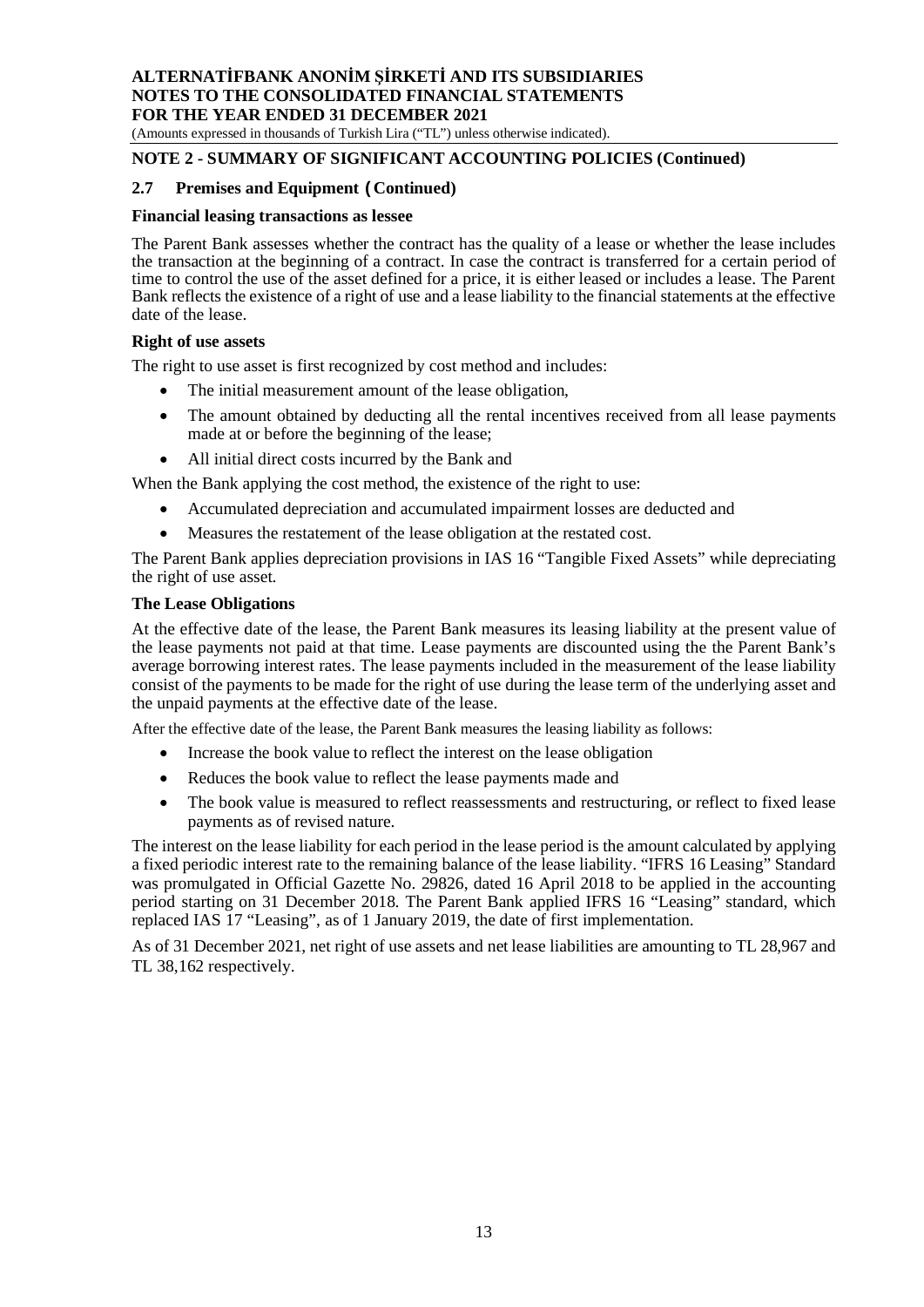(Amounts expressed in thousands of Turkish Lira ("TL") unless otherwise indicated).

# **NOTE 2 - SUMMARY OF SIGNIFICANT ACCOUNTING POLICIES (Continued)**

#### **2.7 Premises and Equipment (Continued)**

#### **Financial leasing transactions as lessee**

The Parent Bank assesses whether the contract has the quality of a lease or whether the lease includes the transaction at the beginning of a contract. In case the contract is transferred for a certain period of time to control the use of the asset defined for a price, it is either leased or includes a lease. The Parent Bank reflects the existence of a right of use and a lease liability to the financial statements at the effective date of the lease.

#### **Right of use assets**

The right to use asset is first recognized by cost method and includes:

- The initial measurement amount of the lease obligation,
- The amount obtained by deducting all the rental incentives received from all lease payments made at or before the beginning of the lease;
- All initial direct costs incurred by the Bank and

When the Bank applying the cost method, the existence of the right to use:

- Accumulated depreciation and accumulated impairment losses are deducted and
- Measures the restatement of the lease obligation at the restated cost.

The Parent Bank applies depreciation provisions in IAS 16 "Tangible Fixed Assets" while depreciating the right of use asset.

#### **The Lease Obligations**

At the effective date of the lease, the Parent Bank measures its leasing liability at the present value of the lease payments not paid at that time. Lease payments are discounted using the the Parent Bank's average borrowing interest rates. The lease payments included in the measurement of the lease liability consist of the payments to be made for the right of use during the lease term of the underlying asset and the unpaid payments at the effective date of the lease.

After the effective date of the lease, the Parent Bank measures the leasing liability as follows:

- Increase the book value to reflect the interest on the lease obligation
- Reduces the book value to reflect the lease payments made and
- The book value is measured to reflect reassessments and restructuring, or reflect to fixed lease payments as of revised nature.

The interest on the lease liability for each period in the lease period is the amount calculated by applying a fixed periodic interest rate to the remaining balance of the lease liability. "IFRS 16 Leasing" Standard was promulgated in Official Gazette No. 29826, dated 16 April 2018 to be applied in the accounting period starting on 31 December 2018. The Parent Bank applied IFRS 16 "Leasing" standard, which replaced IAS 17 "Leasing", as of 1 January 2019, the date of first implementation.

As of 31 December 2021, net right of use assets and net lease liabilities are amounting to TL 28,967 and TL 38,162 respectively.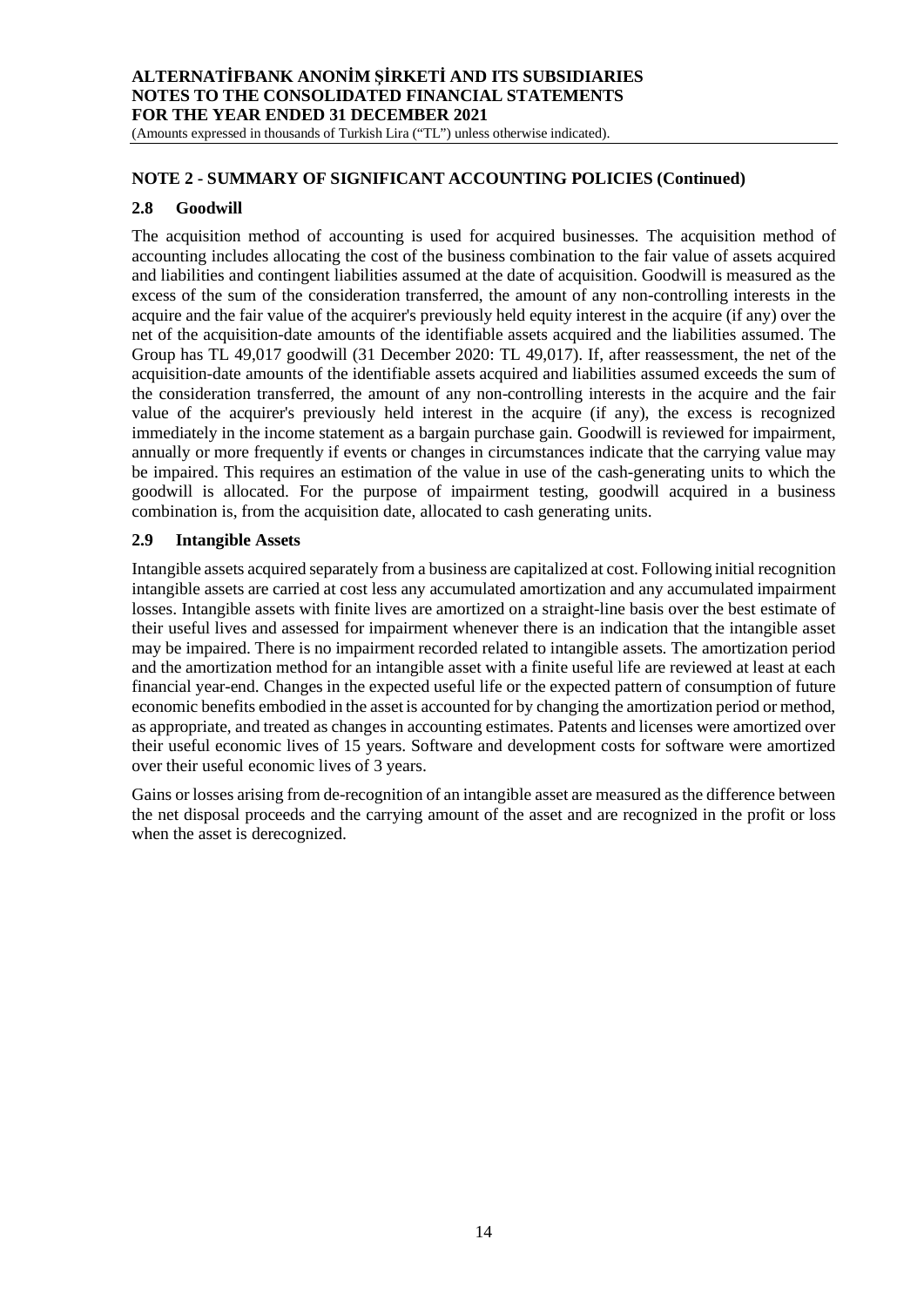(Amounts expressed in thousands of Turkish Lira ("TL") unless otherwise indicated).

#### **NOTE 2 - SUMMARY OF SIGNIFICANT ACCOUNTING POLICIES (Continued)**

#### **2.8 Goodwill**

The acquisition method of accounting is used for acquired businesses. The acquisition method of accounting includes allocating the cost of the business combination to the fair value of assets acquired and liabilities and contingent liabilities assumed at the date of acquisition. Goodwill is measured as the excess of the sum of the consideration transferred, the amount of any non-controlling interests in the acquire and the fair value of the acquirer's previously held equity interest in the acquire (if any) over the net of the acquisition-date amounts of the identifiable assets acquired and the liabilities assumed. The Group has TL 49,017 goodwill (31 December 2020: TL 49,017). If, after reassessment, the net of the acquisition-date amounts of the identifiable assets acquired and liabilities assumed exceeds the sum of the consideration transferred, the amount of any non-controlling interests in the acquire and the fair value of the acquirer's previously held interest in the acquire (if any), the excess is recognized immediately in the income statement as a bargain purchase gain. Goodwill is reviewed for impairment, annually or more frequently if events or changes in circumstances indicate that the carrying value may be impaired. This requires an estimation of the value in use of the cash-generating units to which the goodwill is allocated. For the purpose of impairment testing, goodwill acquired in a business combination is, from the acquisition date, allocated to cash generating units.

#### **2.9 Intangible Assets**

Intangible assets acquired separately from a business are capitalized at cost. Following initial recognition intangible assets are carried at cost less any accumulated amortization and any accumulated impairment losses. Intangible assets with finite lives are amortized on a straight-line basis over the best estimate of their useful lives and assessed for impairment whenever there is an indication that the intangible asset may be impaired. There is no impairment recorded related to intangible assets. The amortization period and the amortization method for an intangible asset with a finite useful life are reviewed at least at each financial year-end. Changes in the expected useful life or the expected pattern of consumption of future economic benefits embodied in the asset is accounted for by changing the amortization period or method, as appropriate, and treated as changes in accounting estimates. Patents and licenses were amortized over their useful economic lives of 15 years. Software and development costs for software were amortized over their useful economic lives of 3 years.

Gains or losses arising from de-recognition of an intangible asset are measured as the difference between the net disposal proceeds and the carrying amount of the asset and are recognized in the profit or loss when the asset is derecognized.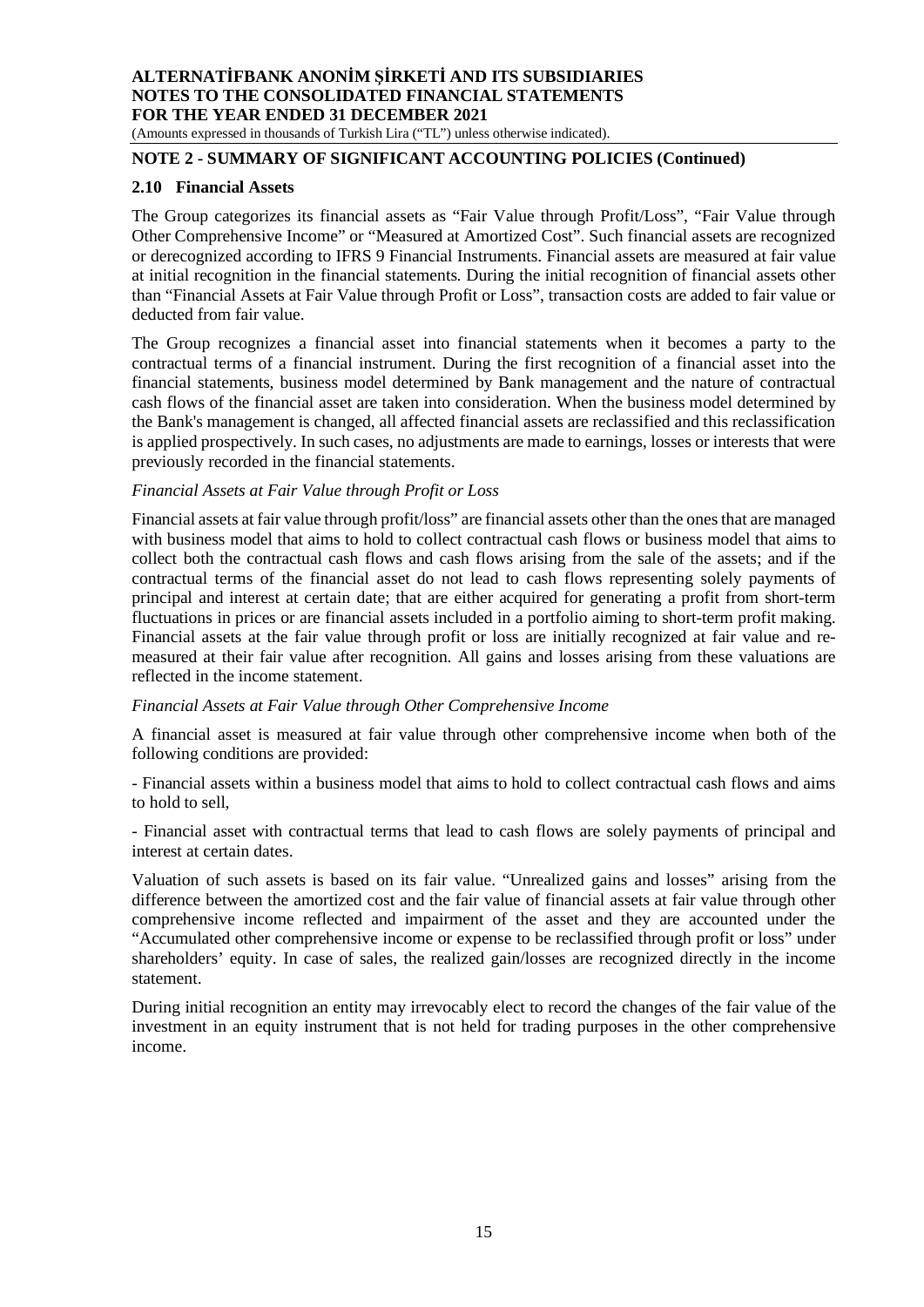(Amounts expressed in thousands of Turkish Lira ("TL") unless otherwise indicated).

# **NOTE 2 - SUMMARY OF SIGNIFICANT ACCOUNTING POLICIES (Continued)**

#### **2.10 Financial Assets**

The Group categorizes its financial assets as "Fair Value through Profit/Loss", "Fair Value through Other Comprehensive Income" or "Measured at Amortized Cost". Such financial assets are recognized or derecognized according to IFRS 9 Financial Instruments. Financial assets are measured at fair value at initial recognition in the financial statements. During the initial recognition of financial assets other than "Financial Assets at Fair Value through Profit or Loss", transaction costs are added to fair value or deducted from fair value.

The Group recognizes a financial asset into financial statements when it becomes a party to the contractual terms of a financial instrument. During the first recognition of a financial asset into the financial statements, business model determined by Bank management and the nature of contractual cash flows of the financial asset are taken into consideration. When the business model determined by the Bank's management is changed, all affected financial assets are reclassified and this reclassification is applied prospectively. In such cases, no adjustments are made to earnings, losses or interests that were previously recorded in the financial statements.

#### *Financial Assets at Fair Value through Profit or Loss*

Financial assets at fair value through profit/loss" are financial assets other than the ones that are managed with business model that aims to hold to collect contractual cash flows or business model that aims to collect both the contractual cash flows and cash flows arising from the sale of the assets; and if the contractual terms of the financial asset do not lead to cash flows representing solely payments of principal and interest at certain date; that are either acquired for generating a profit from short-term fluctuations in prices or are financial assets included in a portfolio aiming to short-term profit making. Financial assets at the fair value through profit or loss are initially recognized at fair value and remeasured at their fair value after recognition. All gains and losses arising from these valuations are reflected in the income statement.

#### *Financial Assets at Fair Value through Other Comprehensive Income*

A financial asset is measured at fair value through other comprehensive income when both of the following conditions are provided:

- Financial assets within a business model that aims to hold to collect contractual cash flows and aims to hold to sell,

- Financial asset with contractual terms that lead to cash flows are solely payments of principal and interest at certain dates.

Valuation of such assets is based on its fair value. "Unrealized gains and losses" arising from the difference between the amortized cost and the fair value of financial assets at fair value through other comprehensive income reflected and impairment of the asset and they are accounted under the "Accumulated other comprehensive income or expense to be reclassified through profit or loss" under shareholders' equity. In case of sales, the realized gain/losses are recognized directly in the income statement.

During initial recognition an entity may irrevocably elect to record the changes of the fair value of the investment in an equity instrument that is not held for trading purposes in the other comprehensive income.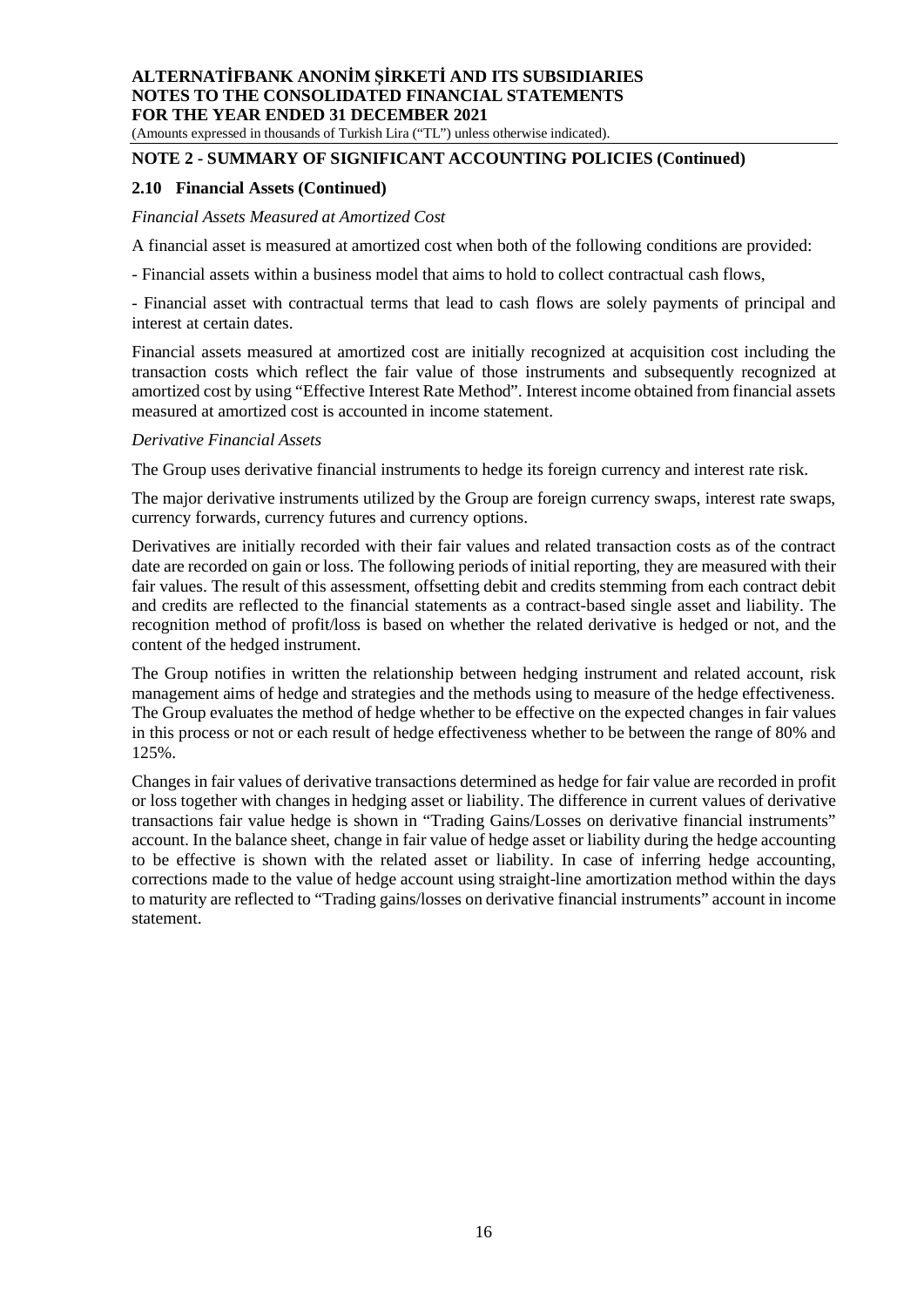(Amounts expressed in thousands of Turkish Lira ("TL") unless otherwise indicated).

# **NOTE 2 - SUMMARY OF SIGNIFICANT ACCOUNTING POLICIES (Continued)**

#### **2.10 Financial Assets (Continued)**

#### *Financial Assets Measured at Amortized Cost*

A financial asset is measured at amortized cost when both of the following conditions are provided:

- Financial assets within a business model that aims to hold to collect contractual cash flows,

- Financial asset with contractual terms that lead to cash flows are solely payments of principal and interest at certain dates.

Financial assets measured at amortized cost are initially recognized at acquisition cost including the transaction costs which reflect the fair value of those instruments and subsequently recognized at amortized cost by using "Effective Interest Rate Method". Interest income obtained from financial assets measured at amortized cost is accounted in income statement.

#### *Derivative Financial Assets*

The Group uses derivative financial instruments to hedge its foreign currency and interest rate risk.

The major derivative instruments utilized by the Group are foreign currency swaps, interest rate swaps, currency forwards, currency futures and currency options.

Derivatives are initially recorded with their fair values and related transaction costs as of the contract date are recorded on gain or loss. The following periods of initial reporting, they are measured with their fair values. The result of this assessment, offsetting debit and credits stemming from each contract debit and credits are reflected to the financial statements as a contract-based single asset and liability. The recognition method of profit/loss is based on whether the related derivative is hedged or not, and the content of the hedged instrument.

The Group notifies in written the relationship between hedging instrument and related account, risk management aims of hedge and strategies and the methods using to measure of the hedge effectiveness. The Group evaluates the method of hedge whether to be effective on the expected changes in fair values in this process or not or each result of hedge effectiveness whether to be between the range of 80% and 125%.

Changes in fair values of derivative transactions determined as hedge for fair value are recorded in profit or loss together with changes in hedging asset or liability. The difference in current values of derivative transactions fair value hedge is shown in "Trading Gains/Losses on derivative financial instruments" account. In the balance sheet, change in fair value of hedge asset or liability during the hedge accounting to be effective is shown with the related asset or liability. In case of inferring hedge accounting, corrections made to the value of hedge account using straight-line amortization method within the days to maturity are reflected to "Trading gains/losses on derivative financial instruments" account in income statement.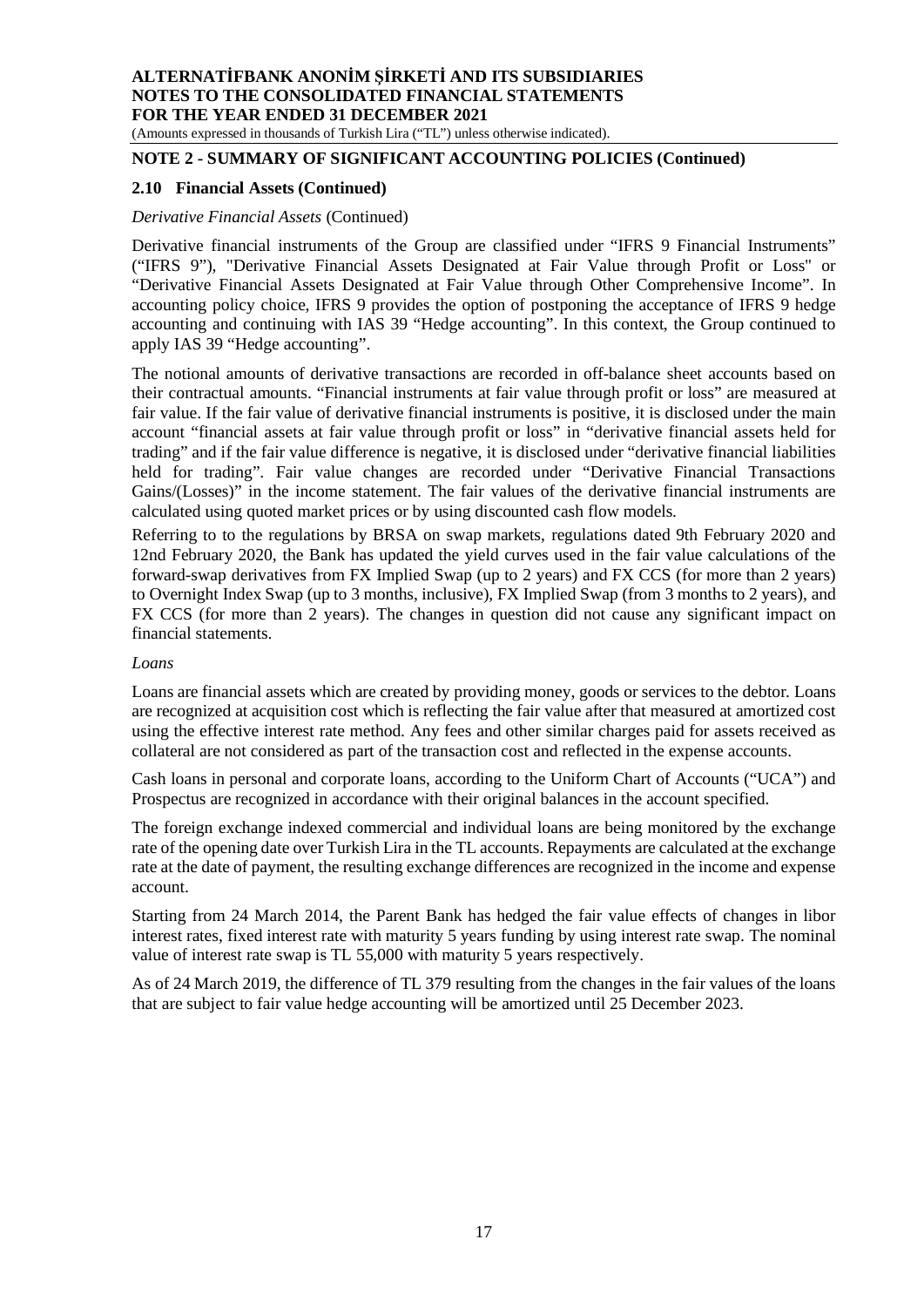# (Amounts expressed in thousands of Turkish Lira ("TL") unless otherwise indicated).

# **NOTE 2 - SUMMARY OF SIGNIFICANT ACCOUNTING POLICIES (Continued)**

#### **2.10 Financial Assets (Continued)**

#### *Derivative Financial Assets* (Continued)

Derivative financial instruments of the Group are classified under "IFRS 9 Financial Instruments" ("IFRS 9"), "Derivative Financial Assets Designated at Fair Value through Profit or Loss" or "Derivative Financial Assets Designated at Fair Value through Other Comprehensive Income". In accounting policy choice, IFRS 9 provides the option of postponing the acceptance of IFRS 9 hedge accounting and continuing with IAS 39 "Hedge accounting". In this context, the Group continued to apply IAS 39 "Hedge accounting".

The notional amounts of derivative transactions are recorded in off-balance sheet accounts based on their contractual amounts. "Financial instruments at fair value through profit or loss" are measured at fair value. If the fair value of derivative financial instruments is positive, it is disclosed under the main account "financial assets at fair value through profit or loss" in "derivative financial assets held for trading" and if the fair value difference is negative, it is disclosed under "derivative financial liabilities held for trading". Fair value changes are recorded under "Derivative Financial Transactions Gains/(Losses)" in the income statement. The fair values of the derivative financial instruments are calculated using quoted market prices or by using discounted cash flow models.

Referring to to the regulations by BRSA on swap markets, regulations dated 9th February 2020 and 12nd February 2020, the Bank has updated the yield curves used in the fair value calculations of the forward-swap derivatives from FX Implied Swap (up to 2 years) and FX CCS (for more than 2 years) to Overnight Index Swap (up to 3 months, inclusive), FX Implied Swap (from 3 months to 2 years), and FX CCS (for more than 2 years). The changes in question did not cause any significant impact on financial statements.

#### *Loans*

Loans are financial assets which are created by providing money, goods or services to the debtor. Loans are recognized at acquisition cost which is reflecting the fair value after that measured at amortized cost using the effective interest rate method. Any fees and other similar charges paid for assets received as collateral are not considered as part of the transaction cost and reflected in the expense accounts.

Cash loans in personal and corporate loans, according to the Uniform Chart of Accounts ("UCA") and Prospectus are recognized in accordance with their original balances in the account specified.

The foreign exchange indexed commercial and individual loans are being monitored by the exchange rate of the opening date over Turkish Lira in the TL accounts. Repayments are calculated at the exchange rate at the date of payment, the resulting exchange differences are recognized in the income and expense account.

Starting from 24 March 2014, the Parent Bank has hedged the fair value effects of changes in libor interest rates, fixed interest rate with maturity 5 years funding by using interest rate swap. The nominal value of interest rate swap is TL 55,000 with maturity 5 years respectively.

As of 24 March 2019, the difference of TL 379 resulting from the changes in the fair values of the loans that are subject to fair value hedge accounting will be amortized until 25 December 2023.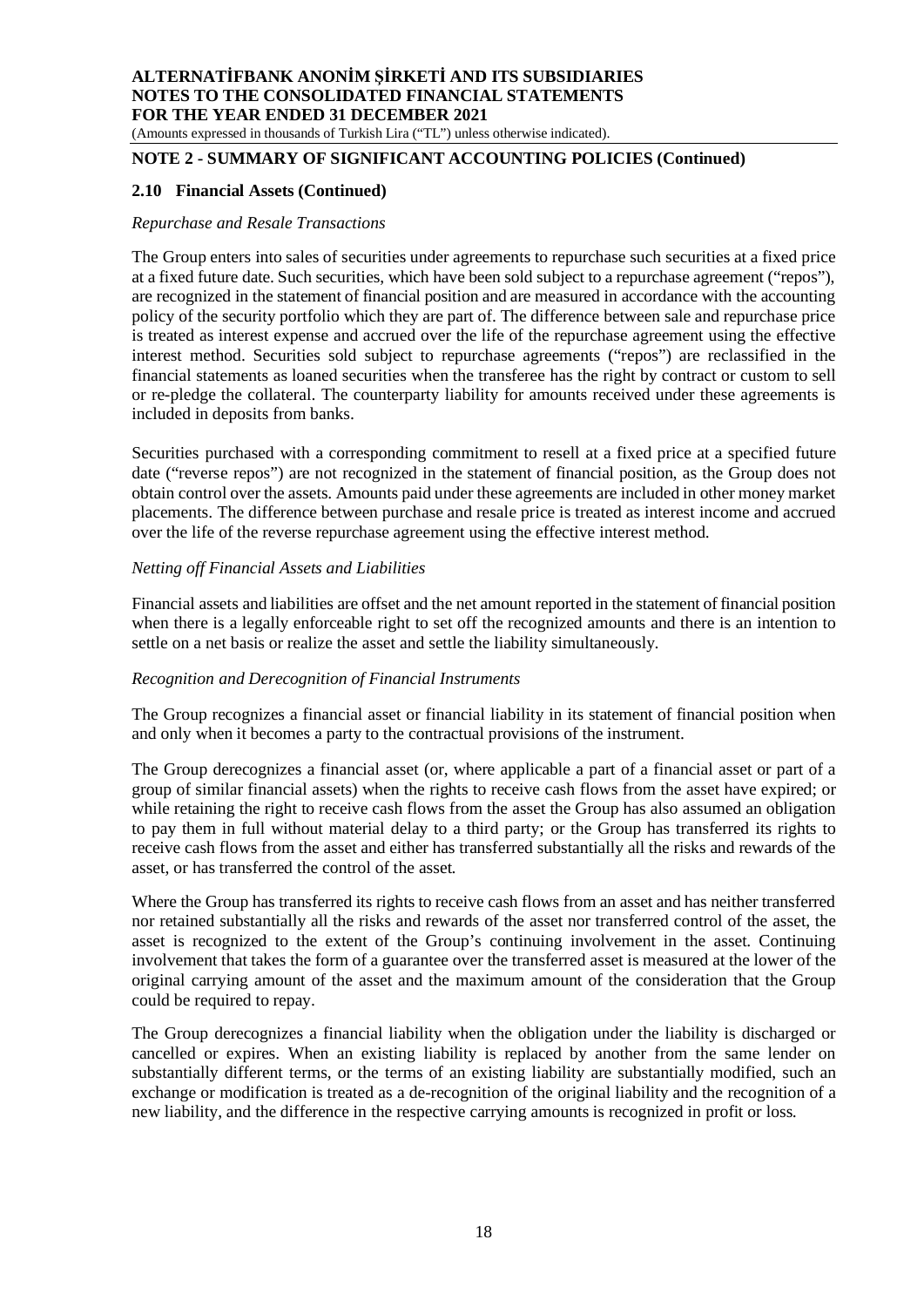(Amounts expressed in thousands of Turkish Lira ("TL") unless otherwise indicated).

# **NOTE 2 - SUMMARY OF SIGNIFICANT ACCOUNTING POLICIES (Continued)**

#### **2.10 Financial Assets (Continued)**

#### *Repurchase and Resale Transactions*

The Group enters into sales of securities under agreements to repurchase such securities at a fixed price at a fixed future date. Such securities, which have been sold subject to a repurchase agreement ("repos"), are recognized in the statement of financial position and are measured in accordance with the accounting policy of the security portfolio which they are part of. The difference between sale and repurchase price is treated as interest expense and accrued over the life of the repurchase agreement using the effective interest method. Securities sold subject to repurchase agreements ("repos") are reclassified in the financial statements as loaned securities when the transferee has the right by contract or custom to sell or re-pledge the collateral. The counterparty liability for amounts received under these agreements is included in deposits from banks.

Securities purchased with a corresponding commitment to resell at a fixed price at a specified future date ("reverse repos") are not recognized in the statement of financial position, as the Group does not obtain control over the assets. Amounts paid under these agreements are included in other money market placements. The difference between purchase and resale price is treated as interest income and accrued over the life of the reverse repurchase agreement using the effective interest method.

#### *Netting off Financial Assets and Liabilities*

Financial assets and liabilities are offset and the net amount reported in the statement of financial position when there is a legally enforceable right to set off the recognized amounts and there is an intention to settle on a net basis or realize the asset and settle the liability simultaneously.

#### *Recognition and Derecognition of Financial Instruments*

The Group recognizes a financial asset or financial liability in its statement of financial position when and only when it becomes a party to the contractual provisions of the instrument.

The Group derecognizes a financial asset (or, where applicable a part of a financial asset or part of a group of similar financial assets) when the rights to receive cash flows from the asset have expired; or while retaining the right to receive cash flows from the asset the Group has also assumed an obligation to pay them in full without material delay to a third party; or the Group has transferred its rights to receive cash flows from the asset and either has transferred substantially all the risks and rewards of the asset, or has transferred the control of the asset.

Where the Group has transferred its rights to receive cash flows from an asset and has neither transferred nor retained substantially all the risks and rewards of the asset nor transferred control of the asset, the asset is recognized to the extent of the Group's continuing involvement in the asset. Continuing involvement that takes the form of a guarantee over the transferred asset is measured at the lower of the original carrying amount of the asset and the maximum amount of the consideration that the Group could be required to repay.

The Group derecognizes a financial liability when the obligation under the liability is discharged or cancelled or expires. When an existing liability is replaced by another from the same lender on substantially different terms, or the terms of an existing liability are substantially modified, such an exchange or modification is treated as a de-recognition of the original liability and the recognition of a new liability, and the difference in the respective carrying amounts is recognized in profit or loss.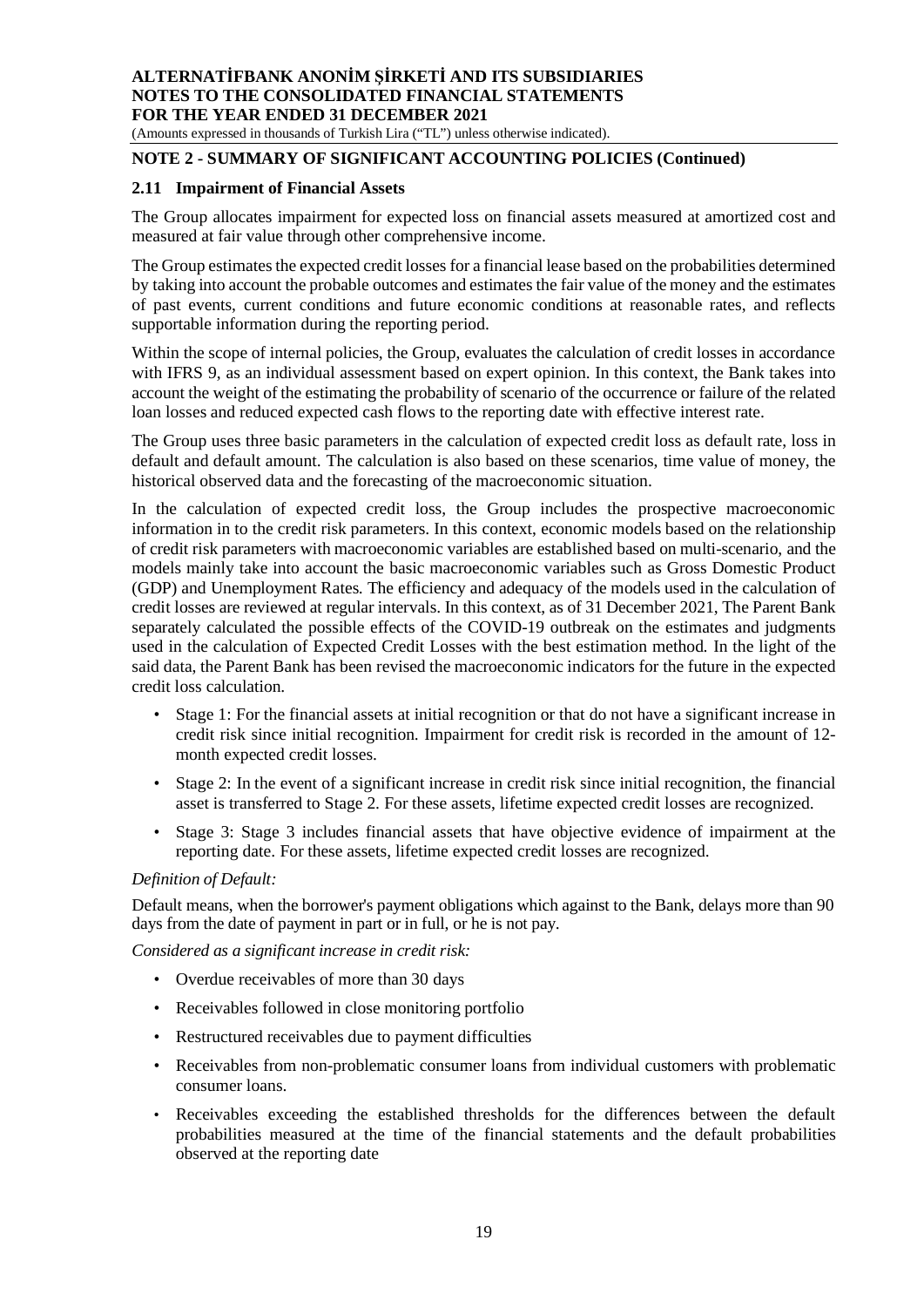(Amounts expressed in thousands of Turkish Lira ("TL") unless otherwise indicated).

# **NOTE 2 - SUMMARY OF SIGNIFICANT ACCOUNTING POLICIES (Continued)**

#### **2.11 Impairment of Financial Assets**

The Group allocates impairment for expected loss on financial assets measured at amortized cost and measured at fair value through other comprehensive income.

The Group estimates the expected credit losses for a financial lease based on the probabilities determined by taking into account the probable outcomes and estimates the fair value of the money and the estimates of past events, current conditions and future economic conditions at reasonable rates, and reflects supportable information during the reporting period.

Within the scope of internal policies, the Group, evaluates the calculation of credit losses in accordance with IFRS 9, as an individual assessment based on expert opinion. In this context, the Bank takes into account the weight of the estimating the probability of scenario of the occurrence or failure of the related loan losses and reduced expected cash flows to the reporting date with effective interest rate.

The Group uses three basic parameters in the calculation of expected credit loss as default rate, loss in default and default amount. The calculation is also based on these scenarios, time value of money, the historical observed data and the forecasting of the macroeconomic situation.

In the calculation of expected credit loss, the Group includes the prospective macroeconomic information in to the credit risk parameters. In this context, economic models based on the relationship of credit risk parameters with macroeconomic variables are established based on multi-scenario, and the models mainly take into account the basic macroeconomic variables such as Gross Domestic Product (GDP) and Unemployment Rates. The efficiency and adequacy of the models used in the calculation of credit losses are reviewed at regular intervals. In this context, as of 31 December 2021, The Parent Bank separately calculated the possible effects of the COVID-19 outbreak on the estimates and judgments used in the calculation of Expected Credit Losses with the best estimation method. In the light of the said data, the Parent Bank has been revised the macroeconomic indicators for the future in the expected credit loss calculation.

- Stage 1: For the financial assets at initial recognition or that do not have a significant increase in credit risk since initial recognition. Impairment for credit risk is recorded in the amount of 12 month expected credit losses.
- Stage 2: In the event of a significant increase in credit risk since initial recognition, the financial asset is transferred to Stage 2. For these assets, lifetime expected credit losses are recognized.
- Stage 3: Stage 3 includes financial assets that have objective evidence of impairment at the reporting date. For these assets, lifetime expected credit losses are recognized.

#### *Definition of Default:*

Default means, when the borrower's payment obligations which against to the Bank, delays more than 90 days from the date of payment in part or in full, or he is not pay.

*Considered as a significant increase in credit risk:*

- Overdue receivables of more than 30 days
- Receivables followed in close monitoring portfolio
- Restructured receivables due to payment difficulties
- Receivables from non-problematic consumer loans from individual customers with problematic consumer loans.
- Receivables exceeding the established thresholds for the differences between the default probabilities measured at the time of the financial statements and the default probabilities observed at the reporting date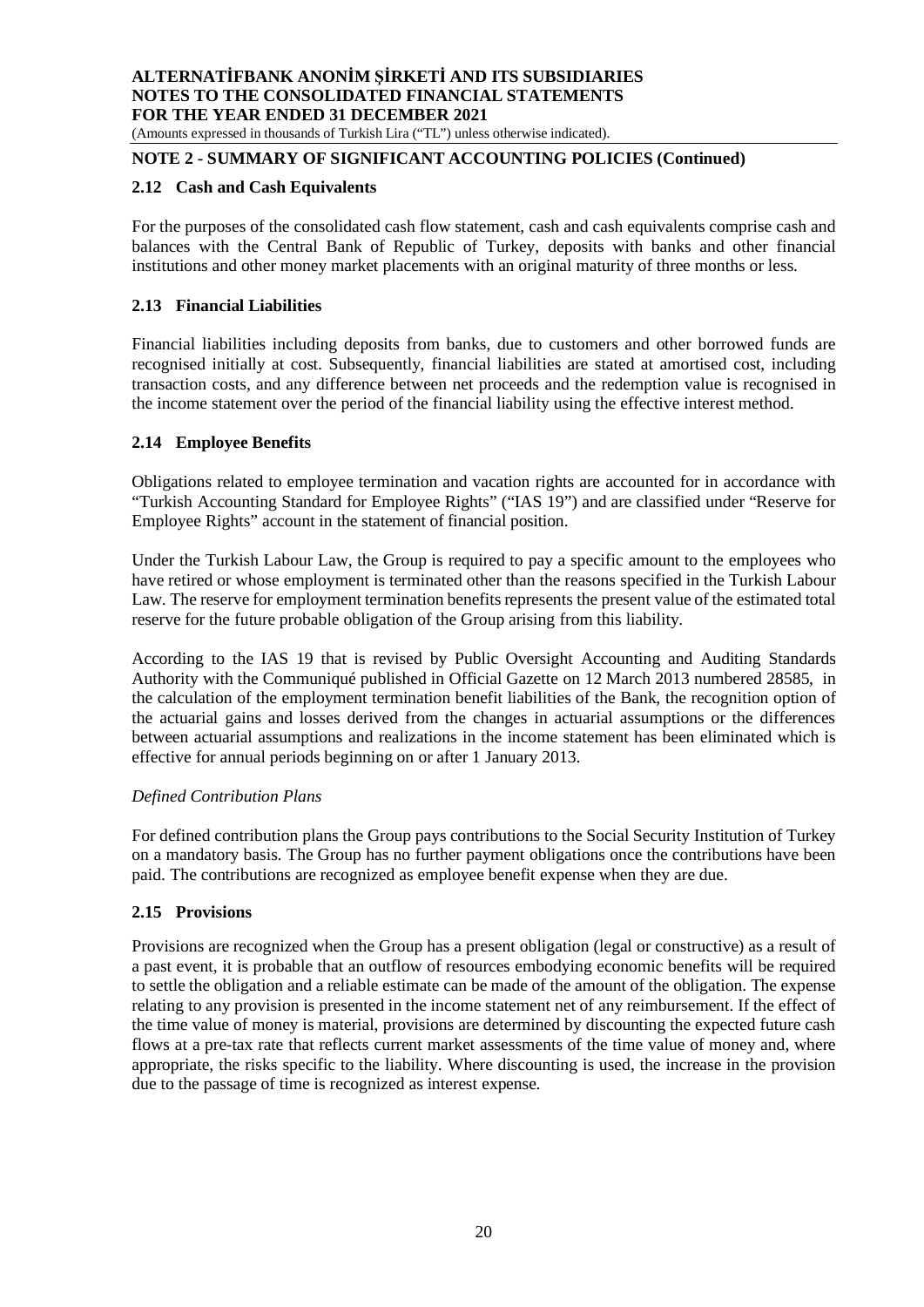(Amounts expressed in thousands of Turkish Lira ("TL") unless otherwise indicated).

# **NOTE 2 - SUMMARY OF SIGNIFICANT ACCOUNTING POLICIES (Continued)**

#### **2.12 Cash and Cash Equivalents**

For the purposes of the consolidated cash flow statement, cash and cash equivalents comprise cash and balances with the Central Bank of Republic of Turkey, deposits with banks and other financial institutions and other money market placements with an original maturity of three months or less.

#### **2.13 Financial Liabilities**

Financial liabilities including deposits from banks, due to customers and other borrowed funds are recognised initially at cost. Subsequently, financial liabilities are stated at amortised cost, including transaction costs, and any difference between net proceeds and the redemption value is recognised in the income statement over the period of the financial liability using the effective interest method.

#### **2.14 Employee Benefits**

Obligations related to employee termination and vacation rights are accounted for in accordance with "Turkish Accounting Standard for Employee Rights" ("IAS 19") and are classified under "Reserve for Employee Rights" account in the statement of financial position.

Under the Turkish Labour Law, the Group is required to pay a specific amount to the employees who have retired or whose employment is terminated other than the reasons specified in the Turkish Labour Law. The reserve for employment termination benefits represents the present value of the estimated total reserve for the future probable obligation of the Group arising from this liability.

According to the IAS 19 that is revised by Public Oversight Accounting and Auditing Standards Authority with the Communiqué published in Official Gazette on 12 March 2013 numbered 28585, in the calculation of the employment termination benefit liabilities of the Bank, the recognition option of the actuarial gains and losses derived from the changes in actuarial assumptions or the differences between actuarial assumptions and realizations in the income statement has been eliminated which is effective for annual periods beginning on or after 1 January 2013.

#### *Defined Contribution Plans*

For defined contribution plans the Group pays contributions to the Social Security Institution of Turkey on a mandatory basis. The Group has no further payment obligations once the contributions have been paid. The contributions are recognized as employee benefit expense when they are due.

# **2.15 Provisions**

Provisions are recognized when the Group has a present obligation (legal or constructive) as a result of a past event, it is probable that an outflow of resources embodying economic benefits will be required to settle the obligation and a reliable estimate can be made of the amount of the obligation. The expense relating to any provision is presented in the income statement net of any reimbursement. If the effect of the time value of money is material, provisions are determined by discounting the expected future cash flows at a pre-tax rate that reflects current market assessments of the time value of money and, where appropriate, the risks specific to the liability. Where discounting is used, the increase in the provision due to the passage of time is recognized as interest expense.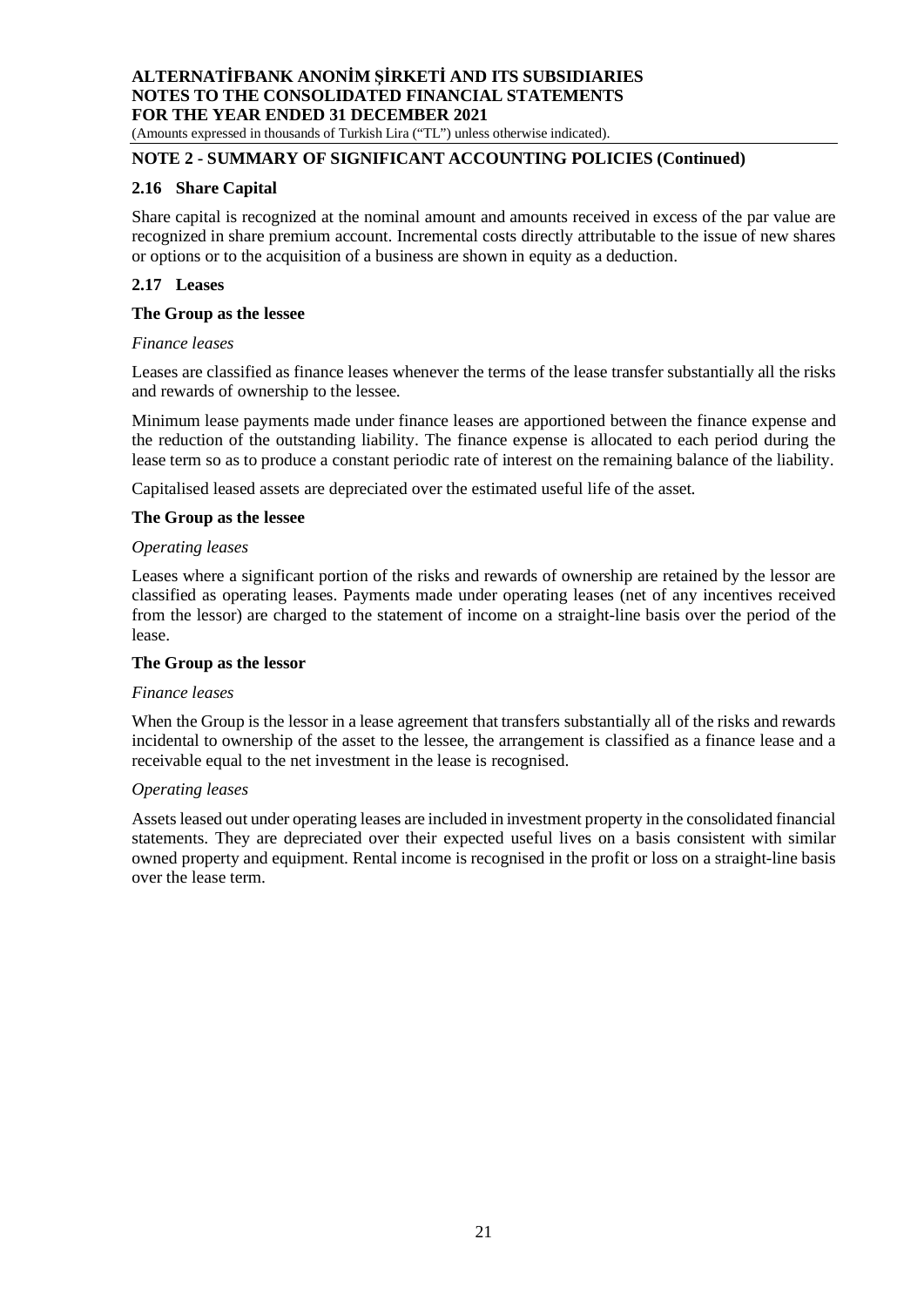(Amounts expressed in thousands of Turkish Lira ("TL") unless otherwise indicated).

# **NOTE 2 - SUMMARY OF SIGNIFICANT ACCOUNTING POLICIES (Continued)**

#### **2.16 Share Capital**

Share capital is recognized at the nominal amount and amounts received in excess of the par value are recognized in share premium account. Incremental costs directly attributable to the issue of new shares or options or to the acquisition of a business are shown in equity as a deduction.

### **2.17 Leases**

#### **The Group as the lessee**

#### *Finance leases*

Leases are classified as finance leases whenever the terms of the lease transfer substantially all the risks and rewards of ownership to the lessee.

Minimum lease payments made under finance leases are apportioned between the finance expense and the reduction of the outstanding liability. The finance expense is allocated to each period during the lease term so as to produce a constant periodic rate of interest on the remaining balance of the liability.

Capitalised leased assets are depreciated over the estimated useful life of the asset.

#### **The Group as the lessee**

#### *Operating leases*

Leases where a significant portion of the risks and rewards of ownership are retained by the lessor are classified as operating leases. Payments made under operating leases (net of any incentives received from the lessor) are charged to the statement of income on a straight-line basis over the period of the lease.

#### **The Group as the lessor**

#### *Finance leases*

When the Group is the lessor in a lease agreement that transfers substantially all of the risks and rewards incidental to ownership of the asset to the lessee, the arrangement is classified as a finance lease and a receivable equal to the net investment in the lease is recognised.

#### *Operating leases*

Assets leased out under operating leases are included in investment property in the consolidated financial statements. They are depreciated over their expected useful lives on a basis consistent with similar owned property and equipment. Rental income is recognised in the profit or loss on a straight-line basis over the lease term.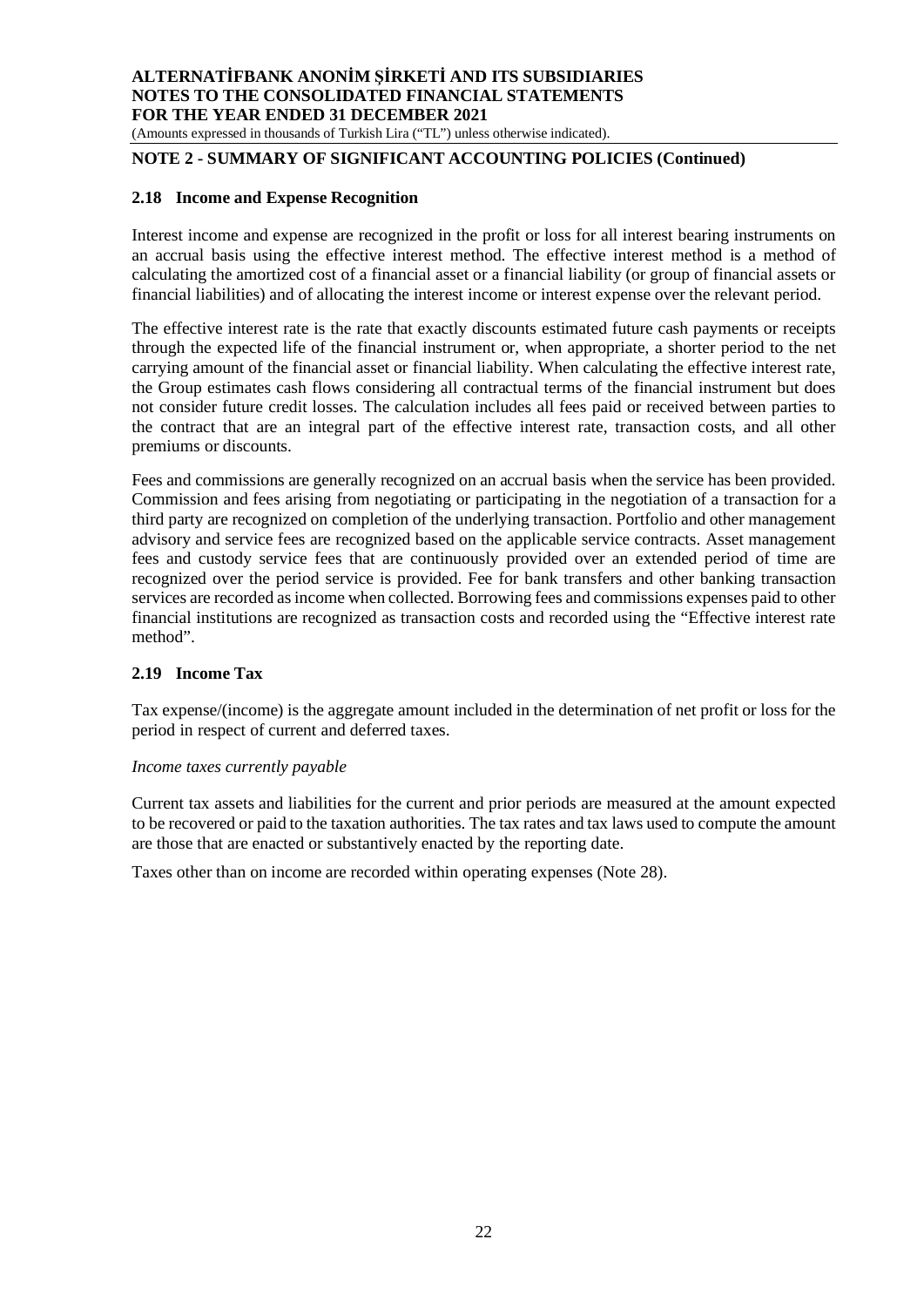(Amounts expressed in thousands of Turkish Lira ("TL") unless otherwise indicated).

# **NOTE 2 - SUMMARY OF SIGNIFICANT ACCOUNTING POLICIES (Continued)**

#### **2.18 Income and Expense Recognition**

Interest income and expense are recognized in the profit or loss for all interest bearing instruments on an accrual basis using the effective interest method. The effective interest method is a method of calculating the amortized cost of a financial asset or a financial liability (or group of financial assets or financial liabilities) and of allocating the interest income or interest expense over the relevant period.

The effective interest rate is the rate that exactly discounts estimated future cash payments or receipts through the expected life of the financial instrument or, when appropriate, a shorter period to the net carrying amount of the financial asset or financial liability. When calculating the effective interest rate, the Group estimates cash flows considering all contractual terms of the financial instrument but does not consider future credit losses. The calculation includes all fees paid or received between parties to the contract that are an integral part of the effective interest rate, transaction costs, and all other premiums or discounts.

Fees and commissions are generally recognized on an accrual basis when the service has been provided. Commission and fees arising from negotiating or participating in the negotiation of a transaction for a third party are recognized on completion of the underlying transaction. Portfolio and other management advisory and service fees are recognized based on the applicable service contracts. Asset management fees and custody service fees that are continuously provided over an extended period of time are recognized over the period service is provided. Fee for bank transfers and other banking transaction services are recorded as income when collected. Borrowing fees and commissions expenses paid to other financial institutions are recognized as transaction costs and recorded using the "Effective interest rate method".

#### **2.19 Income Tax**

Tax expense/(income) is the aggregate amount included in the determination of net profit or loss for the period in respect of current and deferred taxes.

#### *Income taxes currently payable*

Current tax assets and liabilities for the current and prior periods are measured at the amount expected to be recovered or paid to the taxation authorities. The tax rates and tax laws used to compute the amount are those that are enacted or substantively enacted by the reporting date.

Taxes other than on income are recorded within operating expenses (Note 28).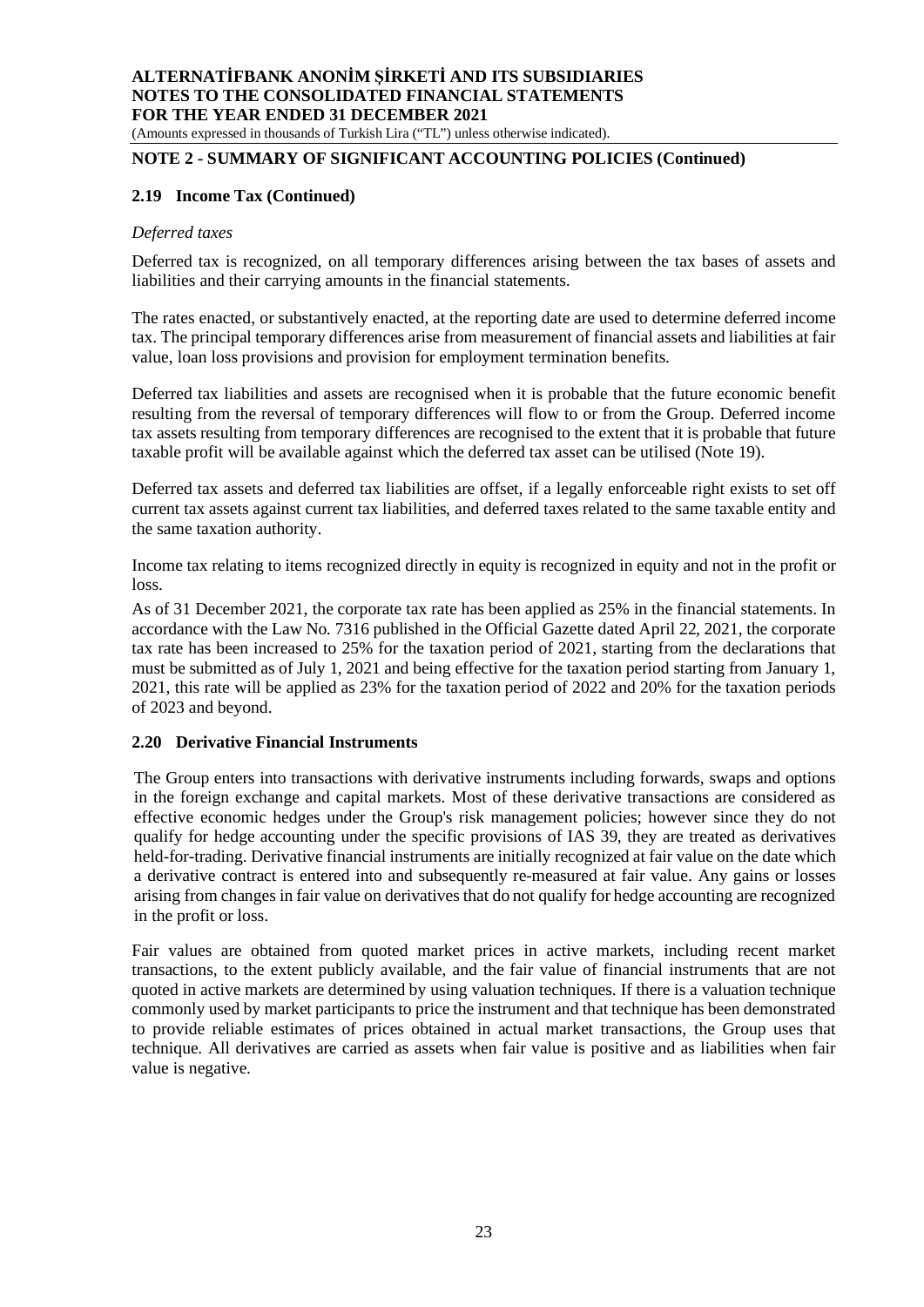#### **ALTERNATİFBANK ANONİM ŞİRKETİ AND ITS SUBSIDIARIES NOTES TO THE CONSOLIDATED FINANCIAL STATEMENTS FOR THE YEAR ENDED 31 DECEMBER 2021** (Amounts expressed in thousands of Turkish Lira ("TL") unless otherwise indicated).

# **NOTE 2 - SUMMARY OF SIGNIFICANT ACCOUNTING POLICIES (Continued)**

#### **2.19 Income Tax (Continued)**

#### *Deferred taxes*

Deferred tax is recognized, on all temporary differences arising between the tax bases of assets and liabilities and their carrying amounts in the financial statements.

The rates enacted, or substantively enacted, at the reporting date are used to determine deferred income tax. The principal temporary differences arise from measurement of financial assets and liabilities at fair value, loan loss provisions and provision for employment termination benefits.

Deferred tax liabilities and assets are recognised when it is probable that the future economic benefit resulting from the reversal of temporary differences will flow to or from the Group. Deferred income tax assets resulting from temporary differences are recognised to the extent that it is probable that future taxable profit will be available against which the deferred tax asset can be utilised (Note 19).

Deferred tax assets and deferred tax liabilities are offset, if a legally enforceable right exists to set off current tax assets against current tax liabilities, and deferred taxes related to the same taxable entity and the same taxation authority.

Income tax relating to items recognized directly in equity is recognized in equity and not in the profit or loss.

As of 31 December 2021, the corporate tax rate has been applied as 25% in the financial statements. In accordance with the Law No. 7316 published in the Official Gazette dated April 22, 2021, the corporate tax rate has been increased to 25% for the taxation period of 2021, starting from the declarations that must be submitted as of July 1, 2021 and being effective for the taxation period starting from January 1, 2021, this rate will be applied as 23% for the taxation period of 2022 and 20% for the taxation periods of 2023 and beyond.

# **2.20 Derivative Financial Instruments**

The Group enters into transactions with derivative instruments including forwards, swaps and options in the foreign exchange and capital markets. Most of these derivative transactions are considered as effective economic hedges under the Group's risk management policies; however since they do not qualify for hedge accounting under the specific provisions of IAS 39, they are treated as derivatives held-for-trading. Derivative financial instruments are initially recognized at fair value on the date which a derivative contract is entered into and subsequently re-measured at fair value. Any gains or losses arising from changes in fair value on derivatives that do not qualify for hedge accounting are recognized in the profit or loss.

Fair values are obtained from quoted market prices in active markets, including recent market transactions, to the extent publicly available, and the fair value of financial instruments that are not quoted in active markets are determined by using valuation techniques. If there is a valuation technique commonly used by market participants to price the instrument and that technique has been demonstrated to provide reliable estimates of prices obtained in actual market transactions, the Group uses that technique. All derivatives are carried as assets when fair value is positive and as liabilities when fair value is negative.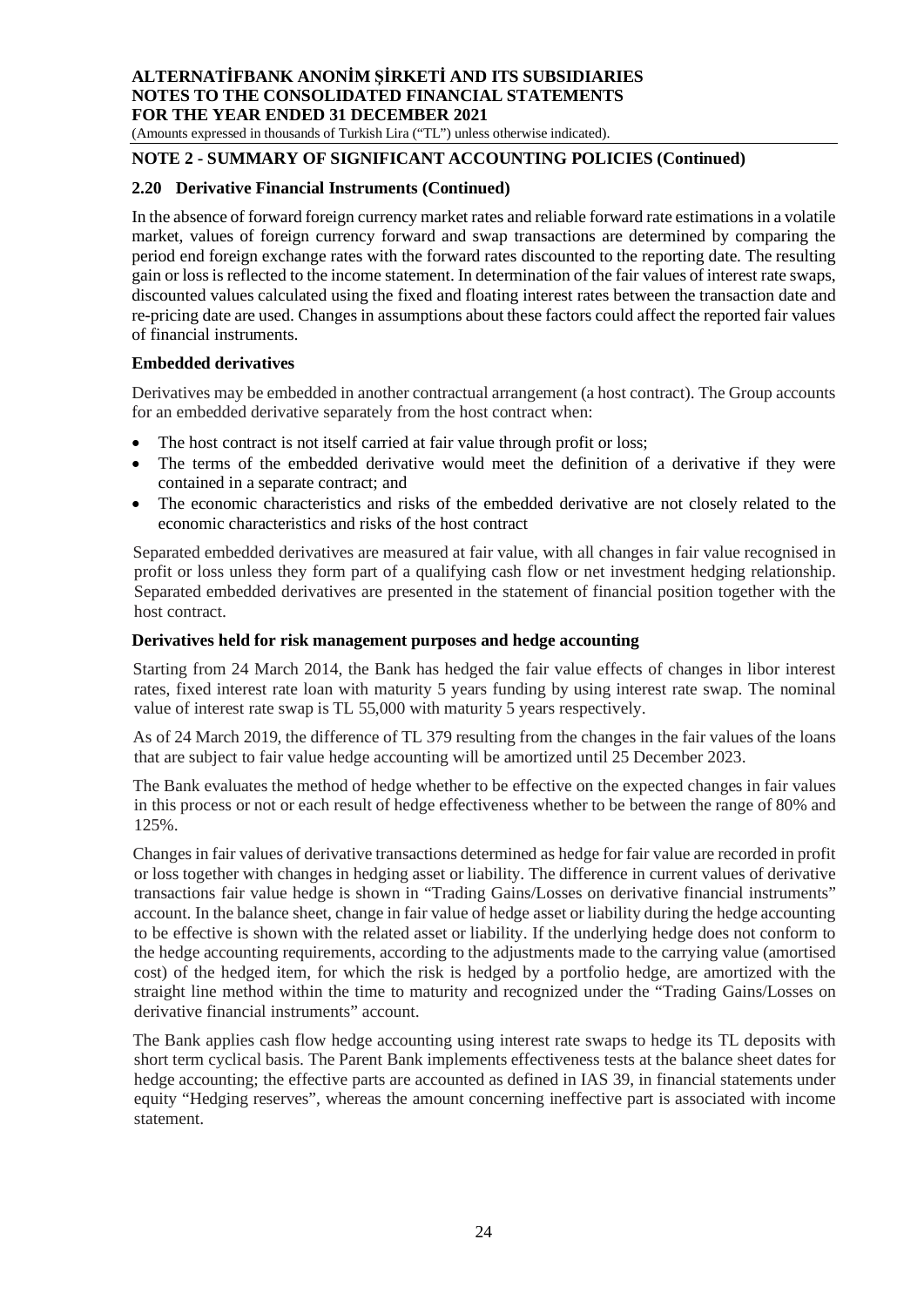(Amounts expressed in thousands of Turkish Lira ("TL") unless otherwise indicated).

# **NOTE 2 - SUMMARY OF SIGNIFICANT ACCOUNTING POLICIES (Continued)**

### **2.20 Derivative Financial Instruments (Continued)**

In the absence of forward foreign currency market rates and reliable forward rate estimations in a volatile market, values of foreign currency forward and swap transactions are determined by comparing the period end foreign exchange rates with the forward rates discounted to the reporting date. The resulting gain or loss is reflected to the income statement. In determination of the fair values of interest rate swaps, discounted values calculated using the fixed and floating interest rates between the transaction date and re-pricing date are used. Changes in assumptions about these factors could affect the reported fair values of financial instruments.

#### **Embedded derivatives**

Derivatives may be embedded in another contractual arrangement (a host contract). The Group accounts for an embedded derivative separately from the host contract when:

- The host contract is not itself carried at fair value through profit or loss;
- The terms of the embedded derivative would meet the definition of a derivative if they were contained in a separate contract; and
- The economic characteristics and risks of the embedded derivative are not closely related to the economic characteristics and risks of the host contract

Separated embedded derivatives are measured at fair value, with all changes in fair value recognised in profit or loss unless they form part of a qualifying cash flow or net investment hedging relationship. Separated embedded derivatives are presented in the statement of financial position together with the host contract.

#### **Derivatives held for risk management purposes and hedge accounting**

Starting from 24 March 2014, the Bank has hedged the fair value effects of changes in libor interest rates, fixed interest rate loan with maturity 5 years funding by using interest rate swap. The nominal value of interest rate swap is TL 55,000 with maturity 5 years respectively.

As of 24 March 2019, the difference of TL 379 resulting from the changes in the fair values of the loans that are subject to fair value hedge accounting will be amortized until 25 December 2023.

The Bank evaluates the method of hedge whether to be effective on the expected changes in fair values in this process or not or each result of hedge effectiveness whether to be between the range of 80% and 125%.

Changes in fair values of derivative transactions determined as hedge for fair value are recorded in profit or loss together with changes in hedging asset or liability. The difference in current values of derivative transactions fair value hedge is shown in "Trading Gains/Losses on derivative financial instruments" account. In the balance sheet, change in fair value of hedge asset or liability during the hedge accounting to be effective is shown with the related asset or liability. If the underlying hedge does not conform to the hedge accounting requirements, according to the adjustments made to the carrying value (amortised cost) of the hedged item, for which the risk is hedged by a portfolio hedge, are amortized with the straight line method within the time to maturity and recognized under the "Trading Gains/Losses on derivative financial instruments" account.

The Bank applies cash flow hedge accounting using interest rate swaps to hedge its TL deposits with short term cyclical basis. The Parent Bank implements effectiveness tests at the balance sheet dates for hedge accounting; the effective parts are accounted as defined in IAS 39, in financial statements under equity "Hedging reserves", whereas the amount concerning ineffective part is associated with income statement.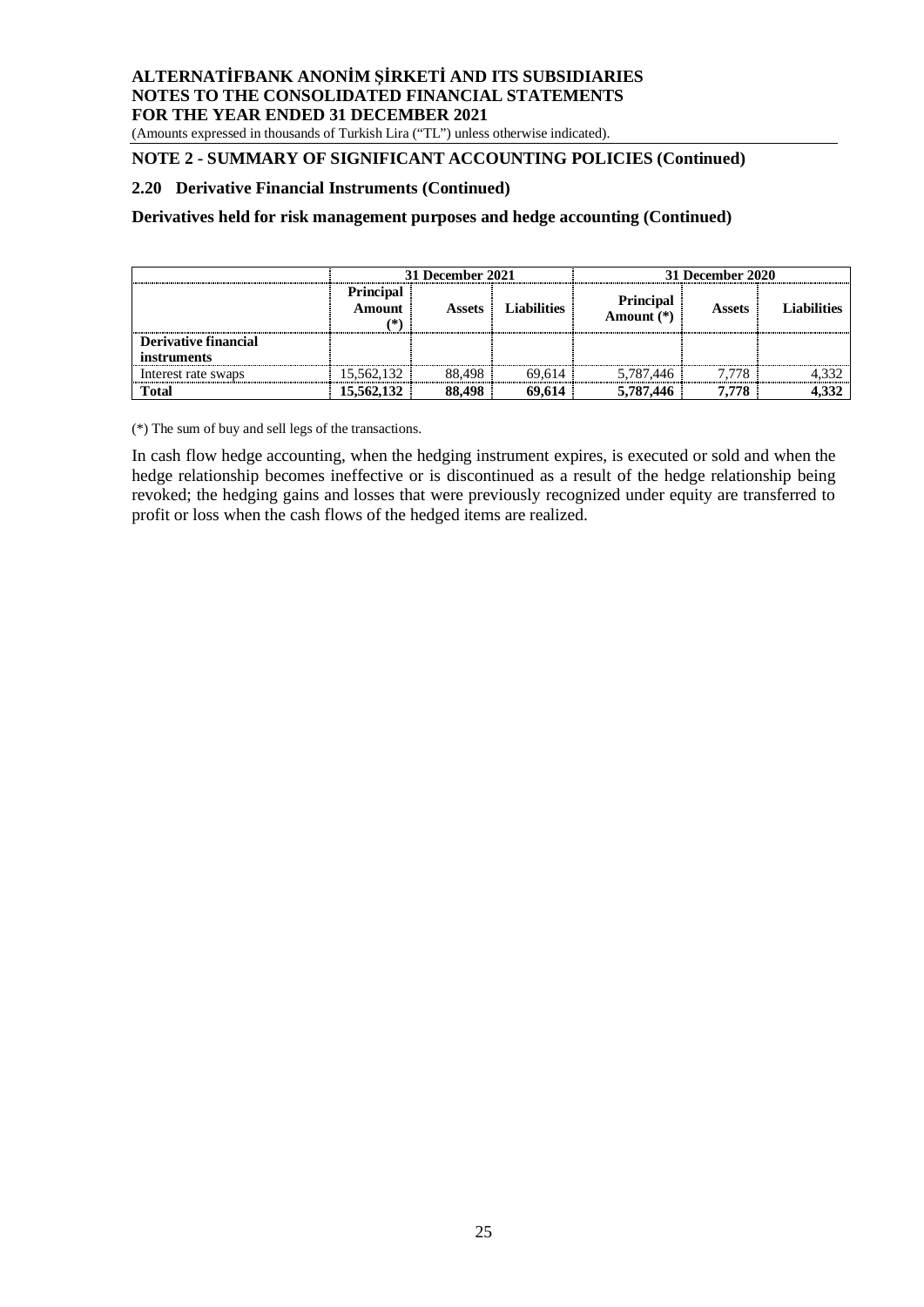(Amounts expressed in thousands of Turkish Lira ("TL") unless otherwise indicated).

# **NOTE 2 - SUMMARY OF SIGNIFICANT ACCOUNTING POLICIES (Continued)**

#### **2.20 Derivative Financial Instruments (Continued)**

**Derivatives held for risk management purposes and hedge accounting (Continued)**

|                      | 31 December 2021                                                                 |        |        | 31 December 2020          |                    |       |  |
|----------------------|----------------------------------------------------------------------------------|--------|--------|---------------------------|--------------------|-------|--|
|                      | <b>Principal</b><br><b>Liabilities</b><br><b>Amount</b><br><b>Assets</b><br>(* ) |        |        | Principal<br>Amount $(*)$ | <b>Liabilities</b> |       |  |
| Derivative financial |                                                                                  |        |        |                           |                    |       |  |
| <i>instruments</i>   |                                                                                  |        |        |                           |                    |       |  |
| Interest rate swaps  | 15,562,132                                                                       | 88.498 | 69.614 | 5,787,446                 | 7.778              | 4,332 |  |
| <b>Total</b>         | 15,562,132                                                                       | 88,498 | 69.614 | 5,787,446                 | 7.778              | 4,332 |  |

(\*) The sum of buy and sell legs of the transactions.

In cash flow hedge accounting, when the hedging instrument expires, is executed or sold and when the hedge relationship becomes ineffective or is discontinued as a result of the hedge relationship being revoked; the hedging gains and losses that were previously recognized under equity are transferred to profit or loss when the cash flows of the hedged items are realized.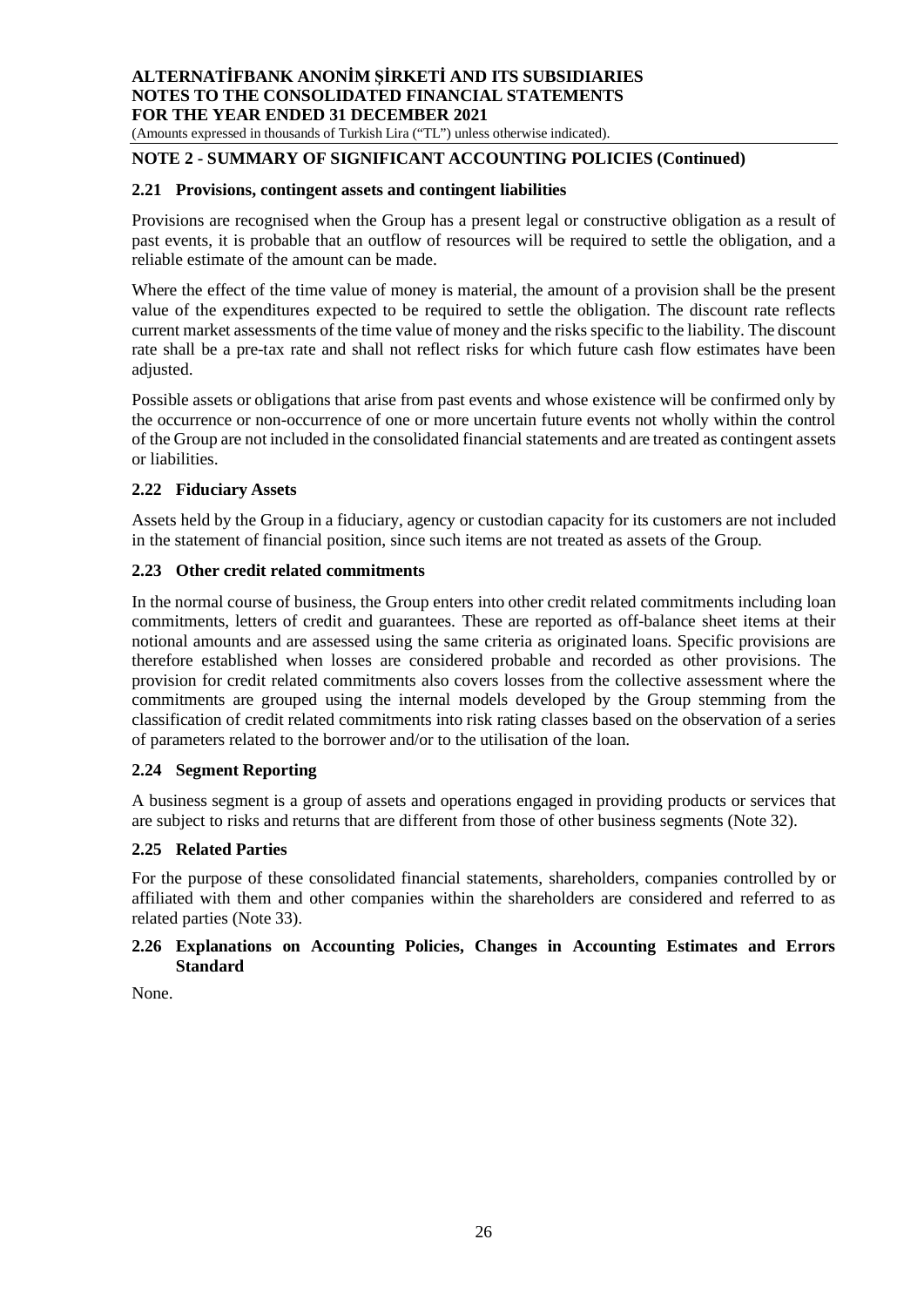(Amounts expressed in thousands of Turkish Lira ("TL") unless otherwise indicated).

# **NOTE 2 - SUMMARY OF SIGNIFICANT ACCOUNTING POLICIES (Continued)**

#### **2.21 Provisions, contingent assets and contingent liabilities**

Provisions are recognised when the Group has a present legal or constructive obligation as a result of past events, it is probable that an outflow of resources will be required to settle the obligation, and a reliable estimate of the amount can be made.

Where the effect of the time value of money is material, the amount of a provision shall be the present value of the expenditures expected to be required to settle the obligation. The discount rate reflects current market assessments of the time value of money and the risks specific to the liability. The discount rate shall be a pre-tax rate and shall not reflect risks for which future cash flow estimates have been adjusted.

Possible assets or obligations that arise from past events and whose existence will be confirmed only by the occurrence or non-occurrence of one or more uncertain future events not wholly within the control of the Group are not included in the consolidated financial statements and are treated as contingent assets or liabilities.

#### **2.22 Fiduciary Assets**

Assets held by the Group in a fiduciary, agency or custodian capacity for its customers are not included in the statement of financial position, since such items are not treated as assets of the Group.

#### **2.23 Other credit related commitments**

In the normal course of business, the Group enters into other credit related commitments including loan commitments, letters of credit and guarantees. These are reported as off-balance sheet items at their notional amounts and are assessed using the same criteria as originated loans. Specific provisions are therefore established when losses are considered probable and recorded as other provisions. The provision for credit related commitments also covers losses from the collective assessment where the commitments are grouped using the internal models developed by the Group stemming from the classification of credit related commitments into risk rating classes based on the observation of a series of parameters related to the borrower and/or to the utilisation of the loan.

#### **2.24 Segment Reporting**

A business segment is a group of assets and operations engaged in providing products or services that are subject to risks and returns that are different from those of other business segments (Note 32).

#### **2.25 Related Parties**

For the purpose of these consolidated financial statements, shareholders, companies controlled by or affiliated with them and other companies within the shareholders are considered and referred to as related parties (Note 33).

#### **2.26 Explanations on Accounting Policies, Changes in Accounting Estimates and Errors Standard**

None.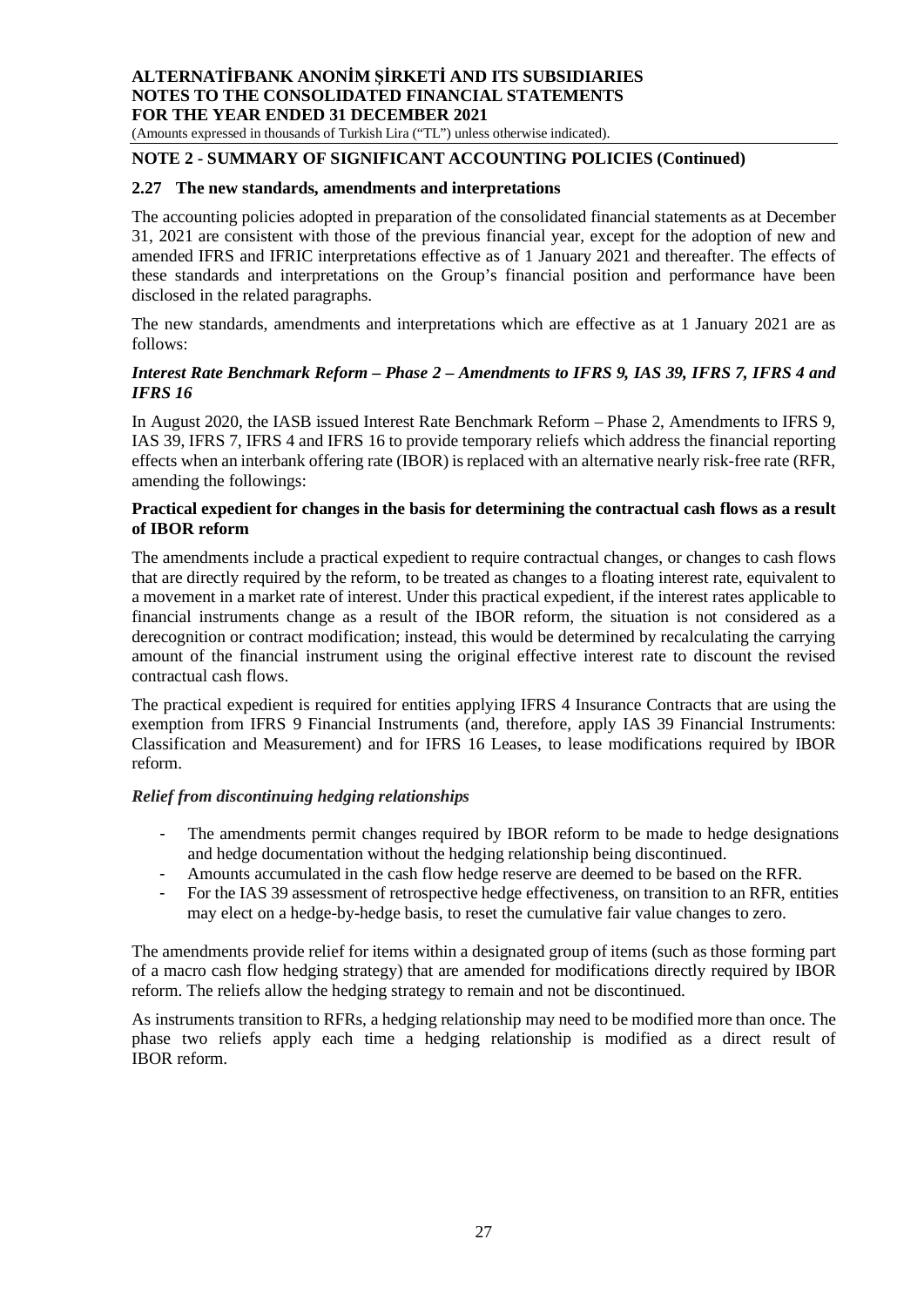(Amounts expressed in thousands of Turkish Lira ("TL") unless otherwise indicated).

### **NOTE 2 - SUMMARY OF SIGNIFICANT ACCOUNTING POLICIES (Continued)**

#### **2.27 The new standards, amendments and interpretations**

The accounting policies adopted in preparation of the consolidated financial statements as at December 31, 2021 are consistent with those of the previous financial year, except for the adoption of new and amended IFRS and IFRIC interpretations effective as of 1 January 2021 and thereafter. The effects of these standards and interpretations on the Group's financial position and performance have been disclosed in the related paragraphs.

The new standards, amendments and interpretations which are effective as at 1 January 2021 are as follows:

#### *Interest Rate Benchmark Reform – Phase 2 – Amendments to IFRS 9, IAS 39, IFRS 7, IFRS 4 and IFRS 16*

In August 2020, the IASB issued Interest Rate Benchmark Reform – Phase 2, Amendments to IFRS 9, IAS 39, IFRS 7, IFRS 4 and IFRS 16 to provide temporary reliefs which address the financial reporting effects when an interbank offering rate (IBOR) is replaced with an alternative nearly risk-free rate (RFR, amending the followings:

#### **Practical expedient for changes in the basis for determining the contractual cash flows as a result of IBOR reform**

The amendments include a practical expedient to require contractual changes, or changes to cash flows that are directly required by the reform, to be treated as changes to a floating interest rate, equivalent to a movement in a market rate of interest. Under this practical expedient, if the interest rates applicable to financial instruments change as a result of the IBOR reform, the situation is not considered as a derecognition or contract modification; instead, this would be determined by recalculating the carrying amount of the financial instrument using the original effective interest rate to discount the revised contractual cash flows.

The practical expedient is required for entities applying IFRS 4 Insurance Contracts that are using the exemption from IFRS 9 Financial Instruments (and, therefore, apply IAS 39 Financial Instruments: Classification and Measurement) and for IFRS 16 Leases, to lease modifications required by IBOR reform.

#### *Relief from discontinuing hedging relationships*

- The amendments permit changes required by IBOR reform to be made to hedge designations and hedge documentation without the hedging relationship being discontinued.
- Amounts accumulated in the cash flow hedge reserve are deemed to be based on the RFR.
- For the IAS 39 assessment of retrospective hedge effectiveness, on transition to an RFR, entities may elect on a hedge-by-hedge basis, to reset the cumulative fair value changes to zero.

The amendments provide relief for items within a designated group of items (such as those forming part of a macro cash flow hedging strategy) that are amended for modifications directly required by IBOR reform. The reliefs allow the hedging strategy to remain and not be discontinued.

As instruments transition to RFRs, a hedging relationship may need to be modified more than once. The phase two reliefs apply each time a hedging relationship is modified as a direct result of IBOR reform.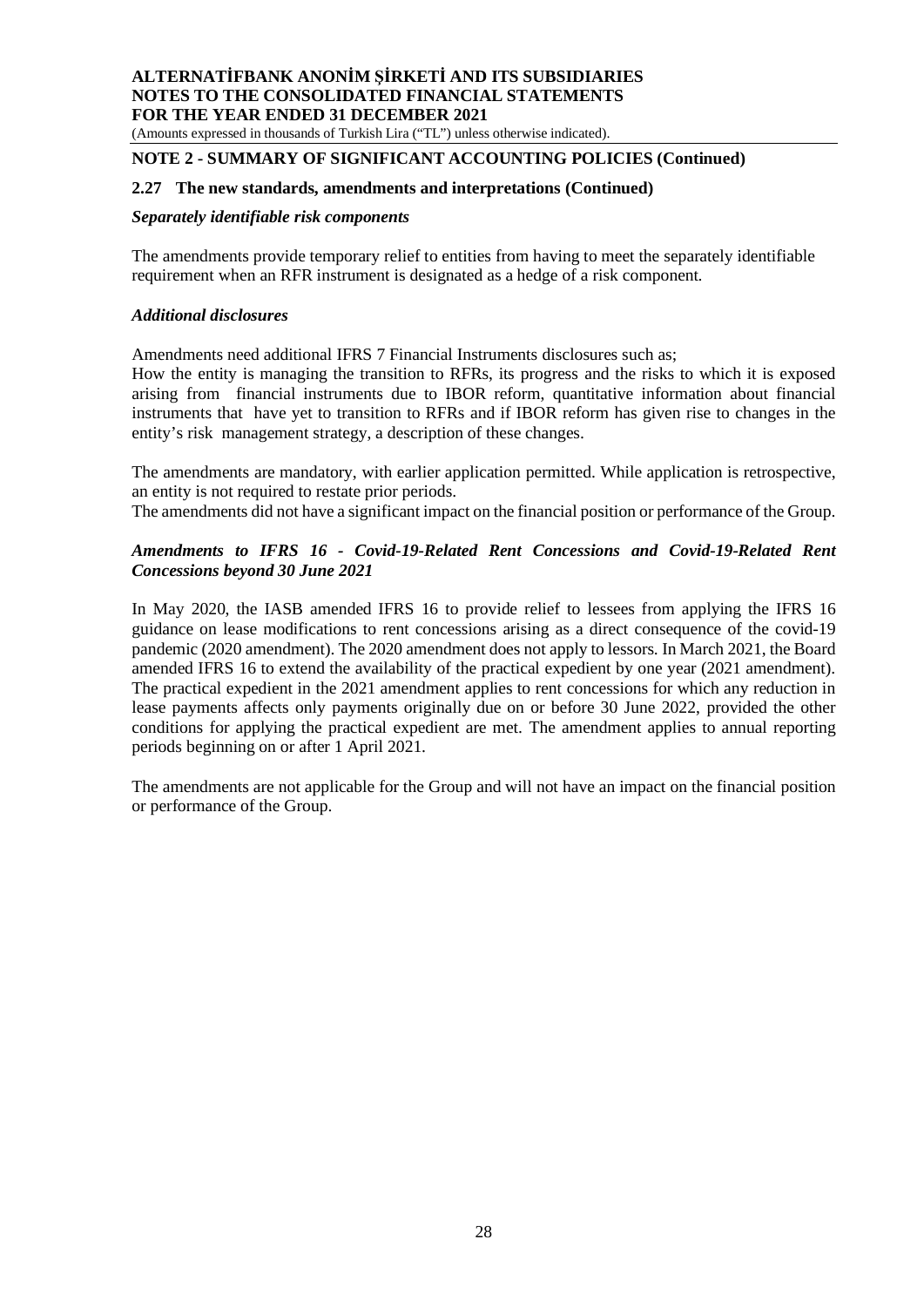(Amounts expressed in thousands of Turkish Lira ("TL") unless otherwise indicated).

#### **NOTE 2 - SUMMARY OF SIGNIFICANT ACCOUNTING POLICIES (Continued)**

#### **2.27 The new standards, amendments and interpretations (Continued)**

#### *Separately identifiable risk components*

The amendments provide temporary relief to entities from having to meet the separately identifiable requirement when an RFR instrument is designated as a hedge of a risk component.

#### *Additional disclosures*

Amendments need additional IFRS 7 Financial Instruments disclosures such as;

How the entity is managing the transition to RFRs, its progress and the risks to which it is exposed arising from financial instruments due to IBOR reform, quantitative information about financial instruments that have yet to transition to RFRs and if IBOR reform has given rise to changes in the entity's risk management strategy, a description of these changes.

The amendments are mandatory, with earlier application permitted. While application is retrospective, an entity is not required to restate prior periods.

The amendments did not have a significant impact on the financial position or performance of the Group.

#### *Amendments to IFRS 16 - Covid-19-Related Rent Concessions and Covid-19-Related Rent Concessions beyond 30 June 2021*

In May 2020, the IASB amended IFRS 16 to provide relief to lessees from applying the IFRS 16 guidance on lease modifications to rent concessions arising as a direct consequence of the covid-19 pandemic (2020 amendment). The 2020 amendment does not apply to lessors. In March 2021, the Board amended IFRS 16 to extend the availability of the practical expedient by one year (2021 amendment). The practical expedient in the 2021 amendment applies to rent concessions for which any reduction in lease payments affects only payments originally due on or before 30 June 2022, provided the other conditions for applying the practical expedient are met. The amendment applies to annual reporting periods beginning on or after 1 April 2021.

The amendments are not applicable for the Group and will not have an impact on the financial position or performance of the Group.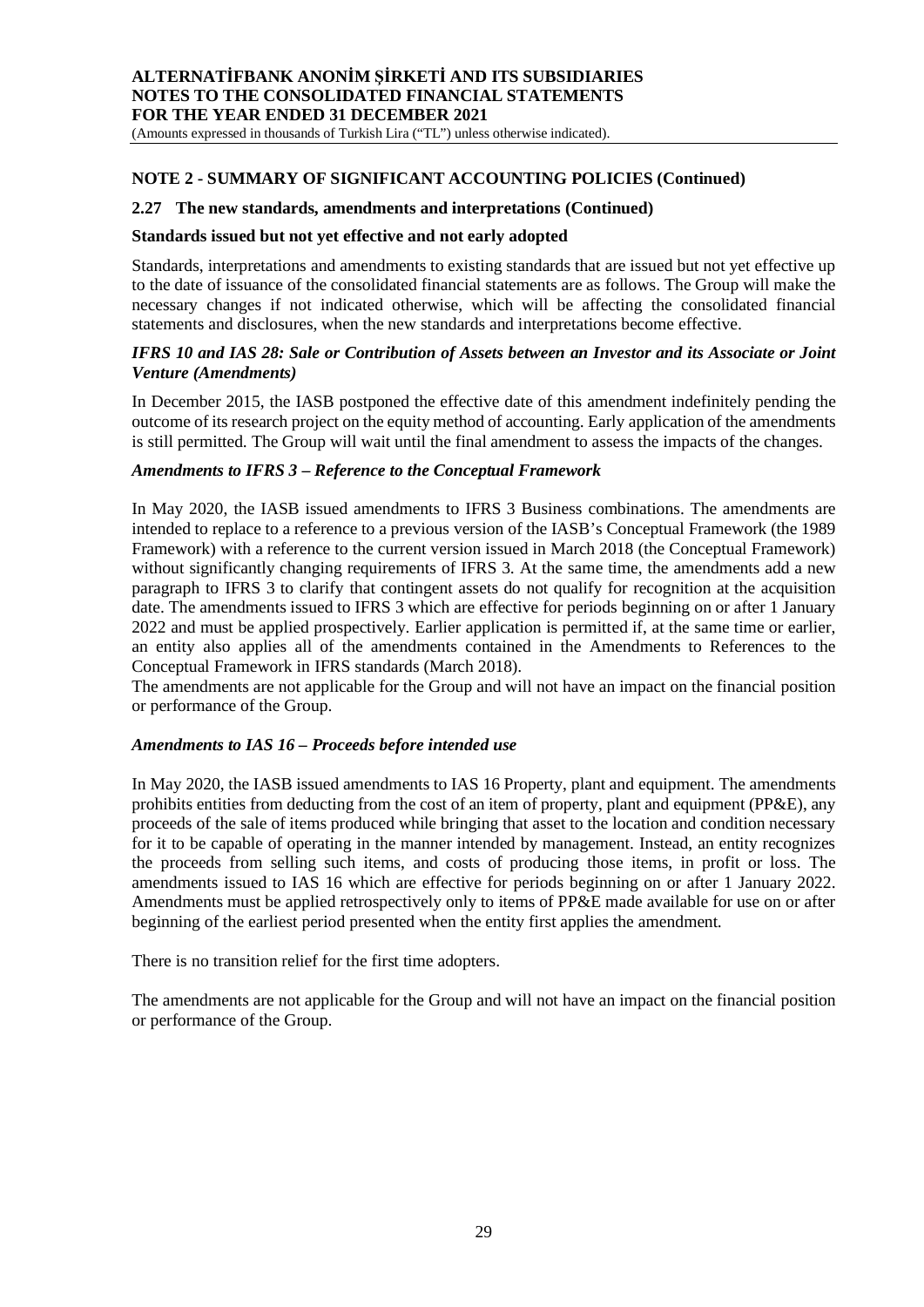(Amounts expressed in thousands of Turkish Lira ("TL") unless otherwise indicated).

#### **NOTE 2 - SUMMARY OF SIGNIFICANT ACCOUNTING POLICIES (Continued)**

#### **2.27 The new standards, amendments and interpretations (Continued)**

#### **Standards issued but not yet effective and not early adopted**

Standards, interpretations and amendments to existing standards that are issued but not yet effective up to the date of issuance of the consolidated financial statements are as follows. The Group will make the necessary changes if not indicated otherwise, which will be affecting the consolidated financial statements and disclosures, when the new standards and interpretations become effective.

#### *IFRS 10 and IAS 28: Sale or Contribution of Assets between an Investor and its Associate or Joint Venture (Amendments)*

In December 2015, the IASB postponed the effective date of this amendment indefinitely pending the outcome of its research project on the equity method of accounting. Early application of the amendments is still permitted. The Group will wait until the final amendment to assess the impacts of the changes.

#### *Amendments to IFRS 3 – Reference to the Conceptual Framework*

In May 2020, the IASB issued amendments to IFRS 3 Business combinations. The amendments are intended to replace to a reference to a previous version of the IASB's Conceptual Framework (the 1989 Framework) with a reference to the current version issued in March 2018 (the Conceptual Framework) without significantly changing requirements of IFRS 3. At the same time, the amendments add a new paragraph to IFRS 3 to clarify that contingent assets do not qualify for recognition at the acquisition date. The amendments issued to IFRS 3 which are effective for periods beginning on or after 1 January 2022 and must be applied prospectively. Earlier application is permitted if, at the same time or earlier, an entity also applies all of the amendments contained in the Amendments to References to the Conceptual Framework in IFRS standards (March 2018).

The amendments are not applicable for the Group and will not have an impact on the financial position or performance of the Group.

#### *Amendments to IAS 16 – Proceeds before intended use*

In May 2020, the IASB issued amendments to IAS 16 Property, plant and equipment. The amendments prohibits entities from deducting from the cost of an item of property, plant and equipment (PP&E), any proceeds of the sale of items produced while bringing that asset to the location and condition necessary for it to be capable of operating in the manner intended by management. Instead, an entity recognizes the proceeds from selling such items, and costs of producing those items, in profit or loss. The amendments issued to IAS 16 which are effective for periods beginning on or after 1 January 2022. Amendments must be applied retrospectively only to items of PP&E made available for use on or after beginning of the earliest period presented when the entity first applies the amendment.

There is no transition relief for the first time adopters.

The amendments are not applicable for the Group and will not have an impact on the financial position or performance of the Group.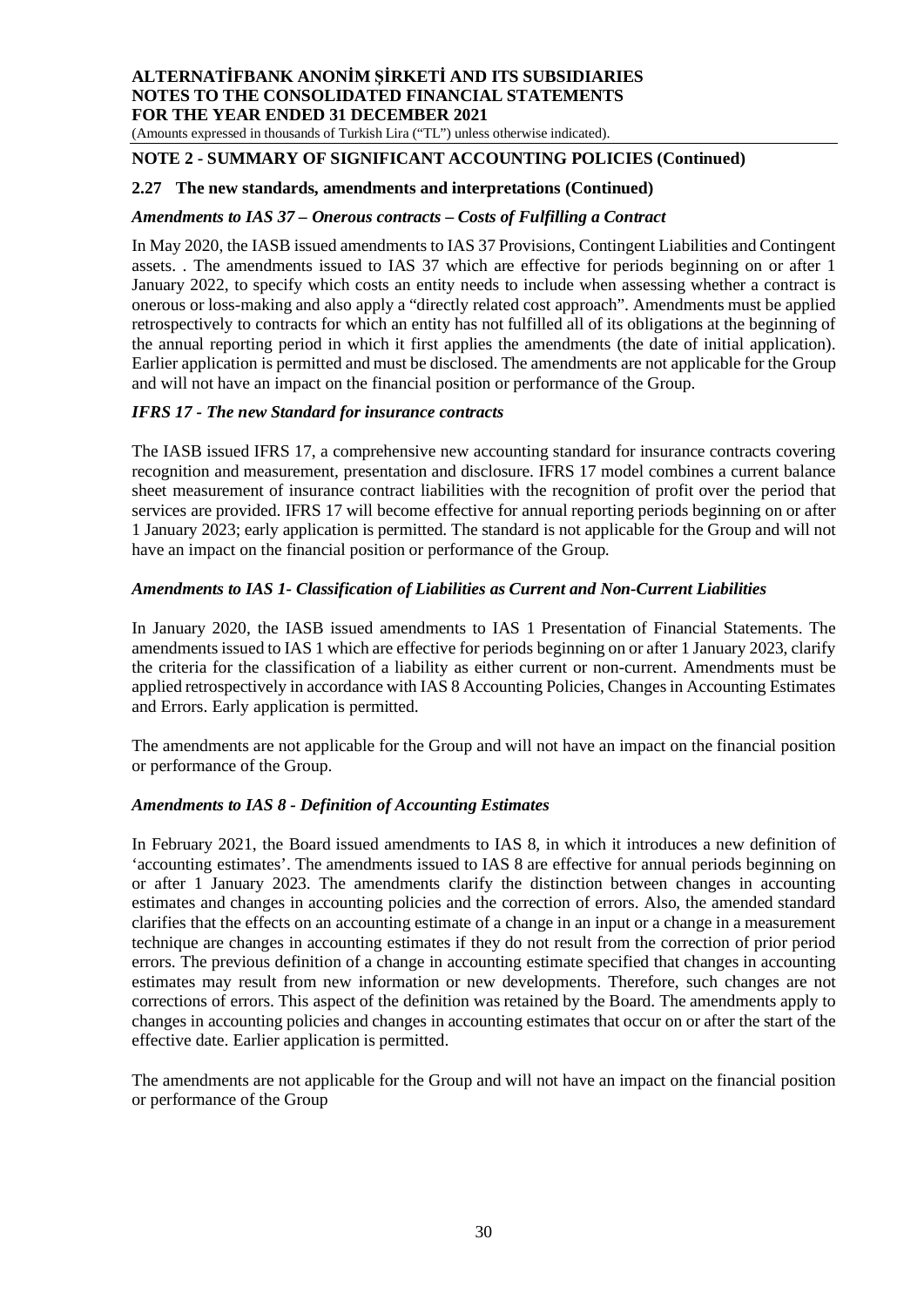(Amounts expressed in thousands of Turkish Lira ("TL") unless otherwise indicated).

# **NOTE 2 - SUMMARY OF SIGNIFICANT ACCOUNTING POLICIES (Continued)**

#### **2.27 The new standards, amendments and interpretations (Continued)**

#### *Amendments to IAS 37 – Onerous contracts – Costs of Fulfilling a Contract*

In May 2020, the IASB issued amendments to IAS 37 Provisions, Contingent Liabilities and Contingent assets. . The amendments issued to IAS 37 which are effective for periods beginning on or after 1 January 2022, to specify which costs an entity needs to include when assessing whether a contract is onerous or loss-making and also apply a "directly related cost approach". Amendments must be applied retrospectively to contracts for which an entity has not fulfilled all of its obligations at the beginning of the annual reporting period in which it first applies the amendments (the date of initial application). Earlier application is permitted and must be disclosed. The amendments are not applicable for the Group and will not have an impact on the financial position or performance of the Group.

#### *IFRS 17 - The new Standard for insurance contracts*

The IASB issued IFRS 17, a comprehensive new accounting standard for insurance contracts covering recognition and measurement, presentation and disclosure. IFRS 17 model combines a current balance sheet measurement of insurance contract liabilities with the recognition of profit over the period that services are provided. IFRS 17 will become effective for annual reporting periods beginning on or after 1 January 2023; early application is permitted. The standard is not applicable for the Group and will not have an impact on the financial position or performance of the Group.

#### *Amendments to IAS 1- Classification of Liabilities as Current and Non-Current Liabilities*

In January 2020, the IASB issued amendments to IAS 1 Presentation of Financial Statements. The amendments issued to IAS 1 which are effective for periods beginning on or after 1 January 2023, clarify the criteria for the classification of a liability as either current or non-current. Amendments must be applied retrospectively in accordance with IAS 8 Accounting Policies, Changes in Accounting Estimates and Errors. Early application is permitted.

The amendments are not applicable for the Group and will not have an impact on the financial position or performance of the Group.

#### *Amendments to IAS 8 - Definition of Accounting Estimates*

In February 2021, the Board issued amendments to IAS 8, in which it introduces a new definition of 'accounting estimates'. The amendments issued to IAS 8 are effective for annual periods beginning on or after 1 January 2023. The amendments clarify the distinction between changes in accounting estimates and changes in accounting policies and the correction of errors. Also, the amended standard clarifies that the effects on an accounting estimate of a change in an input or a change in a measurement technique are changes in accounting estimates if they do not result from the correction of prior period errors. The previous definition of a change in accounting estimate specified that changes in accounting estimates may result from new information or new developments. Therefore, such changes are not corrections of errors. This aspect of the definition was retained by the Board. The amendments apply to changes in accounting policies and changes in accounting estimates that occur on or after the start of the effective date. Earlier application is permitted.

The amendments are not applicable for the Group and will not have an impact on the financial position or performance of the Group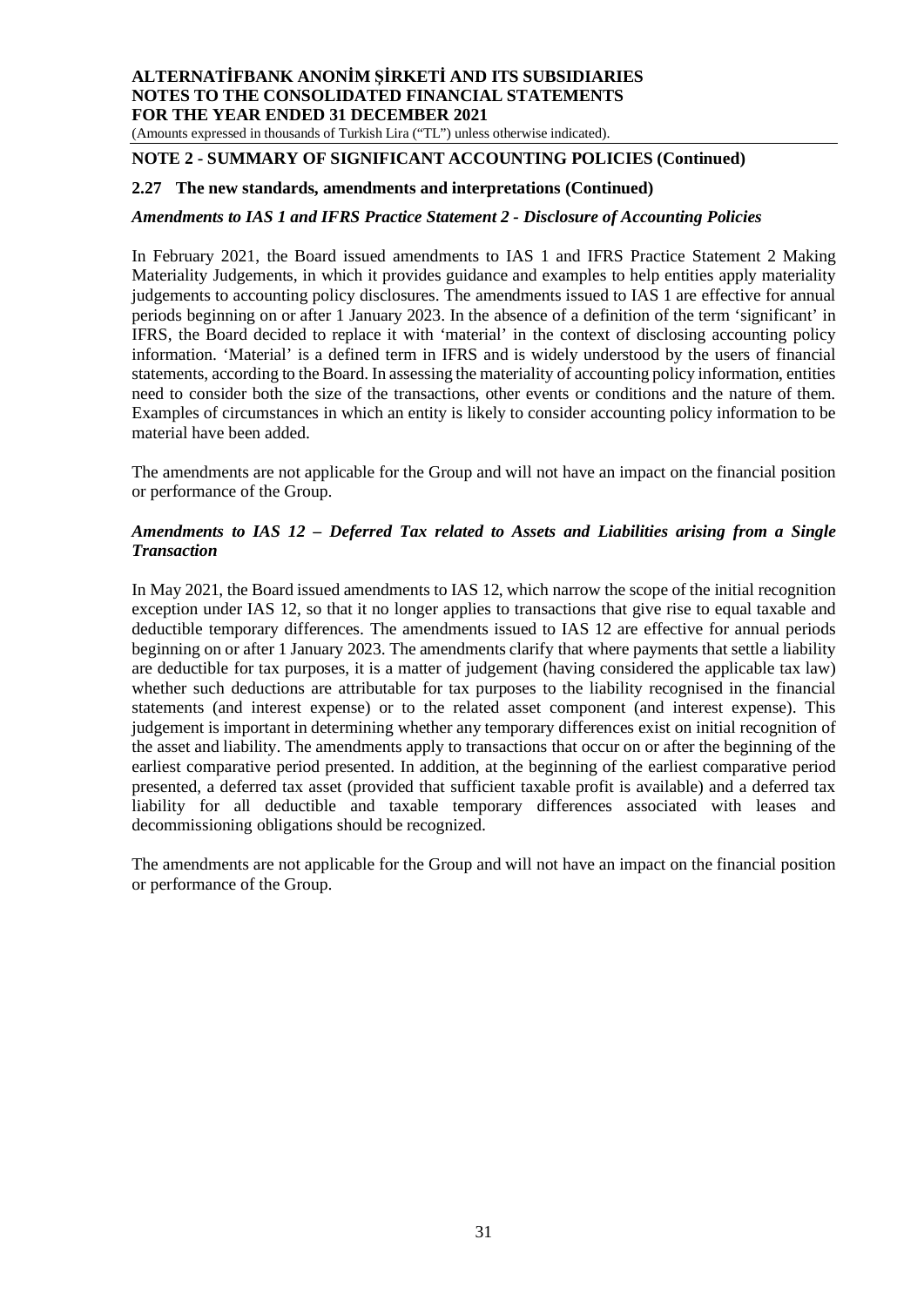(Amounts expressed in thousands of Turkish Lira ("TL") unless otherwise indicated).

# **NOTE 2 - SUMMARY OF SIGNIFICANT ACCOUNTING POLICIES (Continued)**

#### **2.27 The new standards, amendments and interpretations (Continued)**

#### *Amendments to IAS 1 and IFRS Practice Statement 2 - Disclosure of Accounting Policies*

In February 2021, the Board issued amendments to IAS 1 and IFRS Practice Statement 2 Making Materiality Judgements, in which it provides guidance and examples to help entities apply materiality judgements to accounting policy disclosures. The amendments issued to IAS 1 are effective for annual periods beginning on or after 1 January 2023. In the absence of a definition of the term 'significant' in IFRS, the Board decided to replace it with 'material' in the context of disclosing accounting policy information. 'Material' is a defined term in IFRS and is widely understood by the users of financial statements, according to the Board. In assessing the materiality of accounting policy information, entities need to consider both the size of the transactions, other events or conditions and the nature of them. Examples of circumstances in which an entity is likely to consider accounting policy information to be material have been added.

The amendments are not applicable for the Group and will not have an impact on the financial position or performance of the Group.

#### *Amendments to IAS 12 – Deferred Tax related to Assets and Liabilities arising from a Single Transaction*

In May 2021, the Board issued amendments to IAS 12, which narrow the scope of the initial recognition exception under IAS 12, so that it no longer applies to transactions that give rise to equal taxable and deductible temporary differences. The amendments issued to IAS 12 are effective for annual periods beginning on or after 1 January 2023. The amendments clarify that where payments that settle a liability are deductible for tax purposes, it is a matter of judgement (having considered the applicable tax law) whether such deductions are attributable for tax purposes to the liability recognised in the financial statements (and interest expense) or to the related asset component (and interest expense). This judgement is important in determining whether any temporary differences exist on initial recognition of the asset and liability. The amendments apply to transactions that occur on or after the beginning of the earliest comparative period presented. In addition, at the beginning of the earliest comparative period presented, a deferred tax asset (provided that sufficient taxable profit is available) and a deferred tax liability for all deductible and taxable temporary differences associated with leases and decommissioning obligations should be recognized.

The amendments are not applicable for the Group and will not have an impact on the financial position or performance of the Group.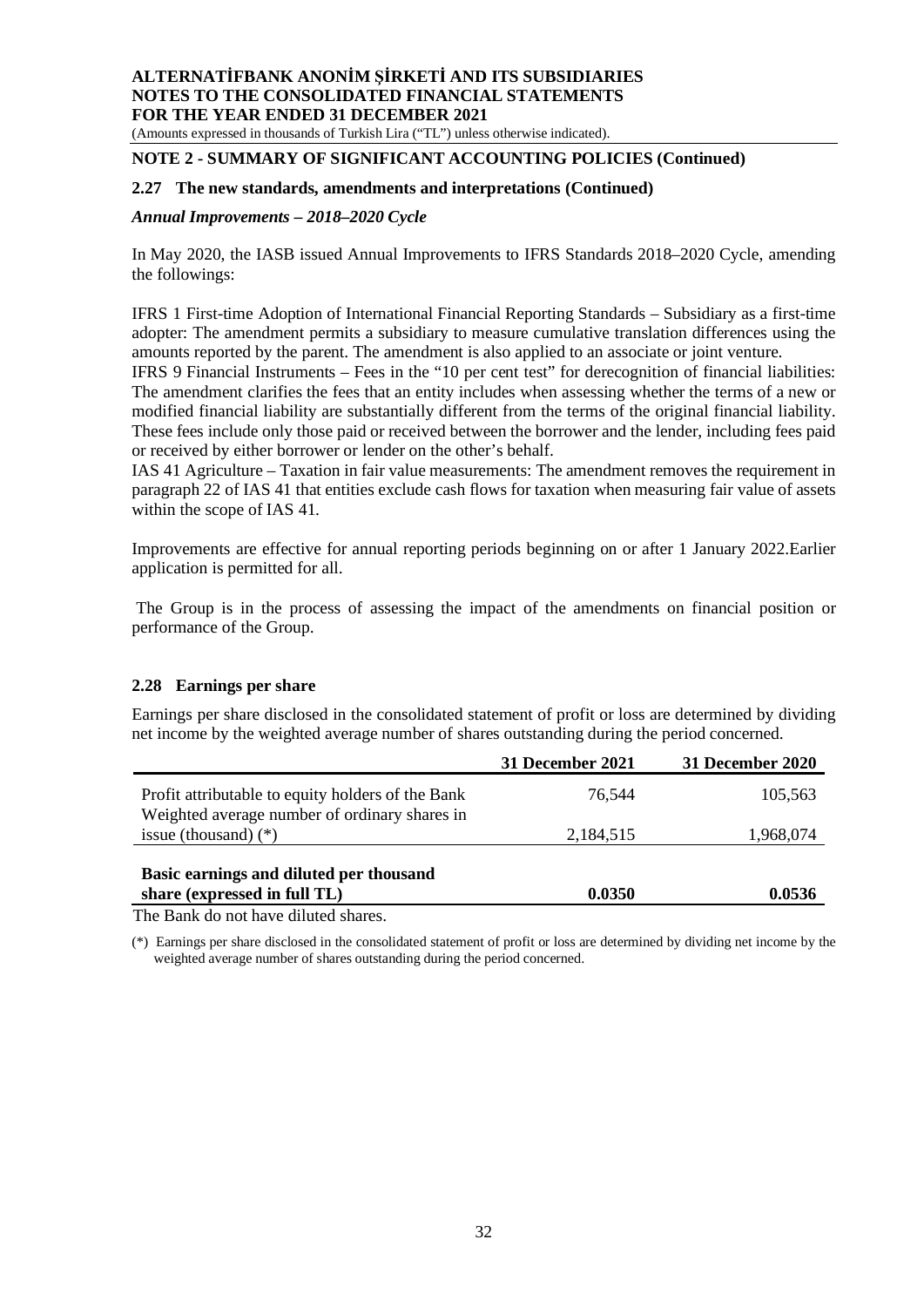(Amounts expressed in thousands of Turkish Lira ("TL") unless otherwise indicated).

#### **NOTE 2 - SUMMARY OF SIGNIFICANT ACCOUNTING POLICIES (Continued)**

#### **2.27 The new standards, amendments and interpretations (Continued)**

#### *Annual Improvements – 2018–2020 Cycle*

In May 2020, the IASB issued Annual Improvements to IFRS Standards 2018–2020 Cycle, amending the followings:

IFRS 1 First-time Adoption of International Financial Reporting Standards – Subsidiary as a first-time adopter: The amendment permits a subsidiary to measure cumulative translation differences using the amounts reported by the parent. The amendment is also applied to an associate or joint venture.

IFRS 9 Financial Instruments – Fees in the "10 per cent test" for derecognition of financial liabilities: The amendment clarifies the fees that an entity includes when assessing whether the terms of a new or modified financial liability are substantially different from the terms of the original financial liability. These fees include only those paid or received between the borrower and the lender, including fees paid or received by either borrower or lender on the other's behalf.

IAS 41 Agriculture – Taxation in fair value measurements: The amendment removes the requirement in paragraph 22 of IAS 41 that entities exclude cash flows for taxation when measuring fair value of assets within the scope of IAS 41.

Improvements are effective for annual reporting periods beginning on or after 1 January 2022.Earlier application is permitted for all.

 The Group is in the process of assessing the impact of the amendments on financial position or performance of the Group.

#### **2.28 Earnings per share**

Earnings per share disclosed in the consolidated statement of profit or loss are determined by dividing net income by the weighted average number of shares outstanding during the period concerned.

|                                                                         | <b>31 December 2021</b> | 31 December 2020 |
|-------------------------------------------------------------------------|-------------------------|------------------|
| Profit attributable to equity holders of the Bank                       | 76.544                  | 105,563          |
| Weighted average number of ordinary shares in                           |                         |                  |
| issue (thousand) $(*)$                                                  | 2,184,515               | 1,968,074        |
| Basic earnings and diluted per thousand<br>share (expressed in full TL) | 0.0350                  | 0.0536           |
| The Depth do not heve diluted shapes                                    |                         |                  |

The Bank do not have diluted shares.

(\*) Earnings per share disclosed in the consolidated statement of profit or loss are determined by dividing net income by the weighted average number of shares outstanding during the period concerned.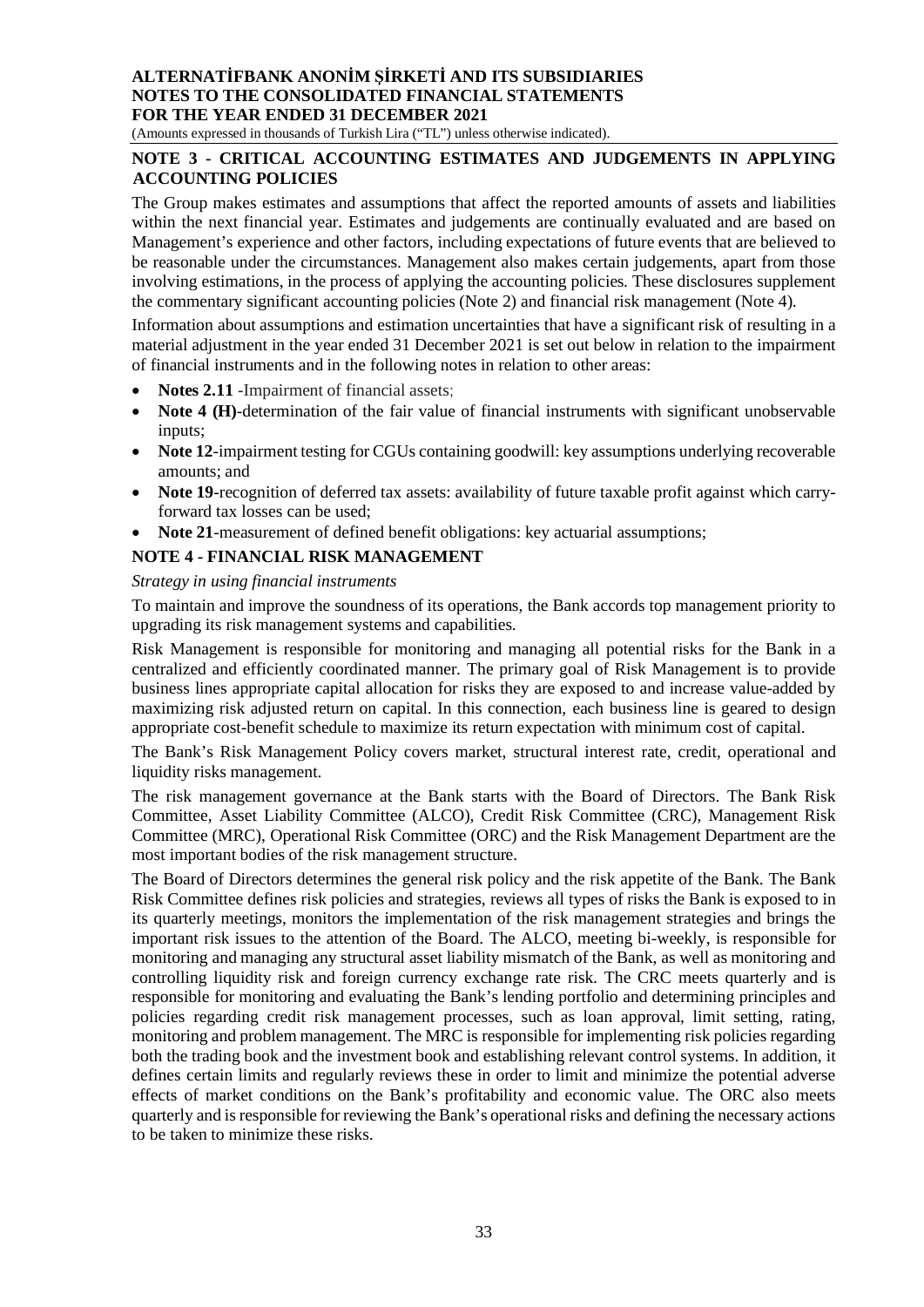(Amounts expressed in thousands of Turkish Lira ("TL") unless otherwise indicated).

#### **NOTE 3 - CRITICAL ACCOUNTING ESTIMATES AND JUDGEMENTS IN APPLYING ACCOUNTING POLICIES**

The Group makes estimates and assumptions that affect the reported amounts of assets and liabilities within the next financial year. Estimates and judgements are continually evaluated and are based on Management's experience and other factors, including expectations of future events that are believed to be reasonable under the circumstances. Management also makes certain judgements, apart from those involving estimations, in the process of applying the accounting policies. These disclosures supplement the commentary significant accounting policies (Note 2) and financial risk management (Note 4).

Information about assumptions and estimation uncertainties that have a significant risk of resulting in a material adjustment in the year ended 31 December 2021 is set out below in relation to the impairment of financial instruments and in the following notes in relation to other areas:

- **Notes 2.11** -Impairment of financial assets;
- Note 4 (H)-determination of the fair value of financial instruments with significant unobservable inputs;
- Note 12-impairment testing for CGUs containing goodwill: key assumptions underlying recoverable amounts; and
- Note 19-recognition of deferred tax assets: availability of future taxable profit against which carryforward tax losses can be used;
- **Note 21**-measurement of defined benefit obligations: key actuarial assumptions;

#### **NOTE 4 - FINANCIAL RISK MANAGEMENT**

#### *Strategy in using financial instruments*

To maintain and improve the soundness of its operations, the Bank accords top management priority to upgrading its risk management systems and capabilities.

Risk Management is responsible for monitoring and managing all potential risks for the Bank in a centralized and efficiently coordinated manner. The primary goal of Risk Management is to provide business lines appropriate capital allocation for risks they are exposed to and increase value-added by maximizing risk adjusted return on capital. In this connection, each business line is geared to design appropriate cost-benefit schedule to maximize its return expectation with minimum cost of capital.

The Bank's Risk Management Policy covers market, structural interest rate, credit, operational and liquidity risks management.

The risk management governance at the Bank starts with the Board of Directors. The Bank Risk Committee, Asset Liability Committee (ALCO), Credit Risk Committee (CRC), Management Risk Committee (MRC), Operational Risk Committee (ORC) and the Risk Management Department are the most important bodies of the risk management structure.

The Board of Directors determines the general risk policy and the risk appetite of the Bank. The Bank Risk Committee defines risk policies and strategies, reviews all types of risks the Bank is exposed to in its quarterly meetings, monitors the implementation of the risk management strategies and brings the important risk issues to the attention of the Board. The ALCO, meeting bi-weekly, is responsible for monitoring and managing any structural asset liability mismatch of the Bank, as well as monitoring and controlling liquidity risk and foreign currency exchange rate risk. The CRC meets quarterly and is responsible for monitoring and evaluating the Bank's lending portfolio and determining principles and policies regarding credit risk management processes, such as loan approval, limit setting, rating, monitoring and problem management. The MRC is responsible for implementing risk policies regarding both the trading book and the investment book and establishing relevant control systems. In addition, it defines certain limits and regularly reviews these in order to limit and minimize the potential adverse effects of market conditions on the Bank's profitability and economic value. The ORC also meets quarterly and is responsible for reviewing the Bank's operational risks and defining the necessary actions to be taken to minimize these risks.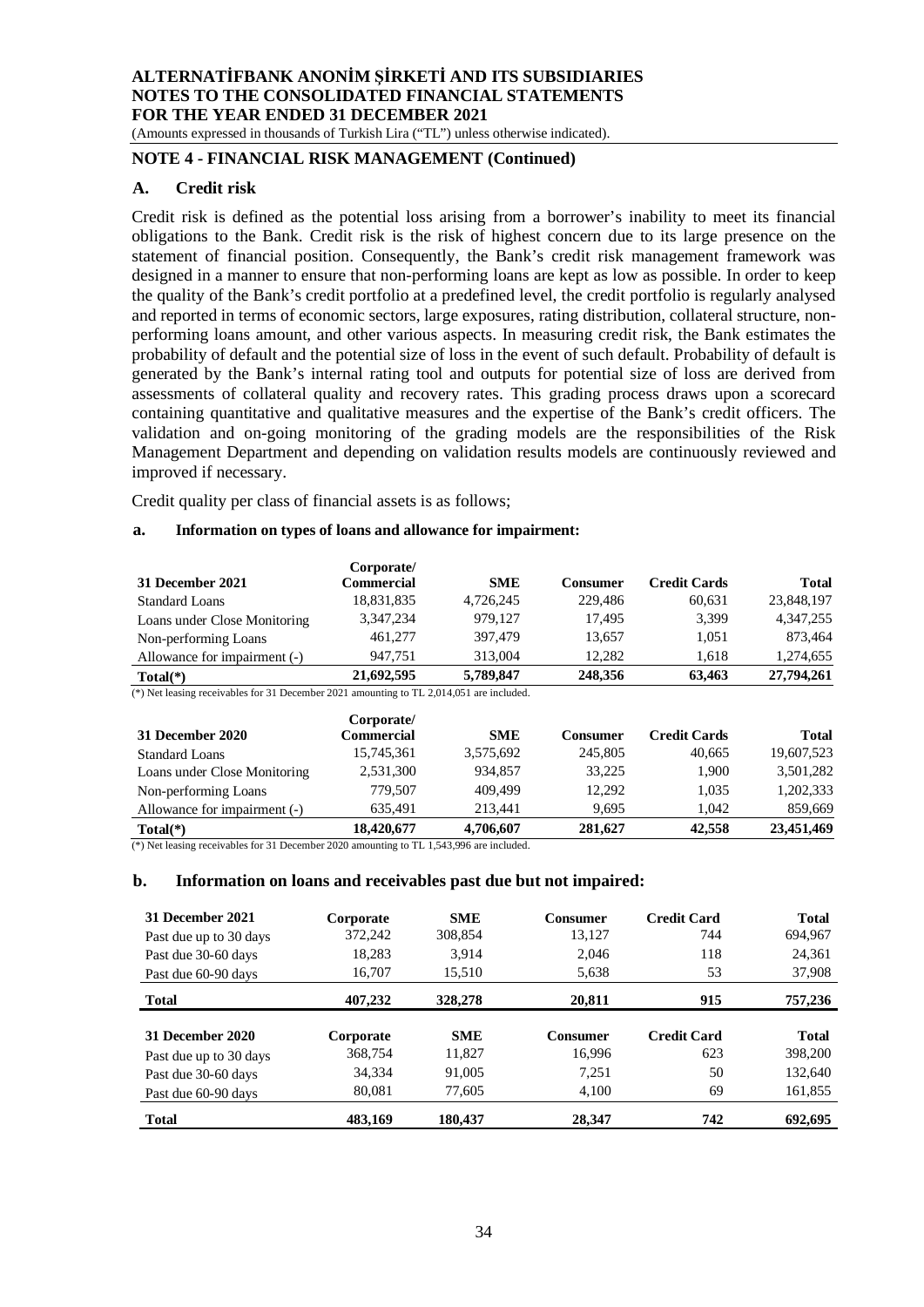(Amounts expressed in thousands of Turkish Lira ("TL") unless otherwise indicated).

# **NOTE 4 - FINANCIAL RISK MANAGEMENT (Continued)**

#### **A. Credit risk**

Credit risk is defined as the potential loss arising from a borrower's inability to meet its financial obligations to the Bank. Credit risk is the risk of highest concern due to its large presence on the statement of financial position. Consequently, the Bank's credit risk management framework was designed in a manner to ensure that non-performing loans are kept as low as possible. In order to keep the quality of the Bank's credit portfolio at a predefined level, the credit portfolio is regularly analysed and reported in terms of economic sectors, large exposures, rating distribution, collateral structure, nonperforming loans amount, and other various aspects. In measuring credit risk, the Bank estimates the probability of default and the potential size of loss in the event of such default. Probability of default is generated by the Bank's internal rating tool and outputs for potential size of loss are derived from assessments of collateral quality and recovery rates. This grading process draws upon a scorecard containing quantitative and qualitative measures and the expertise of the Bank's credit officers. The validation and on-going monitoring of the grading models are the responsibilities of the Risk Management Department and depending on validation results models are continuously reviewed and improved if necessary.

Credit quality per class of financial assets is as follows;

#### **a. Information on types of loans and allowance for impairment:**

|                                                                                          | Corporate/        |            |                 |                     |              |
|------------------------------------------------------------------------------------------|-------------------|------------|-----------------|---------------------|--------------|
| 31 December 2021                                                                         | <b>Commercial</b> | <b>SME</b> | Consumer        | <b>Credit Cards</b> | <b>Total</b> |
| <b>Standard Loans</b>                                                                    | 18,831,835        | 4,726,245  | 229,486         | 60.631              | 23,848,197   |
| Loans under Close Monitoring                                                             | 3,347,234         | 979.127    | 17.495          | 3,399               | 4.347.255    |
| Non-performing Loans                                                                     | 461,277           | 397,479    | 13,657          | 1,051               | 873,464      |
| Allowance for impairment (-)                                                             | 947,751           | 313,004    | 12,282          | 1,618               | 1,274,655    |
| $Total(*)$                                                                               | 21,692,595        | 5,789,847  | 248,356         | 63.463              | 27,794,261   |
| (*) Net leasing receivables for 31 December 2021 amounting to TL 2,014,051 are included. |                   |            |                 |                     |              |
|                                                                                          | Corporate/        |            |                 |                     |              |
| 31 December 2020                                                                         | <b>Commercial</b> | <b>SME</b> | <b>Consumer</b> | <b>Credit Cards</b> | <b>Total</b> |
| Standard Loans                                                                           | 15,745,361        | 3,575,692  | 245,805         | 40.665              | 19,607,523   |
| Loans under Close Monitoring                                                             | 2,531,300         | 934.857    | 33,225          | 1.900               | 3,501,282    |
| Non-performing Loans                                                                     | 779.507           | 409,499    | 12,292          | 1.035               | 1,202,333    |
| Allowance for impairment (-)                                                             | 635.491           | 213.441    | 9.695           | 1.042               | 859.669      |

**Total(\*) 18,420,677 4,706,607 281,627 42,558 23,451,469** (\*) Net leasing receivables for 31 December 2020 amounting to TL 1,543,996 are included.

#### **b. Information on loans and receivables past due but not impaired:**

| 31 December 2021       | Corporate | <b>SME</b> | <b>Consumer</b> | <b>Credit Card</b> | <b>Total</b> |
|------------------------|-----------|------------|-----------------|--------------------|--------------|
| Past due up to 30 days | 372,242   | 308,854    | 13,127          | 744                | 694,967      |
| Past due 30-60 days    | 18,283    | 3.914      | 2,046           | 118                | 24,361       |
| Past due 60-90 days    | 16.707    | 15,510     | 5,638           | 53                 | 37,908       |
| <b>Total</b>           | 407,232   | 328,278    | 20,811          | 915                | 757,236      |
|                        |           |            |                 |                    |              |
| 31 December 2020       | Corporate | <b>SME</b> | <b>Consumer</b> | <b>Credit Card</b> | <b>Total</b> |
| Past due up to 30 days | 368,754   | 11,827     | 16,996          | 623                | 398,200      |
| Past due 30-60 days    | 34,334    | 91.005     | 7,251           | 50                 | 132,640      |
| Past due 60-90 days    | 80.081    | 77.605     | 4.100           | 69                 | 161,855      |
| <b>Total</b>           | 483.169   | 180,437    | 28,347          | 742                | 692.695      |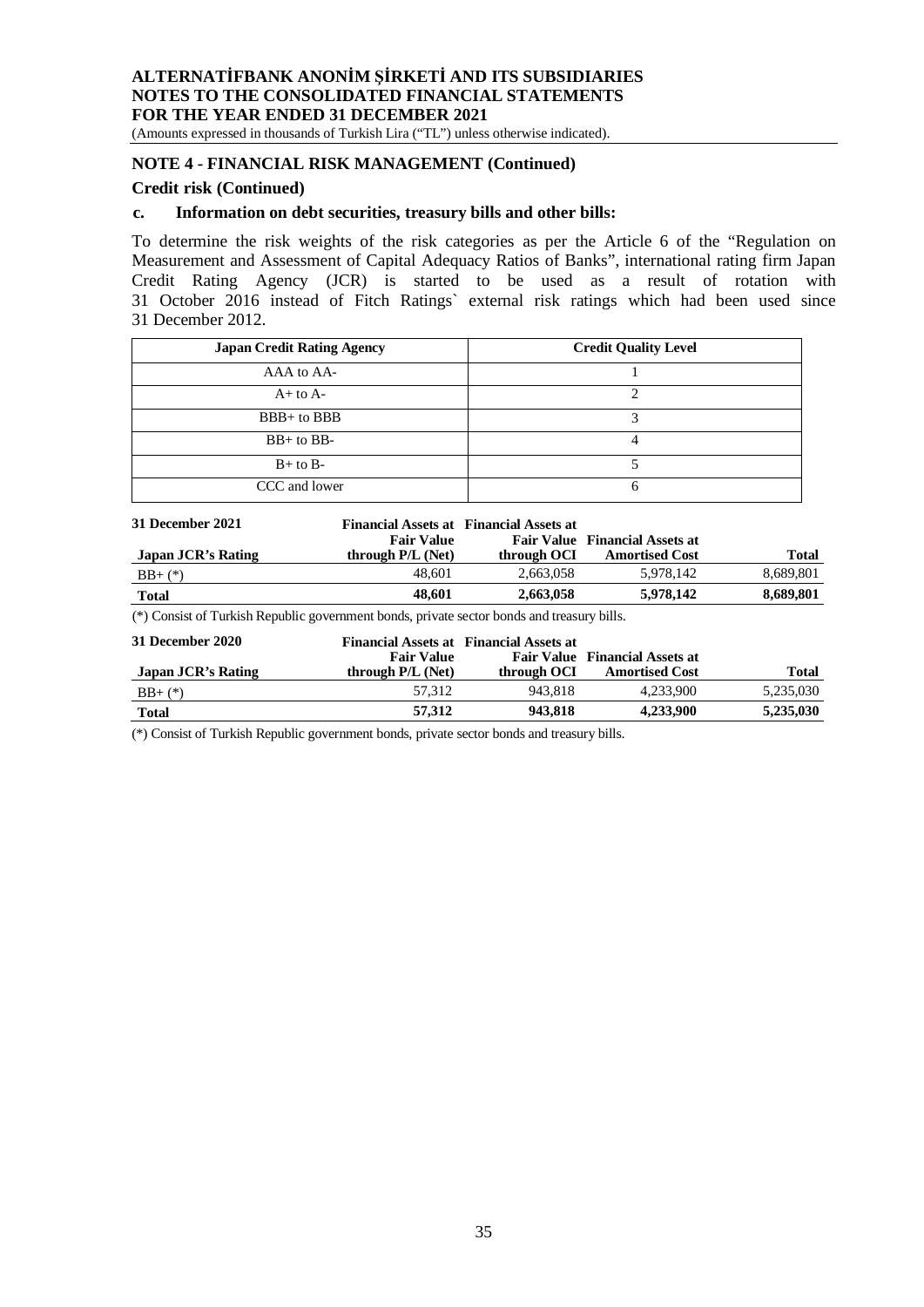(Amounts expressed in thousands of Turkish Lira ("TL") unless otherwise indicated).

# **NOTE 4 - FINANCIAL RISK MANAGEMENT (Continued)**

#### **Credit risk (Continued)**

#### **c. Information on debt securities, treasury bills and other bills:**

To determine the risk weights of the risk categories as per the Article 6 of the "Regulation on Measurement and Assessment of Capital Adequacy Ratios of Banks", international rating firm Japan Credit Rating Agency (JCR) is started to be used as a result of rotation with 31 October 2016 instead of Fitch Ratings` external risk ratings which had been used since 31 December 2012.

| <b>Japan Credit Rating Agency</b> | <b>Credit Quality Level</b> |
|-----------------------------------|-----------------------------|
| AAA to AA-                        |                             |
| $A+$ to $A-$                      |                             |
| $BBB+$ to $BBB$                   |                             |
| $BB+$ to $BB-$                    |                             |
| $B+$ to $B-$                      |                             |
| CCC and lower                     |                             |

| 31 December 2021   | <b>Fair Value</b> | Financial Assets at Financial Assets at | <b>Fair Value</b> Financial Assets at |           |
|--------------------|-------------------|-----------------------------------------|---------------------------------------|-----------|
| Japan JCR's Rating | through P/L (Net) | through OCI                             | <b>Amortised Cost</b>                 | Total     |
| $BB+$ (*)          | 48.601            | 2.663.058                               | 5.978.142                             | 8,689,801 |
| <b>Total</b>       | 48.601            | 2.663,058                               | 5,978,142                             | 8,689,801 |

(\*) Consist of Turkish Republic government bonds, private sector bonds and treasury bills.

| 31 December 2020   | <b>Fair Value</b>   | <b>Financial Assets at Financial Assets at</b> | <b>Fair Value</b> Financial Assets at |           |
|--------------------|---------------------|------------------------------------------------|---------------------------------------|-----------|
| Japan JCR's Rating | through $P/L$ (Net) | through OCI                                    | <b>Amortised Cost</b>                 | Total     |
| $BB+$ (*)          | 57.312              | 943.818                                        | 4.233.900                             | 5,235,030 |
| Total              | 57,312              | 943.818                                        | 4,233,900                             | 5,235,030 |

(\*) Consist of Turkish Republic government bonds, private sector bonds and treasury bills.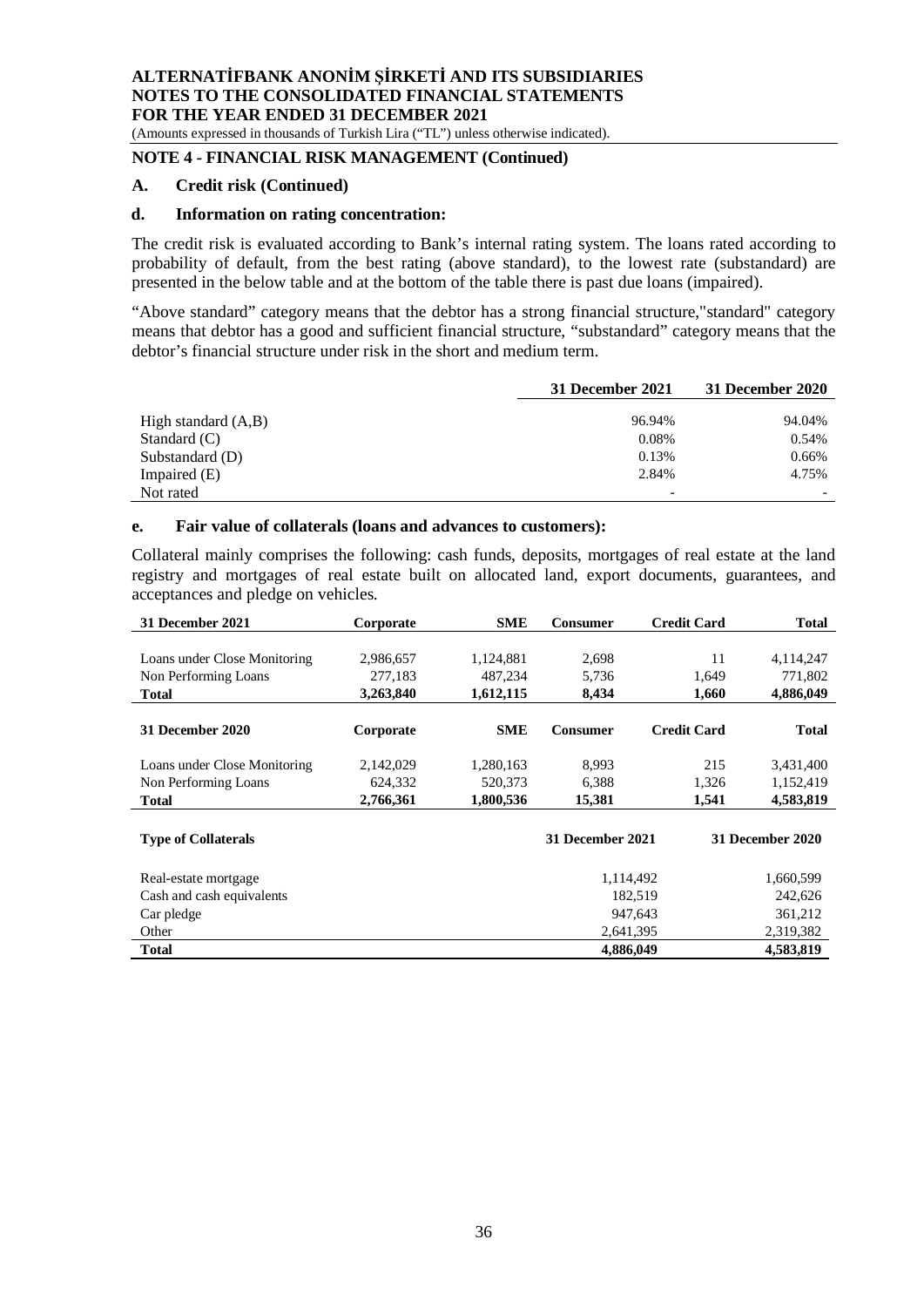(Amounts expressed in thousands of Turkish Lira ("TL") unless otherwise indicated).

# **NOTE 4 - FINANCIAL RISK MANAGEMENT (Continued)**

#### **A. Credit risk (Continued)**

#### **d. Information on rating concentration:**

The credit risk is evaluated according to Bank's internal rating system. The loans rated according to probability of default, from the best rating (above standard), to the lowest rate (substandard) are presented in the below table and at the bottom of the table there is past due loans (impaired).

"Above standard" category means that the debtor has a strong financial structure,"standard" category means that debtor has a good and sufficient financial structure, "substandard" category means that the debtor's financial structure under risk in the short and medium term.

|                       | 31 December 2021         | 31 December 2020 |
|-----------------------|--------------------------|------------------|
|                       |                          |                  |
| High standard $(A,B)$ | 96.94%                   | 94.04%           |
| Standard $(C)$        | 0.08%                    | 0.54%            |
| Substandard (D)       | 0.13%                    | 0.66%            |
| Impaired $(E)$        | 2.84%                    | 4.75%            |
| Not rated             | $\overline{\phantom{0}}$ |                  |

#### **e. Fair value of collaterals (loans and advances to customers):**

Collateral mainly comprises the following: cash funds, deposits, mortgages of real estate at the land registry and mortgages of real estate built on allocated land, export documents, guarantees, and acceptances and pledge on vehicles.

| Corporate | <b>SME</b> | <b>Consumer</b> | <b>Credit Card</b> | <b>Total</b>                                                                                        |
|-----------|------------|-----------------|--------------------|-----------------------------------------------------------------------------------------------------|
|           |            |                 |                    |                                                                                                     |
| 2,986,657 | 1,124,881  | 2,698           | 11                 | 4,114,247                                                                                           |
| 277,183   | 487,234    | 5,736           | 1,649              | 771,802                                                                                             |
| 3,263,840 | 1,612,115  | 8,434           | 1,660              | 4,886,049                                                                                           |
|           |            |                 |                    |                                                                                                     |
|           |            |                 |                    | <b>Total</b>                                                                                        |
| 2,142,029 | 1,280,163  | 8,993           | 215                | 3,431,400                                                                                           |
| 624,332   | 520,373    | 6,388           | 1,326              | 1,152,419                                                                                           |
| 2,766,361 | 1,800,536  | 15,381          | 1,541              | 4,583,819                                                                                           |
|           |            |                 |                    |                                                                                                     |
|           |            |                 |                    | 31 December 2020                                                                                    |
|           |            |                 |                    | 1,660,599                                                                                           |
|           |            |                 |                    | 242,626                                                                                             |
|           |            |                 |                    | 361,212                                                                                             |
|           |            |                 |                    | 2,319,382                                                                                           |
|           |            |                 |                    | 4,583,819                                                                                           |
|           | Corporate  | <b>SME</b>      | <b>Consumer</b>    | <b>Credit Card</b><br>31 December 2021<br>1,114,492<br>182,519<br>947,643<br>2,641,395<br>4,886,049 |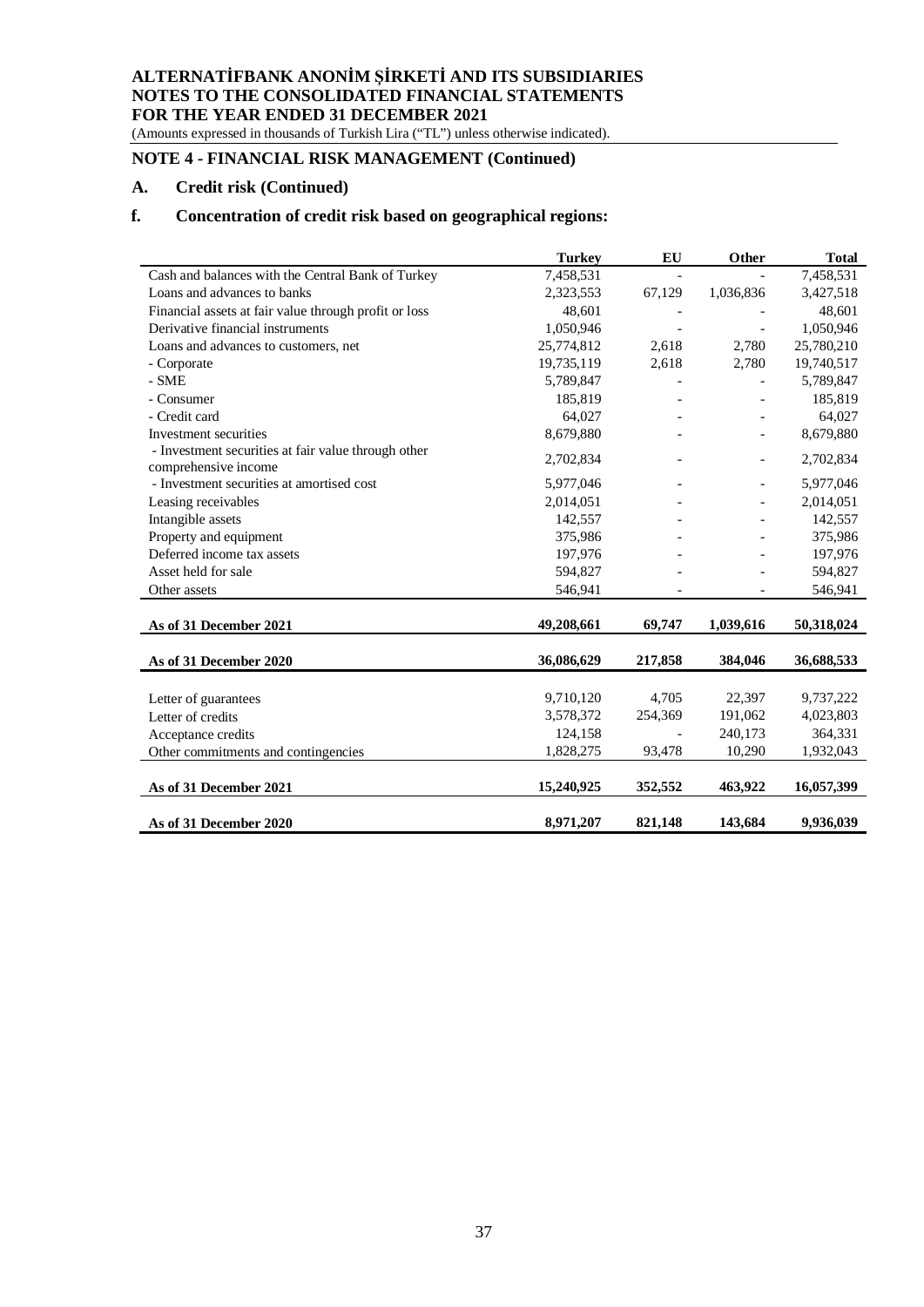(Amounts expressed in thousands of Turkish Lira ("TL") unless otherwise indicated).

# **NOTE 4 - FINANCIAL RISK MANAGEMENT (Continued)**

## **A. Credit risk (Continued)**

# **f. Concentration of credit risk based on geographical regions:**

|                                                                             | <b>Turkey</b> | EU      | Other     | <b>Total</b> |
|-----------------------------------------------------------------------------|---------------|---------|-----------|--------------|
| Cash and balances with the Central Bank of Turkey                           | 7,458,531     |         |           | 7,458,531    |
| Loans and advances to banks                                                 | 2,323,553     | 67,129  | 1,036,836 | 3,427,518    |
| Financial assets at fair value through profit or loss                       | 48,601        |         |           | 48,601       |
| Derivative financial instruments                                            | 1,050,946     |         |           | 1,050,946    |
| Loans and advances to customers, net                                        | 25,774,812    | 2,618   | 2,780     | 25,780,210   |
| - Corporate                                                                 | 19,735,119    | 2,618   | 2,780     | 19,740,517   |
| - SME                                                                       | 5,789,847     |         |           | 5,789,847    |
| - Consumer                                                                  | 185,819       |         |           | 185,819      |
| - Credit card                                                               | 64,027        |         |           | 64,027       |
| Investment securities                                                       | 8,679,880     |         |           | 8,679,880    |
| - Investment securities at fair value through other<br>comprehensive income | 2,702,834     |         |           | 2,702,834    |
| - Investment securities at amortised cost                                   | 5,977,046     |         |           | 5,977,046    |
| Leasing receivables                                                         | 2,014,051     |         |           | 2,014,051    |
| Intangible assets                                                           | 142,557       |         |           | 142,557      |
| Property and equipment                                                      | 375,986       |         |           | 375,986      |
| Deferred income tax assets                                                  | 197,976       |         |           | 197,976      |
| Asset held for sale                                                         | 594,827       |         |           | 594,827      |
| Other assets                                                                | 546,941       |         |           | 546,941      |
|                                                                             |               |         |           |              |
| As of 31 December 2021                                                      | 49,208,661    | 69,747  | 1,039,616 | 50,318,024   |
| As of 31 December 2020                                                      | 36,086,629    | 217,858 | 384,046   | 36,688,533   |
|                                                                             |               |         |           |              |
| Letter of guarantees                                                        | 9,710,120     | 4,705   | 22,397    | 9,737,222    |
| Letter of credits                                                           | 3,578,372     | 254,369 | 191,062   | 4,023,803    |
| Acceptance credits                                                          | 124,158       |         | 240,173   | 364,331      |
| Other commitments and contingencies                                         | 1,828,275     | 93,478  | 10,290    | 1,932,043    |
| As of 31 December 2021                                                      | 15,240,925    | 352,552 | 463,922   | 16,057,399   |
|                                                                             |               |         |           |              |
| As of 31 December 2020                                                      | 8,971,207     | 821,148 | 143,684   | 9,936,039    |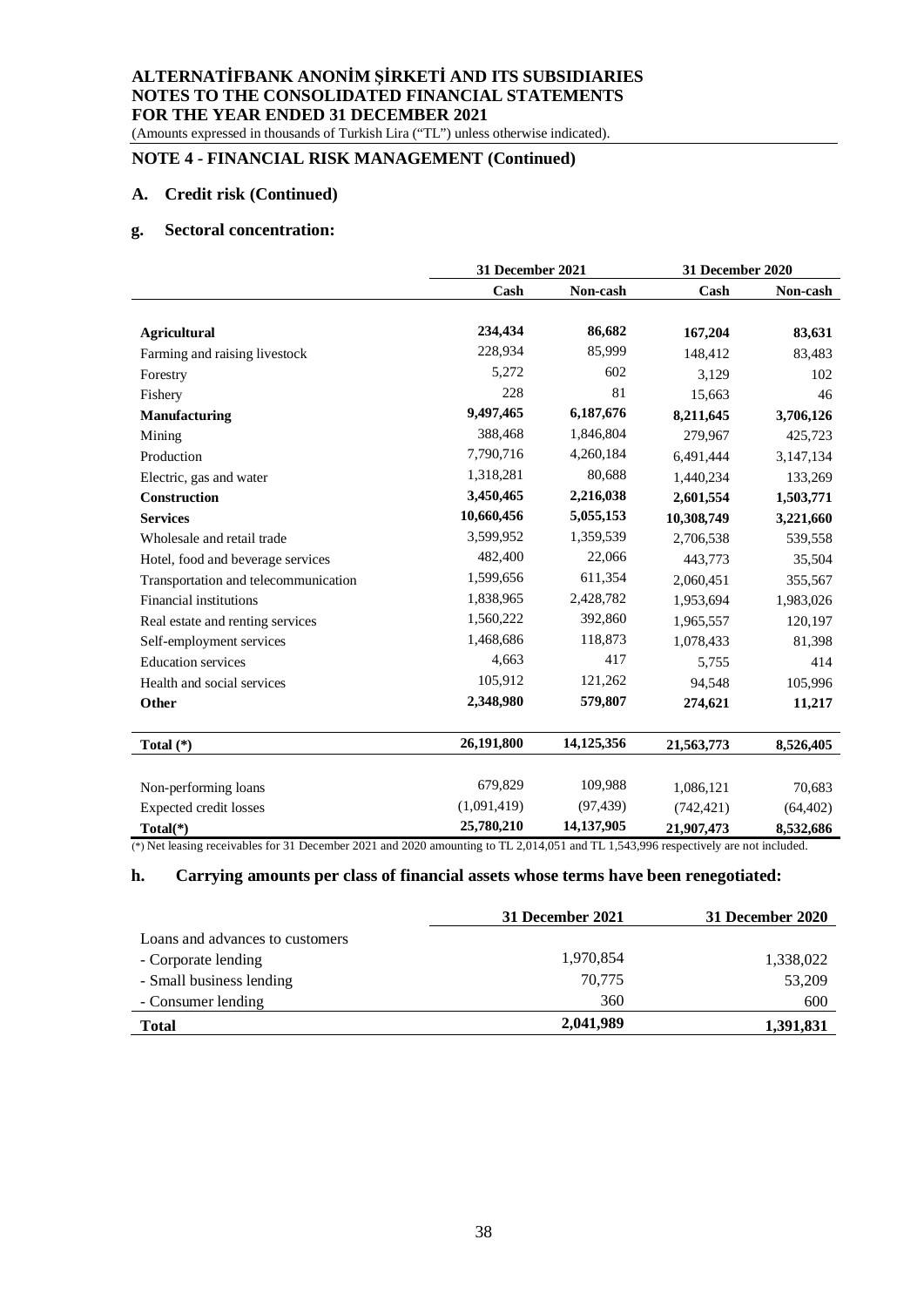(Amounts expressed in thousands of Turkish Lira ("TL") unless otherwise indicated).

# **NOTE 4 - FINANCIAL RISK MANAGEMENT (Continued)**

## **A. Credit risk (Continued)**

## **g. Sectoral concentration:**

|                                      | 31 December 2021 |            | 31 December 2020 |           |
|--------------------------------------|------------------|------------|------------------|-----------|
|                                      | Cash             | Non-cash   | Cash             | Non-cash  |
| <b>Agricultural</b>                  | 234,434          | 86,682     | 167,204          | 83,631    |
| Farming and raising livestock        | 228,934          | 85,999     | 148,412          | 83,483    |
| Forestry                             | 5,272            | 602        | 3,129            | 102       |
| Fishery                              | 228              | 81         | 15,663           | 46        |
| <b>Manufacturing</b>                 | 9,497,465        | 6,187,676  | 8,211,645        | 3,706,126 |
| Mining                               | 388,468          | 1,846,804  | 279,967          | 425,723   |
| Production                           | 7,790,716        | 4,260,184  | 6,491,444        | 3,147,134 |
| Electric, gas and water              | 1,318,281        | 80,688     | 1,440,234        | 133,269   |
| <b>Construction</b>                  | 3,450,465        | 2,216,038  | 2,601,554        | 1,503,771 |
| <b>Services</b>                      | 10,660,456       | 5,055,153  | 10,308,749       | 3,221,660 |
| Wholesale and retail trade           | 3,599,952        | 1,359,539  | 2,706,538        | 539,558   |
| Hotel, food and beverage services    | 482,400          | 22,066     | 443,773          | 35,504    |
| Transportation and telecommunication | 1,599,656        | 611,354    | 2,060,451        | 355,567   |
| <b>Financial institutions</b>        | 1,838,965        | 2,428,782  | 1,953,694        | 1,983,026 |
| Real estate and renting services     | 1,560,222        | 392,860    | 1,965,557        | 120,197   |
| Self-employment services             | 1,468,686        | 118,873    | 1,078,433        | 81,398    |
| <b>Education services</b>            | 4,663            | 417        | 5,755            | 414       |
| Health and social services           | 105,912          | 121,262    | 94,548           | 105,996   |
| Other                                | 2,348,980        | 579,807    | 274,621          | 11,217    |
| Total $(*)$                          | 26,191,800       | 14,125,356 | 21,563,773       | 8,526,405 |
|                                      |                  |            |                  |           |
| Non-performing loans                 | 679,829          | 109,988    | 1,086,121        | 70,683    |
| Expected credit losses               | (1,091,419)      | (97, 439)  | (742, 421)       | (64, 402) |
| Total(*)                             | 25,780,210       | 14,137,905 | 21,907,473       | 8,532,686 |

(\*) Net leasing receivables for 31 December 2021 and 2020 amounting to TL 2,014,051 and TL 1,543,996 respectively are not included.

### **h. Carrying amounts per class of financial assets whose terms have been renegotiated:**

|                                 | 31 December 2021 | 31 December 2020 |
|---------------------------------|------------------|------------------|
| Loans and advances to customers |                  |                  |
| - Corporate lending             | 1,970,854        | 1,338,022        |
| - Small business lending        | 70.775           | 53,209           |
| - Consumer lending              | 360              | 600              |
| <b>Total</b>                    | 2,041,989        | 1,391,831        |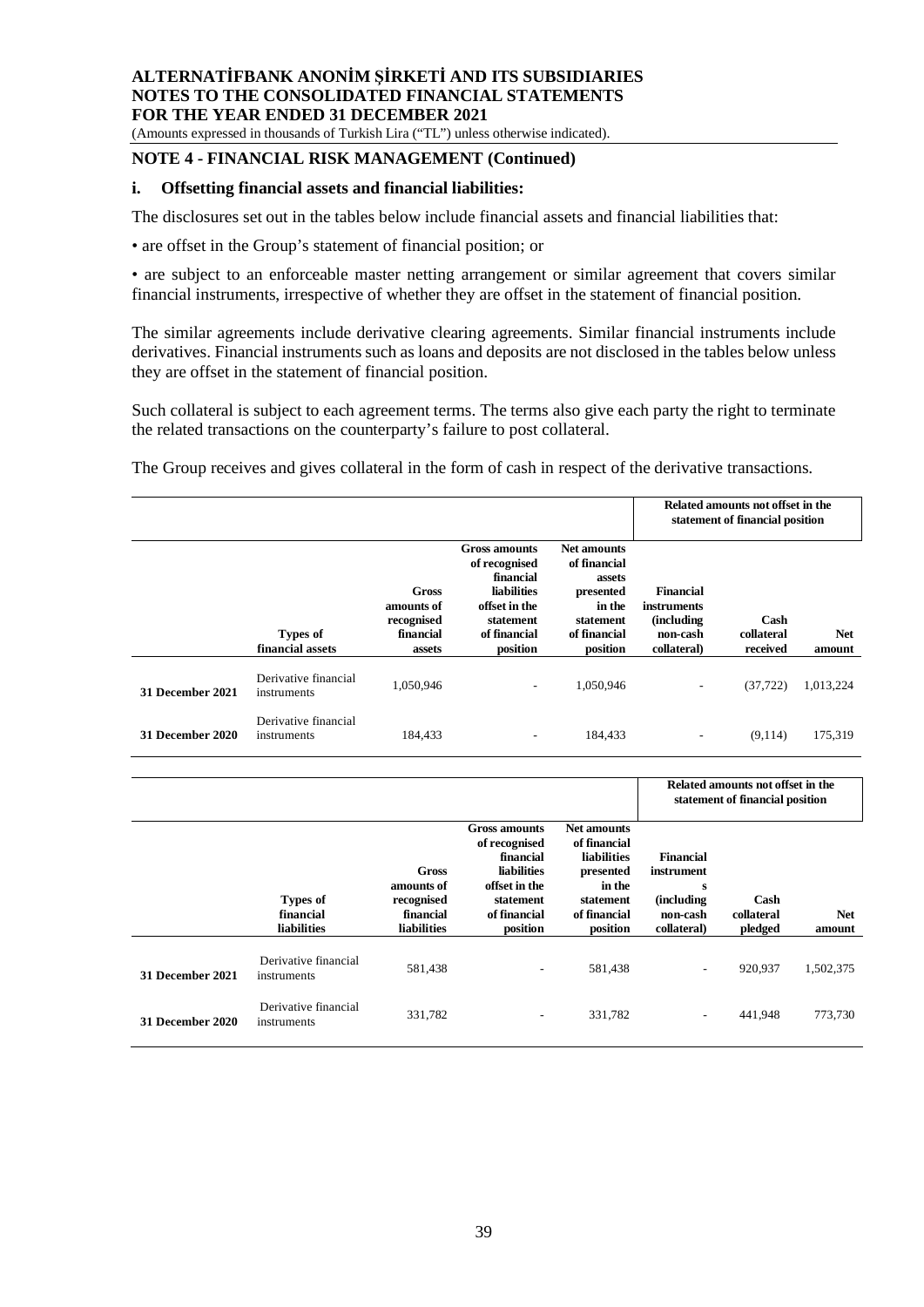(Amounts expressed in thousands of Turkish Lira ("TL") unless otherwise indicated).

#### **NOTE 4 - FINANCIAL RISK MANAGEMENT (Continued)**

#### **i. Offsetting financial assets and financial liabilities:**

The disclosures set out in the tables below include financial assets and financial liabilities that:

• are offset in the Group's statement of financial position; or

• are subject to an enforceable master netting arrangement or similar agreement that covers similar financial instruments, irrespective of whether they are offset in the statement of financial position.

The similar agreements include derivative clearing agreements. Similar financial instruments include derivatives. Financial instruments such as loans and deposits are not disclosed in the tables below unless they are offset in the statement of financial position.

Such collateral is subject to each agreement terms. The terms also give each party the right to terminate the related transactions on the counterparty's failure to post collateral.

The Group receives and gives collateral in the form of cash in respect of the derivative transactions.

|                         |                                     |                                                                 |                                                                                                                                    |                                                                                                              |                                                                                  | Related amounts not offset in the<br>statement of financial position |                      |
|-------------------------|-------------------------------------|-----------------------------------------------------------------|------------------------------------------------------------------------------------------------------------------------------------|--------------------------------------------------------------------------------------------------------------|----------------------------------------------------------------------------------|----------------------------------------------------------------------|----------------------|
|                         | <b>Types of</b><br>financial assets | <b>Gross</b><br>amounts of<br>recognised<br>financial<br>assets | <b>Gross amounts</b><br>of recognised<br>financial<br><b>liabilities</b><br>offset in the<br>statement<br>of financial<br>position | <b>Net amounts</b><br>of financial<br>assets<br>presented<br>in the<br>statement<br>of financial<br>position | <b>Financial</b><br>instruments<br><i>(including)</i><br>non-cash<br>collateral) | Cash<br>collateral<br>received                                       | <b>Net</b><br>amount |
| 31 December 2021        | Derivative financial<br>instruments | 1,050,946                                                       | $\overline{\phantom{a}}$                                                                                                           | 1,050,946                                                                                                    | $\qquad \qquad \blacksquare$                                                     | (37, 722)                                                            | 1,013,224            |
| <b>31 December 2020</b> | Derivative financial<br>instruments | 184,433                                                         | ۰                                                                                                                                  | 184,433                                                                                                      | $\qquad \qquad \blacksquare$                                                     | (9,114)                                                              | 175,319              |

|                  |                                             |                                                                             |                                                                                                                                    |                                                                                                                          |                                                                               | Related amounts not offset in the<br>statement of financial position |                      |
|------------------|---------------------------------------------|-----------------------------------------------------------------------------|------------------------------------------------------------------------------------------------------------------------------------|--------------------------------------------------------------------------------------------------------------------------|-------------------------------------------------------------------------------|----------------------------------------------------------------------|----------------------|
|                  | <b>Types of</b><br>financial<br>liabilities | <b>Gross</b><br>amounts of<br>recognised<br>financial<br><b>liabilities</b> | <b>Gross amounts</b><br>of recognised<br>financial<br><b>liabilities</b><br>offset in the<br>statement<br>of financial<br>position | <b>Net amounts</b><br>of financial<br><b>liabilities</b><br>presented<br>in the<br>statement<br>of financial<br>position | Financial<br>instrument<br>s<br><i>(including)</i><br>non-cash<br>collateral) | Cash<br>collateral<br>pledged                                        | <b>Net</b><br>amount |
| 31 December 2021 | Derivative financial<br>instruments         | 581,438                                                                     | $\overline{\phantom{a}}$                                                                                                           | 581,438                                                                                                                  | $\overline{\phantom{a}}$                                                      | 920,937                                                              | 1,502,375            |
| 31 December 2020 | Derivative financial<br>instruments         | 331,782                                                                     | $\overline{\phantom{a}}$                                                                                                           | 331,782                                                                                                                  | ۰.                                                                            | 441,948                                                              | 773,730              |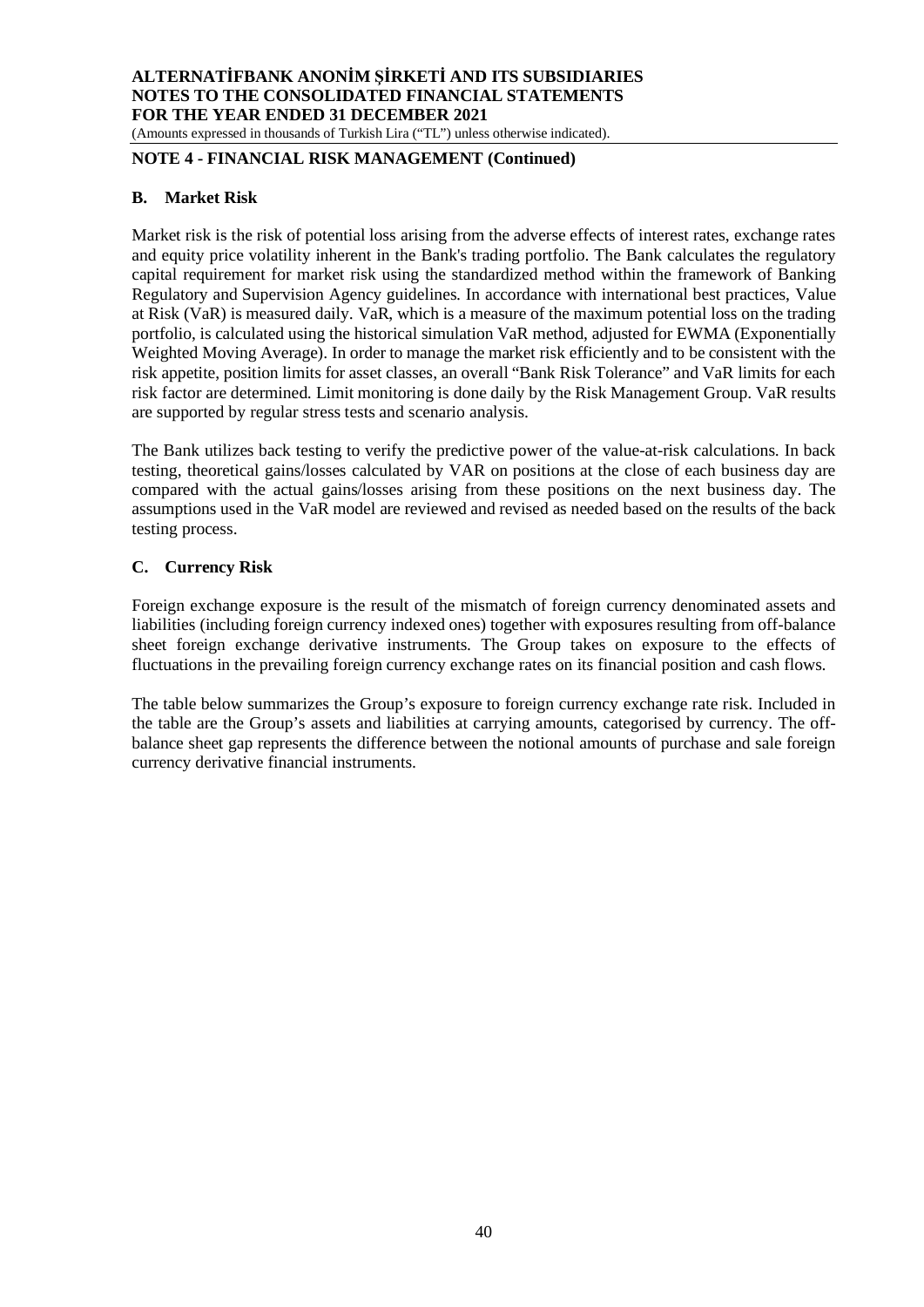(Amounts expressed in thousands of Turkish Lira ("TL") unless otherwise indicated).

# **NOTE 4 - FINANCIAL RISK MANAGEMENT (Continued)**

## **B. Market Risk**

Market risk is the risk of potential loss arising from the adverse effects of interest rates, exchange rates and equity price volatility inherent in the Bank's trading portfolio. The Bank calculates the regulatory capital requirement for market risk using the standardized method within the framework of Banking Regulatory and Supervision Agency guidelines. In accordance with international best practices, Value at Risk (VaR) is measured daily. VaR, which is a measure of the maximum potential loss on the trading portfolio, is calculated using the historical simulation VaR method, adjusted for EWMA (Exponentially Weighted Moving Average). In order to manage the market risk efficiently and to be consistent with the risk appetite, position limits for asset classes, an overall "Bank Risk Tolerance" and VaR limits for each risk factor are determined. Limit monitoring is done daily by the Risk Management Group. VaR results are supported by regular stress tests and scenario analysis.

The Bank utilizes back testing to verify the predictive power of the value-at-risk calculations. In back testing, theoretical gains/losses calculated by VAR on positions at the close of each business day are compared with the actual gains/losses arising from these positions on the next business day. The assumptions used in the VaR model are reviewed and revised as needed based on the results of the back testing process.

## **C. Currency Risk**

Foreign exchange exposure is the result of the mismatch of foreign currency denominated assets and liabilities (including foreign currency indexed ones) together with exposures resulting from off-balance sheet foreign exchange derivative instruments. The Group takes on exposure to the effects of fluctuations in the prevailing foreign currency exchange rates on its financial position and cash flows.

The table below summarizes the Group's exposure to foreign currency exchange rate risk. Included in the table are the Group's assets and liabilities at carrying amounts, categorised by currency. The offbalance sheet gap represents the difference between the notional amounts of purchase and sale foreign currency derivative financial instruments.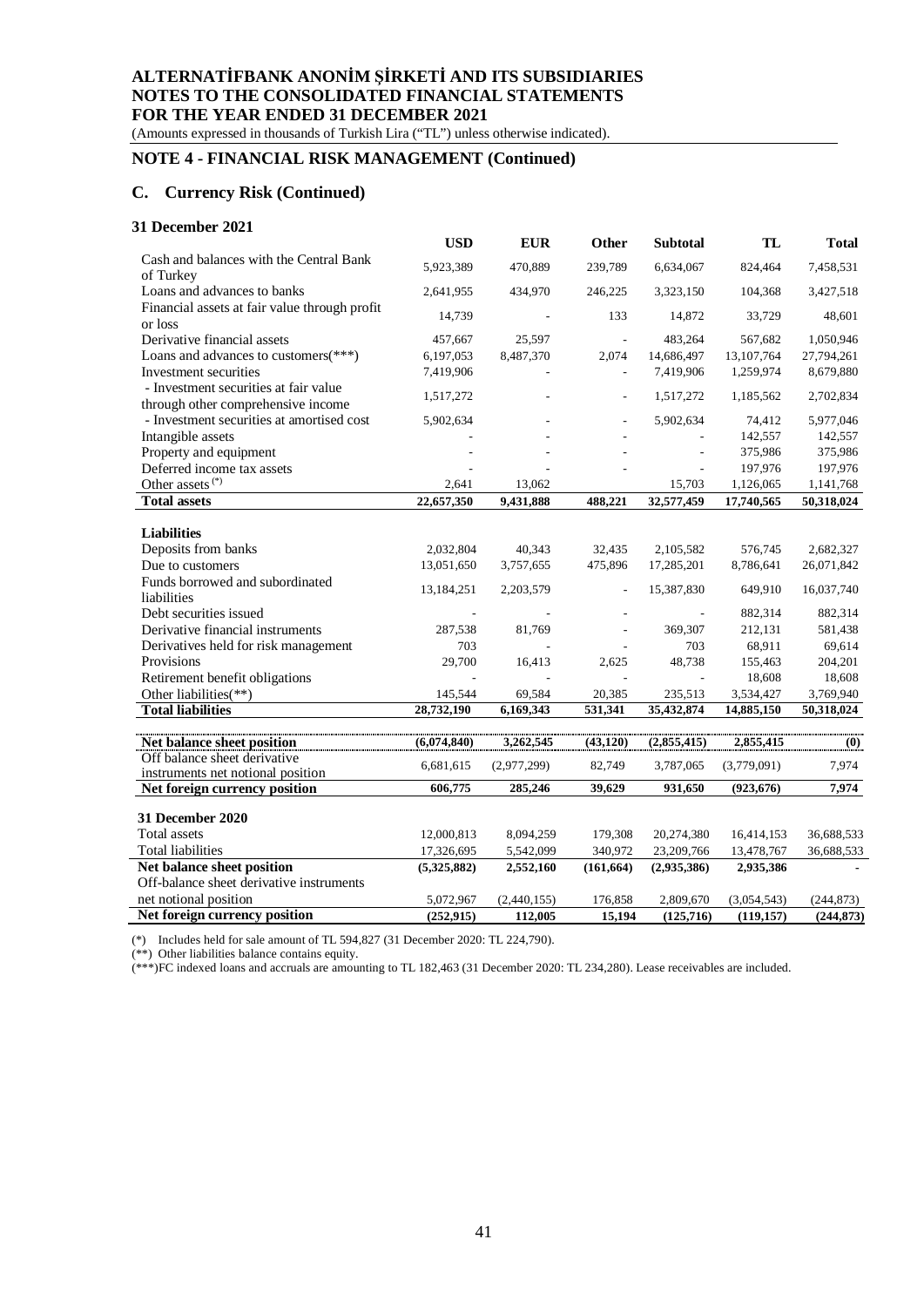(Amounts expressed in thousands of Turkish Lira ("TL") unless otherwise indicated).

# **NOTE 4 - FINANCIAL RISK MANAGEMENT (Continued)**

#### **C. Currency Risk (Continued)**

#### **31 December 2021**

|                                                                             | <b>USD</b>  | <b>EUR</b>  | Other                        | <b>Subtotal</b>          | TL          | <b>Total</b> |
|-----------------------------------------------------------------------------|-------------|-------------|------------------------------|--------------------------|-------------|--------------|
| Cash and balances with the Central Bank                                     | 5,923,389   | 470,889     | 239.789                      | 6,634,067                | 824,464     | 7,458,531    |
| of Turkey                                                                   |             |             |                              |                          |             |              |
| Loans and advances to banks                                                 | 2,641,955   | 434,970     | 246,225                      | 3,323,150                | 104,368     | 3,427,518    |
| Financial assets at fair value through profit<br>or loss                    | 14,739      |             | 133                          | 14,872                   | 33,729      | 48,601       |
| Derivative financial assets                                                 | 457,667     | 25,597      | L,                           | 483,264                  | 567,682     | 1,050,946    |
| Loans and advances to customers(***)                                        | 6,197,053   | 8,487,370   | 2,074                        | 14,686,497               | 13,107,764  | 27,794,261   |
| Investment securities                                                       | 7,419,906   |             |                              | 7,419,906                | 1,259,974   | 8,679,880    |
| - Investment securities at fair value<br>through other comprehensive income | 1,517,272   |             |                              | 1,517,272                | 1,185,562   | 2,702,834    |
| - Investment securities at amortised cost                                   | 5,902,634   |             |                              | 5,902,634                | 74,412      | 5,977,046    |
| Intangible assets                                                           |             |             |                              |                          | 142,557     | 142,557      |
| Property and equipment                                                      |             |             |                              | L,                       | 375,986     | 375,986      |
| Deferred income tax assets                                                  |             |             |                              |                          | 197,976     | 197,976      |
| Other assets <sup>(*)</sup>                                                 | 2,641       | 13,062      |                              | 15,703                   | 1,126,065   | 1,141,768    |
| <b>Total assets</b>                                                         | 22,657,350  | 9,431,888   | 488,221                      | 32,577,459               | 17,740,565  | 50,318,024   |
|                                                                             |             |             |                              |                          |             |              |
| <b>Liabilities</b>                                                          |             |             |                              |                          |             |              |
| Deposits from banks                                                         | 2,032,804   | 40,343      | 32,435                       | 2,105,582                | 576,745     | 2,682,327    |
| Due to customers                                                            | 13,051,650  | 3,757,655   | 475,896                      | 17,285,201               | 8,786,641   | 26,071,842   |
| Funds borrowed and subordinated<br>liabilities                              | 13,184,251  | 2,203,579   | $\qquad \qquad \blacksquare$ | 15,387,830               | 649,910     | 16,037,740   |
| Debt securities issued                                                      |             |             |                              |                          | 882,314     | 882,314      |
| Derivative financial instruments                                            | 287,538     | 81,769      |                              | 369,307                  | 212,131     | 581,438      |
| Derivatives held for risk management                                        | 703         |             |                              | 703                      | 68,911      | 69,614       |
| Provisions                                                                  | 29,700      | 16,413      | 2,625                        | 48,738                   | 155,463     | 204,201      |
| Retirement benefit obligations                                              |             |             |                              | $\overline{\phantom{a}}$ | 18,608      | 18,608       |
| Other liabilities(**)                                                       | 145,544     | 69,584      | 20,385                       | 235,513                  | 3,534,427   | 3,769,940    |
| <b>Total liabilities</b>                                                    | 28,732,190  | 6,169,343   | 531,341                      | 35,432,874               | 14,885,150  | 50,318,024   |
|                                                                             |             |             |                              |                          |             |              |
| Net balance sheet position                                                  | (6,074,840) | 3,262,545   | (43, 120)                    | (2,855,415)              | 2,855,415   | (0)          |
| Off balance sheet derivative<br>instruments net notional position           | 6,681,615   | (2,977,299) | 82,749                       | 3,787,065                | (3,779,091) | 7,974        |
| Net foreign currency position                                               | 606,775     | 285,246     | 39,629                       | 931,650                  | (923, 676)  | 7,974        |
|                                                                             |             |             |                              |                          |             |              |
| 31 December 2020                                                            |             |             |                              |                          |             |              |
| <b>Total assets</b>                                                         | 12,000,813  | 8,094,259   | 179,308                      | 20,274,380               | 16,414,153  | 36,688,533   |
| <b>Total liabilities</b>                                                    | 17,326,695  | 5,542,099   | 340,972                      | 23,209,766               | 13,478,767  | 36,688,533   |
| Net balance sheet position                                                  | (5,325,882) | 2,552,160   | (161, 664)                   | (2,935,386)              | 2,935,386   |              |
| Off-balance sheet derivative instruments                                    |             |             |                              |                          |             |              |
| net notional position                                                       | 5,072,967   | (2,440,155) | 176,858                      | 2,809,670                | (3,054,543) | (244, 873)   |
| Net foreign currency position                                               | (252, 915)  | 112,005     | 15,194                       | (125, 716)               | (119, 157)  | (244, 873)   |

(\*) Includes held for sale amount of TL 594,827 (31 December 2020: TL 224,790).

(\*\*) Other liabilities balance contains equity.

(\*\*\*)FC indexed loans and accruals are amounting to TL 182,463 (31 December 2020: TL 234,280). Lease receivables are included.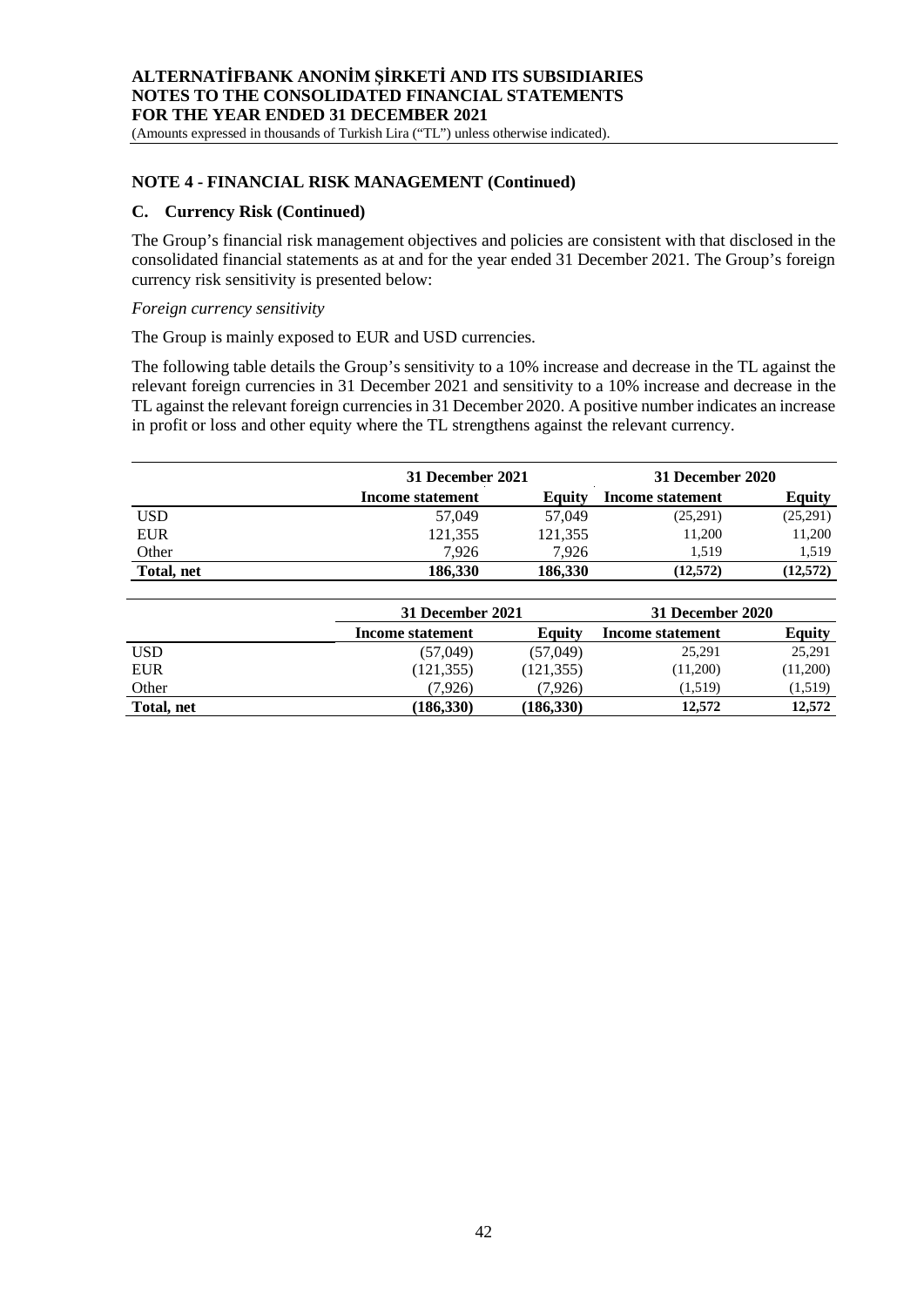(Amounts expressed in thousands of Turkish Lira ("TL") unless otherwise indicated).

#### **NOTE 4 - FINANCIAL RISK MANAGEMENT (Continued)**

#### **C. Currency Risk (Continued)**

The Group's financial risk management objectives and policies are consistent with that disclosed in the consolidated financial statements as at and for the year ended 31 December 2021. The Group's foreign currency risk sensitivity is presented below:

#### *Foreign currency sensitivity*

The Group is mainly exposed to EUR and USD currencies.

The following table details the Group's sensitivity to a 10% increase and decrease in the TL against the relevant foreign currencies in 31 December 2021 and sensitivity to a 10% increase and decrease in the TL against the relevant foreign currencies in 31 December 2020. A positive number indicates an increase in profit or loss and other equity where the TL strengthens against the relevant currency.

|                  | 31 December 2021 |         | 31 December 2020 |               |
|------------------|------------------|---------|------------------|---------------|
| Income statement |                  | Equity  | Income statement | <b>Equity</b> |
| USD              | 57,049           | 57,049  | (25,291)         | (25,291)      |
| <b>EUR</b>       | 121,355          | 121,355 | 11,200           | 11,200        |
| Other            | 7.926            | 7.926   | 1.519            | 1.519         |
| Total, net       | 186.330          | 186.330 | (12,572)         | (12,572)      |

|            | 31 December 2021 |            | 31 December 2020 |               |  |
|------------|------------------|------------|------------------|---------------|--|
|            | Income statement | Equity     | Income statement | <b>Equity</b> |  |
| <b>USD</b> | (57,049)         | (57,049)   | 25,291           | 25,291        |  |
| <b>EUR</b> | (121, 355)       | (121, 355) | (11,200)         | (11,200)      |  |
| Other      | (7.926)          | (7.926)    | (1,519)          | (1,519)       |  |
| Total, net | (186, 330)       | (186, 330) | 12.572           | 12,572        |  |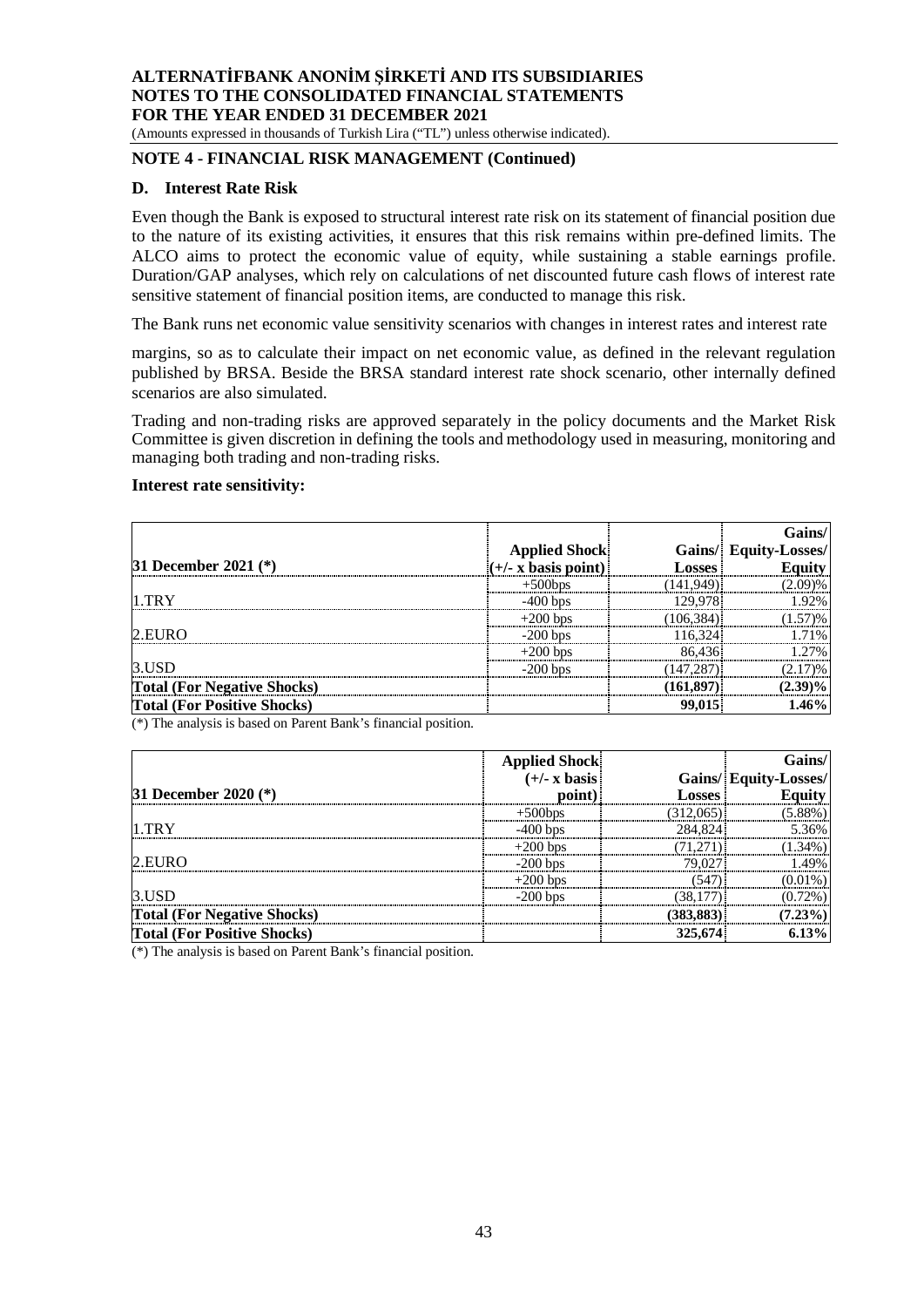(Amounts expressed in thousands of Turkish Lira ("TL") unless otherwise indicated).

# **NOTE 4 - FINANCIAL RISK MANAGEMENT (Continued)**

#### **D. Interest Rate Risk**

Even though the Bank is exposed to structural interest rate risk on its statement of financial position due to the nature of its existing activities, it ensures that this risk remains within pre-defined limits. The ALCO aims to protect the economic value of equity, while sustaining a stable earnings profile. Duration/GAP analyses, which rely on calculations of net discounted future cash flows of interest rate sensitive statement of financial position items, are conducted to manage this risk.

The Bank runs net economic value sensitivity scenarios with changes in interest rates and interest rate

margins, so as to calculate their impact on net economic value, as defined in the relevant regulation published by BRSA. Beside the BRSA standard interest rate shock scenario, other internally defined scenarios are also simulated.

Trading and non-trading risks are approved separately in the policy documents and the Market Risk Committee is given discretion in defining the tools and methodology used in measuring, monitoring and managing both trading and non-trading risks.

## **Interest rate sensitivity:**

|                                    |                                                                   |            | <b>Gains/</b>                          |
|------------------------------------|-------------------------------------------------------------------|------------|----------------------------------------|
|                                    | <b>Applied Shock</b>                                              |            | Gains/ Equity-Losses/<br>Losses Equity |
| <b>31 December 2021</b> (*)        | $(+/- x \bar{b} \bar{a} \bar{s} \bar{s} \bar{b} \bar{c} \bar{b})$ |            |                                        |
|                                    | $+500$ bps                                                        | (141,949)] | (2.09)%                                |
| $1$ TRY                            | $-400$ bps                                                        | 129.978    | 192%                                   |
|                                    | $+200$ bps                                                        | (106, 384) | 1.57)%                                 |
| 2.EURO                             | $-200$ bps                                                        | 116,324    | 71%                                    |
|                                    | $+200$ bps                                                        | 86,436     | 27%                                    |
| 3.USD                              | $-200$ bps                                                        | (147, 287) | (2.17)%                                |
| <b>Total (For Negative Shocks)</b> |                                                                   | (161, 897) | $(2.39)\%$                             |
| <b>Total (For Positive Shocks)</b> |                                                                   | 99,015     | 1.46%                                  |

 $(*)$  The analysis is based on Parent Bank's financial position.

|                                    |                                          |               | Gains/                |
|------------------------------------|------------------------------------------|---------------|-----------------------|
|                                    | Applied Shock<br>$(+/- x \text{ basis})$ |               | Gains/ Equity-Losses/ |
| 31 December 2020 (*)               | point)                                   | <b>LOSSES</b> | Equity                |
|                                    | $+500$ bps                               | 312.065)      | $(5.88\%)$            |
| 1 TRY                              | $-400$ hns                               | 284.824       | 536%                  |
|                                    | $+200$ bps                               |               | 34%                   |
| 2.EURO                             | $-200$ bps                               | 79.027        |                       |
|                                    | $+200$ bps                               | (547)         | $(0.01\%)$            |
| 3.USD                              | $-200$ bps                               |               | $(0.72\%)$            |
| <b>Total (For Negative Shocks)</b> |                                          | (383,883)     | $(7.23\%)$            |
| <b>Total (For Positive Shocks)</b> |                                          | 325,674       | 6.13%                 |

(\*) The analysis is based on Parent Bank's financial position.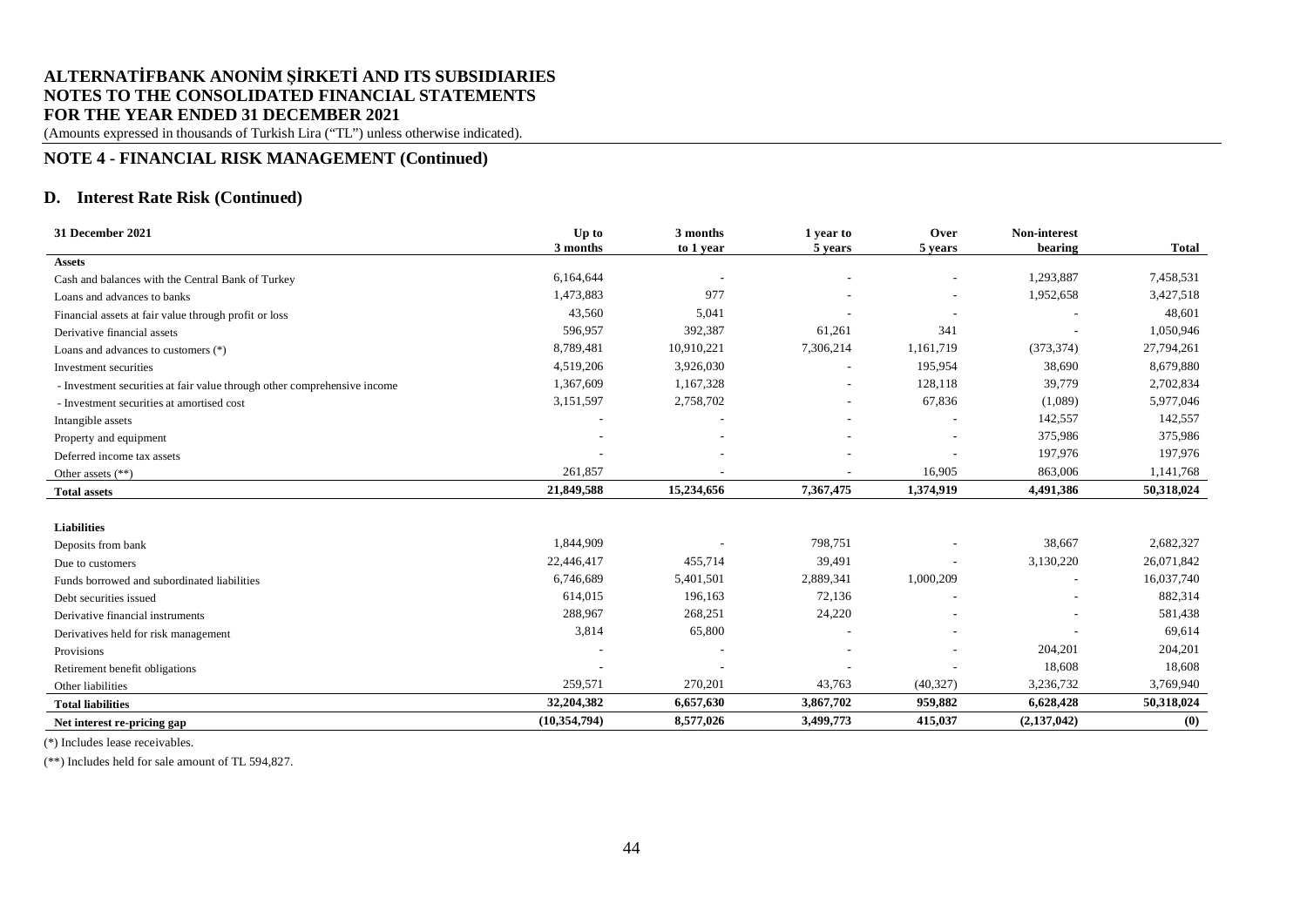(Amounts expressed in thousands of Turkish Lira ("TL") unless otherwise indicated).

## **NOTE 4 - FINANCIAL RISK MANAGEMENT (Continued)**

## **D. Interest Rate Risk (Continued)**

| 31 December 2021                                                         | Up to<br>3 months | 3 months<br>to 1 year | 1 year to<br>5 years | Over<br>5 years          | Non-interest<br>bearing | <b>Total</b> |
|--------------------------------------------------------------------------|-------------------|-----------------------|----------------------|--------------------------|-------------------------|--------------|
| <b>Assets</b>                                                            |                   |                       |                      |                          |                         |              |
| Cash and balances with the Central Bank of Turkey                        | 6,164,644         |                       |                      | $\overline{a}$           | 1,293,887               | 7,458,531    |
| Loans and advances to banks                                              | 1,473,883         | 977                   |                      | ٠                        | 1,952,658               | 3,427,518    |
| Financial assets at fair value through profit or loss                    | 43,560            | 5,041                 |                      |                          |                         | 48,601       |
| Derivative financial assets                                              | 596,957           | 392,387               | 61,261               | 341                      |                         | 1,050,946    |
| Loans and advances to customers (*)                                      | 8,789,481         | 10,910,221            | 7,306,214            | 1,161,719                | (373, 374)              | 27,794,261   |
| Investment securities                                                    | 4,519,206         | 3,926,030             |                      | 195,954                  | 38,690                  | 8,679,880    |
| - Investment securities at fair value through other comprehensive income | 1,367,609         | 1,167,328             |                      | 128,118                  | 39,779                  | 2,702,834    |
| - Investment securities at amortised cost                                | 3,151,597         | 2,758,702             |                      | 67,836                   | (1,089)                 | 5,977,046    |
| Intangible assets                                                        |                   |                       |                      |                          | 142,557                 | 142,557      |
| Property and equipment                                                   |                   |                       |                      | $\overline{\phantom{a}}$ | 375,986                 | 375,986      |
| Deferred income tax assets                                               |                   |                       |                      |                          | 197,976                 | 197,976      |
| Other assets $(**)$                                                      | 261,857           |                       |                      | 16,905                   | 863,006                 | 1,141,768    |
| <b>Total assets</b>                                                      | 21,849,588        | 15,234,656            | 7,367,475            | 1,374,919                | 4,491,386               | 50,318,024   |
|                                                                          |                   |                       |                      |                          |                         |              |
| <b>Liabilities</b>                                                       |                   |                       |                      |                          |                         |              |
| Deposits from bank                                                       | 1,844,909         |                       | 798,751              |                          | 38,667                  | 2,682,327    |
| Due to customers                                                         | 22,446,417        | 455,714               | 39,491               | $\overline{\phantom{a}}$ | 3,130,220               | 26,071,842   |
| Funds borrowed and subordinated liabilities                              | 6,746,689         | 5,401,501             | 2,889,341            | 1,000,209                | $\qquad \qquad -$       | 16,037,740   |
| Debt securities issued                                                   | 614,015           | 196,163               | 72,136               |                          |                         | 882,314      |
| Derivative financial instruments                                         | 288,967           | 268,251               | 24,220               |                          |                         | 581,438      |
| Derivatives held for risk management                                     | 3,814             | 65,800                |                      |                          |                         | 69,614       |
| Provisions                                                               |                   |                       |                      |                          | 204,201                 | 204,201      |
| Retirement benefit obligations                                           |                   |                       |                      |                          | 18,608                  | 18,608       |
| Other liabilities                                                        | 259,571           | 270,201               | 43,763               | (40, 327)                | 3,236,732               | 3,769,940    |
| <b>Total liabilities</b>                                                 | 32,204,382        | 6,657,630             | 3,867,702            | 959,882                  | 6,628,428               | 50,318,024   |
| Net interest re-pricing gap                                              | (10, 354, 794)    | 8,577,026             | 3,499,773            | 415,037                  | (2,137,042)             | (0)          |

(\*) Includes lease receivables.

(\*\*) Includes held for sale amount of TL 594,827.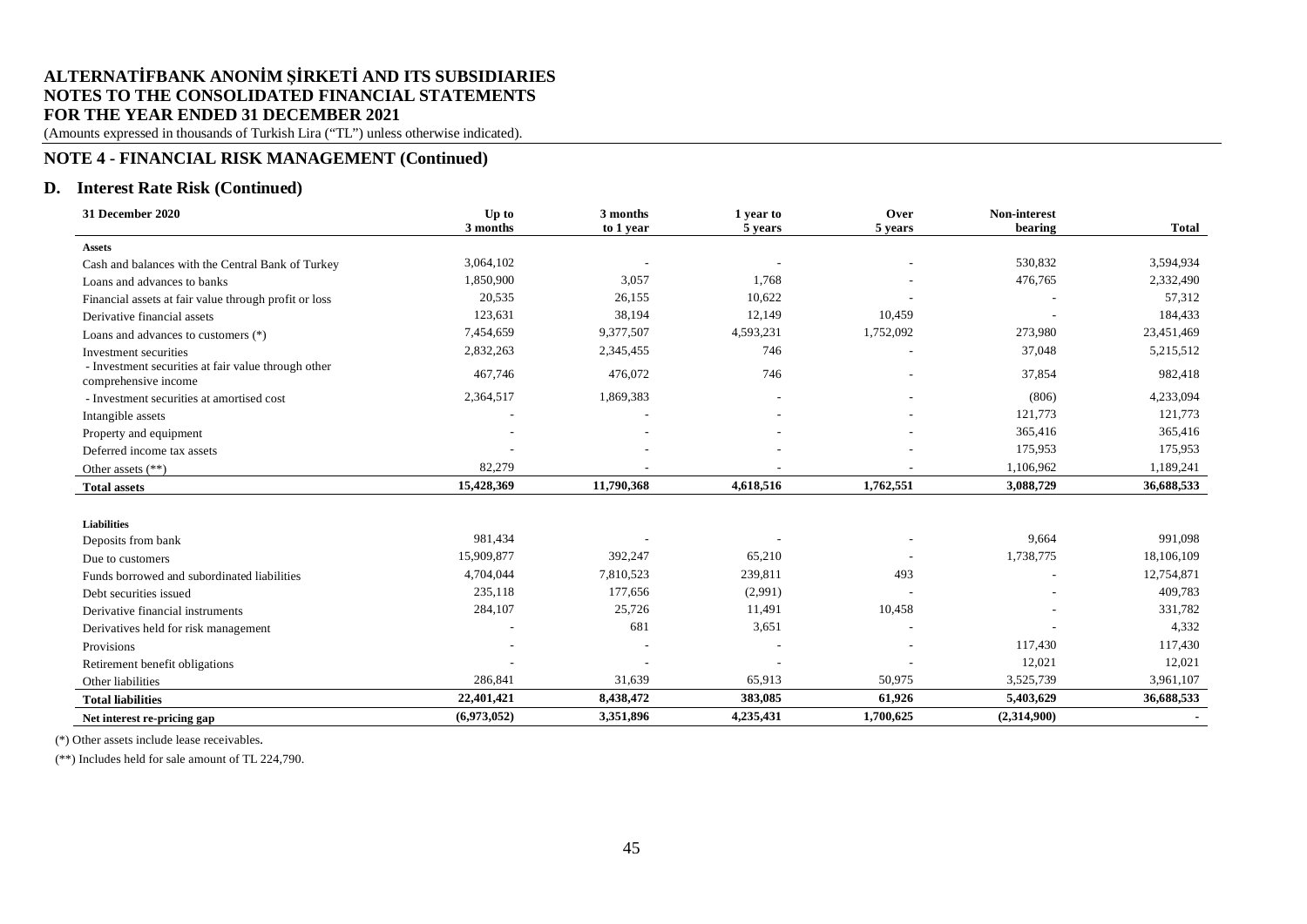(Amounts expressed in thousands of Turkish Lira ("TL") unless otherwise indicated).

# **NOTE 4 - FINANCIAL RISK MANAGEMENT (Continued)**

## **D. Interest Rate Risk (Continued)**

| 31 December 2020                                                            | Up to       | 3 months   | 1 year to | Over      | Non-interest |              |
|-----------------------------------------------------------------------------|-------------|------------|-----------|-----------|--------------|--------------|
|                                                                             | 3 months    | to 1 year  | 5 years   | 5 years   | bearing      | <b>Total</b> |
| <b>Assets</b>                                                               |             |            |           |           |              |              |
| Cash and balances with the Central Bank of Turkey                           | 3,064,102   |            |           |           | 530,832      | 3,594,934    |
| Loans and advances to banks                                                 | 1,850,900   | 3,057      | 1,768     |           | 476,765      | 2,332,490    |
| Financial assets at fair value through profit or loss                       | 20,535      | 26,155     | 10,622    |           |              | 57,312       |
| Derivative financial assets                                                 | 123,631     | 38,194     | 12,149    | 10,459    |              | 184,433      |
| Loans and advances to customers $(*)$                                       | 7,454,659   | 9,377,507  | 4,593,231 | 1,752,092 | 273,980      | 23,451,469   |
| Investment securities                                                       | 2,832,263   | 2,345,455  | 746       |           | 37,048       | 5,215,512    |
| - Investment securities at fair value through other<br>comprehensive income | 467,746     | 476,072    | 746       |           | 37,854       | 982,418      |
| - Investment securities at amortised cost                                   | 2,364,517   | 1,869,383  |           |           | (806)        | 4,233,094    |
| Intangible assets                                                           |             |            |           |           | 121,773      | 121,773      |
| Property and equipment                                                      |             |            |           |           | 365,416      | 365,416      |
| Deferred income tax assets                                                  |             |            |           |           | 175,953      | 175,953      |
| Other assets (**)                                                           | 82,279      |            |           |           | 1,106,962    | 1,189,241    |
| <b>Total assets</b>                                                         | 15,428,369  | 11,790,368 | 4,618,516 | 1,762,551 | 3,088,729    | 36,688,533   |
|                                                                             |             |            |           |           |              |              |
| <b>Liabilities</b>                                                          |             |            |           |           |              |              |
| Deposits from bank                                                          | 981,434     |            |           |           | 9,664        | 991,098      |
| Due to customers                                                            | 15,909,877  | 392,247    | 65,210    |           | 1,738,775    | 18,106,109   |
| Funds borrowed and subordinated liabilities                                 | 4,704,044   | 7,810,523  | 239,811   | 493       |              | 12,754,871   |
| Debt securities issued                                                      | 235,118     | 177,656    | (2,991)   |           |              | 409,783      |
| Derivative financial instruments                                            | 284,107     | 25,726     | 11,491    | 10,458    |              | 331,782      |
| Derivatives held for risk management                                        |             | 681        | 3,651     |           |              | 4,332        |
| Provisions                                                                  |             |            |           |           | 117,430      | 117,430      |
| Retirement benefit obligations                                              |             |            |           |           | 12,021       | 12,021       |
| Other liabilities                                                           | 286,841     | 31,639     | 65,913    | 50,975    | 3,525,739    | 3,961,107    |
| <b>Total liabilities</b>                                                    | 22,401,421  | 8,438,472  | 383,085   | 61,926    | 5,403,629    | 36,688,533   |
| Net interest re-pricing gap                                                 | (6,973,052) | 3,351,896  | 4,235,431 | 1,700,625 | (2,314,900)  |              |

(\*) Other assets include lease receivables.

(\*\*) Includes held for sale amount of TL 224,790.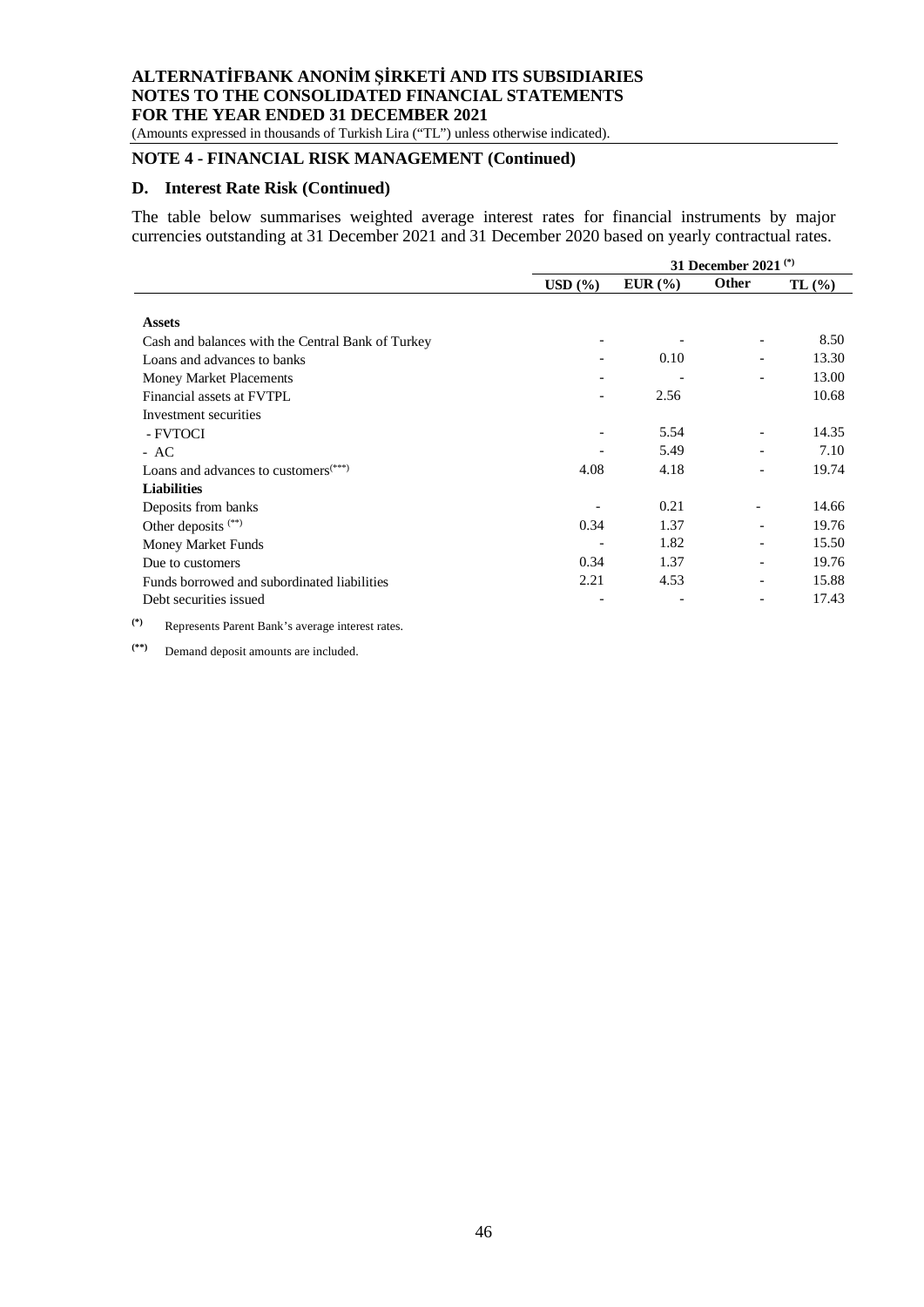(Amounts expressed in thousands of Turkish Lira ("TL") unless otherwise indicated).

# **NOTE 4 - FINANCIAL RISK MANAGEMENT (Continued)**

#### **D. Interest Rate Risk (Continued)**

The table below summarises weighted average interest rates for financial instruments by major currencies outstanding at 31 December 2021 and 31 December 2020 based on yearly contractual rates.

|                                                   | 31 December 2021 <sup>(*)</sup> |                 |                          |       |  |
|---------------------------------------------------|---------------------------------|-----------------|--------------------------|-------|--|
|                                                   | $\text{USD}~(\% )$              | EUR $(\% )$     | <b>Other</b>             | TL(%) |  |
|                                                   |                                 |                 |                          |       |  |
| <b>Assets</b>                                     |                                 |                 |                          |       |  |
| Cash and balances with the Central Bank of Turkey |                                 |                 | $\overline{\phantom{a}}$ | 8.50  |  |
| Loans and advances to banks                       |                                 | 0.10            |                          | 13.30 |  |
| Money Market Placements                           |                                 |                 |                          | 13.00 |  |
| Financial assets at FVTPL                         |                                 | 2.56            |                          | 10.68 |  |
| Investment securities                             |                                 |                 |                          |       |  |
| - FVTOCI                                          |                                 | 5.54            | $\overline{\phantom{a}}$ | 14.35 |  |
| $- AC$                                            |                                 | 5.49            | $\overline{\phantom{a}}$ | 7.10  |  |
| Loans and advances to customers <sup>(***)</sup>  | 4.08                            | 4.18            |                          | 19.74 |  |
| <b>Liabilities</b>                                |                                 |                 |                          |       |  |
| Deposits from banks                               |                                 | 0.21            | $\overline{a}$           | 14.66 |  |
| Other deposits <sup>(**)</sup>                    | 0.34                            | 1.37            | $\overline{\phantom{a}}$ | 19.76 |  |
| Money Market Funds                                |                                 | 1.82            | $\overline{\phantom{a}}$ | 15.50 |  |
| Due to customers                                  | 0.34                            | 1.37            |                          | 19.76 |  |
| Funds borrowed and subordinated liabilities       | 2.21                            | 4.53            | $\qquad \qquad -$        | 15.88 |  |
| Debt securities issued                            | $\overline{\phantom{a}}$        | $\qquad \qquad$ | $\overline{\phantom{a}}$ | 17.43 |  |
| $\sim$                                            |                                 |                 |                          |       |  |

**(\*)** Represents Parent Bank's average interest rates.

**(\*\*)** Demand deposit amounts are included.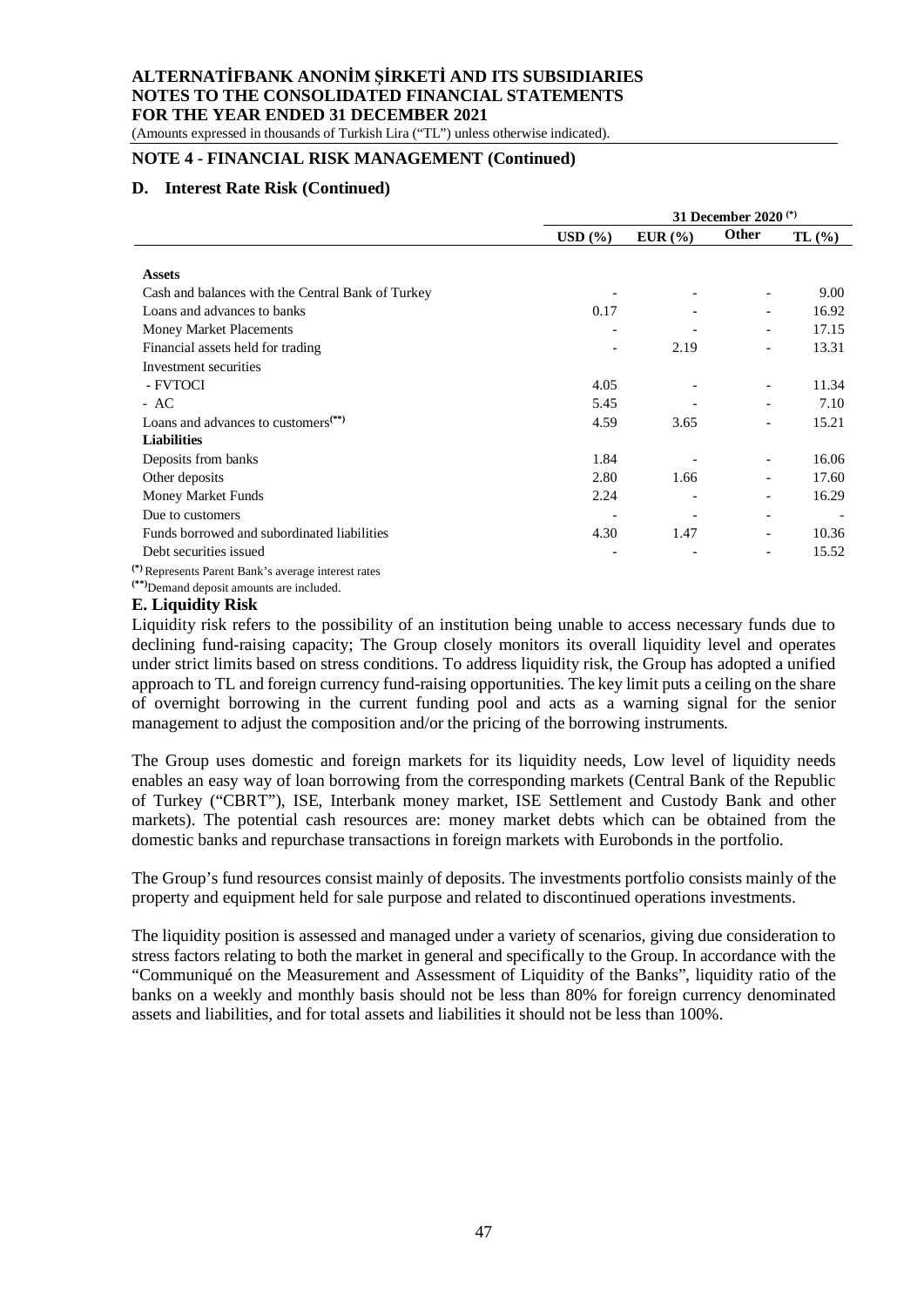(Amounts expressed in thousands of Turkish Lira ("TL") unless otherwise indicated).

# **NOTE 4 - FINANCIAL RISK MANAGEMENT (Continued)**

## **D. Interest Rate Risk (Continued)**

|                                                     | 31 December 2020 <sup>(*)</sup> |                 |                          |       |  |  |
|-----------------------------------------------------|---------------------------------|-----------------|--------------------------|-------|--|--|
|                                                     | $\text{USD}~($ %)               | EUR(%)          | <b>Other</b>             | TL(%) |  |  |
|                                                     |                                 |                 |                          |       |  |  |
| <b>Assets</b>                                       |                                 |                 |                          |       |  |  |
| Cash and balances with the Central Bank of Turkey   |                                 |                 |                          | 9.00  |  |  |
| Loans and advances to banks                         | 0.17                            |                 | $\overline{\phantom{a}}$ | 16.92 |  |  |
| Money Market Placements                             |                                 |                 | $\overline{\phantom{a}}$ | 17.15 |  |  |
| Financial assets held for trading                   |                                 | 2.19            | $\overline{\phantom{0}}$ | 13.31 |  |  |
| Investment securities                               |                                 |                 |                          |       |  |  |
| - FVTOCI                                            | 4.05                            |                 |                          | 11.34 |  |  |
| $- AC$                                              | 5.45                            |                 |                          | 7.10  |  |  |
| Loans and advances to customers $(**)$              | 4.59                            | 3.65            | $\overline{\phantom{0}}$ | 15.21 |  |  |
| <b>Liabilities</b>                                  |                                 |                 |                          |       |  |  |
| Deposits from banks                                 | 1.84                            |                 | $\overline{\phantom{a}}$ | 16.06 |  |  |
| Other deposits                                      | 2.80                            | 1.66            |                          | 17.60 |  |  |
| Money Market Funds                                  | 2.24                            | $\qquad \qquad$ | $\overline{\phantom{a}}$ | 16.29 |  |  |
| Due to customers                                    |                                 | $\qquad \qquad$ | $\overline{\phantom{a}}$ |       |  |  |
| Funds borrowed and subordinated liabilities         | 4.30                            | 1.47            | $\overline{\phantom{a}}$ | 10.36 |  |  |
| Debt securities issued                              |                                 |                 | $\overline{\phantom{a}}$ | 15.52 |  |  |
| $\rightarrow$<br>$\sim$ $\sim$ $\sim$ $\sim$ $\sim$ |                                 |                 |                          |       |  |  |

**(\*)** Represents Parent Bank's average interest rates

**(\*\*)**Demand deposit amounts are included.

# **E. Liquidity Risk**

Liquidity risk refers to the possibility of an institution being unable to access necessary funds due to declining fund-raising capacity; The Group closely monitors its overall liquidity level and operates under strict limits based on stress conditions. To address liquidity risk, the Group has adopted a unified approach to TL and foreign currency fund-raising opportunities. The key limit puts a ceiling on the share of overnight borrowing in the current funding pool and acts as a warning signal for the senior management to adjust the composition and/or the pricing of the borrowing instruments.

The Group uses domestic and foreign markets for its liquidity needs, Low level of liquidity needs enables an easy way of loan borrowing from the corresponding markets (Central Bank of the Republic of Turkey ("CBRT"), ISE, Interbank money market, ISE Settlement and Custody Bank and other markets). The potential cash resources are: money market debts which can be obtained from the domestic banks and repurchase transactions in foreign markets with Eurobonds in the portfolio.

The Group's fund resources consist mainly of deposits. The investments portfolio consists mainly of the property and equipment held for sale purpose and related to discontinued operations investments.

The liquidity position is assessed and managed under a variety of scenarios, giving due consideration to stress factors relating to both the market in general and specifically to the Group. In accordance with the "Communiqué on the Measurement and Assessment of Liquidity of the Banks", liquidity ratio of the banks on a weekly and monthly basis should not be less than 80% for foreign currency denominated assets and liabilities, and for total assets and liabilities it should not be less than 100%.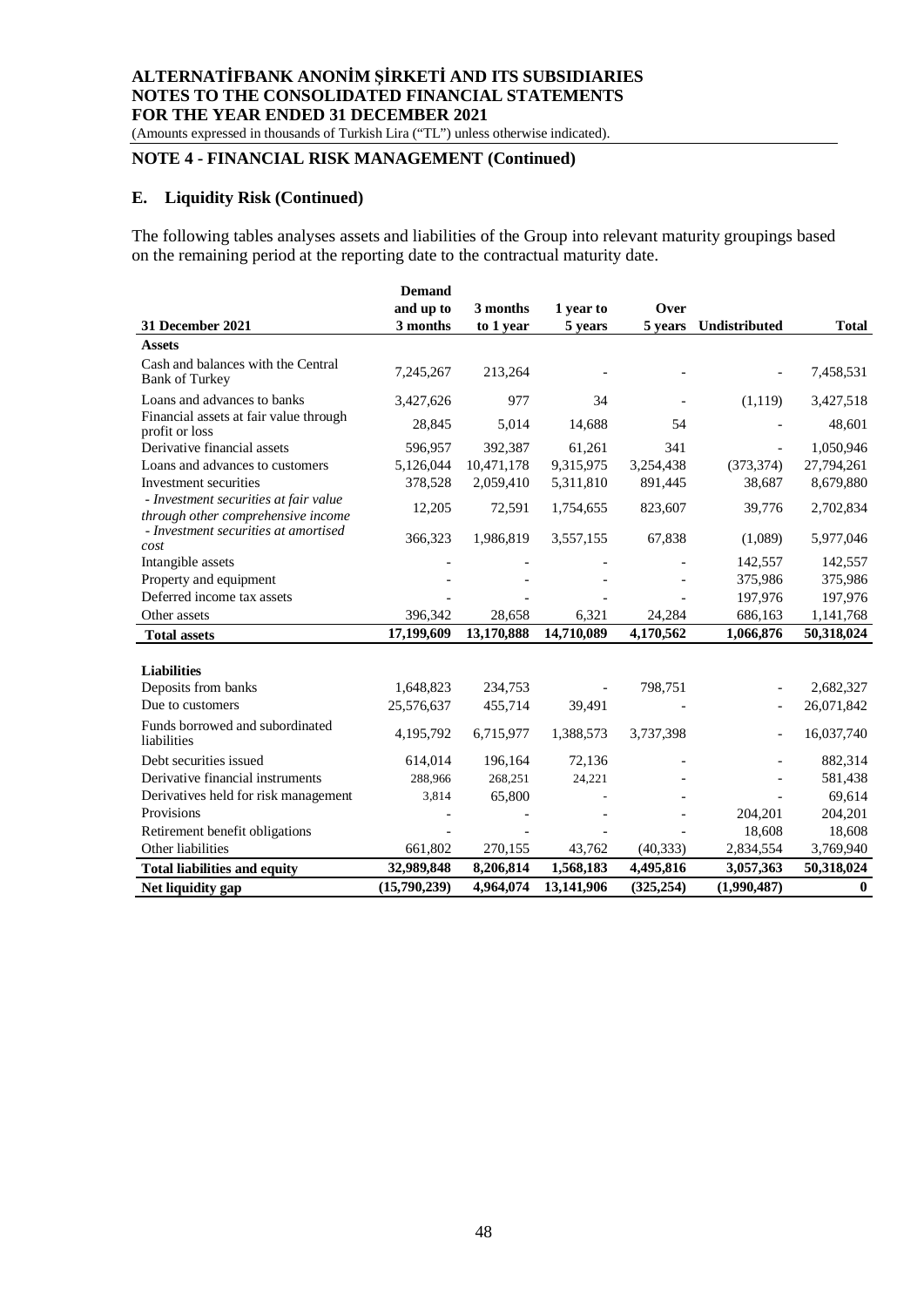(Amounts expressed in thousands of Turkish Lira ("TL") unless otherwise indicated).

# **NOTE 4 - FINANCIAL RISK MANAGEMENT (Continued)**

## **E. Liquidity Risk (Continued)**

The following tables analyses assets and liabilities of the Group into relevant maturity groupings based on the remaining period at the reporting date to the contractual maturity date.

|                                                                             | <b>Demand</b> |            |                          |            |               |              |
|-----------------------------------------------------------------------------|---------------|------------|--------------------------|------------|---------------|--------------|
|                                                                             | and up to     | 3 months   | 1 year to                | Over       |               |              |
| 31 December 2021                                                            | 3 months      | to 1 year  | 5 years                  | 5 years    | Undistributed | <b>Total</b> |
| <b>Assets</b>                                                               |               |            |                          |            |               |              |
| Cash and balances with the Central<br><b>Bank of Turkey</b>                 | 7,245,267     | 213,264    |                          |            |               | 7,458,531    |
| Loans and advances to banks                                                 | 3,427,626     | 977        | 34                       |            | (1,119)       | 3,427,518    |
| Financial assets at fair value through<br>profit or loss                    | 28,845        | 5,014      | 14,688                   | 54         |               | 48,601       |
| Derivative financial assets                                                 | 596,957       | 392,387    | 61,261                   | 341        |               | 1,050,946    |
| Loans and advances to customers                                             | 5,126,044     | 10,471,178 | 9,315,975                | 3,254,438  | (373, 374)    | 27,794,261   |
| Investment securities                                                       | 378,528       | 2,059,410  | 5,311,810                | 891,445    | 38,687        | 8,679,880    |
| - Investment securities at fair value<br>through other comprehensive income | 12,205        | 72,591     | 1,754,655                | 823,607    | 39,776        | 2,702,834    |
| - Investment securities at amortised<br>cost                                | 366,323       | 1,986,819  | 3,557,155                | 67,838     | (1,089)       | 5,977,046    |
| Intangible assets                                                           |               |            |                          |            | 142,557       | 142,557      |
| Property and equipment                                                      |               |            |                          |            | 375,986       | 375,986      |
| Deferred income tax assets                                                  |               |            |                          |            | 197,976       | 197,976      |
| Other assets                                                                | 396,342       | 28,658     | 6,321                    | 24,284     | 686,163       | 1,141,768    |
| <b>Total assets</b>                                                         | 17,199,609    | 13,170,888 | 14,710,089               | 4,170,562  | 1,066,876     | 50,318,024   |
| <b>Liabilities</b>                                                          |               |            |                          |            |               |              |
| Deposits from banks                                                         | 1,648,823     | 234,753    | $\overline{\phantom{a}}$ | 798,751    |               | 2,682,327    |
| Due to customers                                                            | 25,576,637    | 455,714    | 39,491                   |            |               | 26,071,842   |
| Funds borrowed and subordinated<br>liabilities                              | 4,195,792     | 6,715,977  | 1,388,573                | 3,737,398  |               | 16,037,740   |
| Debt securities issued                                                      | 614,014       | 196,164    | 72,136                   |            |               | 882,314      |
| Derivative financial instruments                                            | 288,966       | 268,251    | 24,221                   |            |               | 581,438      |
| Derivatives held for risk management                                        | 3,814         | 65,800     |                          |            |               | 69,614       |
| Provisions                                                                  |               |            |                          |            | 204,201       | 204,201      |
| Retirement benefit obligations                                              |               |            |                          |            | 18,608        | 18,608       |
| Other liabilities                                                           | 661,802       | 270,155    | 43,762                   | (40, 333)  | 2,834,554     | 3,769,940    |
| <b>Total liabilities and equity</b>                                         | 32,989,848    | 8,206,814  | 1,568,183                | 4,495,816  | 3,057,363     | 50,318,024   |
| Net liquidity gap                                                           | (15,790,239)  | 4,964,074  | 13,141,906               | (325, 254) | (1,990,487)   | $\bf{0}$     |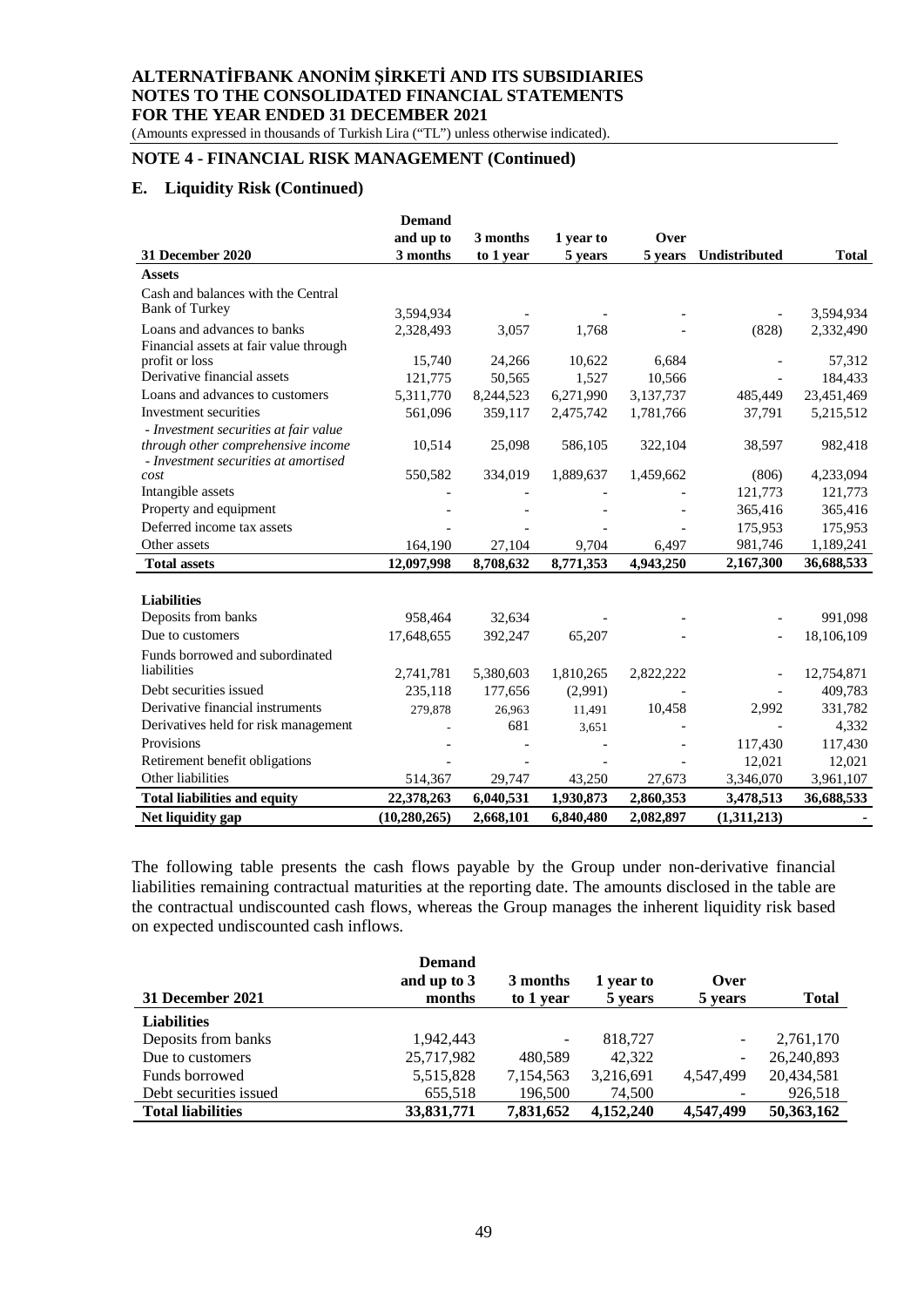(Amounts expressed in thousands of Turkish Lira ("TL") unless otherwise indicated).

## **NOTE 4 - FINANCIAL RISK MANAGEMENT (Continued)**

## **E. Liquidity Risk (Continued)**

|                                              | <b>Demand</b>  |           |           |           |               |              |
|----------------------------------------------|----------------|-----------|-----------|-----------|---------------|--------------|
|                                              | and up to      | 3 months  | 1 year to | Over      |               |              |
| 31 December 2020                             | 3 months       | to 1 year | 5 years   | 5 years   | Undistributed | <b>Total</b> |
| <b>Assets</b>                                |                |           |           |           |               |              |
| Cash and balances with the Central           |                |           |           |           |               |              |
| <b>Bank of Turkey</b>                        | 3,594,934      |           |           |           |               | 3,594,934    |
| Loans and advances to banks                  | 2,328,493      | 3,057     | 1,768     |           | (828)         | 2,332,490    |
| Financial assets at fair value through       |                |           |           |           |               |              |
| profit or loss                               | 15,740         | 24,266    | 10,622    | 6,684     |               | 57,312       |
| Derivative financial assets                  | 121,775        | 50,565    | 1,527     | 10,566    |               | 184,433      |
| Loans and advances to customers              | 5,311,770      | 8,244,523 | 6,271,990 | 3,137,737 | 485,449       | 23,451,469   |
| Investment securities                        | 561,096        | 359,117   | 2,475,742 | 1,781,766 | 37,791        | 5,215,512    |
| - Investment securities at fair value        |                |           |           |           |               |              |
| through other comprehensive income           | 10,514         | 25,098    | 586,105   | 322,104   | 38,597        | 982,418      |
| - Investment securities at amortised<br>cost | 550,582        | 334,019   | 1,889,637 | 1,459,662 | (806)         | 4,233,094    |
| Intangible assets                            |                |           |           |           | 121,773       | 121,773      |
| Property and equipment                       |                |           |           |           | 365,416       | 365,416      |
| Deferred income tax assets                   |                |           |           |           | 175,953       | 175,953      |
| Other assets                                 | 164,190        | 27,104    | 9,704     | 6,497     | 981,746       | 1,189,241    |
|                                              | 12,097,998     | 8,708,632 | 8,771,353 | 4,943,250 | 2,167,300     | 36,688,533   |
| <b>Total assets</b>                          |                |           |           |           |               |              |
|                                              |                |           |           |           |               |              |
| <b>Liabilities</b>                           |                |           |           |           |               |              |
| Deposits from banks                          | 958,464        | 32,634    |           |           |               | 991,098      |
| Due to customers                             | 17,648,655     | 392,247   | 65,207    |           |               | 18,106,109   |
| Funds borrowed and subordinated              |                |           |           |           |               |              |
| liabilities                                  | 2,741,781      | 5,380,603 | 1,810,265 | 2,822,222 |               | 12,754,871   |
| Debt securities issued                       | 235,118        | 177,656   | (2,991)   |           |               | 409,783      |
| Derivative financial instruments             | 279,878        | 26,963    | 11,491    | 10,458    | 2,992         | 331,782      |
| Derivatives held for risk management         |                | 681       | 3,651     |           |               | 4,332        |
| Provisions                                   |                |           |           |           | 117,430       | 117,430      |
| Retirement benefit obligations               |                |           |           |           | 12,021        | 12,021       |
| Other liabilities                            | 514,367        | 29,747    | 43,250    | 27,673    | 3,346,070     | 3,961,107    |
| <b>Total liabilities and equity</b>          | 22,378,263     | 6,040,531 | 1,930,873 | 2,860,353 | 3,478,513     | 36,688,533   |
| Net liquidity gap                            | (10, 280, 265) | 2,668,101 | 6,840,480 | 2,082,897 | (1,311,213)   |              |

The following table presents the cash flows payable by the Group under non-derivative financial liabilities remaining contractual maturities at the reporting date. The amounts disclosed in the table are the contractual undiscounted cash flows, whereas the Group manages the inherent liquidity risk based on expected undiscounted cash inflows.

|                          | <b>Demand</b><br>and up to 3 | 3 months                 | 1 year to | Over                     |              |
|--------------------------|------------------------------|--------------------------|-----------|--------------------------|--------------|
| 31 December 2021         | months                       | to 1 year                | 5 years   | 5 years                  | <b>Total</b> |
| <b>Liabilities</b>       |                              |                          |           |                          |              |
| Deposits from banks      | 1.942.443                    | $\overline{\phantom{a}}$ | 818,727   | $\overline{\phantom{a}}$ | 2,761,170    |
| Due to customers         | 25,717,982                   | 480.589                  | 42,322    | $\overline{\phantom{a}}$ | 26,240,893   |
| Funds borrowed           | 5,515,828                    | 7,154,563                | 3,216,691 | 4,547,499                | 20,434,581   |
| Debt securities issued   | 655,518                      | 196,500                  | 74,500    |                          | 926,518      |
| <b>Total liabilities</b> | 33,831,771                   | 7,831,652                | 4,152,240 | 4,547,499                | 50,363,162   |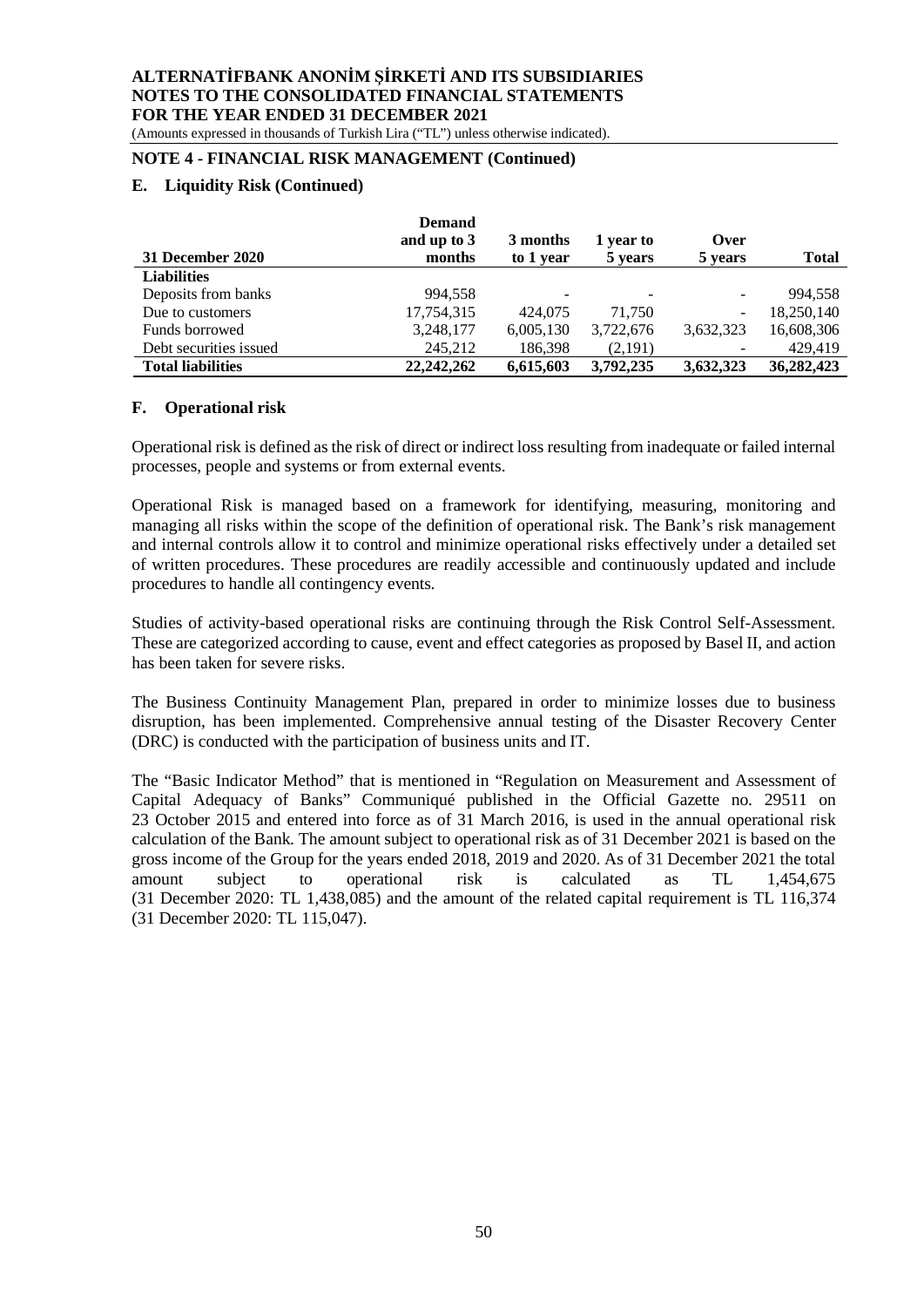(Amounts expressed in thousands of Turkish Lira ("TL") unless otherwise indicated).

## **NOTE 4 - FINANCIAL RISK MANAGEMENT (Continued)**

## **E. Liquidity Risk (Continued)**

|                          | <b>Demand</b> |           |           |           |              |
|--------------------------|---------------|-----------|-----------|-----------|--------------|
|                          | and up to 3   | 3 months  | 1 year to | Over      |              |
| 31 December 2020         | months        | to 1 year | 5 years   | 5 years   | <b>Total</b> |
| <b>Liabilities</b>       |               |           |           |           |              |
| Deposits from banks      | 994.558       | ۰         |           |           | 994.558      |
| Due to customers         | 17,754,315    | 424.075   | 71.750    | -         | 18.250.140   |
| Funds borrowed           | 3,248,177     | 6,005,130 | 3,722,676 | 3,632,323 | 16,608,306   |
| Debt securities issued   | 245,212       | 186,398   | (2,191)   |           | 429,419      |
| <b>Total liabilities</b> | 22, 242, 262  | 6,615,603 | 3,792,235 | 3,632,323 | 36,282,423   |

#### **F. Operational risk**

Operational risk is defined as the risk of direct or indirect loss resulting from inadequate or failed internal processes, people and systems or from external events.

Operational Risk is managed based on a framework for identifying, measuring, monitoring and managing all risks within the scope of the definition of operational risk. The Bank's risk management and internal controls allow it to control and minimize operational risks effectively under a detailed set of written procedures. These procedures are readily accessible and continuously updated and include procedures to handle all contingency events.

Studies of activity-based operational risks are continuing through the Risk Control Self-Assessment. These are categorized according to cause, event and effect categories as proposed by Basel II, and action has been taken for severe risks.

The Business Continuity Management Plan, prepared in order to minimize losses due to business disruption, has been implemented. Comprehensive annual testing of the Disaster Recovery Center (DRC) is conducted with the participation of business units and IT.

The "Basic Indicator Method" that is mentioned in "Regulation on Measurement and Assessment of Capital Adequacy of Banks" Communiqué published in the Official Gazette no. 29511 on 23 October 2015 and entered into force as of 31 March 2016, is used in the annual operational risk calculation of the Bank. The amount subject to operational risk as of 31 December 2021 is based on the gross income of the Group for the years ended 2018, 2019 and 2020. As of 31 December 2021 the total amount subject to operational risk is calculated as TL 1,454,675 (31 December 2020: TL 1,438,085) and the amount of the related capital requirement is TL 116,374 (31 December 2020: TL 115,047).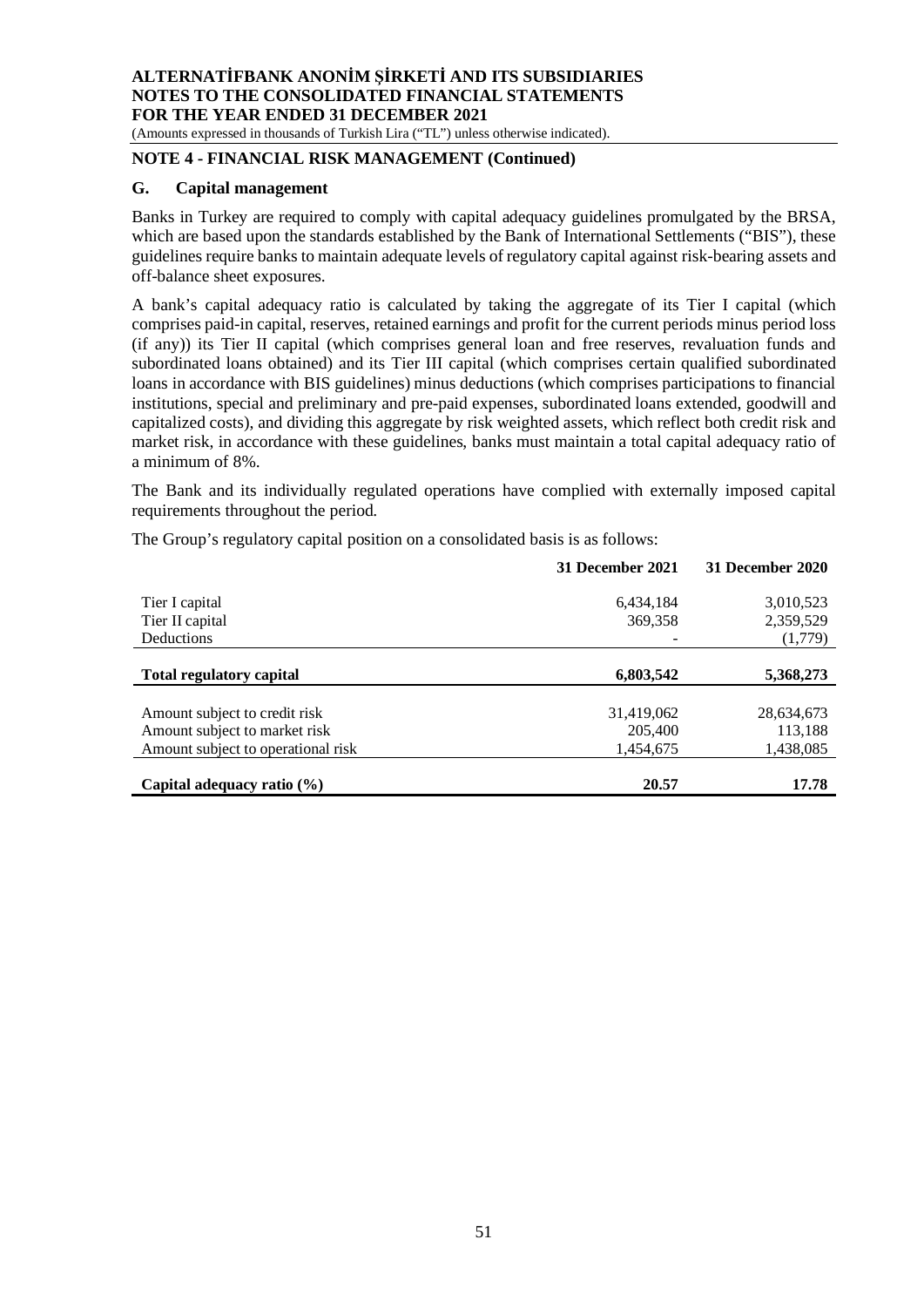(Amounts expressed in thousands of Turkish Lira ("TL") unless otherwise indicated).

# **NOTE 4 - FINANCIAL RISK MANAGEMENT (Continued)**

#### **G. Capital management**

Banks in Turkey are required to comply with capital adequacy guidelines promulgated by the BRSA, which are based upon the standards established by the Bank of International Settlements ("BIS"), these guidelines require banks to maintain adequate levels of regulatory capital against risk-bearing assets and off-balance sheet exposures.

A bank's capital adequacy ratio is calculated by taking the aggregate of its Tier I capital (which comprises paid-in capital, reserves, retained earnings and profit for the current periods minus period loss (if any)) its Tier II capital (which comprises general loan and free reserves, revaluation funds and subordinated loans obtained) and its Tier III capital (which comprises certain qualified subordinated loans in accordance with BIS guidelines) minus deductions (which comprises participations to financial institutions, special and preliminary and pre-paid expenses, subordinated loans extended, goodwill and capitalized costs), and dividing this aggregate by risk weighted assets, which reflect both credit risk and market risk, in accordance with these guidelines, banks must maintain a total capital adequacy ratio of a minimum of 8%.

The Bank and its individually regulated operations have complied with externally imposed capital requirements throughout the period.

The Group's regulatory capital position on a consolidated basis is as follows:

|                                    | 31 December 2021 | 31 December 2020 |
|------------------------------------|------------------|------------------|
| Tier I capital                     | 6,434,184        | 3,010,523        |
| Tier II capital                    | 369,358          | 2,359,529        |
| Deductions                         |                  | (1,779)          |
|                                    |                  |                  |
| <b>Total regulatory capital</b>    | 6,803,542        | 5,368,273        |
|                                    |                  |                  |
| Amount subject to credit risk      | 31,419,062       | 28,634,673       |
| Amount subject to market risk      | 205,400          | 113,188          |
| Amount subject to operational risk | 1,454,675        | 1,438,085        |
|                                    |                  |                  |
| Capital adequacy ratio $(\% )$     | 20.57            | 17.78            |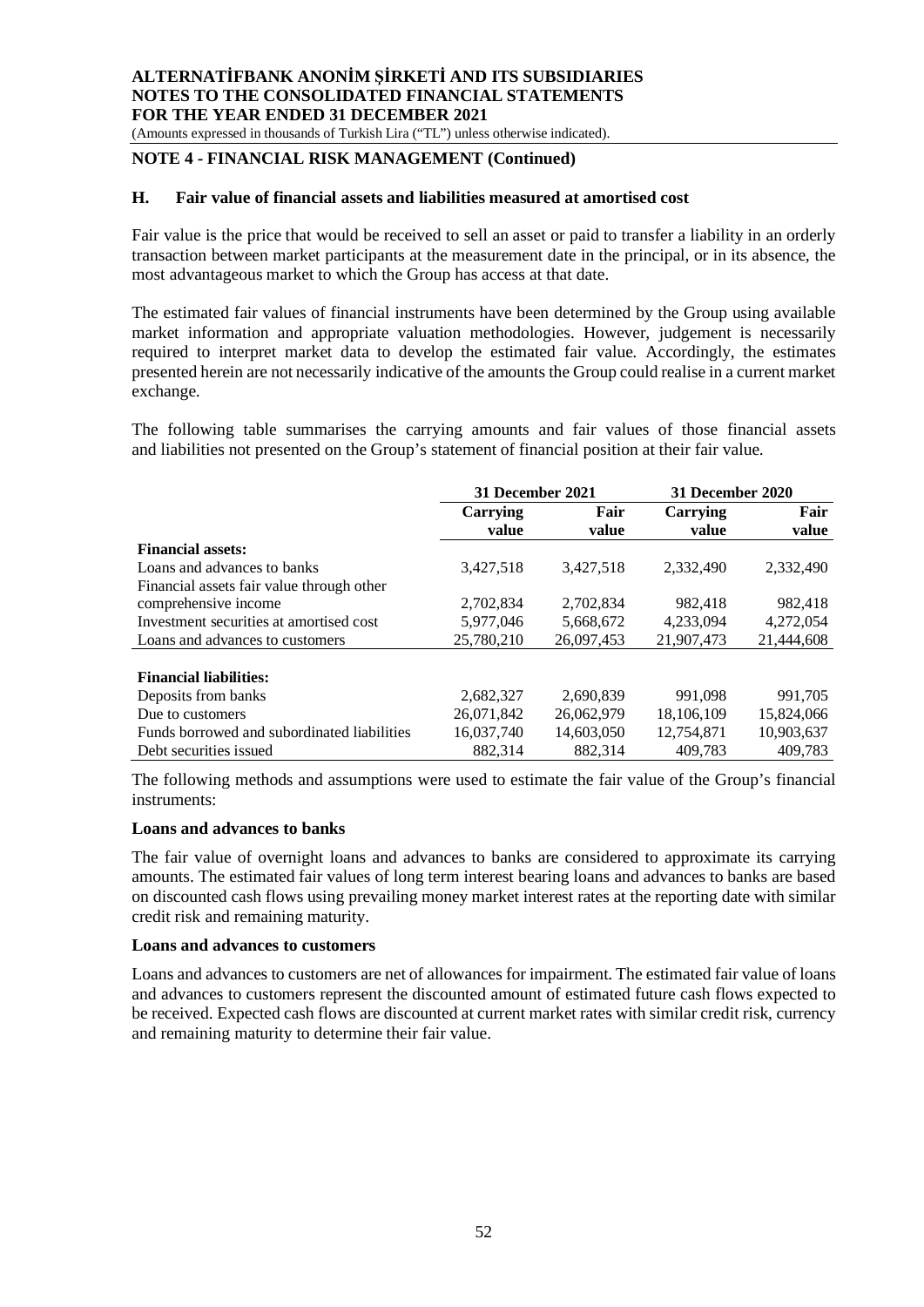(Amounts expressed in thousands of Turkish Lira ("TL") unless otherwise indicated).

## **NOTE 4 - FINANCIAL RISK MANAGEMENT (Continued)**

#### **H. Fair value of financial assets and liabilities measured at amortised cost**

Fair value is the price that would be received to sell an asset or paid to transfer a liability in an orderly transaction between market participants at the measurement date in the principal, or in its absence, the most advantageous market to which the Group has access at that date.

The estimated fair values of financial instruments have been determined by the Group using available market information and appropriate valuation methodologies. However, judgement is necessarily required to interpret market data to develop the estimated fair value. Accordingly, the estimates presented herein are not necessarily indicative of the amounts the Group could realise in a current market exchange.

The following table summarises the carrying amounts and fair values of those financial assets and liabilities not presented on the Group's statement of financial position at their fair value.

|                                             | 31 December 2021  |               | 31 December 2020         |               |
|---------------------------------------------|-------------------|---------------|--------------------------|---------------|
|                                             | Carrying<br>value | Fair<br>value | <b>Carrying</b><br>value | Fair<br>value |
| <b>Financial assets:</b>                    |                   |               |                          |               |
| Loans and advances to banks                 | 3,427,518         | 3,427,518     | 2,332,490                | 2,332,490     |
| Financial assets fair value through other   |                   |               |                          |               |
| comprehensive income                        | 2,702,834         | 2.702.834     | 982.418                  | 982,418       |
| Investment securities at amortised cost     | 5,977,046         | 5,668,672     | 4,233,094                | 4,272,054     |
| Loans and advances to customers             | 25,780,210        | 26,097,453    | 21,907,473               | 21,444,608    |
|                                             |                   |               |                          |               |
| <b>Financial liabilities:</b>               |                   |               |                          |               |
| Deposits from banks                         | 2,682,327         | 2,690,839     | 991,098                  | 991,705       |
| Due to customers                            | 26.071.842        | 26,062,979    | 18.106.109               | 15,824,066    |
| Funds borrowed and subordinated liabilities | 16,037,740        | 14,603,050    | 12,754,871               | 10,903,637    |
| Debt securities issued                      | 882,314           | 882,314       | 409.783                  | 409.783       |

The following methods and assumptions were used to estimate the fair value of the Group's financial instruments:

#### **Loans and advances to banks**

The fair value of overnight loans and advances to banks are considered to approximate its carrying amounts. The estimated fair values of long term interest bearing loans and advances to banks are based on discounted cash flows using prevailing money market interest rates at the reporting date with similar credit risk and remaining maturity.

#### **Loans and advances to customers**

Loans and advances to customers are net of allowances for impairment. The estimated fair value of loans and advances to customers represent the discounted amount of estimated future cash flows expected to be received. Expected cash flows are discounted at current market rates with similar credit risk, currency and remaining maturity to determine their fair value.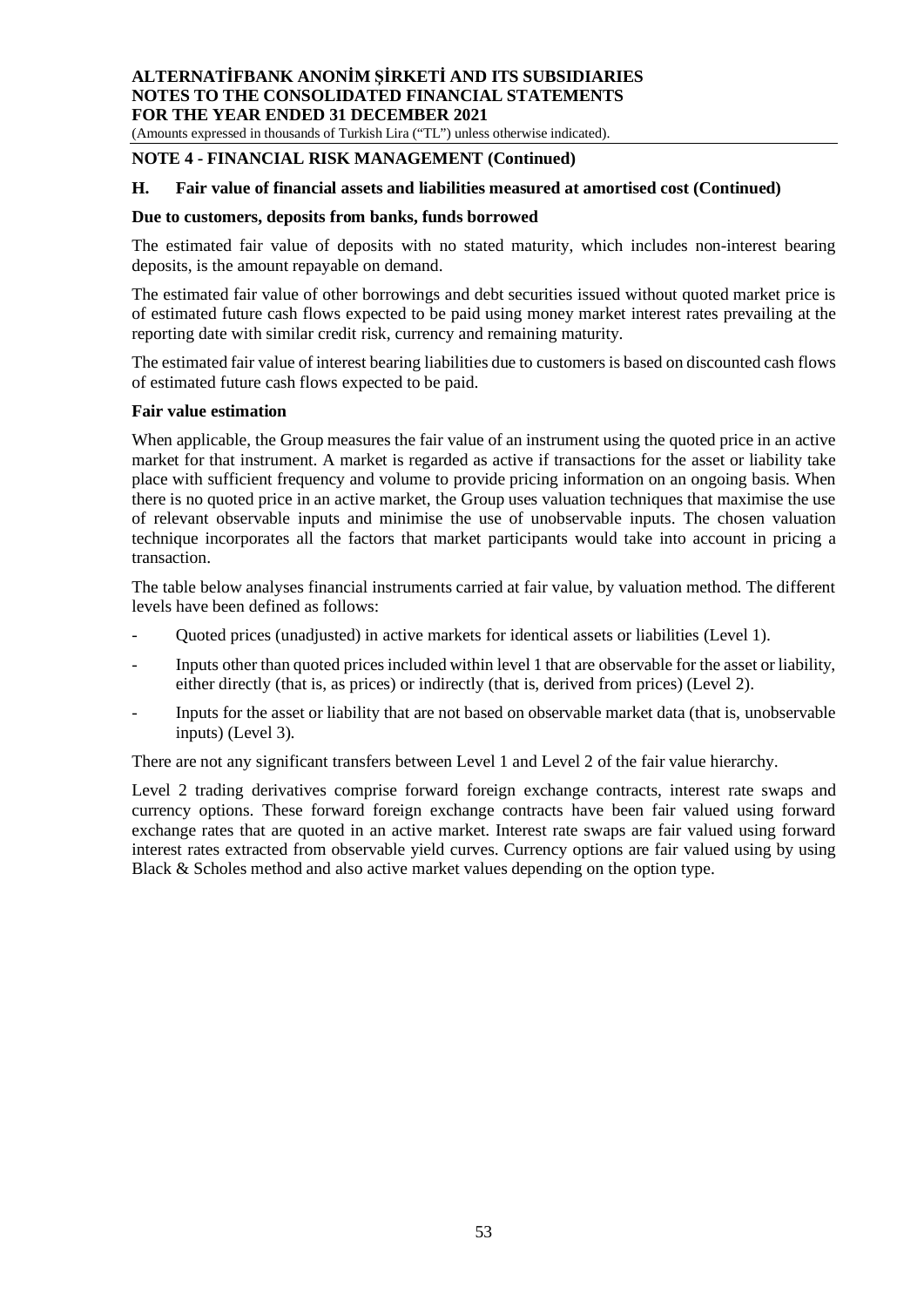(Amounts expressed in thousands of Turkish Lira ("TL") unless otherwise indicated).

## **NOTE 4 - FINANCIAL RISK MANAGEMENT (Continued)**

## **H. Fair value of financial assets and liabilities measured at amortised cost (Continued)**

#### **Due to customers, deposits from banks, funds borrowed**

The estimated fair value of deposits with no stated maturity, which includes non-interest bearing deposits, is the amount repayable on demand.

The estimated fair value of other borrowings and debt securities issued without quoted market price is of estimated future cash flows expected to be paid using money market interest rates prevailing at the reporting date with similar credit risk, currency and remaining maturity.

The estimated fair value of interest bearing liabilities due to customers is based on discounted cash flows of estimated future cash flows expected to be paid.

#### **Fair value estimation**

When applicable, the Group measures the fair value of an instrument using the quoted price in an active market for that instrument. A market is regarded as active if transactions for the asset or liability take place with sufficient frequency and volume to provide pricing information on an ongoing basis. When there is no quoted price in an active market, the Group uses valuation techniques that maximise the use of relevant observable inputs and minimise the use of unobservable inputs. The chosen valuation technique incorporates all the factors that market participants would take into account in pricing a transaction.

The table below analyses financial instruments carried at fair value, by valuation method. The different levels have been defined as follows:

- Quoted prices (unadjusted) in active markets for identical assets or liabilities (Level 1).
- Inputs other than quoted prices included within level 1 that are observable for the asset or liability, either directly (that is, as prices) or indirectly (that is, derived from prices) (Level 2).
- Inputs for the asset or liability that are not based on observable market data (that is, unobservable inputs) (Level 3).

There are not any significant transfers between Level 1 and Level 2 of the fair value hierarchy.

Level 2 trading derivatives comprise forward foreign exchange contracts, interest rate swaps and currency options. These forward foreign exchange contracts have been fair valued using forward exchange rates that are quoted in an active market. Interest rate swaps are fair valued using forward interest rates extracted from observable yield curves. Currency options are fair valued using by using Black & Scholes method and also active market values depending on the option type.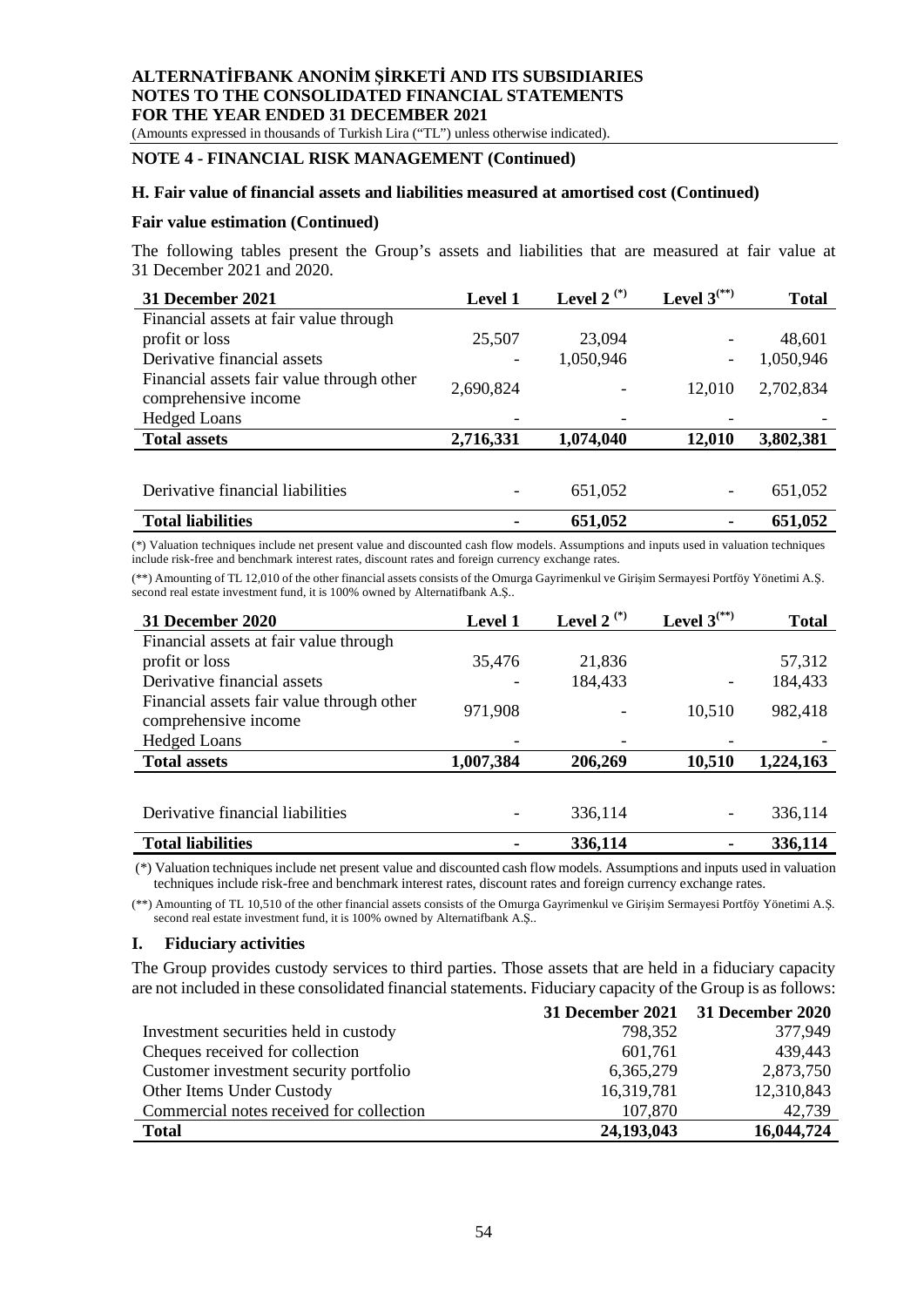(Amounts expressed in thousands of Turkish Lira ("TL") unless otherwise indicated).

#### **NOTE 4 - FINANCIAL RISK MANAGEMENT (Continued)**

#### **H. Fair value of financial assets and liabilities measured at amortised cost (Continued)**

#### **Fair value estimation (Continued)**

The following tables present the Group's assets and liabilities that are measured at fair value at 31 December 2021 and 2020.

| 31 December 2021                                                  | <b>Level 1</b>           | Level 2 <sup>(*)</sup> | Level $3^{(**)}$ | Total     |
|-------------------------------------------------------------------|--------------------------|------------------------|------------------|-----------|
| Financial assets at fair value through                            |                          |                        |                  |           |
| profit or loss                                                    | 25,507                   | 23,094                 |                  | 48,601    |
| Derivative financial assets                                       | $\overline{\phantom{a}}$ | 1,050,946              |                  | 1,050,946 |
| Financial assets fair value through other<br>comprehensive income | 2,690,824                |                        | 12,010           | 2,702,834 |
| <b>Hedged Loans</b>                                               |                          |                        |                  |           |
| <b>Total assets</b>                                               | 2,716,331                | 1,074,040              | 12,010           | 3,802,381 |
|                                                                   |                          |                        |                  |           |
| Derivative financial liabilities                                  |                          | 651,052                |                  | 651,052   |

| <b>Total liabilities</b> | 651,052 | 651,052 |
|--------------------------|---------|---------|
|                          |         |         |

(\*) Valuation techniques include net present value and discounted cash flow models. Assumptions and inputs used in valuation techniques include risk-free and benchmark interest rates, discount rates and foreign currency exchange rates.

(\*\*) Amounting of TL 12,010 of the other financial assets consists of the Omurga Gayrimenkul ve Girişim Sermayesi Portföy Yönetimi A.Ş. second real estate investment fund, it is 100% owned by Alternatifbank A.Ş..

| <b>31 December 2020</b>                                           | Level 1   | Level 2 <sup>(*)</sup> | Level $3^{(**)}$ | <b>Total</b> |
|-------------------------------------------------------------------|-----------|------------------------|------------------|--------------|
| Financial assets at fair value through                            |           |                        |                  |              |
| profit or loss                                                    | 35,476    | 21,836                 |                  | 57,312       |
| Derivative financial assets                                       |           | 184,433                |                  | 184,433      |
| Financial assets fair value through other<br>comprehensive income | 971,908   |                        | 10,510           | 982,418      |
| <b>Hedged Loans</b>                                               |           |                        |                  |              |
| <b>Total assets</b>                                               | 1,007,384 | 206,269                | 10,510           | 1,224,163    |
|                                                                   |           |                        |                  |              |
| Derivative financial liabilities                                  |           | 336,114                |                  | 336,114      |
| <b>Total liabilities</b>                                          |           | 336,114                |                  | 336,114      |

 (\*) Valuation techniques include net present value and discounted cash flow models. Assumptions and inputs used in valuation techniques include risk-free and benchmark interest rates, discount rates and foreign currency exchange rates.

(\*\*) Amounting of TL 10,510 of the other financial assets consists of the Omurga Gayrimenkul ve Girişim Sermayesi Portföy Yönetimi A.Ş. second real estate investment fund, it is 100% owned by Alternatifbank A.Ş..

#### **I. Fiduciary activities**

The Group provides custody services to third parties. Those assets that are held in a fiduciary capacity are not included in these consolidated financial statements. Fiduciary capacity of the Group is as follows:

|                                          |            | 31 December 2021 31 December 2020 |
|------------------------------------------|------------|-----------------------------------|
| Investment securities held in custody    | 798,352    | 377,949                           |
| Cheques received for collection          | 601,761    | 439,443                           |
| Customer investment security portfolio   | 6,365,279  | 2,873,750                         |
| Other Items Under Custody                | 16,319,781 | 12,310,843                        |
| Commercial notes received for collection | 107,870    | 42,739                            |
| <b>Total</b>                             | 24,193,043 | 16,044,724                        |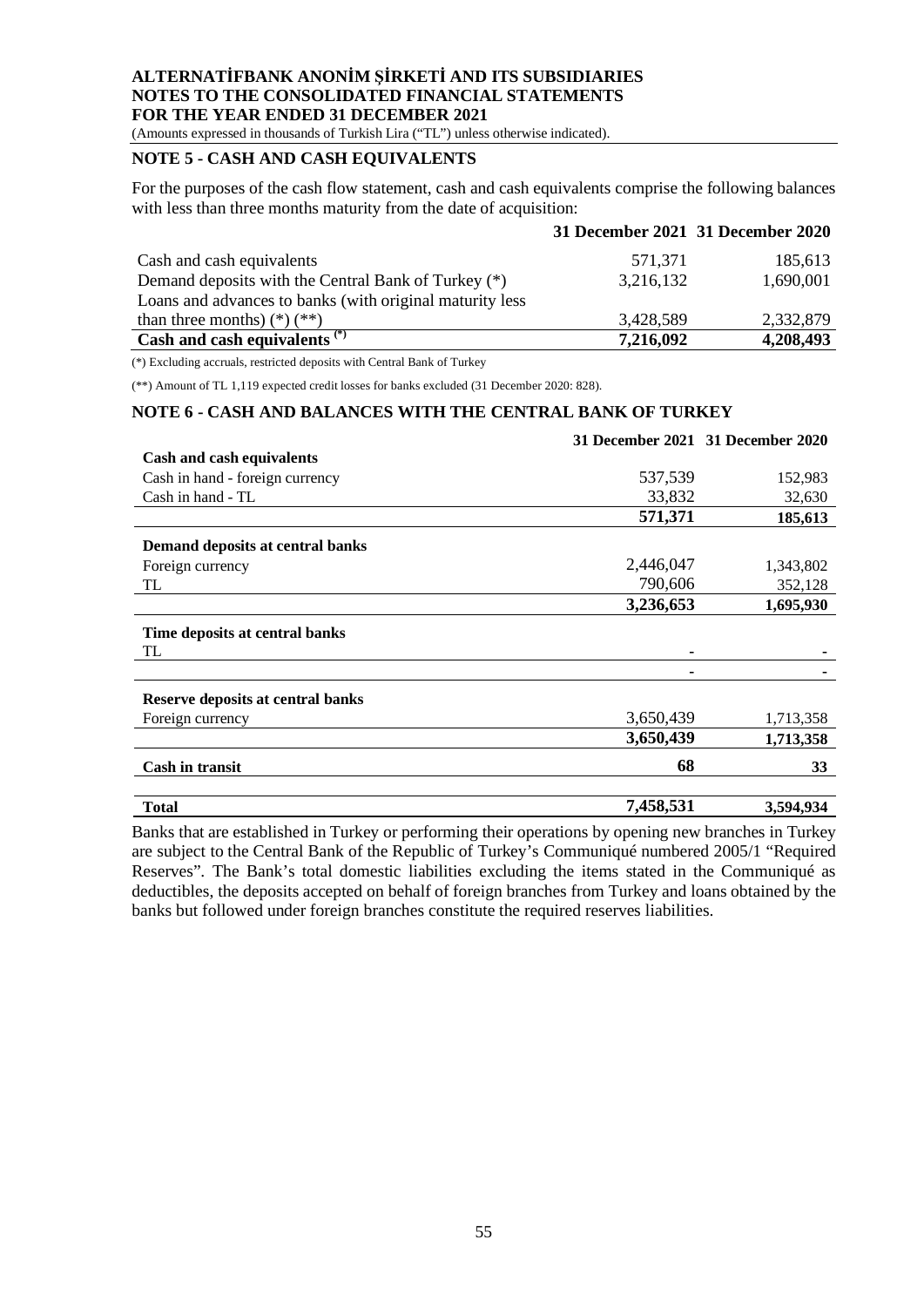(Amounts expressed in thousands of Turkish Lira ("TL") unless otherwise indicated).

## **NOTE 5 - CASH AND CASH EQUIVALENTS**

For the purposes of the cash flow statement, cash and cash equivalents comprise the following balances with less than three months maturity from the date of acquisition:

|                                                          |           | 31 December 2021 31 December 2020 |
|----------------------------------------------------------|-----------|-----------------------------------|
| Cash and cash equivalents                                | 571,371   | 185,613                           |
| Demand deposits with the Central Bank of Turkey (*)      | 3,216,132 | 1,690,001                         |
| Loans and advances to banks (with original maturity less |           |                                   |
| than three months) $(*)$ $(*)$                           | 3,428,589 | 2,332,879                         |
| Cash and cash equivalents <sup>(*)</sup>                 | 7,216,092 | 4,208,493                         |

(\*) Excluding accruals, restricted deposits with Central Bank of Turkey

(\*\*) Amount of TL 1,119 expected credit losses for banks excluded (31 December 2020: 828).

#### **NOTE 6 - CASH AND BALANCES WITH THE CENTRAL BANK OF TURKEY**

|                                   |           | 31 December 2021 31 December 2020 |
|-----------------------------------|-----------|-----------------------------------|
| Cash and cash equivalents         |           |                                   |
| Cash in hand - foreign currency   | 537,539   | 152,983                           |
| Cash in hand - TL                 | 33,832    | 32,630                            |
|                                   | 571,371   | 185,613                           |
| Demand deposits at central banks  |           |                                   |
| Foreign currency                  | 2,446,047 | 1,343,802                         |
| TL                                | 790,606   | 352,128                           |
|                                   | 3,236,653 | 1,695,930                         |
| Time deposits at central banks    |           |                                   |
| TL                                |           |                                   |
|                                   |           |                                   |
| Reserve deposits at central banks |           |                                   |
| Foreign currency                  | 3,650,439 | 1,713,358                         |
|                                   | 3,650,439 | 1,713,358                         |
| <b>Cash in transit</b>            | 68        | 33                                |
| <b>Total</b>                      | 7,458,531 | 3,594,934                         |

Banks that are established in Turkey or performing their operations by opening new branches in Turkey are subject to the Central Bank of the Republic of Turkey's Communiqué numbered 2005/1 "Required Reserves". The Bank's total domestic liabilities excluding the items stated in the Communiqué as deductibles, the deposits accepted on behalf of foreign branches from Turkey and loans obtained by the banks but followed under foreign branches constitute the required reserves liabilities.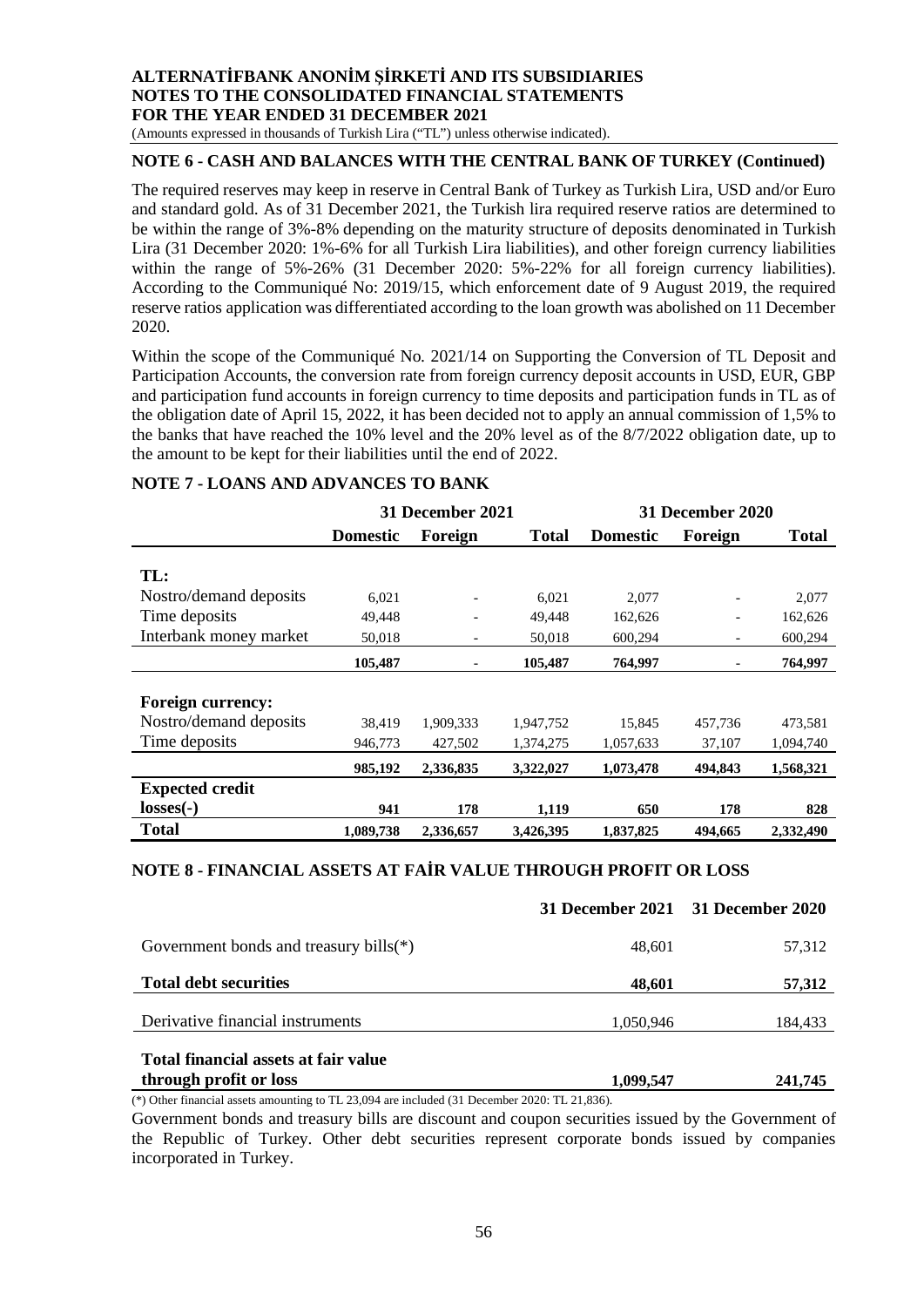(Amounts expressed in thousands of Turkish Lira ("TL") unless otherwise indicated).

## **NOTE 6 - CASH AND BALANCES WITH THE CENTRAL BANK OF TURKEY (Continued)**

The required reserves may keep in reserve in Central Bank of Turkey as Turkish Lira, USD and/or Euro and standard gold. As of 31 December 2021, the Turkish lira required reserve ratios are determined to be within the range of 3%-8% depending on the maturity structure of deposits denominated in Turkish Lira (31 December 2020: 1%-6% for all Turkish Lira liabilities), and other foreign currency liabilities within the range of 5%-26% (31 December 2020: 5%-22% for all foreign currency liabilities). According to the Communiqué No: 2019/15, which enforcement date of 9 August 2019, the required reserve ratios application was differentiated according to the loan growth was abolished on 11 December 2020.

Within the scope of the Communiqué No. 2021/14 on Supporting the Conversion of TL Deposit and Participation Accounts, the conversion rate from foreign currency deposit accounts in USD, EUR, GBP and participation fund accounts in foreign currency to time deposits and participation funds in TL as of the obligation date of April 15, 2022, it has been decided not to apply an annual commission of 1,5% to the banks that have reached the 10% level and the 20% level as of the 8/7/2022 obligation date, up to the amount to be kept for their liabilities until the end of 2022.

|                          | 31 December 2021 |                |              | <b>31 December 2020</b> |                          |              |
|--------------------------|------------------|----------------|--------------|-------------------------|--------------------------|--------------|
|                          | <b>Domestic</b>  | Foreign        | <b>Total</b> | <b>Domestic</b>         | Foreign                  | <b>Total</b> |
|                          |                  |                |              |                         |                          |              |
| TL:                      |                  |                |              |                         |                          |              |
| Nostro/demand deposits   | 6,021            | $\overline{a}$ | 6,021        | 2,077                   |                          | 2,077        |
| Time deposits            | 49,448           | $\overline{a}$ | 49,448       | 162,626                 | $\overline{\phantom{0}}$ | 162,626      |
| Interbank money market   | 50,018           | $\overline{a}$ | 50,018       | 600,294                 | -                        | 600,294      |
|                          | 105,487          | $\overline{a}$ | 105,487      | 764,997                 | $\qquad \qquad -$        | 764,997      |
|                          |                  |                |              |                         |                          |              |
| <b>Foreign currency:</b> |                  |                |              |                         |                          |              |
| Nostro/demand deposits   | 38.419           | 1,909,333      | 1,947,752    | 15,845                  | 457,736                  | 473,581      |
| Time deposits            | 946,773          | 427,502        | 1,374,275    | 1,057,633               | 37,107                   | 1,094,740    |
|                          | 985,192          | 2,336,835      | 3,322,027    | 1,073,478               | 494,843                  | 1,568,321    |
| <b>Expected credit</b>   |                  |                |              |                         |                          |              |
| $losses(-)$              | 941              | 178            | 1,119        | 650                     | 178                      | 828          |
| <b>Total</b>             | 1,089,738        | 2,336,657      | 3,426,395    | 1,837,825               | 494,665                  | 2,332,490    |

#### **NOTE 7 - LOANS AND ADVANCES TO BANK**

# **NOTE 8 - FINANCIAL ASSETS AT FAİR VALUE THROUGH PROFIT OR LOSS**

|                                                                |           | 31 December 2021 31 December 2020 |
|----------------------------------------------------------------|-----------|-----------------------------------|
| Government bonds and treasury bills( $*$ )                     | 48.601    | 57,312                            |
| <b>Total debt securities</b>                                   | 48,601    | 57,312                            |
| Derivative financial instruments                               | 1,050,946 | 184,433                           |
| Total financial assets at fair value<br>through profit or loss | 1,099,547 | 241,745                           |

(\*) Other financial assets amounting to TL 23,094 are included (31 December 2020: TL 21,836).

Government bonds and treasury bills are discount and coupon securities issued by the Government of the Republic of Turkey. Other debt securities represent corporate bonds issued by companies incorporated in Turkey.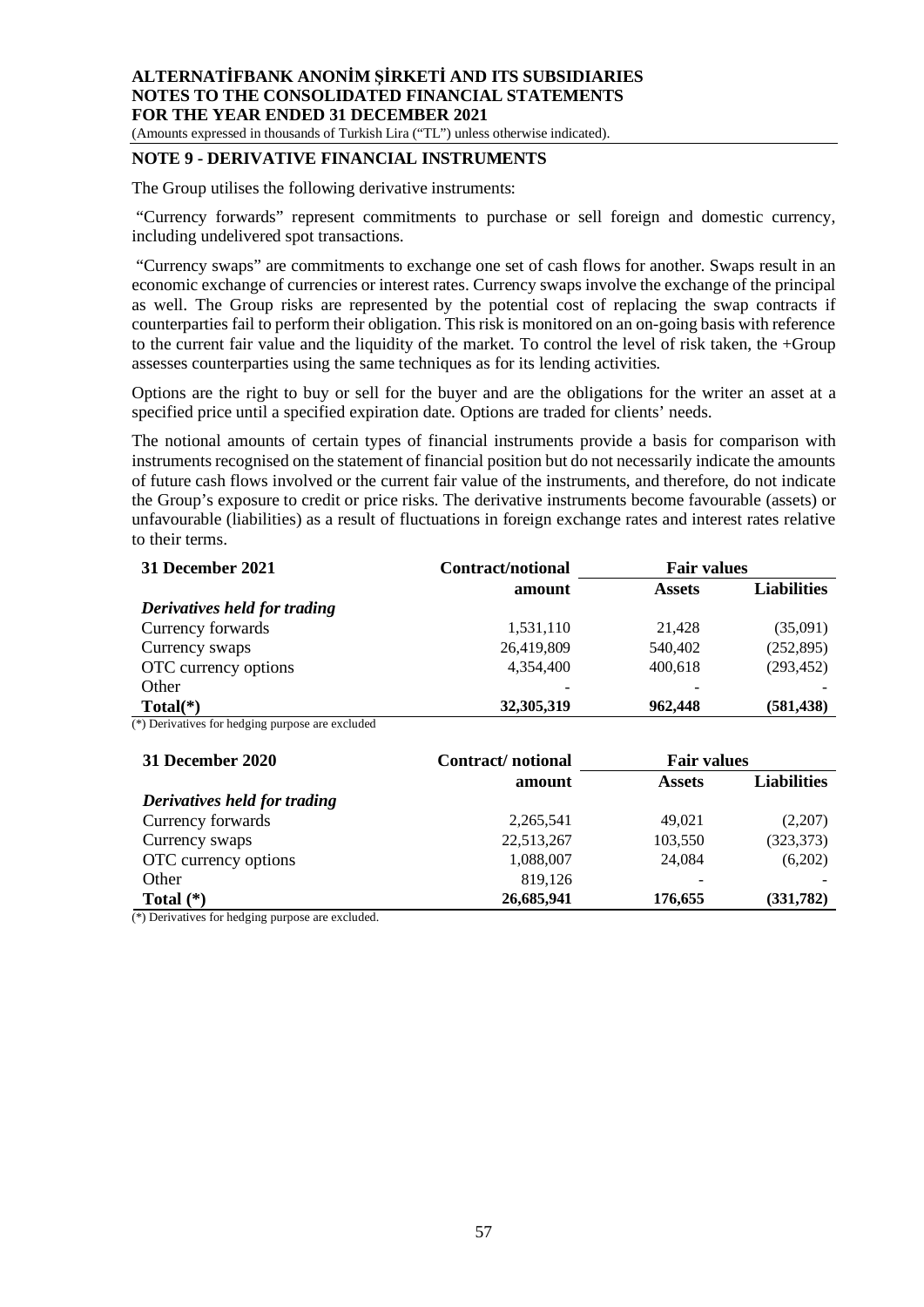(Amounts expressed in thousands of Turkish Lira ("TL") unless otherwise indicated).

## **NOTE 9 - DERIVATIVE FINANCIAL INSTRUMENTS**

The Group utilises the following derivative instruments:

"Currency forwards" represent commitments to purchase or sell foreign and domestic currency, including undelivered spot transactions.

 "Currency swaps" are commitments to exchange one set of cash flows for another. Swaps result in an economic exchange of currencies or interest rates. Currency swaps involve the exchange of the principal as well. The Group risks are represented by the potential cost of replacing the swap contracts if counterparties fail to perform their obligation. This risk is monitored on an on-going basis with reference to the current fair value and the liquidity of the market. To control the level of risk taken, the  $+Group$ assesses counterparties using the same techniques as for its lending activities.

Options are the right to buy or sell for the buyer and are the obligations for the writer an asset at a specified price until a specified expiration date. Options are traded for clients' needs.

The notional amounts of certain types of financial instruments provide a basis for comparison with instruments recognised on the statement of financial position but do not necessarily indicate the amounts of future cash flows involved or the current fair value of the instruments, and therefore, do not indicate the Group's exposure to credit or price risks. The derivative instruments become favourable (assets) or unfavourable (liabilities) as a result of fluctuations in foreign exchange rates and interest rates relative to their terms.

| 31 December 2021             | Contract/notional | <b>Fair values</b> |                    |
|------------------------------|-------------------|--------------------|--------------------|
|                              | amount            | <b>Assets</b>      | <b>Liabilities</b> |
| Derivatives held for trading |                   |                    |                    |
| Currency forwards            | 1,531,110         | 21.428             | (35,091)           |
| Currency swaps               | 26,419,809        | 540,402            | (252, 895)         |
| OTC currency options         | 4,354,400         | 400,618            | (293, 452)         |
| Other                        |                   |                    |                    |
| $Total(*)$                   | 32,305,319        | 962,448            | (581, 438)         |

(\*) Derivatives for hedging purpose are excluded

| 31 December 2020             | Contract/notional | <b>Fair values</b>       |                    |
|------------------------------|-------------------|--------------------------|--------------------|
|                              | amount            | <b>Assets</b>            | <b>Liabilities</b> |
| Derivatives held for trading |                   |                          |                    |
| Currency forwards            | 2,265,541         | 49,021                   | (2,207)            |
| Currency swaps               | 22,513,267        | 103,550                  | (323, 373)         |
| OTC currency options         | 1,088,007         | 24,084                   | (6,202)            |
| Other                        | 819,126           | $\overline{\phantom{0}}$ |                    |
| Total $(*)$                  | 26,685,941        | 176,655                  | (331, 782)         |

(\*) Derivatives for hedging purpose are excluded.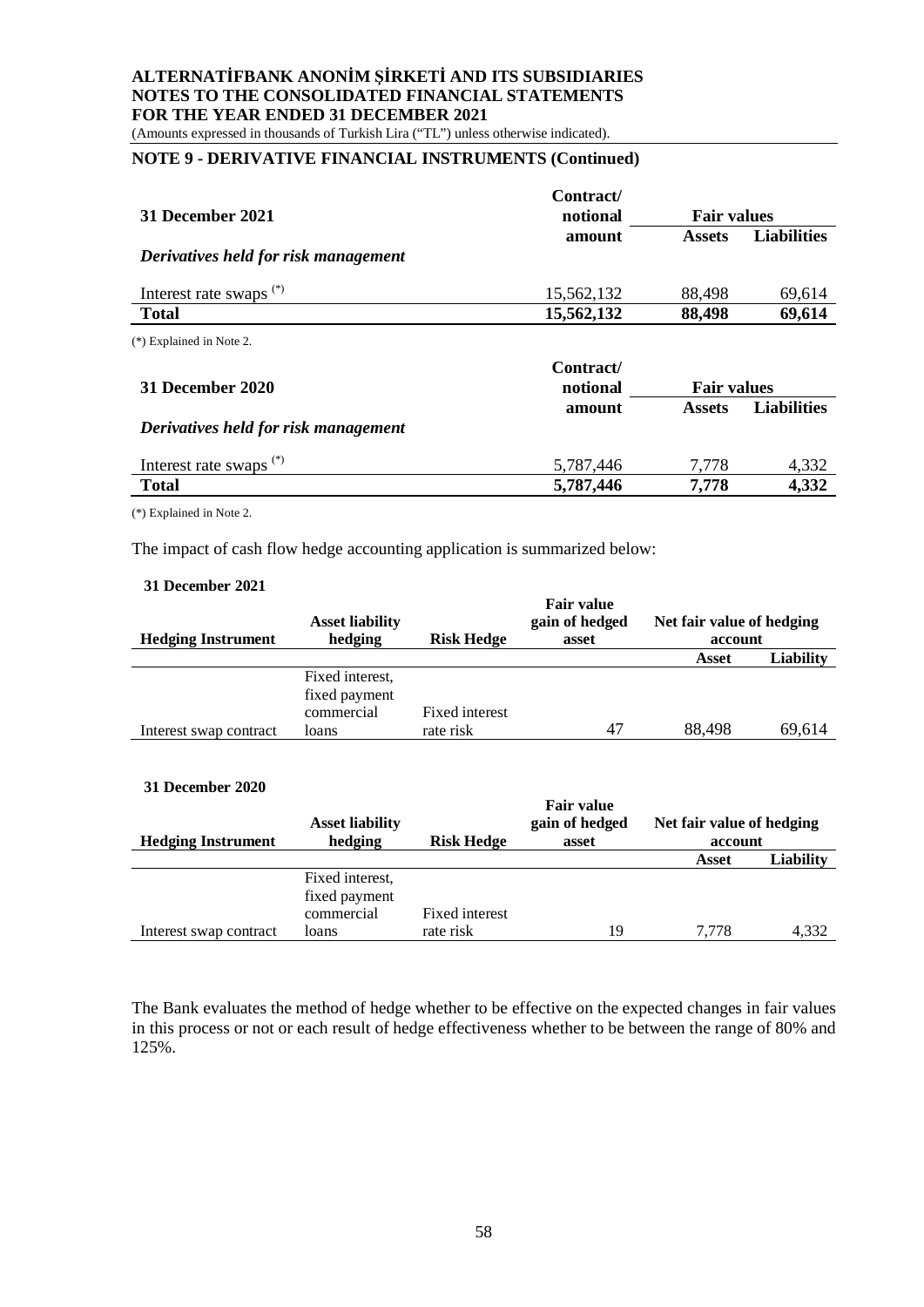(Amounts expressed in thousands of Turkish Lira ("TL") unless otherwise indicated).

# **NOTE 9 - DERIVATIVE FINANCIAL INSTRUMENTS (Continued)**

|                                                     | Contract/             |                    |                    |
|-----------------------------------------------------|-----------------------|--------------------|--------------------|
| 31 December 2021                                    | notional              | <b>Fair values</b> |                    |
|                                                     | amount                | <b>Assets</b>      | <b>Liabilities</b> |
| Derivatives held for risk management                |                       |                    |                    |
| Interest rate swaps <sup>(*)</sup>                  | 15,562,132            | 88,498             | 69,614             |
| <b>Total</b>                                        | 15,562,132            | 88,498             | 69,614             |
| (*) Explained in Note 2.<br><b>31 December 2020</b> | Contract/<br>notional | <b>Fair values</b> |                    |
|                                                     | amount                | <b>Assets</b>      | <b>Liabilities</b> |
| Derivatives held for risk management                |                       |                    |                    |
| Interest rate swaps <sup>(*)</sup>                  | 5,787,446             | 7.778              | 4,332              |
| <b>Total</b>                                        | 5,787,446             | 7,778              | 4,332              |
|                                                     |                       |                    |                    |

(\*) Explained in Note 2.

The impact of cash flow hedge accounting application is summarized below:

#### **31 December 2021**

|                           | <b>Asset liability</b> |                   | <b>Fair value</b><br>gain of hedged | Net fair value of hedging |                  |
|---------------------------|------------------------|-------------------|-------------------------------------|---------------------------|------------------|
| <b>Hedging Instrument</b> | hedging                | <b>Risk Hedge</b> | asset                               | account                   |                  |
|                           |                        |                   |                                     | Asset                     | <b>Liability</b> |
|                           | Fixed interest,        |                   |                                     |                           |                  |
|                           | fixed payment          |                   |                                     |                           |                  |
|                           | commercial             | Fixed interest    |                                     |                           |                  |
| Interest swap contract    | loans                  | rate risk         | 47                                  | 88,498                    | 69.614           |

#### **31 December 2020**

|                           | <b>Asset liability</b> |                   | <b>Fair value</b><br>gain of hedged | Net fair value of hedging |                  |
|---------------------------|------------------------|-------------------|-------------------------------------|---------------------------|------------------|
| <b>Hedging Instrument</b> | hedging                | <b>Risk Hedge</b> | asset                               | account                   |                  |
|                           |                        |                   |                                     | Asset                     | <b>Liability</b> |
|                           | Fixed interest.        |                   |                                     |                           |                  |
|                           | fixed payment          |                   |                                     |                           |                  |
|                           | commercial             | Fixed interest    |                                     |                           |                  |
| Interest swap contract    | loans                  | rate risk         | 19                                  | 7.778                     | 4,332            |

The Bank evaluates the method of hedge whether to be effective on the expected changes in fair values in this process or not or each result of hedge effectiveness whether to be between the range of 80% and 125%.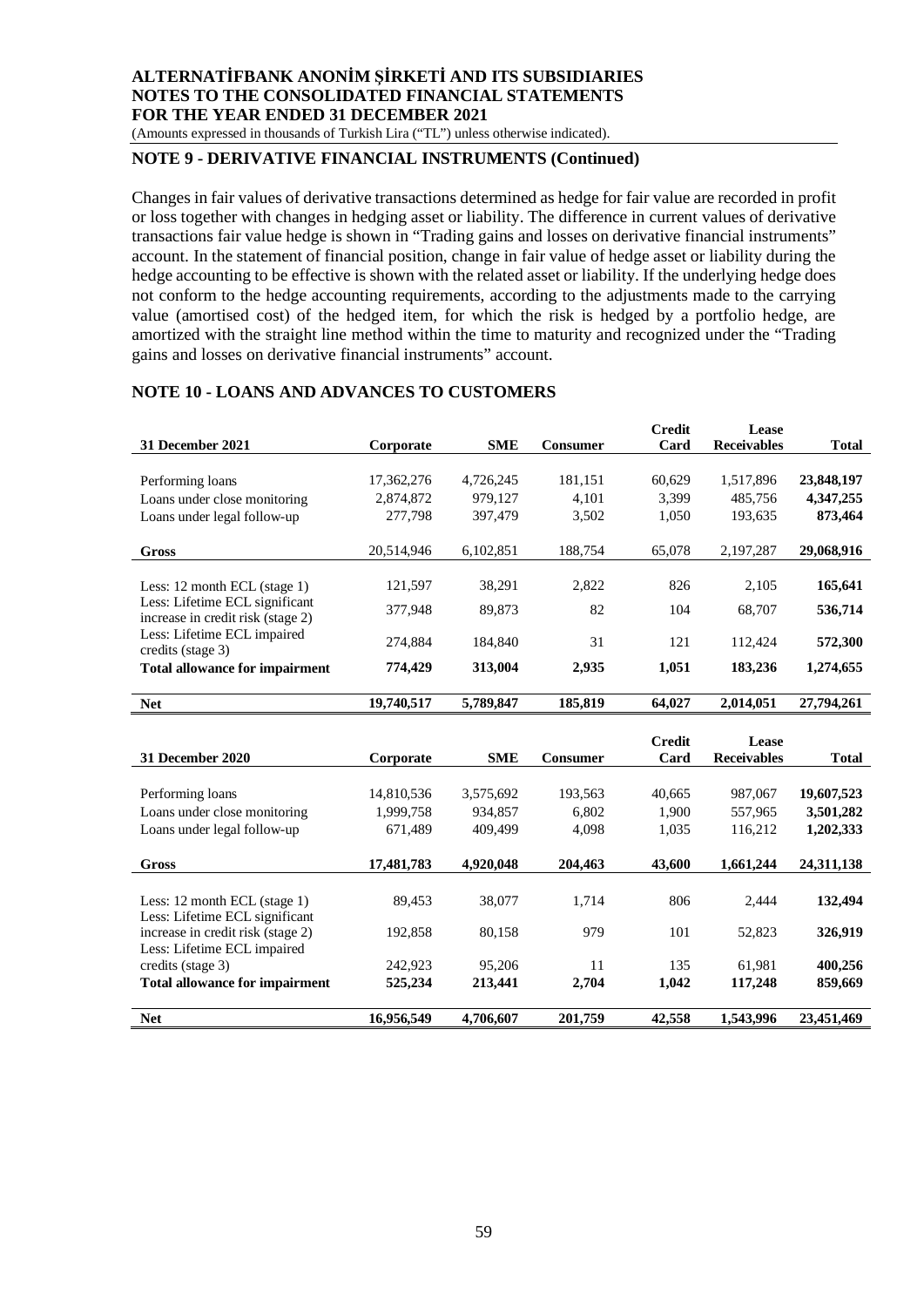(Amounts expressed in thousands of Turkish Lira ("TL") unless otherwise indicated).

## **NOTE 9 - DERIVATIVE FINANCIAL INSTRUMENTS (Continued)**

Changes in fair values of derivative transactions determined as hedge for fair value are recorded in profit or loss together with changes in hedging asset or liability. The difference in current values of derivative transactions fair value hedge is shown in "Trading gains and losses on derivative financial instruments" account. In the statement of financial position, change in fair value of hedge asset or liability during the hedge accounting to be effective is shown with the related asset or liability. If the underlying hedge does not conform to the hedge accounting requirements, according to the adjustments made to the carrying value (amortised cost) of the hedged item, for which the risk is hedged by a portfolio hedge, are amortized with the straight line method within the time to maturity and recognized under the "Trading gains and losses on derivative financial instruments" account.

#### **NOTE 10 - LOANS AND ADVANCES TO CUSTOMERS**

|                                       |            |            |                 | <b>Credit</b> | Lease              |              |
|---------------------------------------|------------|------------|-----------------|---------------|--------------------|--------------|
| 31 December 2021                      | Corporate  | <b>SME</b> | <b>Consumer</b> | Card          | <b>Receivables</b> | <b>Total</b> |
|                                       |            |            |                 |               |                    |              |
| Performing loans                      | 17,362,276 | 4,726,245  | 181,151         | 60.629        | 1,517,896          | 23,848,197   |
| Loans under close monitoring          | 2,874,872  | 979,127    | 4,101           | 3,399         | 485,756            | 4,347,255    |
| Loans under legal follow-up           | 277,798    | 397,479    | 3,502           | 1,050         | 193,635            | 873,464      |
|                                       |            |            |                 |               |                    |              |
| Gross                                 | 20,514,946 | 6,102,851  | 188,754         | 65,078        | 2,197,287          | 29,068,916   |
|                                       |            |            |                 |               |                    |              |
| Less: 12 month ECL (stage 1)          | 121,597    | 38.291     | 2,822           | 826           | 2,105              | 165,641      |
| Less: Lifetime ECL significant        | 377,948    | 89.873     | 82              | 104           | 68.707             | 536,714      |
| increase in credit risk (stage 2)     |            |            |                 |               |                    |              |
| Less: Lifetime ECL impaired           | 274.884    | 184,840    | 31              | 121           | 112.424            | 572,300      |
| credits (stage 3)                     |            |            |                 |               |                    |              |
| <b>Total allowance for impairment</b> | 774,429    | 313,004    | 2,935           | 1,051         | 183,236            | 1,274,655    |
| <b>Net</b>                            | 19,740,517 | 5,789,847  | 185,819         | 64,027        | 2,014,051          | 27,794,261   |
|                                       |            |            |                 |               |                    |              |

|                                       |            |            |                 | <b>Credit</b> | Lease              |            |
|---------------------------------------|------------|------------|-----------------|---------------|--------------------|------------|
| 31 December 2020                      | Corporate  | <b>SME</b> | <b>Consumer</b> | Card          | <b>Receivables</b> | Total      |
|                                       |            |            |                 |               |                    |            |
| Performing loans                      | 14,810,536 | 3,575,692  | 193,563         | 40,665        | 987,067            | 19,607,523 |
| Loans under close monitoring          | 1,999,758  | 934,857    | 6.802           | 1,900         | 557,965            | 3,501,282  |
| Loans under legal follow-up           | 671,489    | 409.499    | 4,098           | 1,035         | 116,212            | 1,202,333  |
| Gross                                 | 17,481,783 | 4,920,048  | 204,463         | 43,600        | 1,661,244          | 24,311,138 |
|                                       |            |            |                 |               |                    |            |
| Less: 12 month ECL (stage $1$ )       | 89.453     | 38,077     | 1,714           | 806           | 2.444              | 132,494    |
| Less: Lifetime ECL significant        |            |            |                 |               |                    |            |
| increase in credit risk (stage 2)     | 192,858    | 80,158     | 979             | 101           | 52,823             | 326,919    |
| Less: Lifetime ECL impaired           |            |            |                 |               |                    |            |
| credits (stage 3)                     | 242,923    | 95,206     | 11              | 135           | 61.981             | 400,256    |
| <b>Total allowance for impairment</b> | 525,234    | 213,441    | 2,704           | 1,042         | 117,248            | 859,669    |
| <b>Net</b>                            | 16,956,549 | 4,706,607  | 201,759         | 42,558        | 1.543.996          | 23,451,469 |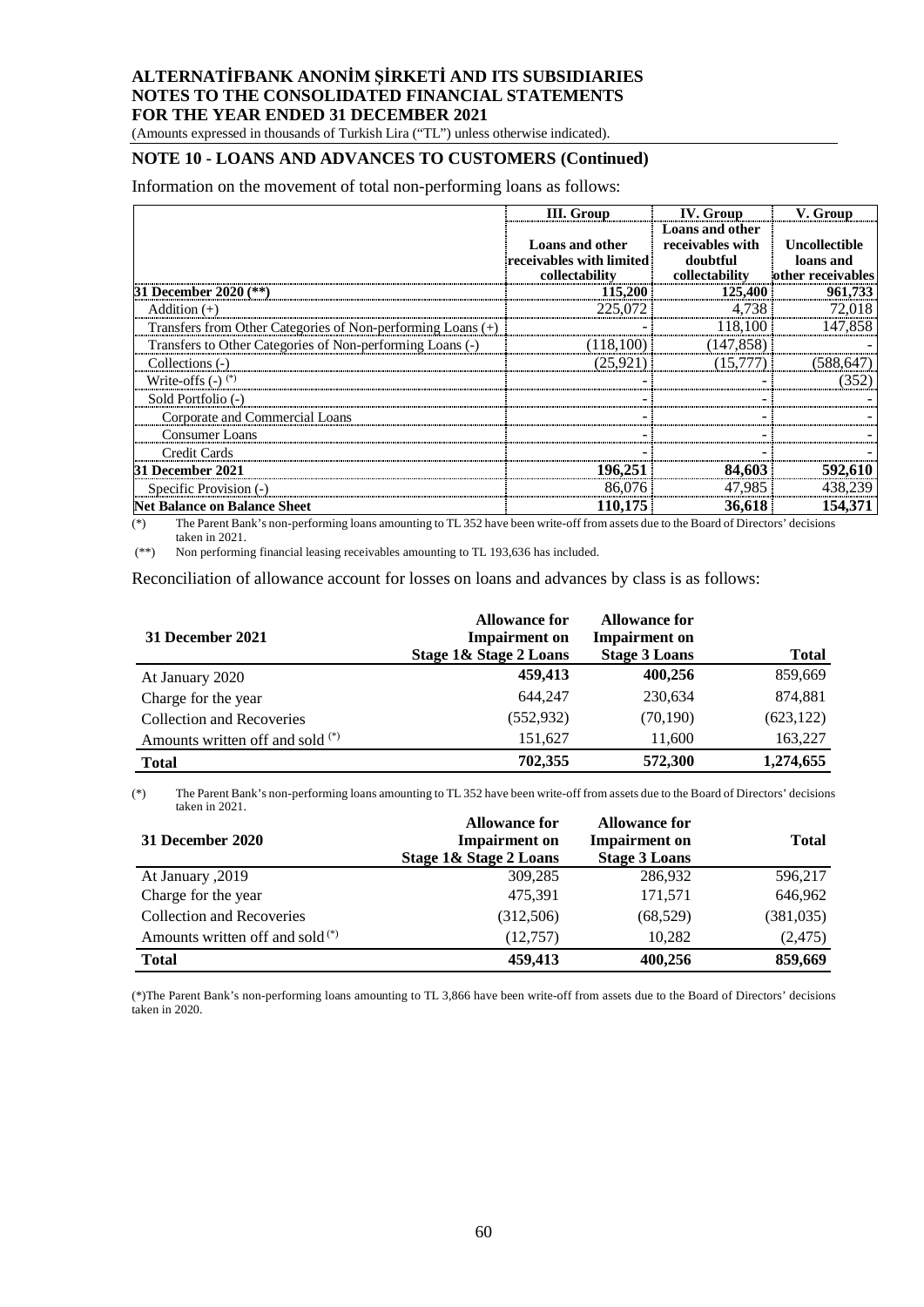(Amounts expressed in thousands of Turkish Lira ("TL") unless otherwise indicated).

# **NOTE 10 - LOANS AND ADVANCES TO CUSTOMERS (Continued)**

Information on the movement of total non-performing loans as follows:

|                                                             | <b>III.</b> Group                                                    | <b>IV.</b> Group                                                  | V. Group                                        |
|-------------------------------------------------------------|----------------------------------------------------------------------|-------------------------------------------------------------------|-------------------------------------------------|
|                                                             | <b>Loans and other</b><br>receivables with limited<br>collectability | Loans and other<br>receivables with<br>doubtful<br>collectability | Uncollectible<br>loans and<br>other receivables |
| 31 December 2020 (**)                                       | 115,200                                                              | 125,400                                                           | 961,733                                         |
| Addition $(+)$                                              | 225,072                                                              | 4,738                                                             | 72,018                                          |
| Transfers from Other Categories of Non-performing Loans (+) |                                                                      | 118,100                                                           | 147,858                                         |
| Transfers to Other Categories of Non-performing Loans (-)   | (118.100)                                                            | (147.858)                                                         |                                                 |
| Collections (-)                                             | (25.921)                                                             | (15.777)                                                          | (588, 647)                                      |
| Write-offs $(-)$ <sup>(*)</sup>                             |                                                                      |                                                                   | (352)                                           |
| Sold Portfolio (-)                                          |                                                                      |                                                                   |                                                 |
| Corporate and Commercial Loans                              |                                                                      |                                                                   |                                                 |
| <b>Consumer Loans</b>                                       |                                                                      |                                                                   |                                                 |
| Credit Cards                                                |                                                                      |                                                                   |                                                 |
| 31 December 2021                                            | 196,251                                                              | 84,603                                                            | 592,610                                         |
| Specific Provision (-)                                      | 86,076                                                               | 47,985                                                            | 438,239                                         |
| <b>Net Balance on Balance Sheet</b>                         | 110,175                                                              | 36.618                                                            | 154.371                                         |

 $(*)$  The Parent Bank's non-performing loans amounting to TL 352 have been write-off from assets due to the Board of Directors' decisions taken in 2021.

(\*\*) Non performing financial leasing receivables amounting to TL 193,636 has included.

Reconciliation of allowance account for losses on loans and advances by class is as follows:

| 31 December 2021                 | <b>Allowance for</b><br><b>Impairment</b> on<br>Stage 1& Stage 2 Loans | <b>Allowance for</b><br><b>Impairment</b> on<br><b>Stage 3 Loans</b> | <b>Total</b> |
|----------------------------------|------------------------------------------------------------------------|----------------------------------------------------------------------|--------------|
| At January 2020                  | 459,413                                                                | 400,256                                                              | 859,669      |
| Charge for the year              | 644.247                                                                | 230.634                                                              | 874.881      |
| <b>Collection and Recoveries</b> | (552, 932)                                                             | (70, 190)                                                            | (623, 122)   |
| Amounts written off and sold (*) | 151,627                                                                | 11,600                                                               | 163,227      |
| <b>Total</b>                     | 702,355                                                                | 572,300                                                              | 1,274,655    |

(\*) The Parent Bank's non-performing loans amounting to TL 352 have been write-off from assets due to the Board of Directors' decisions taken in 2021.

| 31 December 2020                   | <b>Allowance for</b><br><b>Impairment</b> on<br>Stage 1& Stage 2 Loans | <b>Allowance for</b><br><b>Impairment</b> on<br><b>Stage 3 Loans</b> | <b>Total</b> |
|------------------------------------|------------------------------------------------------------------------|----------------------------------------------------------------------|--------------|
| At January , 2019                  | 309.285                                                                | 286.932                                                              | 596,217      |
| Charge for the year                | 475,391                                                                | 171,571                                                              | 646,962      |
| <b>Collection and Recoveries</b>   | (312,506)                                                              | (68, 529)                                                            | (381, 035)   |
| Amounts written off and sold $(*)$ | (12,757)                                                               | 10,282                                                               | (2,475)      |
| <b>Total</b>                       | 459,413                                                                | 400,256                                                              | 859,669      |

(\*)The Parent Bank's non-performing loans amounting to TL 3,866 have been write-off from assets due to the Board of Directors' decisions taken in 2020.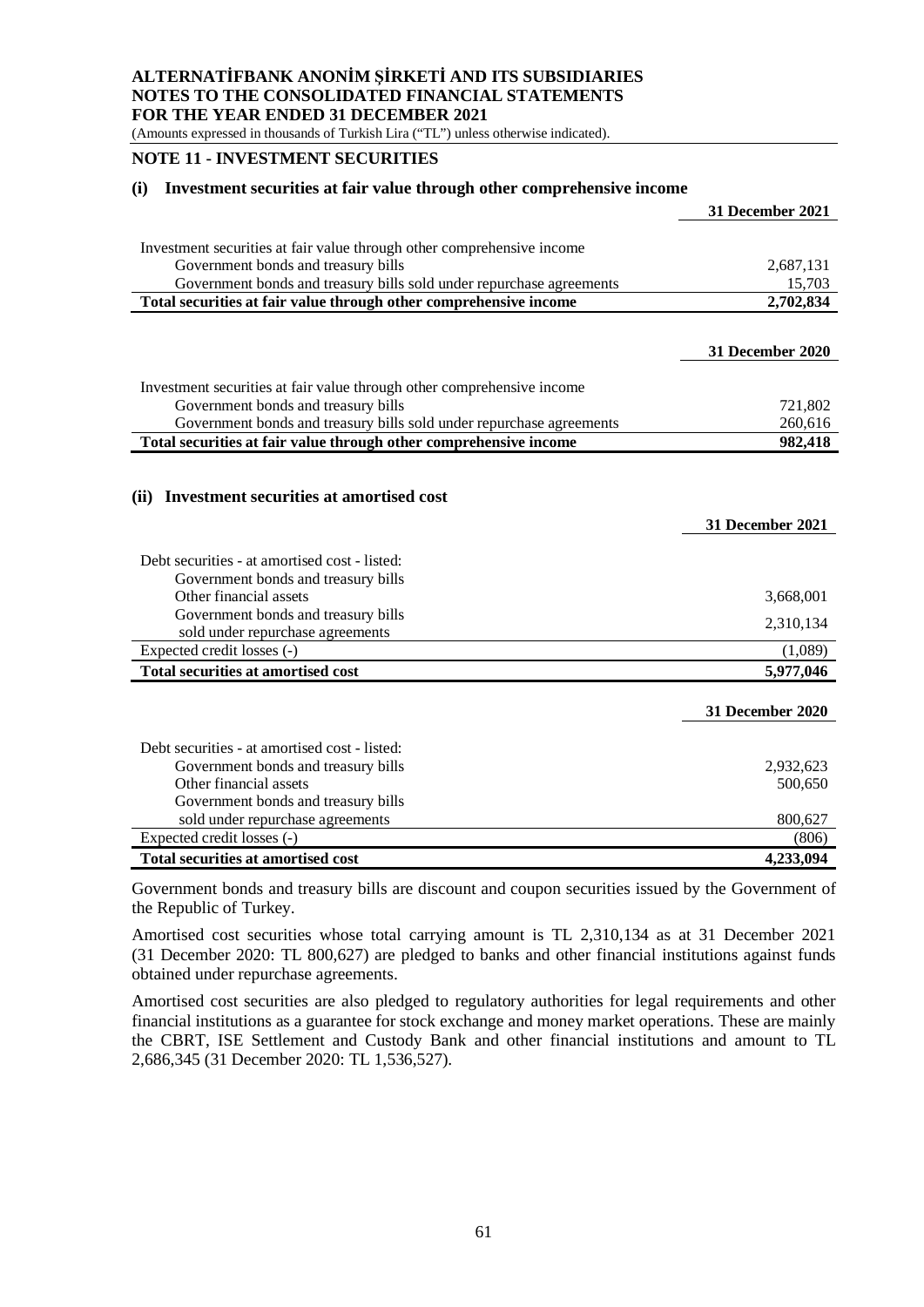(Amounts expressed in thousands of Turkish Lira ("TL") unless otherwise indicated).

#### **NOTE 11 - INVESTMENT SECURITIES**

#### **(i) Investment securities at fair value through other comprehensive income**

|                                                                        | 31 December 2021        |
|------------------------------------------------------------------------|-------------------------|
| Investment securities at fair value through other comprehensive income |                         |
| Government bonds and treasury bills                                    | 2,687,131               |
| Government bonds and treasury bills sold under repurchase agreements   | 15,703                  |
| Total securities at fair value through other comprehensive income      | 2,702,834               |
|                                                                        |                         |
|                                                                        | 31 December 2020        |
|                                                                        |                         |
| Investment securities at fair value through other comprehensive income |                         |
| Government bonds and treasury bills                                    | 721,802                 |
| Government bonds and treasury bills sold under repurchase agreements   | 260,616                 |
| Total securities at fair value through other comprehensive income      | 982,418                 |
|                                                                        |                         |
| <b>Investment securities at amortised cost</b><br>(ii)                 |                         |
|                                                                        |                         |
|                                                                        | <b>31 December 2021</b> |
|                                                                        |                         |
| Debt securities - at amortised cost - listed:                          |                         |
| Government bonds and treasury bills                                    |                         |
| Other financial assets                                                 | 3,668,001               |
| Government bonds and treasury bills                                    | 2,310,134               |
| sold under repurchase agreements<br>Expected credit losses (-)         |                         |
| <b>Total securities at amortised cost</b>                              | (1,089)<br>5,977,046    |
|                                                                        |                         |
|                                                                        | <b>31 December 2020</b> |
|                                                                        |                         |
| Debt securities - at amortised cost - listed:                          |                         |
| Government bonds and treasury bills                                    | 2,932,623               |
| Other financial assets                                                 |                         |
|                                                                        | 500,650                 |
| Government bonds and treasury bills                                    |                         |
| sold under repurchase agreements                                       | 800,627                 |
| Expected credit losses (-)                                             | (806)                   |

Government bonds and treasury bills are discount and coupon securities issued by the Government of the Republic of Turkey.

Amortised cost securities whose total carrying amount is TL 2,310,134 as at 31 December 2021 (31 December 2020: TL 800,627) are pledged to banks and other financial institutions against funds obtained under repurchase agreements.

Amortised cost securities are also pledged to regulatory authorities for legal requirements and other financial institutions as a guarantee for stock exchange and money market operations. These are mainly the CBRT, ISE Settlement and Custody Bank and other financial institutions and amount to TL 2,686,345 (31 December 2020: TL 1,536,527).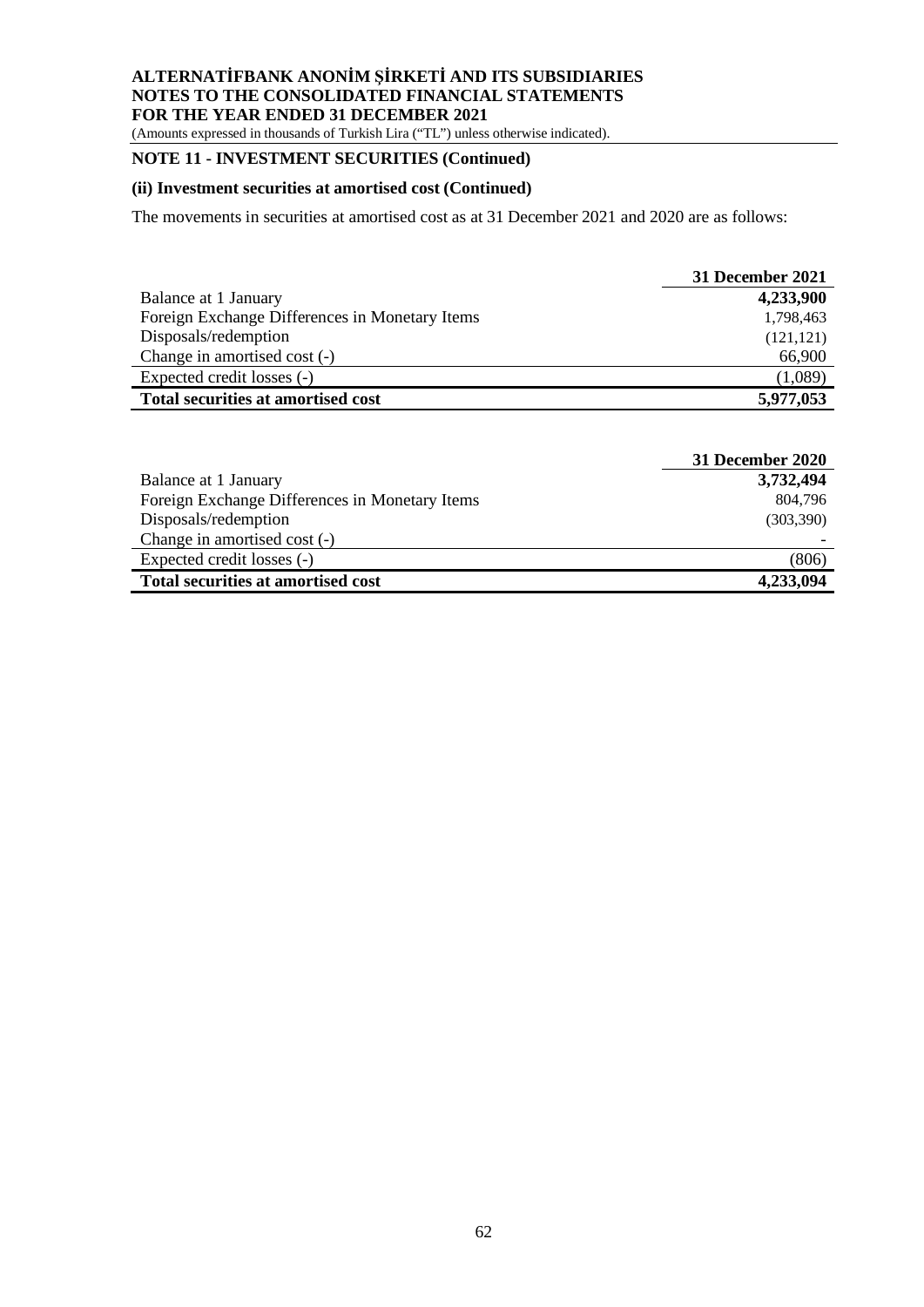(Amounts expressed in thousands of Turkish Lira ("TL") unless otherwise indicated).

# **NOTE 11 - INVESTMENT SECURITIES (Continued)**

#### **(ii) Investment securities at amortised cost (Continued)**

The movements in securities at amortised cost as at 31 December 2021 and 2020 are as follows:

|                                                | <b>31 December 2021</b> |
|------------------------------------------------|-------------------------|
| Balance at 1 January                           | 4,233,900               |
| Foreign Exchange Differences in Monetary Items | 1,798,463               |
| Disposals/redemption                           | (121, 121)              |
| Change in amortised cost (-)                   | 66,900                  |
| Expected credit losses (-)                     | (1,089)                 |
| <b>Total securities at amortised cost</b>      | 5,977,053               |

|                                                | 31 December 2020 |
|------------------------------------------------|------------------|
| Balance at 1 January                           | 3,732,494        |
| Foreign Exchange Differences in Monetary Items | 804,796          |
| Disposals/redemption                           | (303, 390)       |
| Change in amortised cost (-)                   |                  |
| Expected credit losses (-)                     | (806)            |
| <b>Total securities at amortised cost</b>      | 4,233,094        |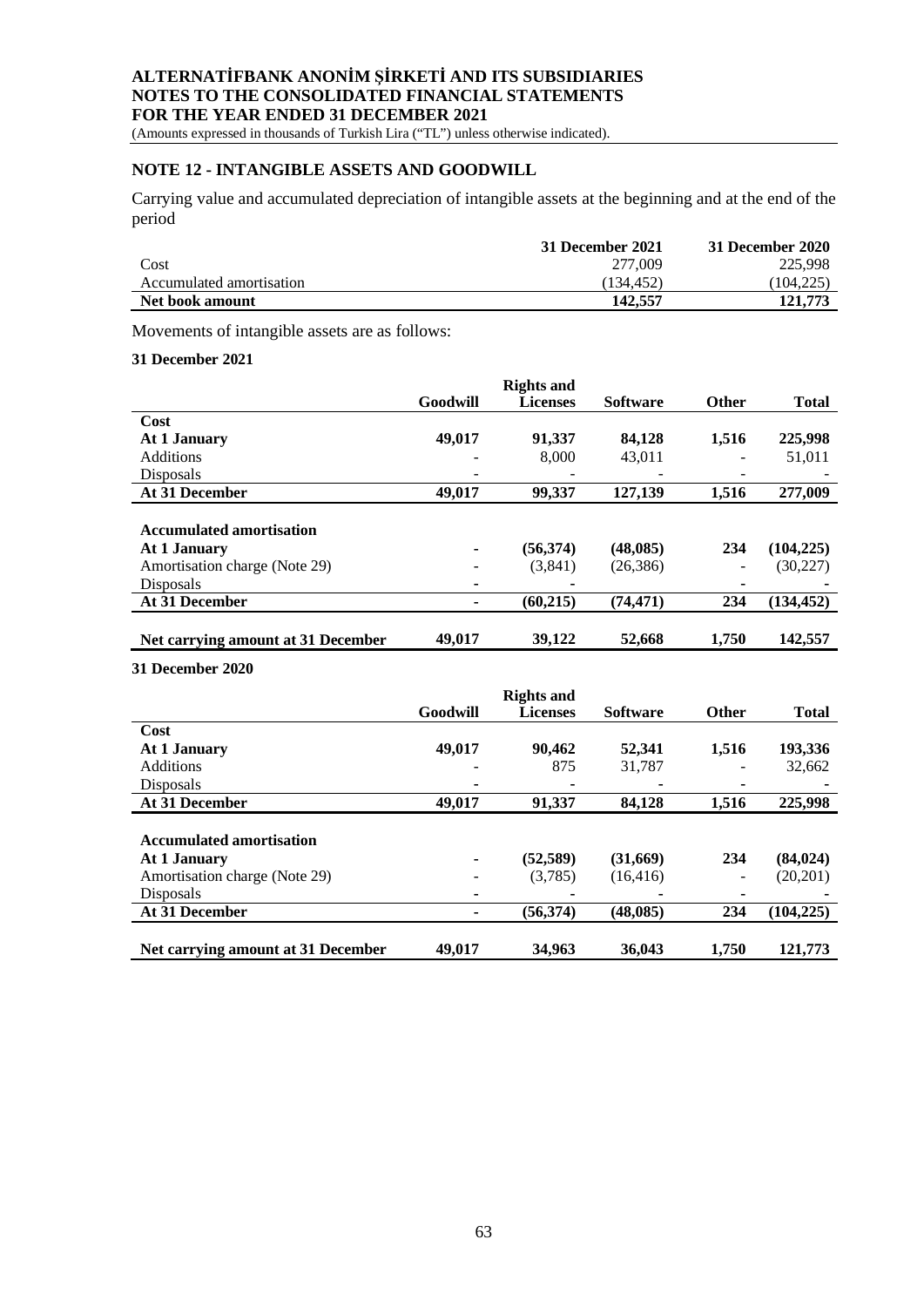(Amounts expressed in thousands of Turkish Lira ("TL") unless otherwise indicated).

# **NOTE 12 - INTANGIBLE ASSETS AND GOODWILL**

Carrying value and accumulated depreciation of intangible assets at the beginning and at the end of the period

|                          | 31 December 2021 | 31 December 2020 |
|--------------------------|------------------|------------------|
| Cost                     | 277,009          | 225,998          |
| Accumulated amortisation | (134.452)        | (104, 225)       |
| Net book amount          | 142,557          | 121,773          |

Movements of intangible assets are as follows:

#### **31 December 2021**

|                                    |          | <b>Rights and</b> |                 |                          |              |
|------------------------------------|----------|-------------------|-----------------|--------------------------|--------------|
|                                    | Goodwill | <b>Licenses</b>   | <b>Software</b> | <b>Other</b>             | <b>Total</b> |
| Cost                               |          |                   |                 |                          |              |
| At 1 January                       | 49,017   | 91.337            | 84.128          | 1,516                    | 225,998      |
| <b>Additions</b>                   |          | 8,000             | 43,011          |                          | 51,011       |
| Disposals                          |          |                   |                 | -                        |              |
| At 31 December                     | 49,017   | 99.337            | 127,139         | 1.516                    | 277,009      |
|                                    |          |                   |                 |                          |              |
| <b>Accumulated amortisation</b>    |          |                   |                 |                          |              |
| At 1 January                       | ۰        | (56, 374)         | (48, 085)       | 234                      | (104, 225)   |
| Amortisation charge (Note 29)      |          | (3,841)           | (26, 386)       | $\overline{\phantom{a}}$ | (30, 227)    |
| Disposals                          | ۰        |                   |                 | $\overline{\phantom{0}}$ |              |
| At 31 December                     |          | (60,215)          | (74, 471)       | 234                      | (134, 452)   |
|                                    |          |                   |                 |                          |              |
| Net carrying amount at 31 December | 49,017   | 39,122            | 52,668          | 1,750                    | 142,557      |

**31 December 2020**

|                                    |                          | <b>Rights and</b> |                 |              |              |
|------------------------------------|--------------------------|-------------------|-----------------|--------------|--------------|
|                                    | Goodwill                 | <b>Licenses</b>   | <b>Software</b> | <b>Other</b> | <b>Total</b> |
| Cost                               |                          |                   |                 |              |              |
| At 1 January                       | 49,017                   | 90.462            | 52,341          | 1,516        | 193,336      |
| <b>Additions</b>                   | -                        | 875               | 31.787          |              | 32,662       |
| Disposals                          | ٠                        |                   |                 |              |              |
| At 31 December                     | 49,017                   | 91.337            | 84,128          | 1.516        | 225,998      |
|                                    |                          |                   |                 |              |              |
| <b>Accumulated amortisation</b>    |                          |                   |                 |              |              |
| At 1 January                       | ٠                        | (52, 589)         | (31,669)        | 234          | (84, 024)    |
| Amortisation charge (Note 29)      |                          | (3,785)           | (16, 416)       |              | (20,201)     |
| Disposals                          | $\overline{\phantom{0}}$ |                   |                 |              |              |
| At 31 December                     | ۰                        | (56, 374)         | (48, 085)       | 234          | (104, 225)   |
|                                    |                          |                   |                 |              |              |
| Net carrying amount at 31 December | 49,017                   | 34,963            | 36,043          | 1.750        | 121,773      |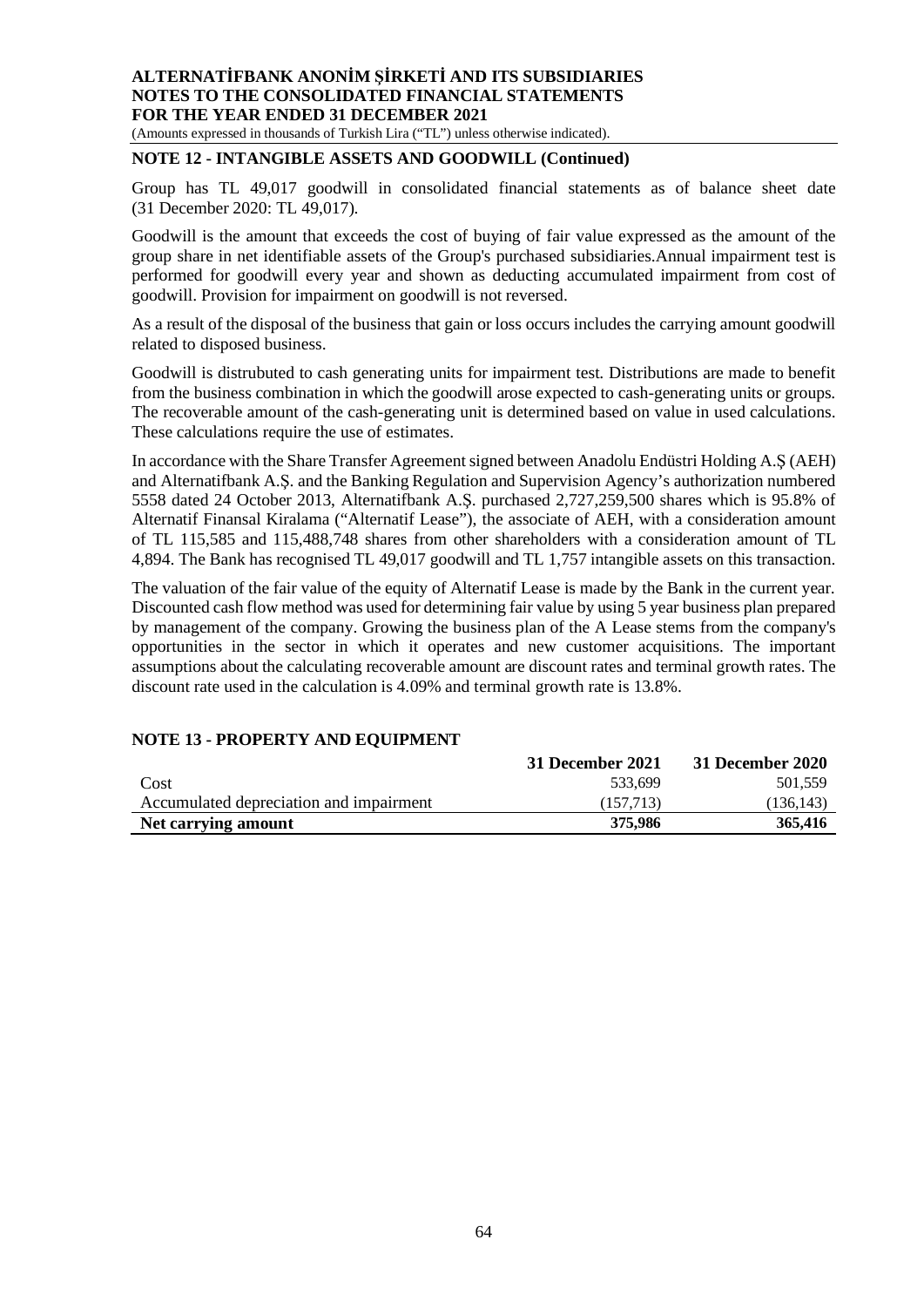(Amounts expressed in thousands of Turkish Lira ("TL") unless otherwise indicated).

## **NOTE 12 - INTANGIBLE ASSETS AND GOODWILL (Continued)**

Group has TL 49,017 goodwill in consolidated financial statements as of balance sheet date (31 December 2020: TL 49,017).

Goodwill is the amount that exceeds the cost of buying of fair value expressed as the amount of the group share in net identifiable assets of the Group's purchased subsidiaries.Annual impairment test is performed for goodwill every year and shown as deducting accumulated impairment from cost of goodwill. Provision for impairment on goodwill is not reversed.

As a result of the disposal of the business that gain or loss occurs includes the carrying amount goodwill related to disposed business.

Goodwill is distrubuted to cash generating units for impairment test. Distributions are made to benefit from the business combination in which the goodwill arose expected to cash-generating units or groups. The recoverable amount of the cash-generating unit is determined based on value in used calculations. These calculations require the use of estimates.

In accordance with the Share Transfer Agreement signed between Anadolu Endüstri Holding A.Ş (AEH) and Alternatifbank A.Ş. and the Banking Regulation and Supervision Agency's authorization numbered 5558 dated 24 October 2013, Alternatifbank A.Ş. purchased 2,727,259,500 shares which is 95.8% of Alternatif Finansal Kiralama ("Alternatif Lease"), the associate of AEH, with a consideration amount of TL 115,585 and 115,488,748 shares from other shareholders with a consideration amount of TL 4,894. The Bank has recognised TL 49,017 goodwill and TL 1,757 intangible assets on this transaction.

The valuation of the fair value of the equity of Alternatif Lease is made by the Bank in the current year. Discounted cash flow method was used for determining fair value by using 5 year business plan prepared by management of the company. Growing the business plan of the A Lease stems from the company's opportunities in the sector in which it operates and new customer acquisitions. The important assumptions about the calculating recoverable amount are discount rates and terminal growth rates. The discount rate used in the calculation is 4.09% and terminal growth rate is 13.8%.

# **31 December 2021 31 December 2020** Cost 533,699 501,559 Accumulated depreciation and impairment (157,713) (136,143) **Net carrying amount** 375,986 365,416

## **NOTE 13 - PROPERTY AND EQUIPMENT**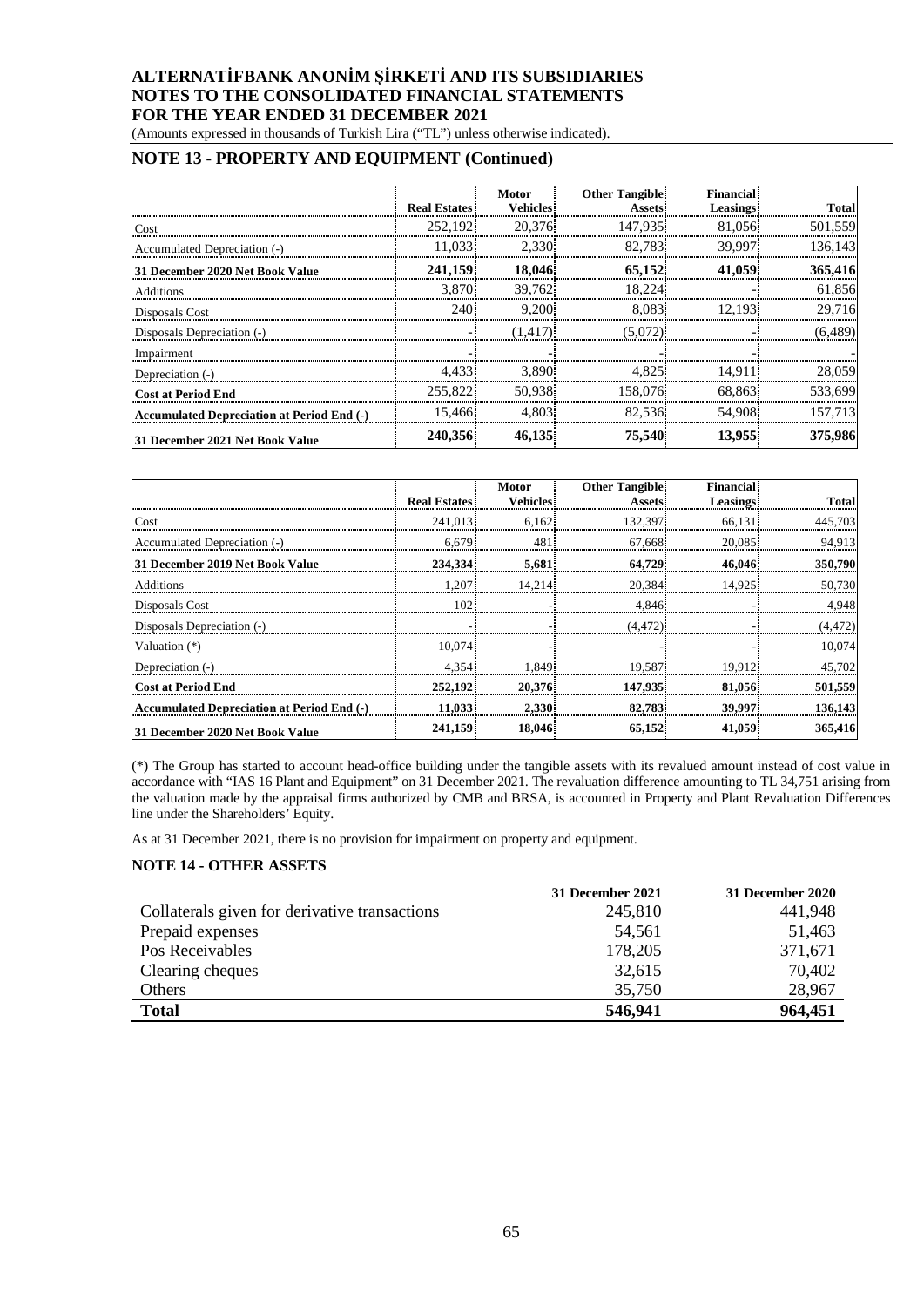(Amounts expressed in thousands of Turkish Lira ("TL") unless otherwise indicated).

## **NOTE 13 - PROPERTY AND EQUIPMENT (Continued)**

|                                                   | <b>Real Estates</b> | <b>Motor</b><br><b>Vehicles</b> | <b>Other Tangible</b><br><b>Assets</b> | <b>Financial</b><br><b>Leasings</b> | <b>Total</b> |
|---------------------------------------------------|---------------------|---------------------------------|----------------------------------------|-------------------------------------|--------------|
| Cost                                              | 252.192             | 20,376                          | 147.935                                | 81,056                              | 501,559      |
| Accumulated Depreciation (-)                      | 11.033              | 2.330                           | 82.783                                 | 39.997                              | 136.143      |
| 31 December 2020 Net Book Value                   | 241,159             | 18.046                          | 65,152                                 | 41,059                              | 365,416      |
| Additions                                         | 3.870               | 39,762                          | 18.224                                 |                                     | 61,856       |
| Disposals Cost                                    | 240                 | 9.200                           | 8.083                                  | 12.193                              | 29,716       |
| Disposals Depreciation (-)                        |                     | (1,417)                         | (5,072)                                |                                     | (6, 489)     |
| Impairment                                        |                     |                                 |                                        |                                     |              |
| Depreciation (-)                                  | 4.433               | 3.890                           | 4.825                                  | 14.911                              | 28,059       |
| <b>Cost at Period End</b>                         | 255,822             | 50.938                          | 158,076                                | 68.863                              | 533.699      |
| <b>Accumulated Depreciation at Period End (-)</b> | 15.466              | 4.803                           | 82.536                                 | 54,908                              | 157.713      |
| 31 December 2021 Net Book Value                   | 240,356             | 46,135                          | 75,540                                 | 13.955                              | 375,986      |

|                                                   |                     | Motor           | <b>Other Tangible</b> | <b>Financial</b> |              |
|---------------------------------------------------|---------------------|-----------------|-----------------------|------------------|--------------|
|                                                   | <b>Real Estates</b> | <b>Vehicles</b> | <b>Assets</b>         | <b>Leasings</b>  | <b>Total</b> |
| Cost                                              | 241,013             | 6.162           | 132,397               | 66.131           | 445,703      |
| Accumulated Depreciation (-)                      | 6.679               | 481             | 67.668                | 20.085           | 94,913       |
| 31 December 2019 Net Book Value                   | 234.334             | 5,681           | 64,729                | 46,046           | 350,790      |
| Additions                                         | 1.207               | 14.214          | 20,384                | 14.925           | 50,730       |
| Disposals Cost                                    | 102                 |                 | 4.846                 |                  | 4,948        |
| Disposals Depreciation (-)                        |                     |                 | (4.472)               |                  | (4, 472)     |
| Valuation (*)                                     | 10.074              |                 |                       |                  | 10,074       |
| Depreciation (-)                                  | 4.354               | 1.849           | 19.587                | 19.912           | 45.702       |
| <b>Cost at Period End</b>                         | 252,192             | 20,376          | 147,935               | 81.056           | 501,559      |
| <b>Accumulated Depreciation at Period End (-)</b> | 11.033              | 2.330           | 82,783                | 39,997           | 136.143      |
| 31 December 2020 Net Book Value                   | 241,159             | 18,046          | 65,152                | 41,059           | 365,416      |

(\*) The Group has started to account head-office building under the tangible assets with its revalued amount instead of cost value in accordance with "IAS 16 Plant and Equipment" on 31 December 2021. The revaluation difference amounting to TL 34,751 arising from the valuation made by the appraisal firms authorized by CMB and BRSA, is accounted in Property and Plant Revaluation Differences line under the Shareholders' Equity.

As at 31 December 2021, there is no provision for impairment on property and equipment.

#### **NOTE 14 - OTHER ASSETS**

|                                               | 31 December 2021 | 31 December 2020 |
|-----------------------------------------------|------------------|------------------|
| Collaterals given for derivative transactions | 245,810          | 441,948          |
| Prepaid expenses                              | 54,561           | 51,463           |
| Pos Receivables                               | 178,205          | 371,671          |
| Clearing cheques                              | 32,615           | 70,402           |
| Others                                        | 35,750           | 28,967           |
| <b>Total</b>                                  | 546,941          | 964,451          |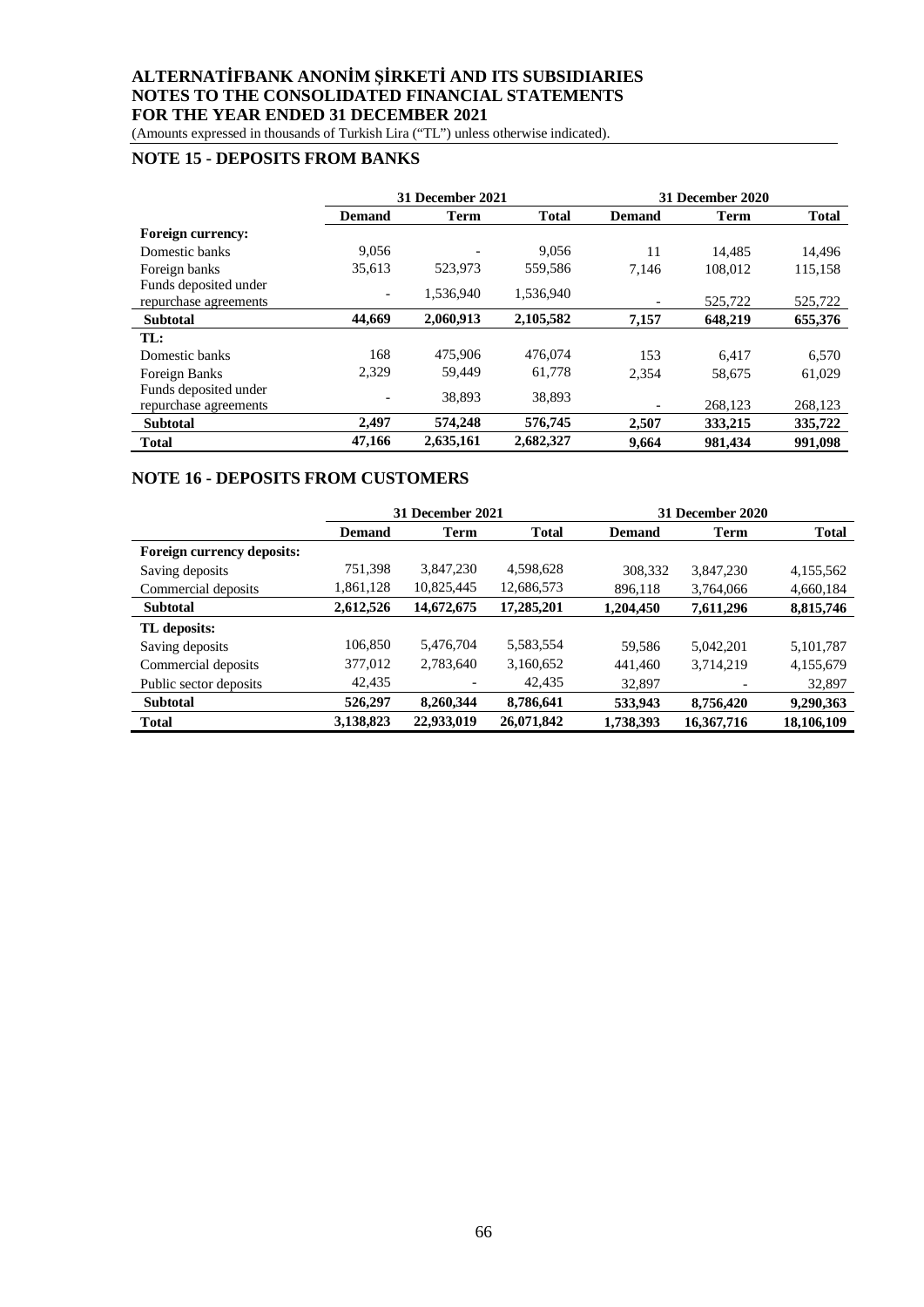(Amounts expressed in thousands of Turkish Lira ("TL") unless otherwise indicated).

# **NOTE 15 - DEPOSITS FROM BANKS**

|                                                | 31 December 2021         |             |              |               | 31 December 2020 |              |
|------------------------------------------------|--------------------------|-------------|--------------|---------------|------------------|--------------|
|                                                | <b>Demand</b>            | <b>Term</b> | <b>Total</b> | <b>Demand</b> | <b>Term</b>      | <b>Total</b> |
| <b>Foreign currency:</b>                       |                          |             |              |               |                  |              |
| Domestic banks                                 | 9,056                    |             | 9.056        | 11            | 14.485           | 14,496       |
| Foreign banks                                  | 35,613                   | 523,973     | 559,586      | 7.146         | 108.012          | 115,158      |
| Funds deposited under<br>repurchase agreements | $\overline{\phantom{a}}$ | 1.536.940   | 1,536,940    |               | 525,722          | 525,722      |
| <b>Subtotal</b>                                | 44.669                   | 2,060,913   | 2,105,582    | 7,157         | 648,219          | 655,376      |
| TL:                                            |                          |             |              |               |                  |              |
| Domestic banks                                 | 168                      | 475,906     | 476,074      | 153           | 6.417            | 6,570        |
| Foreign Banks                                  | 2,329                    | 59,449      | 61,778       | 2.354         | 58,675           | 61,029       |
| Funds deposited under<br>repurchase agreements |                          | 38.893      | 38,893       |               | 268,123          | 268,123      |
| <b>Subtotal</b>                                | 2,497                    | 574,248     | 576,745      | 2,507         | 333,215          | 335,722      |
| <b>Total</b>                                   | 47,166                   | 2,635,161   | 2,682,327    | 9,664         | 981.434          | 991,098      |

## **NOTE 16 - DEPOSITS FROM CUSTOMERS**

|                            | 31 December 2021 |            |              | 31 December 2020 |            |              |
|----------------------------|------------------|------------|--------------|------------------|------------|--------------|
|                            | <b>Demand</b>    | Term       | <b>Total</b> | <b>Demand</b>    | Term       | <b>Total</b> |
| Foreign currency deposits: |                  |            |              |                  |            |              |
| Saving deposits            | 751,398          | 3,847,230  | 4,598,628    | 308,332          | 3,847,230  | 4,155,562    |
| Commercial deposits        | 1,861,128        | 10,825,445 | 12,686,573   | 896,118          | 3,764,066  | 4,660,184    |
| <b>Subtotal</b>            | 2,612,526        | 14,672,675 | 17,285,201   | 1,204,450        | 7,611,296  | 8,815,746    |
| TL deposits:               |                  |            |              |                  |            |              |
| Saving deposits            | 106,850          | 5,476,704  | 5,583,554    | 59.586           | 5.042.201  | 5,101,787    |
| Commercial deposits        | 377,012          | 2,783,640  | 3,160,652    | 441,460          | 3,714,219  | 4,155,679    |
| Public sector deposits     | 42,435           |            | 42.435       | 32,897           |            | 32,897       |
| <b>Subtotal</b>            | 526,297          | 8,260,344  | 8,786,641    | 533,943          | 8,756,420  | 9,290,363    |
| <b>Total</b>               | 3,138,823        | 22,933,019 | 26,071,842   | 1,738,393        | 16,367,716 | 18,106,109   |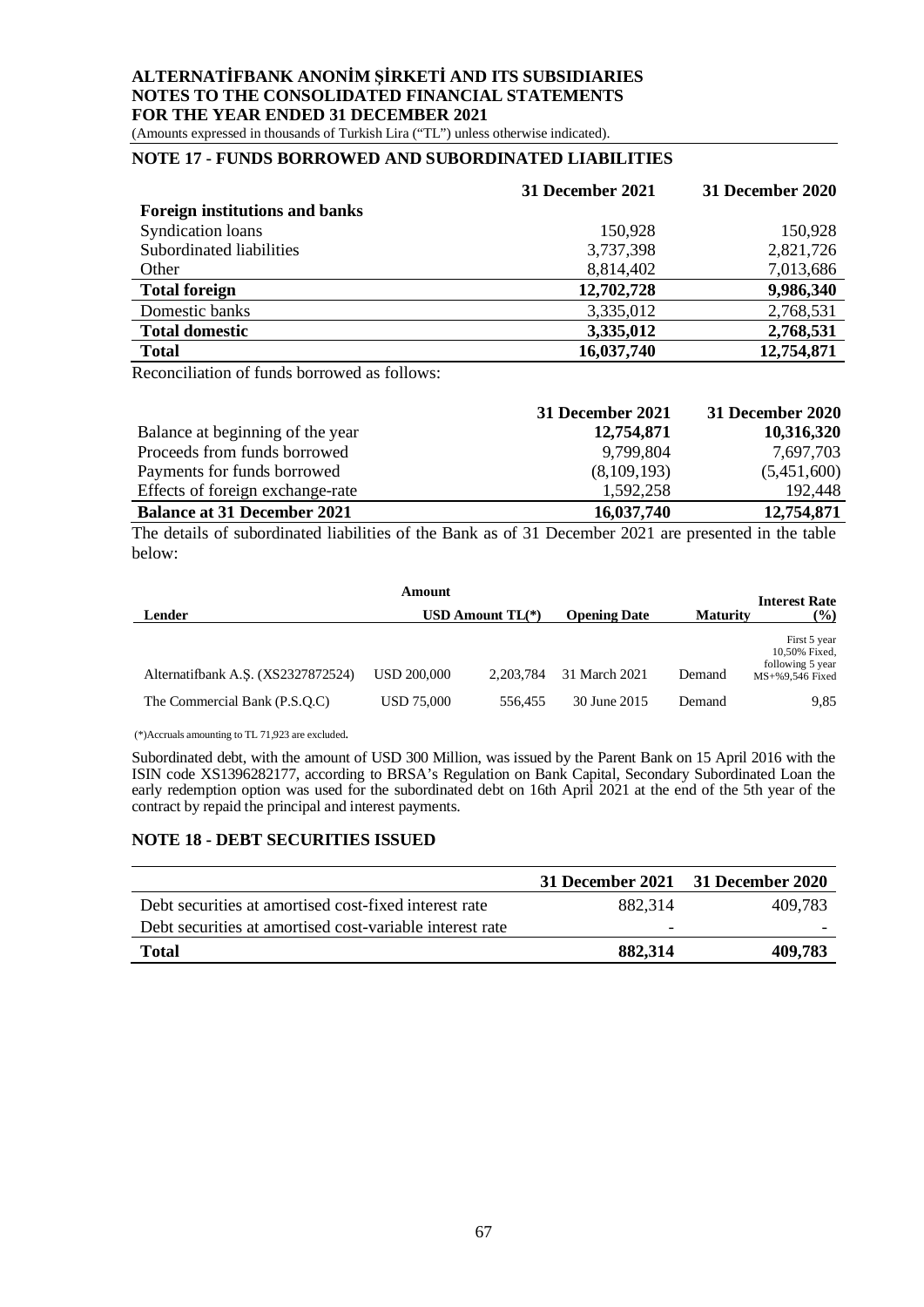#### **ALTERNATİFBANK ANONİM ŞİRKETİ AND ITS SUBSIDIARIES NOTES TO THE CONSOLIDATED FINANCIAL STATEMENTS FOR THE YEAR ENDED 31 DECEMBER 2021** (Amounts expressed in thousands of Turkish Lira ("TL") unless otherwise indicated).

# **NOTE 17 - FUNDS BORROWED AND SUBORDINATED LIABILITIES**

|                                       | 31 December 2021 | <b>31 December 2020</b> |
|---------------------------------------|------------------|-------------------------|
| <b>Foreign institutions and banks</b> |                  |                         |
| <b>Syndication loans</b>              | 150,928          | 150,928                 |
| Subordinated liabilities              | 3,737,398        | 2,821,726               |
| Other                                 | 8,814,402        | 7,013,686               |
| <b>Total foreign</b>                  | 12,702,728       | 9,986,340               |
| Domestic banks                        | 3,335,012        | 2,768,531               |
| <b>Total domestic</b>                 | 3,335,012        | 2,768,531               |
| <b>Total</b>                          | 16,037,740       | 12,754,871              |

Reconciliation of funds borrowed as follows:

|                                    | 31 December 2021 | 31 December 2020 |
|------------------------------------|------------------|------------------|
| Balance at beginning of the year   | 12,754,871       | 10,316,320       |
| Proceeds from funds borrowed       | 9,799,804        | 7,697,703        |
| Payments for funds borrowed        | (8,109,193)      | (5,451,600)      |
| Effects of foreign exchange-rate   | 1,592,258        | 192,448          |
| <b>Balance at 31 December 2021</b> | 16,037,740       | 12,754,871       |

The details of subordinated liabilities of the Bank as of 31 December 2021 are presented in the table below:

|                                    | Amount             |                    |                     |                 | <b>Interest Rate</b>                                                 |
|------------------------------------|--------------------|--------------------|---------------------|-----------------|----------------------------------------------------------------------|
| Lender                             |                    | USD Amount $TL(*)$ | <b>Opening Date</b> | <b>Maturity</b> | $(\%)$                                                               |
| Alternatifbank A.S. (XS2327872524) | <b>USD 200,000</b> | 2.203.784          | 31 March 2021       | Demand          | First 5 year<br>10,50% Fixed,<br>following 5 year<br>MS+%9,546 Fixed |
| The Commercial Bank (P.S.Q.C)      | <b>USD 75.000</b>  | 556.455            | 30 June 2015        | Demand          | 9.85                                                                 |

(\*)Accruals amounting to TL 71,923 are excluded.

Subordinated debt, with the amount of USD 300 Million, was issued by the Parent Bank on 15 April 2016 with the ISIN code XS1396282177, according to BRSA's Regulation on Bank Capital, Secondary Subordinated Loan the early redemption option was used for the subordinated debt on 16th April 2021 at the end of the 5th year of the contract by repaid the principal and interest payments.

#### **NOTE 18 - DEBT SECURITIES ISSUED**

|                                                          |         | 31 December 2021 31 December 2020 |
|----------------------------------------------------------|---------|-----------------------------------|
| Debt securities at amortised cost-fixed interest rate    | 882.314 | 409.783                           |
| Debt securities at amortised cost-variable interest rate | -       |                                   |
| Total                                                    | 882,314 | 409,783                           |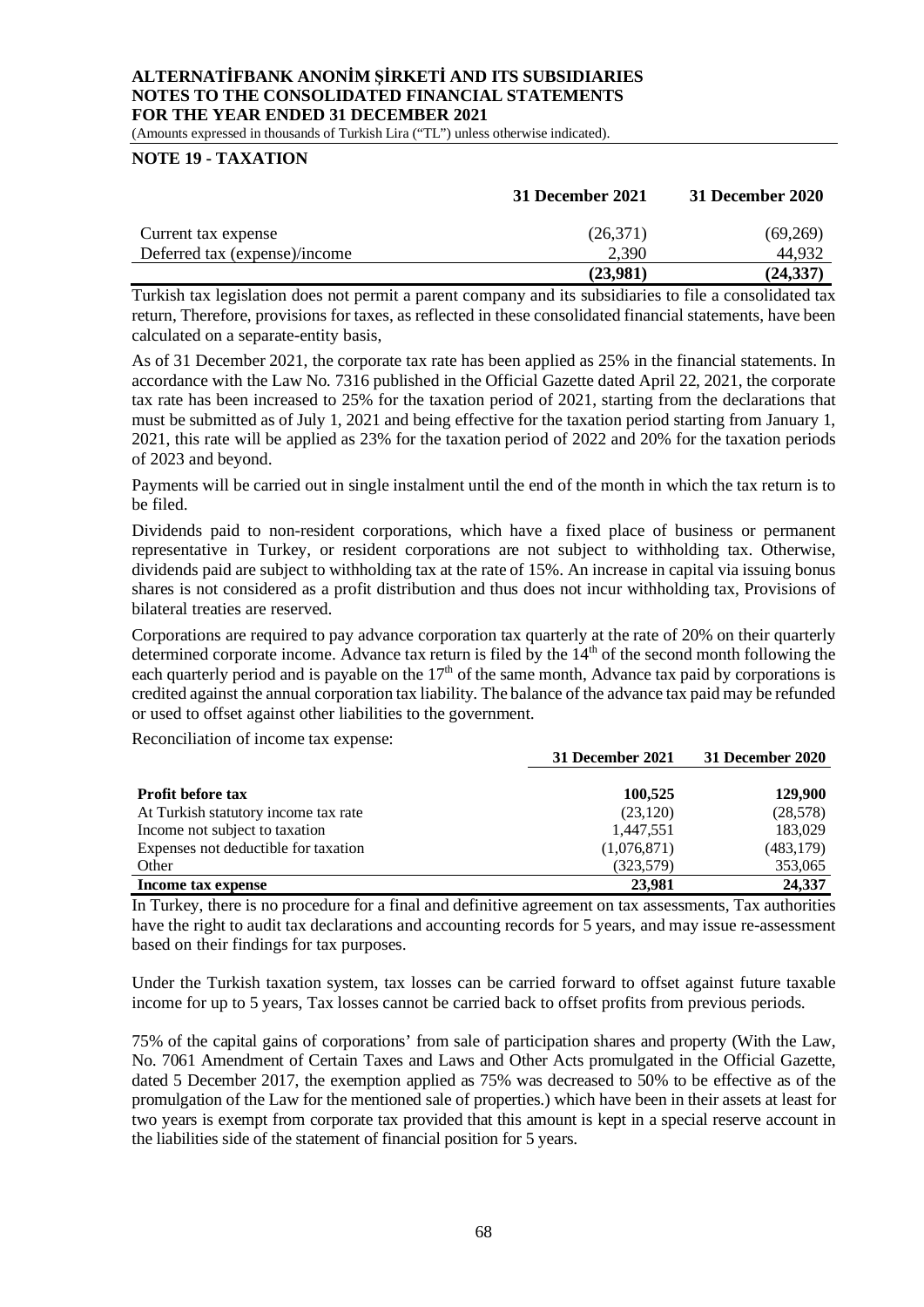(Amounts expressed in thousands of Turkish Lira ("TL") unless otherwise indicated).

## **NOTE 19 - TAXATION**

|                               | 31 December 2021 | <b>31 December 2020</b> |
|-------------------------------|------------------|-------------------------|
| Current tax expense           | (26,371)         | (69,269)                |
| Deferred tax (expense)/income | 2,390            | 44.932                  |
|                               | (23,981)         | (24.337)                |

Turkish tax legislation does not permit a parent company and its subsidiaries to file a consolidated tax return, Therefore, provisions for taxes, as reflected in these consolidated financial statements, have been calculated on a separate-entity basis,

As of 31 December 2021, the corporate tax rate has been applied as 25% in the financial statements. In accordance with the Law No. 7316 published in the Official Gazette dated April 22, 2021, the corporate tax rate has been increased to 25% for the taxation period of 2021, starting from the declarations that must be submitted as of July 1, 2021 and being effective for the taxation period starting from January 1, 2021, this rate will be applied as 23% for the taxation period of 2022 and 20% for the taxation periods of 2023 and beyond.

Payments will be carried out in single instalment until the end of the month in which the tax return is to be filed.

Dividends paid to non-resident corporations, which have a fixed place of business or permanent representative in Turkey, or resident corporations are not subject to withholding tax. Otherwise, dividends paid are subject to withholding tax at the rate of 15%. An increase in capital via issuing bonus shares is not considered as a profit distribution and thus does not incur withholding tax, Provisions of bilateral treaties are reserved.

Corporations are required to pay advance corporation tax quarterly at the rate of 20% on their quarterly determined corporate income. Advance tax return is filed by the 14<sup>th</sup> of the second month following the each quarterly period and is payable on the  $17<sup>th</sup>$  of the same month, Advance tax paid by corporations is credited against the annual corporation tax liability. The balance of the advance tax paid may be refunded or used to offset against other liabilities to the government.

Reconciliation of income tax expense:

|                                      | 31 December 2021 | 31 December 2020 |
|--------------------------------------|------------------|------------------|
|                                      |                  |                  |
| <b>Profit before tax</b>             | 100,525          | 129,900          |
| At Turkish statutory income tax rate | (23,120)         | (28,578)         |
| Income not subject to taxation       | 1,447,551        | 183,029          |
| Expenses not deductible for taxation | (1,076,871)      | (483, 179)       |
| Other                                | (323,579)        | 353,065          |
| Income tax expense                   | 23.981           | 24.337           |

In Turkey, there is no procedure for a final and definitive agreement on tax assessments, Tax authorities have the right to audit tax declarations and accounting records for 5 years, and may issue re-assessment based on their findings for tax purposes.

Under the Turkish taxation system, tax losses can be carried forward to offset against future taxable income for up to 5 years, Tax losses cannot be carried back to offset profits from previous periods.

75% of the capital gains of corporations' from sale of participation shares and property (With the Law, No. 7061 Amendment of Certain Taxes and Laws and Other Acts promulgated in the Official Gazette, dated 5 December 2017, the exemption applied as 75% was decreased to 50% to be effective as of the promulgation of the Law for the mentioned sale of properties.) which have been in their assets at least for two years is exempt from corporate tax provided that this amount is kept in a special reserve account in the liabilities side of the statement of financial position for 5 years.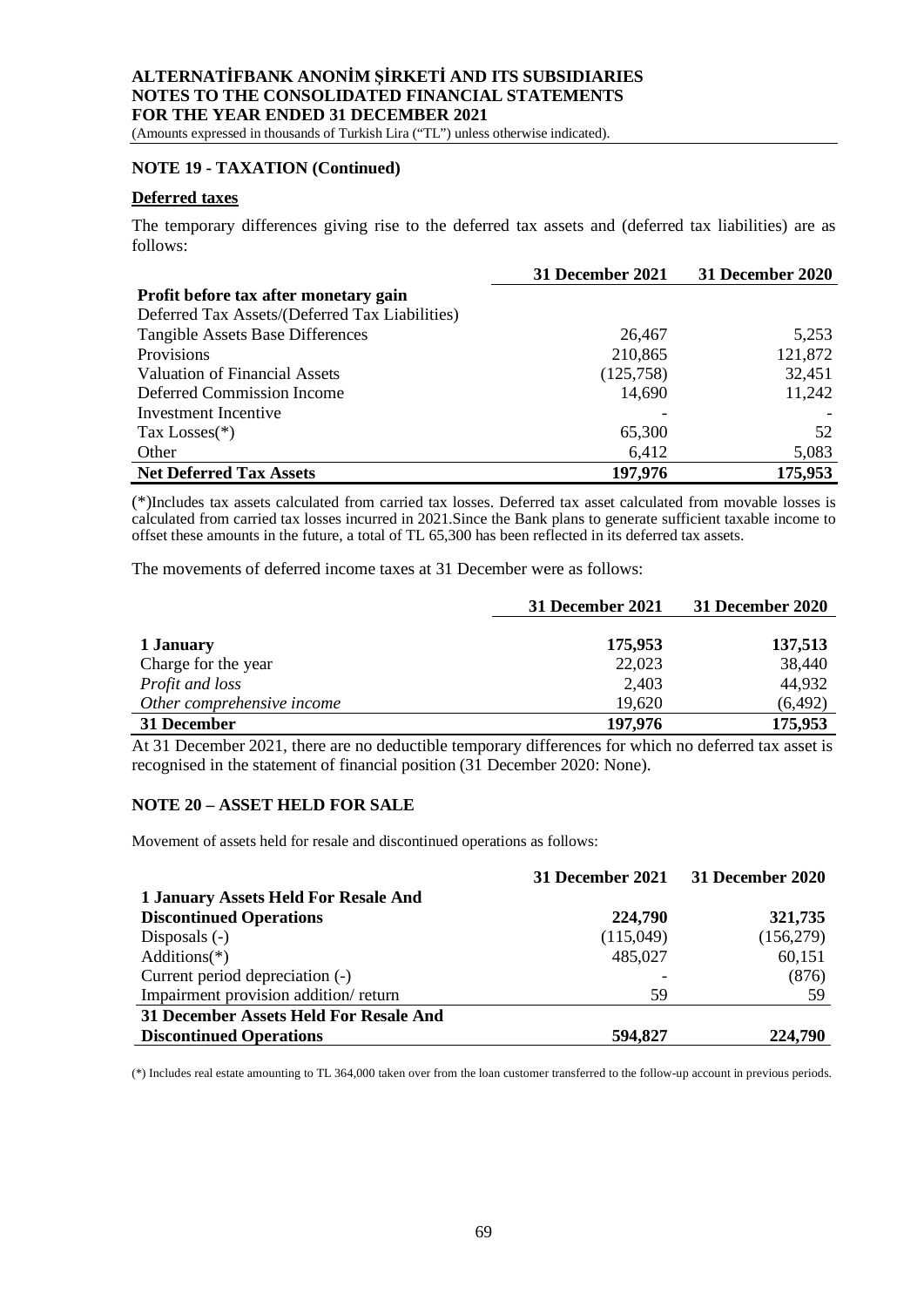(Amounts expressed in thousands of Turkish Lira ("TL") unless otherwise indicated).

## **NOTE 19 - TAXATION (Continued)**

## **Deferred taxes**

The temporary differences giving rise to the deferred tax assets and (deferred tax liabilities) are as follows:

|                                                | 31 December 2021 | 31 December 2020 |
|------------------------------------------------|------------------|------------------|
| Profit before tax after monetary gain          |                  |                  |
| Deferred Tax Assets/(Deferred Tax Liabilities) |                  |                  |
| <b>Tangible Assets Base Differences</b>        | 26,467           | 5,253            |
| <b>Provisions</b>                              | 210,865          | 121,872          |
| <b>Valuation of Financial Assets</b>           | (125,758)        | 32,451           |
| Deferred Commission Income                     | 14,690           | 11,242           |
| Investment Incentive                           |                  |                  |
| Tax Losses $(*)$                               | 65,300           | 52               |
| Other                                          | 6,412            | 5,083            |
| <b>Net Deferred Tax Assets</b>                 | 197,976          | 175,953          |

(\*)Includes tax assets calculated from carried tax losses. Deferred tax asset calculated from movable losses is calculated from carried tax losses incurred in 2021.Since the Bank plans to generate sufficient taxable income to offset these amounts in the future, a total of TL 65,300 has been reflected in its deferred tax assets.

The movements of deferred income taxes at 31 December were as follows:

|                            | 31 December 2021 | 31 December 2020 |
|----------------------------|------------------|------------------|
|                            |                  |                  |
| 1 January                  | 175,953          | 137,513          |
| Charge for the year        | 22,023           | 38,440           |
| Profit and loss            | 2,403            | 44,932           |
| Other comprehensive income | 19,620           | (6, 492)         |
| 31 December                | 197,976          | 175,953          |

At 31 December 2021, there are no deductible temporary differences for which no deferred tax asset is recognised in the statement of financial position (31 December 2020: None).

#### **NOTE 20 – ASSET HELD FOR SALE**

Movement of assets held for resale and discontinued operations as follows:

|                                        | 31 December 2021 | 31 December 2020 |
|----------------------------------------|------------------|------------------|
| 1 January Assets Held For Resale And   |                  |                  |
| <b>Discontinued Operations</b>         | 224,790          | 321,735          |
| Disposals $(-)$                        | (115,049)        | (156,279)        |
| Additions $(*)$                        | 485,027          | 60,151           |
| Current period depreciation (-)        |                  | (876)            |
| Impairment provision addition/return   | 59               | 59               |
| 31 December Assets Held For Resale And |                  |                  |
| <b>Discontinued Operations</b>         | 594,827          | 224,790          |

(\*) Includes real estate amounting to TL 364,000 taken over from the loan customer transferred to the follow-up account in previous periods.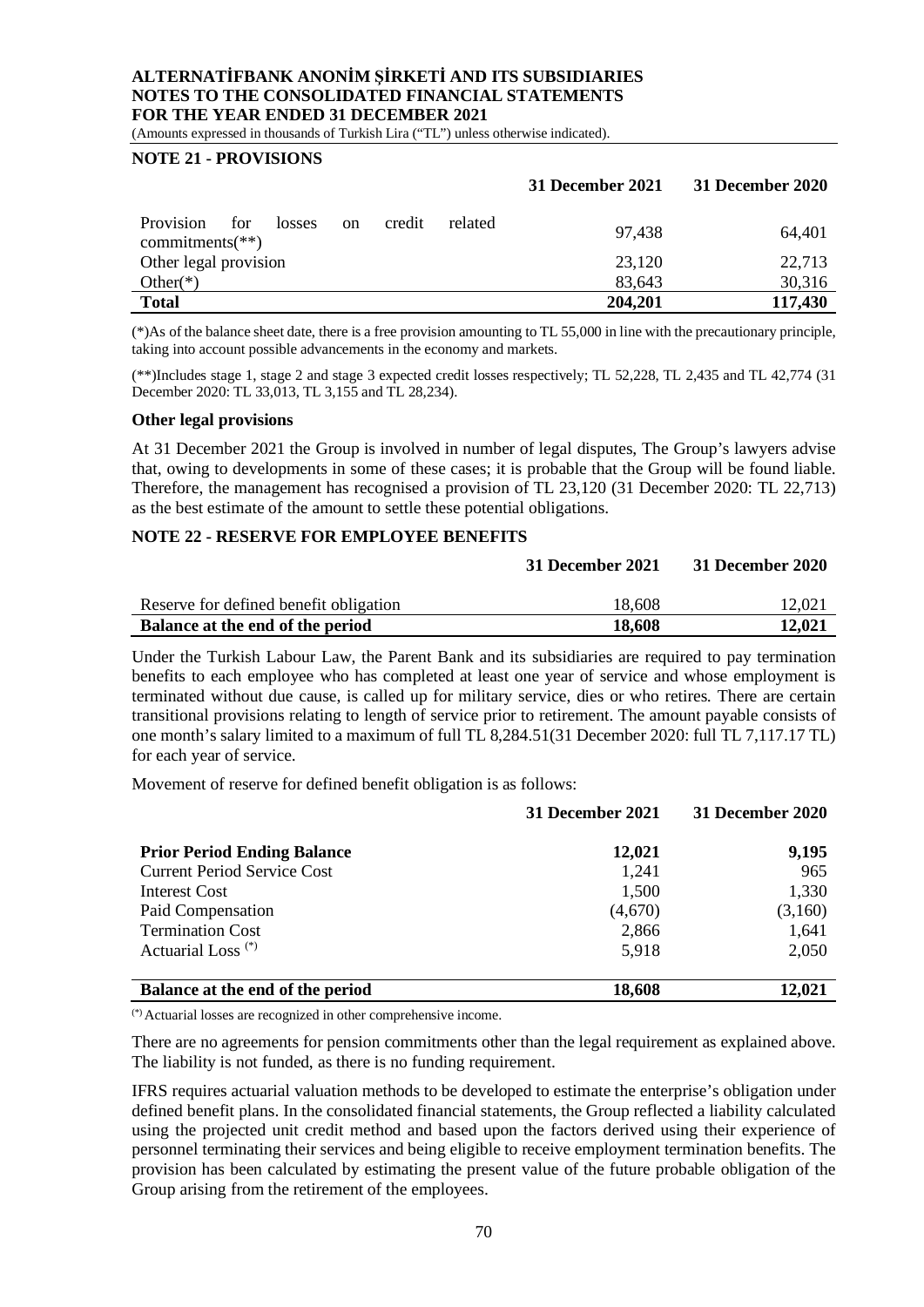(Amounts expressed in thousands of Turkish Lira ("TL") unless otherwise indicated).

## **NOTE 21 - PROVISIONS**

|                                                                                    | 31 December 2021 | 31 December 2020 |
|------------------------------------------------------------------------------------|------------------|------------------|
| <b>Provision</b><br>related<br>for<br>credit<br>losses<br>on<br>commitments $(**)$ | 97,438           | 64,401           |
| Other legal provision                                                              | 23,120           | 22,713           |
| Other $(*)$                                                                        | 83,643           | 30,316           |
| <b>Total</b>                                                                       | 204,201          | 117,430          |

(\*)As of the balance sheet date, there is a free provision amounting to TL 55,000 in line with the precautionary principle, taking into account possible advancements in the economy and markets.

(\*\*)Includes stage 1, stage 2 and stage 3 expected credit losses respectively; TL 52,228, TL 2,435 and TL 42,774 (31 December 2020: TL 33,013, TL 3,155 and TL 28,234).

#### **Other legal provisions**

At 31 December 2021 the Group is involved in number of legal disputes, The Group's lawyers advise that, owing to developments in some of these cases; it is probable that the Group will be found liable. Therefore, the management has recognised a provision of TL 23,120 (31 December 2020: TL 22,713) as the best estimate of the amount to settle these potential obligations.

#### **NOTE 22 - RESERVE FOR EMPLOYEE BENEFITS**

| Balance at the end of the period       | 18,608 | 12,021 |
|----------------------------------------|--------|--------|
| Reserve for defined benefit obligation | 18,608 | 12,021 |
|                                        |        |        |

**31 December 2021 31 December 2020**

Under the Turkish Labour Law, the Parent Bank and its subsidiaries are required to pay termination benefits to each employee who has completed at least one year of service and whose employment is terminated without due cause, is called up for military service, dies or who retires. There are certain transitional provisions relating to length of service prior to retirement. The amount payable consists of one month's salary limited to a maximum of full TL 8,284.51(31 December 2020: full TL 7,117.17 TL) for each year of service.

Movement of reserve for defined benefit obligation is as follows:

|                                    | 31 December 2021 | 31 December 2020 |
|------------------------------------|------------------|------------------|
| <b>Prior Period Ending Balance</b> | 12,021           | 9,195            |
| <b>Current Period Service Cost</b> | 1,241            | 965              |
| Interest Cost                      | 1,500            | 1,330            |
| Paid Compensation                  | (4,670)          | (3,160)          |
| <b>Termination Cost</b>            | 2,866            | 1,641            |
| Actuarial Loss <sup>(*)</sup>      | 5,918            | 2,050            |
| Balance at the end of the period   | 18,608           | 12.021           |

(\*) Actuarial losses are recognized in other comprehensive income.

There are no agreements for pension commitments other than the legal requirement as explained above. The liability is not funded, as there is no funding requirement.

IFRS requires actuarial valuation methods to be developed to estimate the enterprise's obligation under defined benefit plans. In the consolidated financial statements, the Group reflected a liability calculated using the projected unit credit method and based upon the factors derived using their experience of personnel terminating their services and being eligible to receive employment termination benefits. The provision has been calculated by estimating the present value of the future probable obligation of the Group arising from the retirement of the employees.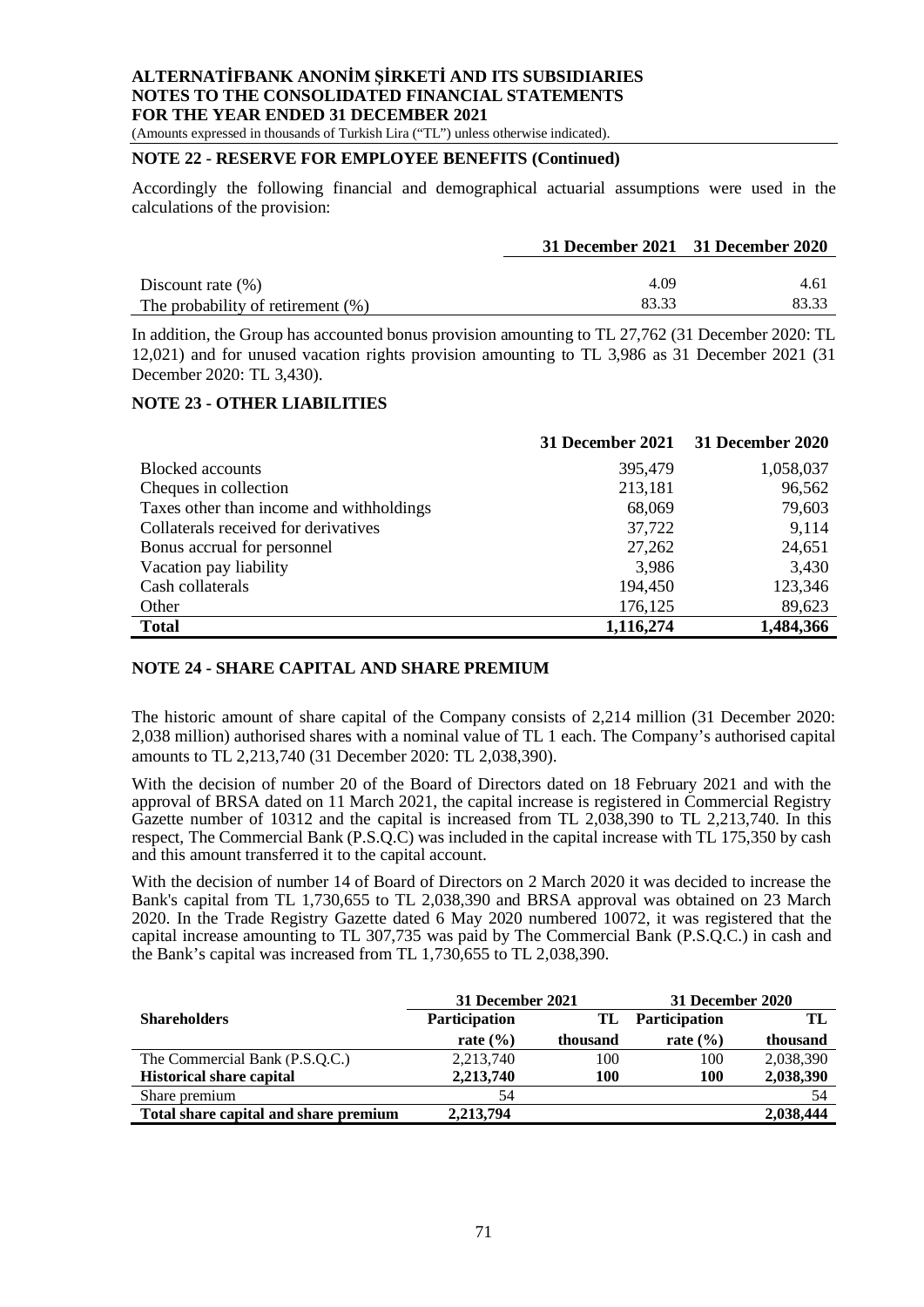(Amounts expressed in thousands of Turkish Lira ("TL") unless otherwise indicated).

## **NOTE 22 - RESERVE FOR EMPLOYEE BENEFITS (Continued)**

Accordingly the following financial and demographical actuarial assumptions were used in the calculations of the provision:

|                                      | 31 December 2021 31 December 2020 |       |
|--------------------------------------|-----------------------------------|-------|
|                                      |                                   |       |
| Discount rate $(\% )$                | 4.09                              | 4.61  |
| The probability of retirement $(\%)$ | 83.33                             | 83.33 |

In addition, the Group has accounted bonus provision amounting to TL 27,762 (31 December 2020: TL 12,021) and for unused vacation rights provision amounting to TL 3,986 as 31 December 2021 (31 December 2020: TL 3,430).

#### **NOTE 23 - OTHER LIABILITIES**

|                                          | <b>31 December 2021</b> | 31 December 2020 |
|------------------------------------------|-------------------------|------------------|
| <b>Blocked</b> accounts                  | 395,479                 | 1,058,037        |
| Cheques in collection                    | 213,181                 | 96,562           |
| Taxes other than income and withholdings | 68,069                  | 79,603           |
| Collaterals received for derivatives     | 37,722                  | 9,114            |
| Bonus accrual for personnel              | 27,262                  | 24,651           |
| Vacation pay liability                   | 3,986                   | 3,430            |
| Cash collaterals                         | 194,450                 | 123,346          |
| Other                                    | 176,125                 | 89,623           |
| <b>Total</b>                             | 1,116,274               | 1,484,366        |

#### **NOTE 24 - SHARE CAPITAL AND SHARE PREMIUM**

The historic amount of share capital of the Company consists of 2,214 million (31 December 2020: 2,038 million) authorised shares with a nominal value of TL 1 each. The Company's authorised capital amounts to TL 2,213,740 (31 December 2020: TL 2,038,390).

With the decision of number 20 of the Board of Directors dated on 18 February 2021 and with the approval of BRSA dated on 11 March 2021, the capital increase is registered in Commercial Registry Gazette number of 10312 and the capital is increased from TL 2,038,390 to TL 2,213,740. In this respect, The Commercial Bank (P.S.Q.C) was included in the capital increase with TL 175,350 by cash and this amount transferred it to the capital account.

With the decision of number 14 of Board of Directors on 2 March 2020 it was decided to increase the Bank's capital from TL 1,730,655 to TL 2,038,390 and BRSA approval was obtained on 23 March 2020. In the Trade Registry Gazette dated 6 May 2020 numbered 10072, it was registered that the capital increase amounting to TL 307,735 was paid by The Commercial Bank (P.S.Q.C.) in cash and the Bank's capital was increased from TL 1,730,655 to TL 2,038,390.

|                                       | 31 December 2021 |          | 31 December 2020     |           |
|---------------------------------------|------------------|----------|----------------------|-----------|
| <b>Shareholders</b>                   | Participation    | TL       | <b>Participation</b> | TL        |
|                                       | rate $(\% )$     | thousand | rate $(\% )$         | thousand  |
| The Commercial Bank (P.S.Q.C.)        | 2,213,740        | 100      | 100                  | 2,038,390 |
| <b>Historical share capital</b>       | 2.213.740        | 100      | 100                  | 2,038,390 |
| Share premium                         | 54               |          |                      | 54        |
| Total share capital and share premium | 2,213,794        |          |                      | 2,038,444 |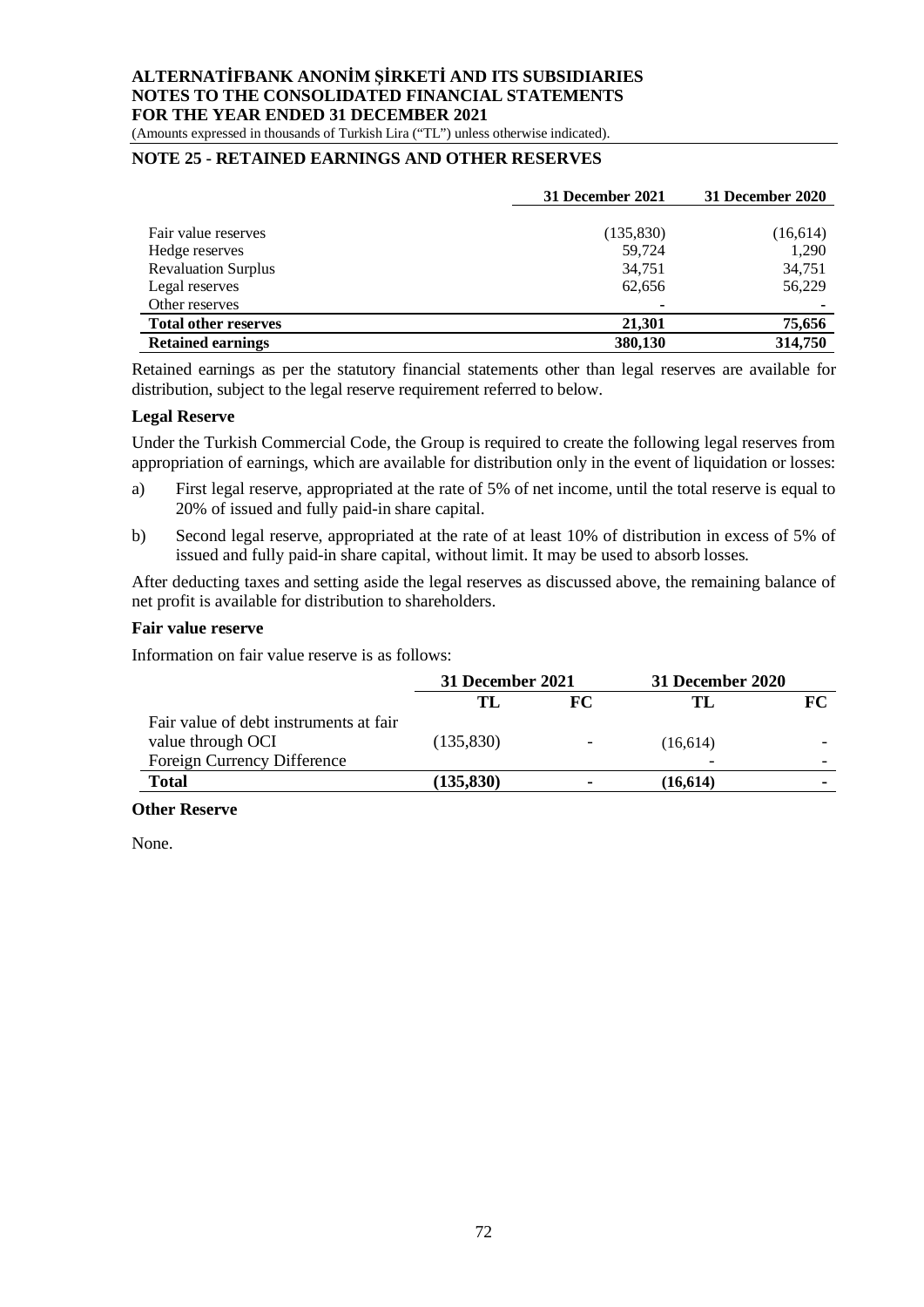(Amounts expressed in thousands of Turkish Lira ("TL") unless otherwise indicated).

### **NOTE 25 - RETAINED EARNINGS AND OTHER RESERVES**

|                             | 31 December 2021 | 31 December 2020 |
|-----------------------------|------------------|------------------|
|                             |                  |                  |
| Fair value reserves         | (135, 830)       | (16,614)         |
| Hedge reserves              | 59,724           | 1,290            |
| <b>Revaluation Surplus</b>  | 34,751           | 34,751           |
| Legal reserves              | 62,656           | 56,229           |
| Other reserves              |                  |                  |
| <b>Total other reserves</b> | 21.301           | 75,656           |
| <b>Retained earnings</b>    | 380,130          | 314,750          |

Retained earnings as per the statutory financial statements other than legal reserves are available for distribution, subject to the legal reserve requirement referred to below.

#### **Legal Reserve**

Under the Turkish Commercial Code, the Group is required to create the following legal reserves from appropriation of earnings, which are available for distribution only in the event of liquidation or losses:

- a) First legal reserve, appropriated at the rate of 5% of net income, until the total reserve is equal to 20% of issued and fully paid-in share capital.
- b) Second legal reserve, appropriated at the rate of at least 10% of distribution in excess of 5% of issued and fully paid-in share capital, without limit. It may be used to absorb losses.

After deducting taxes and setting aside the legal reserves as discussed above, the remaining balance of net profit is available for distribution to shareholders.

#### **Fair value reserve**

Information on fair value reserve is as follows:

|                                        | 31 December 2021 |                          | 31 December 2020 |    |
|----------------------------------------|------------------|--------------------------|------------------|----|
|                                        | TL               | FC                       | ТT               | FC |
| Fair value of debt instruments at fair |                  |                          |                  |    |
| value through OCI                      | (135, 830)       | $\overline{\phantom{a}}$ | (16,614)         |    |
| Foreign Currency Difference            |                  |                          | -                |    |
| <b>Total</b>                           | (135, 830)       |                          | (16, 614)        |    |

#### **Other Reserve**

None.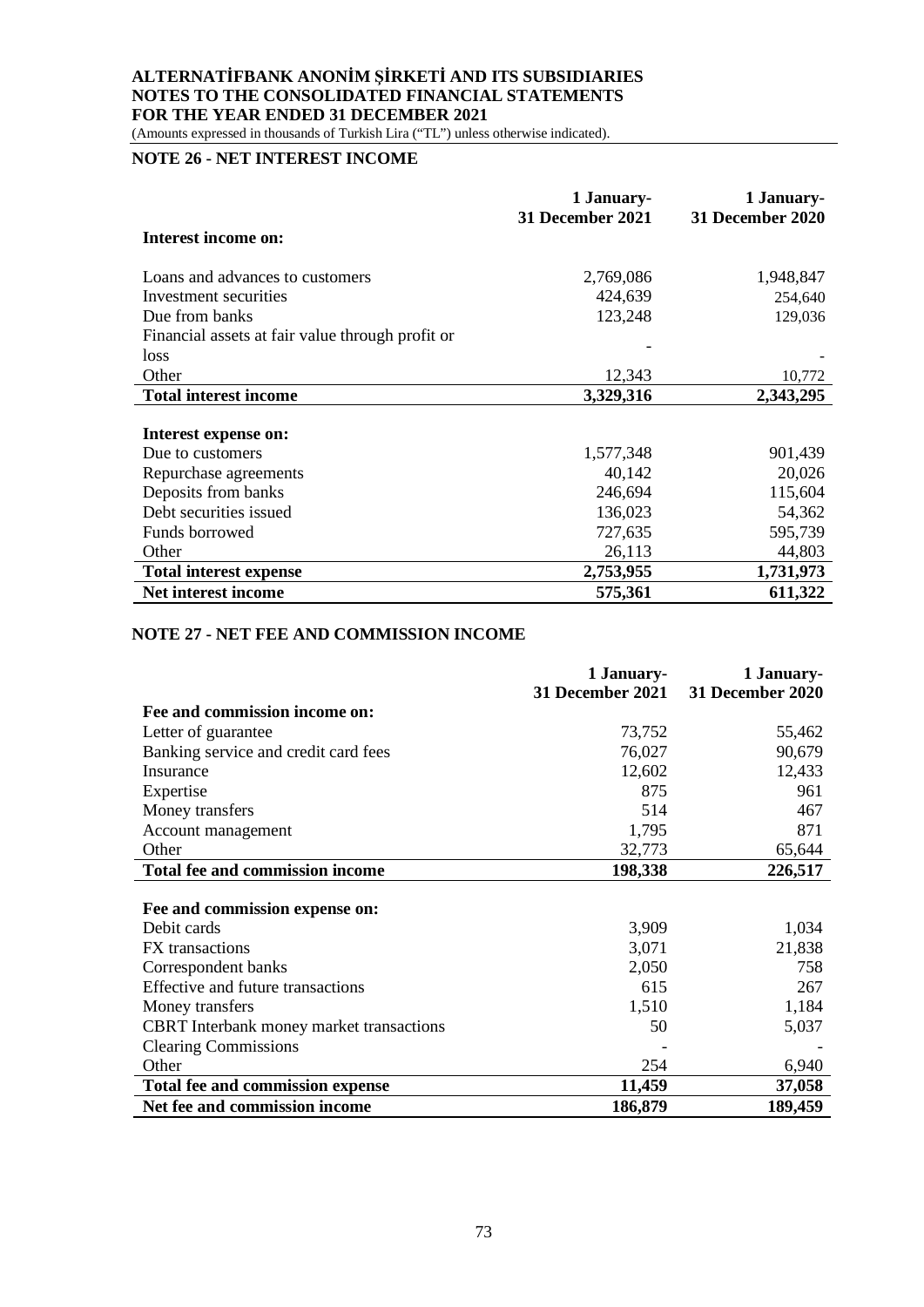(Amounts expressed in thousands of Turkish Lira ("TL") unless otherwise indicated).

# **NOTE 26 - NET INTEREST INCOME**

|                                                  | 1 January-<br>31 December 2021 | 1 January-<br>31 December 2020 |
|--------------------------------------------------|--------------------------------|--------------------------------|
| Interest income on:                              |                                |                                |
| Loans and advances to customers                  | 2,769,086                      | 1,948,847                      |
| Investment securities                            | 424,639                        | 254,640                        |
| Due from banks                                   | 123,248                        | 129,036                        |
| Financial assets at fair value through profit or |                                |                                |
| loss                                             |                                |                                |
| Other                                            | 12,343                         | 10,772                         |
| <b>Total interest income</b>                     | 3,329,316                      | 2,343,295                      |
|                                                  |                                |                                |
| Interest expense on:                             |                                |                                |
| Due to customers                                 | 1,577,348                      | 901,439                        |
| Repurchase agreements                            | 40,142                         | 20,026                         |
| Deposits from banks                              | 246,694                        | 115,604                        |
| Debt securities issued                           | 136,023                        | 54,362                         |
| Funds borrowed                                   | 727,635                        | 595,739                        |
| Other                                            | 26,113                         | 44,803                         |
| <b>Total interest expense</b>                    | 2,753,955                      | 1,731,973                      |
| <b>Net interest income</b>                       | 575,361                        | 611,322                        |

#### **NOTE 27 - NET FEE AND COMMISSION INCOME**

|                                                 | 1 January-<br><b>31 December 2021</b> | 1 January-<br>31 December 2020 |
|-------------------------------------------------|---------------------------------------|--------------------------------|
| Fee and commission income on:                   |                                       |                                |
| Letter of guarantee                             | 73,752                                | 55,462                         |
| Banking service and credit card fees            | 76,027                                | 90,679                         |
| Insurance                                       | 12,602                                | 12,433                         |
| Expertise                                       | 875                                   | 961                            |
| Money transfers                                 | 514                                   | 467                            |
| Account management                              | 1,795                                 | 871                            |
| Other                                           | 32,773                                | 65,644                         |
| <b>Total fee and commission income</b>          | 198,338                               | 226,517                        |
| Fee and commission expense on:                  |                                       |                                |
| Debit cards                                     | 3,909                                 | 1,034                          |
| <b>FX</b> transactions                          | 3,071                                 | 21,838                         |
| Correspondent banks                             | 2,050                                 | 758                            |
| Effective and future transactions               | 615                                   | 267                            |
| Money transfers                                 | 1,510                                 | 1,184                          |
| <b>CBRT</b> Interbank money market transactions | 50                                    | 5,037                          |
| <b>Clearing Commissions</b>                     |                                       |                                |
| Other                                           | 254                                   | 6,940                          |
| Total fee and commission expense                | 11,459                                | 37,058                         |
| Net fee and commission income                   | 186,879                               | 189,459                        |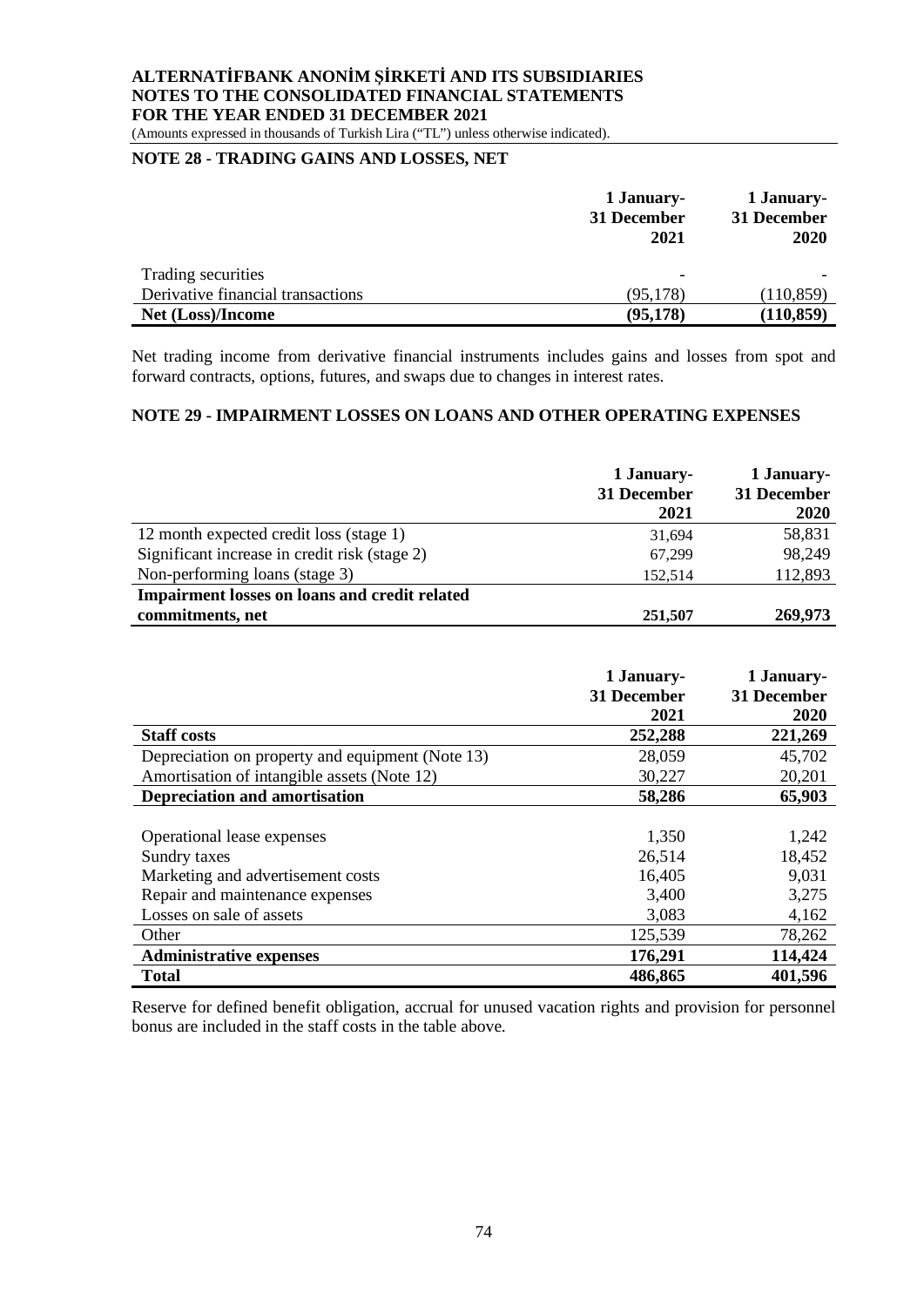(Amounts expressed in thousands of Turkish Lira ("TL") unless otherwise indicated).

# **NOTE 28 - TRADING GAINS AND LOSSES, NET**

|                                   | 1 January-<br>31 December<br>2021 | 1 January-<br>31 December<br>2020 |
|-----------------------------------|-----------------------------------|-----------------------------------|
| Trading securities                | $\overline{\phantom{a}}$          |                                   |
| Derivative financial transactions | (95, 178)                         | (110, 859)                        |
| Net (Loss)/Income                 | (95, 178)                         | (110, 859)                        |

Net trading income from derivative financial instruments includes gains and losses from spot and forward contracts, options, futures, and swaps due to changes in interest rates.

### **NOTE 29 - IMPAIRMENT LOSSES ON LOANS AND OTHER OPERATING EXPENSES**

|                                                      | 1 January-<br>31 December<br>2021 | 1 January-<br>31 December<br>2020 |
|------------------------------------------------------|-----------------------------------|-----------------------------------|
| 12 month expected credit loss (stage 1)              | 31,694                            | 58,831                            |
| Significant increase in credit risk (stage 2)        | 67,299                            | 98,249                            |
| Non-performing loans (stage 3)                       | 152,514                           | 112,893                           |
| <b>Impairment losses on loans and credit related</b> |                                   |                                   |
| commitments, net                                     | 251,507                           | 269,973                           |

|                                                  | 1 January-  | 1 January-  |
|--------------------------------------------------|-------------|-------------|
|                                                  | 31 December | 31 December |
|                                                  | 2021        | 2020        |
| <b>Staff costs</b>                               | 252,288     | 221,269     |
| Depreciation on property and equipment (Note 13) | 28,059      | 45,702      |
| Amortisation of intangible assets (Note 12)      | 30,227      | 20,201      |
| <b>Depreciation and amortisation</b>             | 58,286      | 65,903      |
|                                                  |             |             |
| Operational lease expenses                       | 1,350       | 1,242       |
| Sundry taxes                                     | 26,514      | 18,452      |
| Marketing and advertisement costs                | 16,405      | 9,031       |
| Repair and maintenance expenses                  | 3,400       | 3,275       |
| Losses on sale of assets                         | 3,083       | 4,162       |
| Other                                            | 125,539     | 78,262      |
| <b>Administrative expenses</b>                   | 176,291     | 114,424     |
| <b>Total</b>                                     | 486,865     | 401,596     |

Reserve for defined benefit obligation, accrual for unused vacation rights and provision for personnel bonus are included in the staff costs in the table above.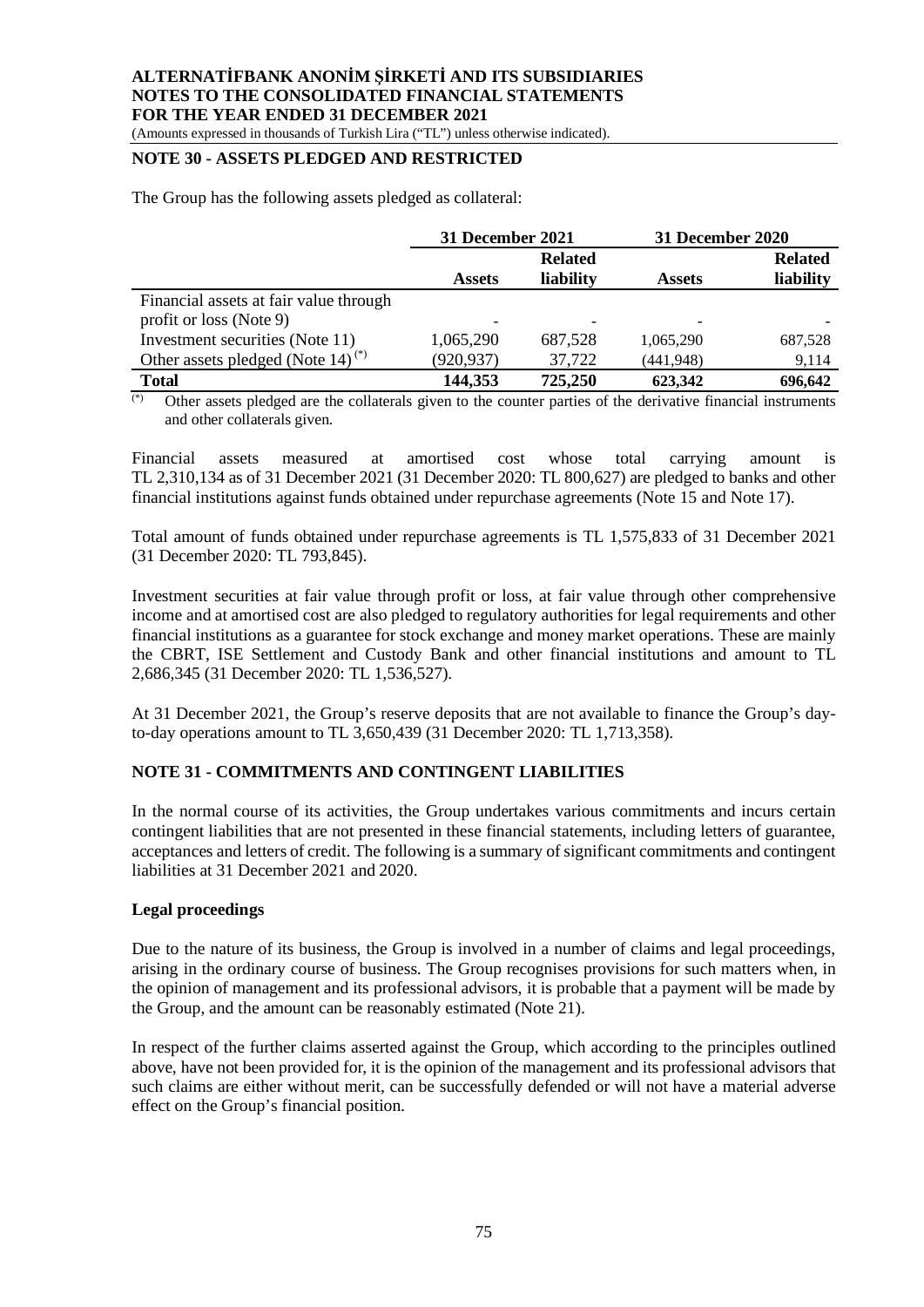(Amounts expressed in thousands of Turkish Lira ("TL") unless otherwise indicated).

### **NOTE 30 - ASSETS PLEDGED AND RESTRICTED**

The Group has the following assets pledged as collateral:

|                                                                   | <b>31 December 2021</b> |                             | <b>31 December 2020</b> |                             |
|-------------------------------------------------------------------|-------------------------|-----------------------------|-------------------------|-----------------------------|
|                                                                   | <b>Assets</b>           | <b>Related</b><br>liability | <b>Assets</b>           | <b>Related</b><br>liability |
| Financial assets at fair value through<br>profit or loss (Note 9) |                         |                             |                         |                             |
| Investment securities (Note 11)                                   | 1,065,290               | 687,528                     | 1,065,290               | 687,528                     |
| Other assets pledged (Note 14) <sup>(*)</sup>                     | (920, 937)              | 37,722                      | (441, 948)              | 9,114                       |
| <b>Total</b>                                                      | 144,353                 | 725,250                     | 623,342                 | 696,642                     |

Other assets pledged are the collaterals given to the counter parties of the derivative financial instruments and other collaterals given.

Financial assets measured at amortised cost whose total carrying amount is TL 2,310,134 as of 31 December 2021 (31 December 2020: TL 800,627) are pledged to banks and other financial institutions against funds obtained under repurchase agreements (Note 15 and Note 17).

Total amount of funds obtained under repurchase agreements is TL 1,575,833 of 31 December 2021 (31 December 2020: TL 793,845).

Investment securities at fair value through profit or loss, at fair value through other comprehensive income and at amortised cost are also pledged to regulatory authorities for legal requirements and other financial institutions as a guarantee for stock exchange and money market operations. These are mainly the CBRT, ISE Settlement and Custody Bank and other financial institutions and amount to TL 2,686,345 (31 December 2020: TL 1,536,527).

At 31 December 2021, the Group's reserve deposits that are not available to finance the Group's dayto-day operations amount to TL 3,650,439 (31 December 2020: TL 1,713,358).

#### **NOTE 31 - COMMITMENTS AND CONTINGENT LIABILITIES**

In the normal course of its activities, the Group undertakes various commitments and incurs certain contingent liabilities that are not presented in these financial statements, including letters of guarantee, acceptances and letters of credit. The following is a summary of significant commitments and contingent liabilities at 31 December 2021 and 2020.

#### **Legal proceedings**

Due to the nature of its business, the Group is involved in a number of claims and legal proceedings, arising in the ordinary course of business. The Group recognises provisions for such matters when, in the opinion of management and its professional advisors, it is probable that a payment will be made by the Group, and the amount can be reasonably estimated (Note 21).

In respect of the further claims asserted against the Group, which according to the principles outlined above, have not been provided for, it is the opinion of the management and its professional advisors that such claims are either without merit, can be successfully defended or will not have a material adverse effect on the Group's financial position.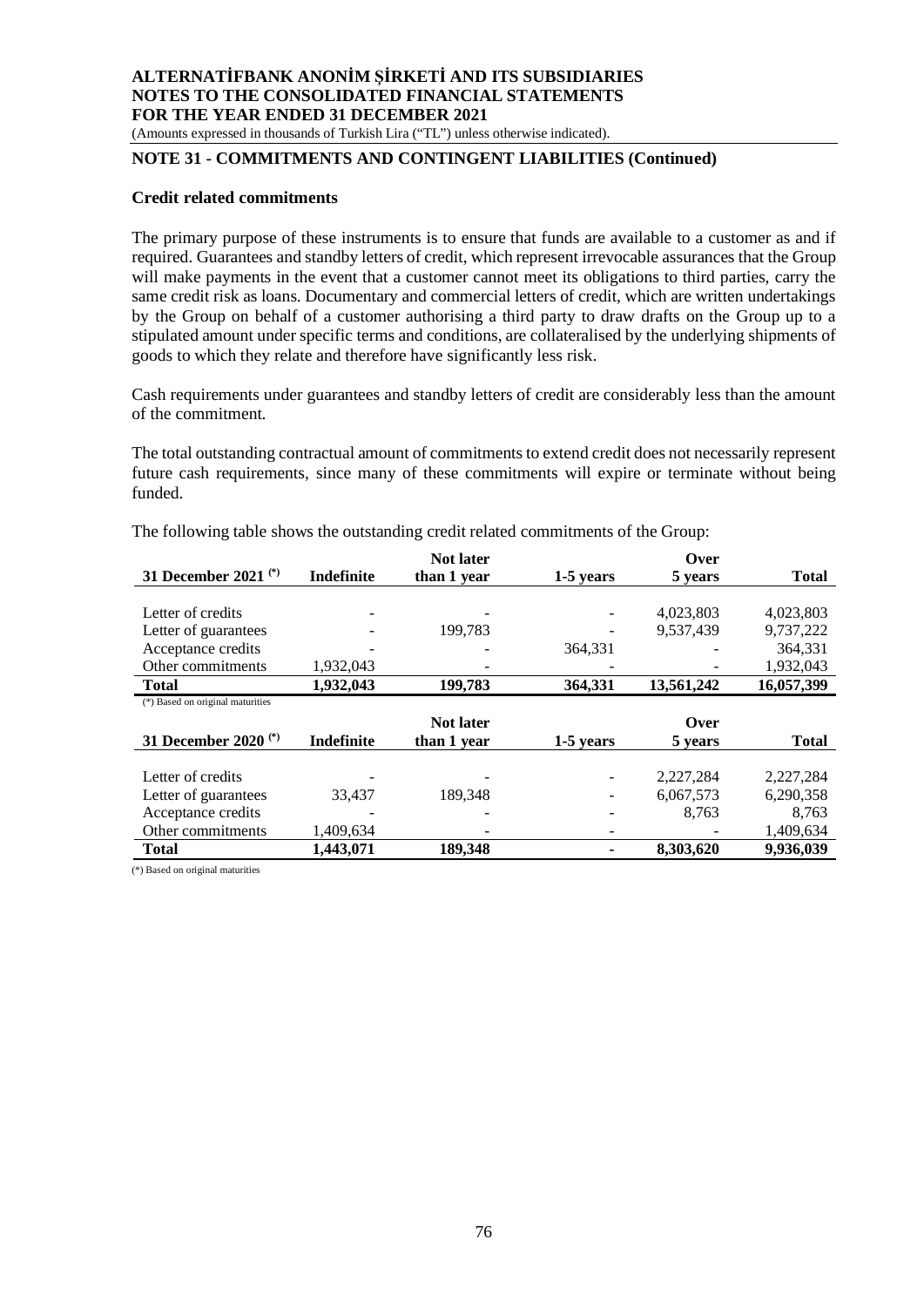(Amounts expressed in thousands of Turkish Lira ("TL") unless otherwise indicated).

## **NOTE 31 - COMMITMENTS AND CONTINGENT LIABILITIES (Continued)**

#### **Credit related commitments**

The primary purpose of these instruments is to ensure that funds are available to a customer as and if required. Guarantees and standby letters of credit, which represent irrevocable assurances that the Group will make payments in the event that a customer cannot meet its obligations to third parties, carry the same credit risk as loans. Documentary and commercial letters of credit, which are written undertakings by the Group on behalf of a customer authorising a third party to draw drafts on the Group up to a stipulated amount under specific terms and conditions, are collateralised by the underlying shipments of goods to which they relate and therefore have significantly less risk.

Cash requirements under guarantees and standby letters of credit are considerably less than the amount of the commitment.

The total outstanding contractual amount of commitments to extend credit does not necessarily represent future cash requirements, since many of these commitments will expire or terminate without being funded.

|                                  |                   | <b>Not later</b> |           | Over       |              |
|----------------------------------|-------------------|------------------|-----------|------------|--------------|
| 31 December 2021 $(*)$           | <b>Indefinite</b> | than 1 year      | 1-5 years | 5 years    | <b>Total</b> |
|                                  |                   |                  |           |            |              |
| Letter of credits                |                   |                  |           | 4,023,803  | 4,023,803    |
| Letter of guarantees             |                   | 199.783          |           | 9.537.439  | 9,737,222    |
| Acceptance credits               |                   |                  | 364.331   |            | 364,331      |
| Other commitments                | 1,932,043         |                  |           |            | 1,932,043    |
| <b>Total</b>                     | 1,932,043         | 199,783          | 364,331   | 13,561,242 | 16,057,399   |
| (*) Based on original maturities |                   |                  |           |            |              |
|                                  |                   |                  |           |            |              |
|                                  |                   | <b>Not later</b> |           | Over       |              |
| 31 December 2020 <sup>(*)</sup>  | Indefinite        | than 1 year      | 1-5 years | 5 years    | <b>Total</b> |
|                                  |                   |                  |           |            |              |
| Letter of credits                |                   |                  |           | 2,227,284  | 2,227,284    |
| Letter of guarantees             | 33.437            | 189.348          |           | 6,067,573  | 6,290,358    |
| Acceptance credits               |                   |                  |           | 8,763      | 8,763        |
| Other commitments                | 1,409,634         |                  |           |            | 1,409,634    |

The following table shows the outstanding credit related commitments of the Group:

(\*) Based on original maturities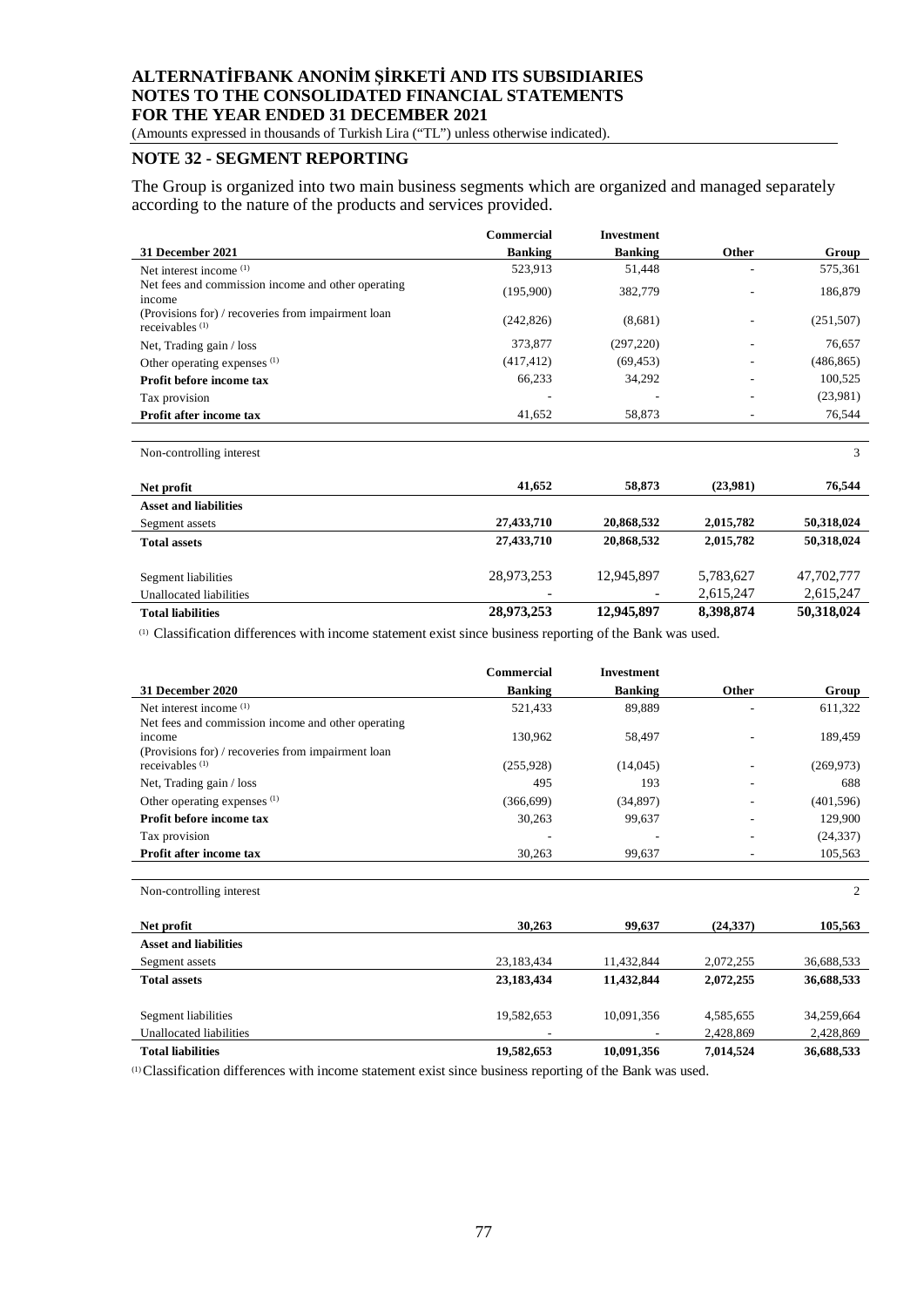(Amounts expressed in thousands of Turkish Lira ("TL") unless otherwise indicated).

### **NOTE 32 - SEGMENT REPORTING**

The Group is organized into two main business segments which are organized and managed separately according to the nature of the products and services provided.

|                                                                         | Commercial     | <b>Investment</b>        |           |            |
|-------------------------------------------------------------------------|----------------|--------------------------|-----------|------------|
| 31 December 2021                                                        | <b>Banking</b> | <b>Banking</b>           | Other     | Group      |
| Net interest income $(1)$                                               | 523,913        | 51,448                   |           | 575,361    |
| Net fees and commission income and other operating<br>income            | (195,900)      | 382,779                  |           | 186,879    |
| (Provisions for) / recoveries from impairment loan<br>receivables $(1)$ | (242, 826)     | (8,681)                  |           | (251, 507) |
| Net, Trading gain / loss                                                | 373,877        | (297, 220)               |           | 76,657     |
| Other operating expenses (1)                                            | (417, 412)     | (69, 453)                |           | (486, 865) |
| Profit before income tax                                                | 66,233         | 34,292                   |           | 100,525    |
| Tax provision                                                           |                |                          |           | (23,981)   |
| Profit after income tax                                                 | 41,652         | 58,873                   |           | 76,544     |
|                                                                         |                |                          |           |            |
| Non-controlling interest                                                |                |                          |           | 3          |
| Net profit                                                              | 41,652         | 58,873                   | (23,981)  | 76,544     |
| <b>Asset and liabilities</b>                                            |                |                          |           |            |
| Segment assets                                                          | 27,433,710     | 20,868,532               | 2,015,782 | 50,318,024 |
| <b>Total assets</b>                                                     | 27,433,710     | 20,868,532               | 2,015,782 | 50,318,024 |
| Segment liabilities                                                     | 28,973,253     | 12,945,897               | 5,783,627 | 47,702,777 |
| Unallocated liabilities                                                 |                | $\overline{\phantom{a}}$ | 2,615,247 | 2,615,247  |

**Total liabilities 28,973,253 12,945,897 8,398,874 50,318,024**

(1) Classification differences with income statement exist since business reporting of the Bank was used.

|                                                                                 | Commercial     | <b>Investment</b> |                          |            |
|---------------------------------------------------------------------------------|----------------|-------------------|--------------------------|------------|
| 31 December 2020                                                                | <b>Banking</b> | <b>Banking</b>    | Other                    | Group      |
| Net interest income $(1)$<br>Net fees and commission income and other operating | 521,433        | 89,889            |                          | 611,322    |
| income<br>(Provisions for) / recoveries from impairment loan                    | 130,962        | 58,497            |                          | 189,459    |
| receivables $(1)$                                                               | (255, 928)     | (14,045)          |                          | (269, 973) |
| Net, Trading gain / loss                                                        | 495            | 193               | $\overline{\phantom{a}}$ | 688        |
| Other operating expenses <sup>(1)</sup>                                         | (366, 699)     | (34,897)          |                          | (401, 596) |
| Profit before income tax                                                        | 30,263         | 99,637            |                          | 129,900    |
| Tax provision                                                                   |                |                   |                          | (24, 337)  |
| Profit after income tax                                                         | 30,263         | 99,637            |                          | 105,563    |
| Non-controlling interest                                                        |                |                   |                          | 2          |
| Net profit                                                                      | 30,263         | 99,637            | (24, 337)                | 105,563    |
| <b>Asset and liabilities</b>                                                    |                |                   |                          |            |
| Segment assets                                                                  | 23,183,434     | 11,432,844        | 2,072,255                | 36,688,533 |
| <b>Total assets</b>                                                             | 23,183,434     | 11,432,844        | 2,072,255                | 36,688,533 |
| Segment liabilities                                                             | 19,582,653     | 10,091,356        | 4,585,655                | 34,259,664 |
| Unallocated liabilities                                                         |                |                   | 2,428,869                | 2,428,869  |
| <b>Total liabilities</b>                                                        | 19,582,653     | 10,091,356        | 7,014,524                | 36,688,533 |

(1)Classification differences with income statement exist since business reporting of the Bank was used.